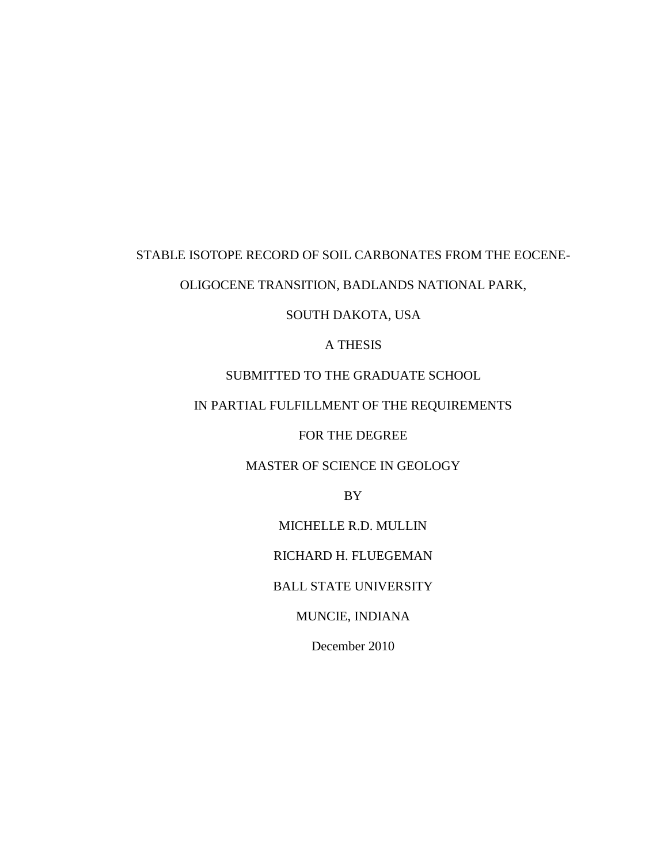# STABLE ISOTOPE RECORD OF SOIL CARBONATES FROM THE EOCENE-

# OLIGOCENE TRANSITION, BADLANDS NATIONAL PARK,

SOUTH DAKOTA, USA

A THESIS

# SUBMITTED TO THE GRADUATE SCHOOL

# IN PARTIAL FULFILLMENT OF THE REQUIREMENTS

## FOR THE DEGREE

# MASTER OF SCIENCE IN GEOLOGY

BY

MICHELLE R.D. MULLIN

RICHARD H. FLUEGEMAN

BALL STATE UNIVERSITY

MUNCIE, INDIANA

December 2010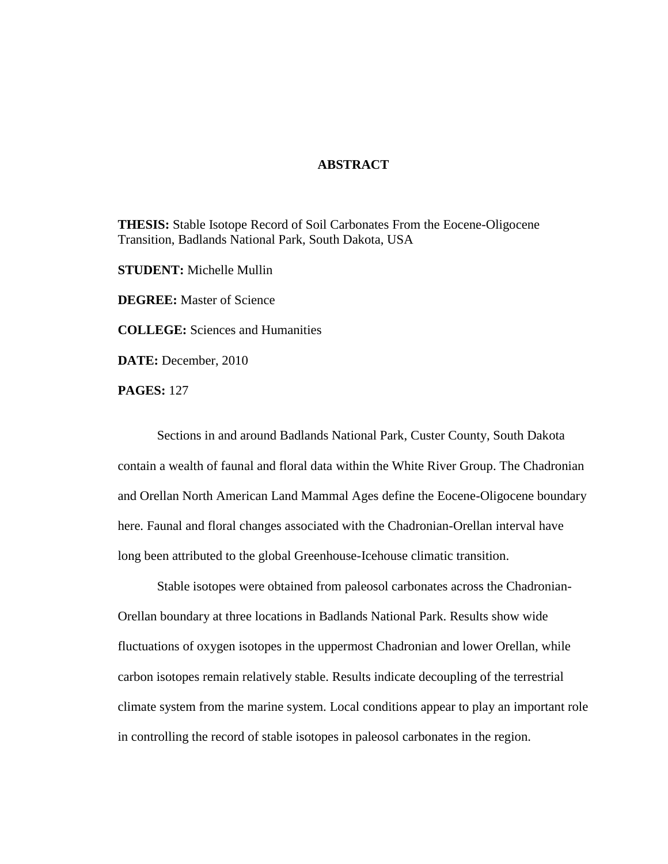## **ABSTRACT**

**THESIS:** Stable Isotope Record of Soil Carbonates From the Eocene-Oligocene Transition, Badlands National Park, South Dakota, USA

**STUDENT:** Michelle Mullin

**DEGREE:** Master of Science

**COLLEGE:** Sciences and Humanities

**DATE:** December, 2010

**PAGES:** 127

Sections in and around Badlands National Park, Custer County, South Dakota contain a wealth of faunal and floral data within the White River Group. The Chadronian and Orellan North American Land Mammal Ages define the Eocene-Oligocene boundary here. Faunal and floral changes associated with the Chadronian-Orellan interval have long been attributed to the global Greenhouse-Icehouse climatic transition.

Stable isotopes were obtained from paleosol carbonates across the Chadronian-Orellan boundary at three locations in Badlands National Park. Results show wide fluctuations of oxygen isotopes in the uppermost Chadronian and lower Orellan, while carbon isotopes remain relatively stable. Results indicate decoupling of the terrestrial climate system from the marine system. Local conditions appear to play an important role in controlling the record of stable isotopes in paleosol carbonates in the region.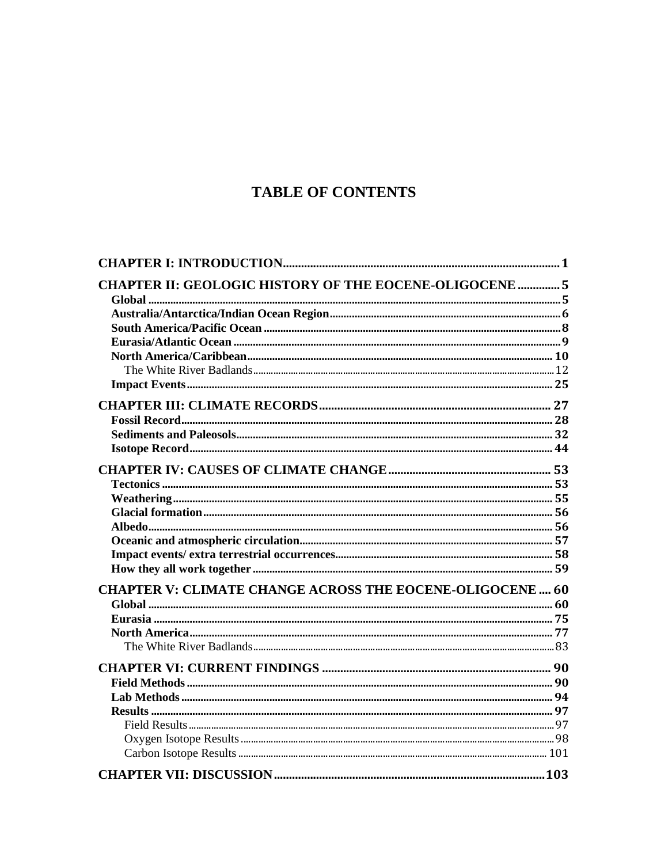# **TABLE OF CONTENTS**

| <b>CHAPTER II: GEOLOGIC HISTORY OF THE EOCENE-OLIGOCENE  5</b>   |  |
|------------------------------------------------------------------|--|
|                                                                  |  |
|                                                                  |  |
|                                                                  |  |
|                                                                  |  |
|                                                                  |  |
|                                                                  |  |
|                                                                  |  |
|                                                                  |  |
|                                                                  |  |
|                                                                  |  |
|                                                                  |  |
|                                                                  |  |
|                                                                  |  |
|                                                                  |  |
|                                                                  |  |
|                                                                  |  |
|                                                                  |  |
|                                                                  |  |
| <b>CHAPTER V: CLIMATE CHANGE ACROSS THE EOCENE-OLIGOCENE  60</b> |  |
|                                                                  |  |
|                                                                  |  |
|                                                                  |  |
|                                                                  |  |
|                                                                  |  |
|                                                                  |  |
|                                                                  |  |
|                                                                  |  |
|                                                                  |  |
|                                                                  |  |
|                                                                  |  |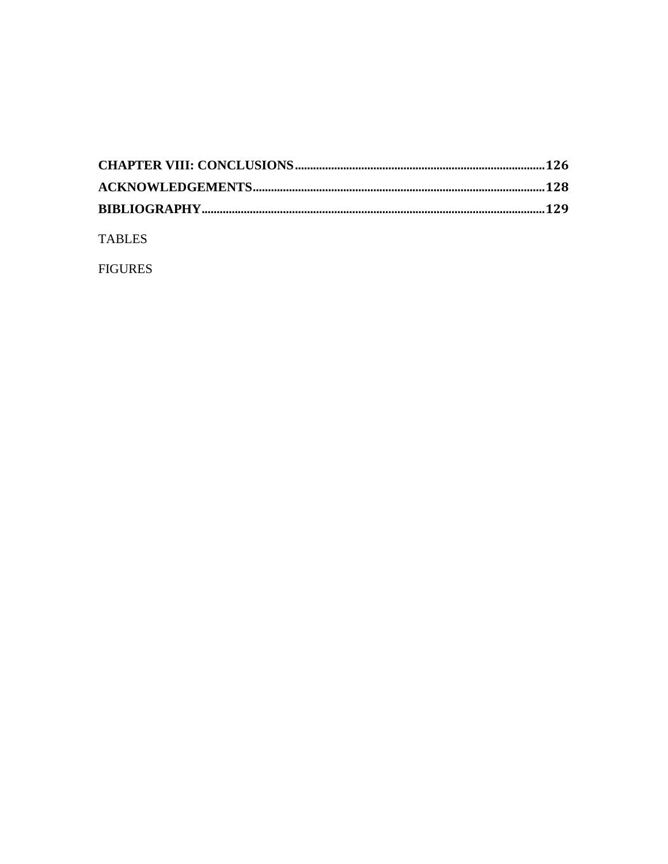**TABLES** 

**FIGURES**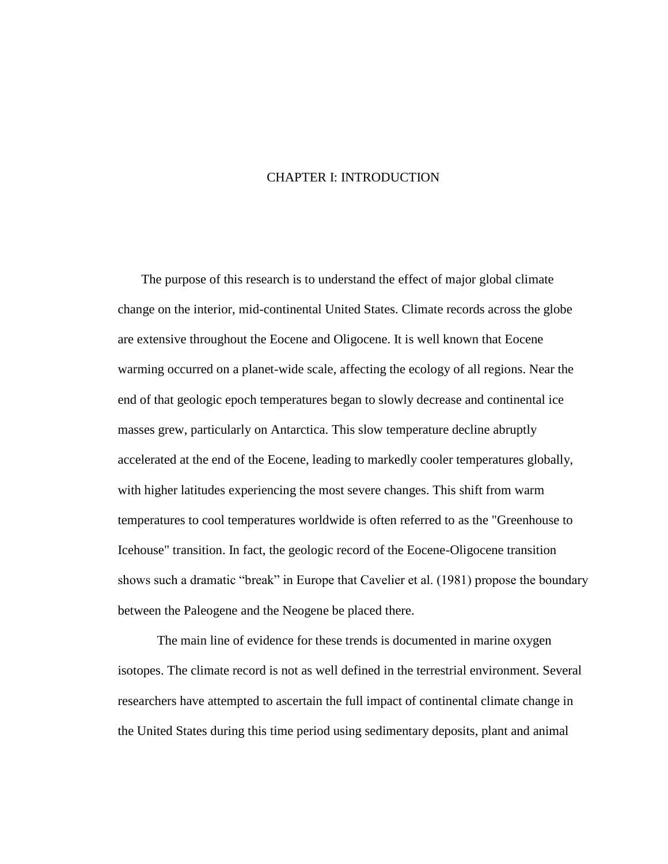## CHAPTER I: INTRODUCTION

<span id="page-4-0"></span>The purpose of this research is to understand the effect of major global climate change on the interior, mid-continental United States. Climate records across the globe are extensive throughout the Eocene and Oligocene. It is well known that Eocene warming occurred on a planet-wide scale, affecting the ecology of all regions. Near the end of that geologic epoch temperatures began to slowly decrease and continental ice masses grew, particularly on Antarctica. This slow temperature decline abruptly accelerated at the end of the Eocene, leading to markedly cooler temperatures globally, with higher latitudes experiencing the most severe changes. This shift from warm temperatures to cool temperatures worldwide is often referred to as the "Greenhouse to Icehouse" transition. In fact, the geologic record of the Eocene-Oligocene transition shows such a dramatic "break" in Europe that Cavelier et al. (1981) propose the boundary between the Paleogene and the Neogene be placed there.

The main line of evidence for these trends is documented in marine oxygen isotopes. The climate record is not as well defined in the terrestrial environment. Several researchers have attempted to ascertain the full impact of continental climate change in the United States during this time period using sedimentary deposits, plant and animal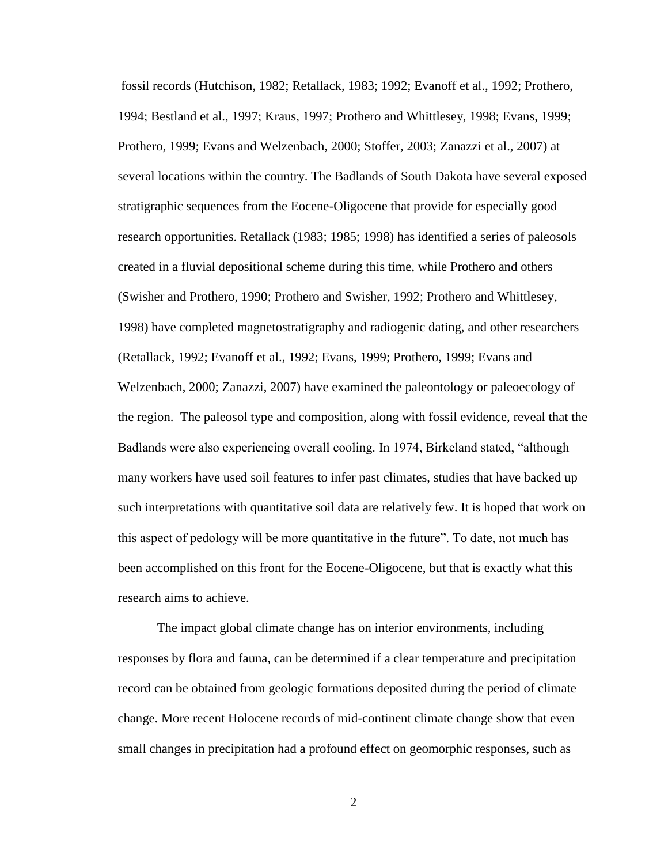fossil records (Hutchison, 1982; Retallack, 1983; 1992; Evanoff et al., 1992; Prothero, 1994; Bestland et al., 1997; Kraus, 1997; Prothero and Whittlesey, 1998; Evans, 1999; Prothero, 1999; Evans and Welzenbach, 2000; Stoffer, 2003; Zanazzi et al., 2007) at several locations within the country. The Badlands of South Dakota have several exposed stratigraphic sequences from the Eocene-Oligocene that provide for especially good research opportunities. Retallack (1983; 1985; 1998) has identified a series of paleosols created in a fluvial depositional scheme during this time, while Prothero and others (Swisher and Prothero, 1990; Prothero and Swisher, 1992; Prothero and Whittlesey, 1998) have completed magnetostratigraphy and radiogenic dating, and other researchers (Retallack, 1992; Evanoff et al., 1992; Evans, 1999; Prothero, 1999; Evans and Welzenbach, 2000; Zanazzi, 2007) have examined the paleontology or paleoecology of the region. The paleosol type and composition, along with fossil evidence, reveal that the Badlands were also experiencing overall cooling. In 1974, Birkeland stated, "although many workers have used soil features to infer past climates, studies that have backed up such interpretations with quantitative soil data are relatively few. It is hoped that work on this aspect of pedology will be more quantitative in the future". To date, not much has been accomplished on this front for the Eocene-Oligocene, but that is exactly what this research aims to achieve.

The impact global climate change has on interior environments, including responses by flora and fauna, can be determined if a clear temperature and precipitation record can be obtained from geologic formations deposited during the period of climate change. More recent Holocene records of mid-continent climate change show that even small changes in precipitation had a profound effect on geomorphic responses, such as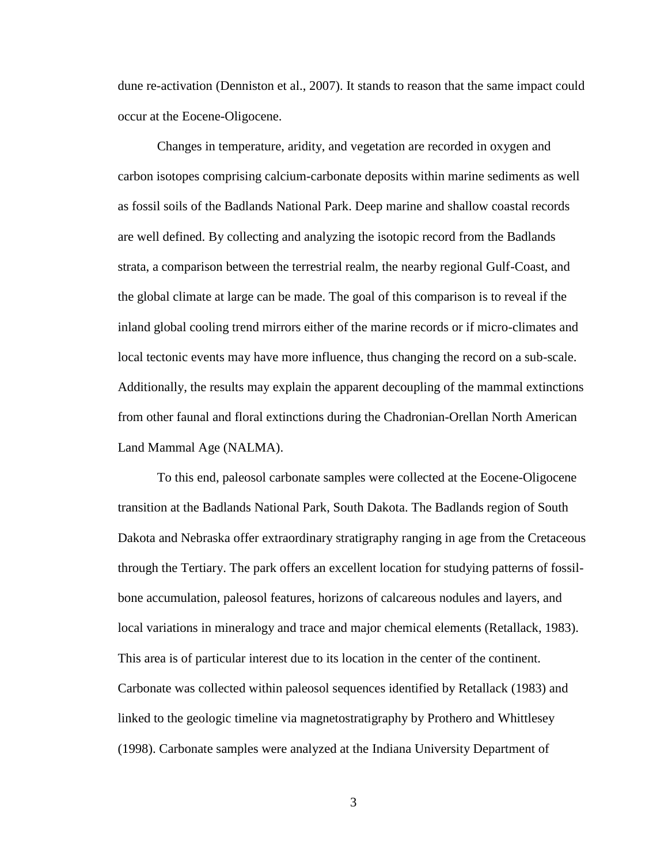dune re-activation (Denniston et al., 2007). It stands to reason that the same impact could occur at the Eocene-Oligocene.

Changes in temperature, aridity, and vegetation are recorded in oxygen and carbon isotopes comprising calcium-carbonate deposits within marine sediments as well as fossil soils of the Badlands National Park. Deep marine and shallow coastal records are well defined. By collecting and analyzing the isotopic record from the Badlands strata, a comparison between the terrestrial realm, the nearby regional Gulf-Coast, and the global climate at large can be made. The goal of this comparison is to reveal if the inland global cooling trend mirrors either of the marine records or if micro-climates and local tectonic events may have more influence, thus changing the record on a sub-scale. Additionally, the results may explain the apparent decoupling of the mammal extinctions from other faunal and floral extinctions during the Chadronian-Orellan North American Land Mammal Age (NALMA).

To this end, paleosol carbonate samples were collected at the Eocene-Oligocene transition at the Badlands National Park, South Dakota. The Badlands region of South Dakota and Nebraska offer extraordinary stratigraphy ranging in age from the Cretaceous through the Tertiary. The park offers an excellent location for studying patterns of fossilbone accumulation, paleosol features, horizons of calcareous nodules and layers, and local variations in mineralogy and trace and major chemical elements (Retallack, 1983). This area is of particular interest due to its location in the center of the continent. Carbonate was collected within paleosol sequences identified by Retallack (1983) and linked to the geologic timeline via magnetostratigraphy by Prothero and Whittlesey (1998). Carbonate samples were analyzed at the Indiana University Department of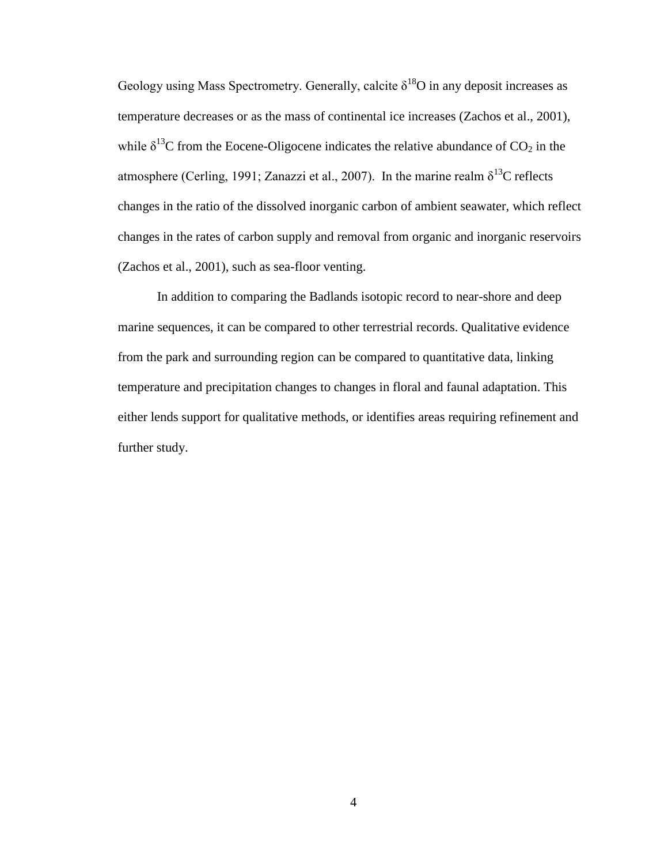Geology using Mass Spectrometry. Generally, calcite  $\delta^{18}O$  in any deposit increases as temperature decreases or as the mass of continental ice increases (Zachos et al., 2001), while  $\delta^{13}$ C from the Eocene-Oligocene indicates the relative abundance of CO<sub>2</sub> in the atmosphere (Cerling, 1991; Zanazzi et al., 2007). In the marine realm  $\delta^{13}$ C reflects changes in the ratio of the dissolved inorganic carbon of ambient seawater, which reflect changes in the rates of carbon supply and removal from organic and inorganic reservoirs (Zachos et al., 2001), such as sea-floor venting.

In addition to comparing the Badlands isotopic record to near-shore and deep marine sequences, it can be compared to other terrestrial records. Qualitative evidence from the park and surrounding region can be compared to quantitative data, linking temperature and precipitation changes to changes in floral and faunal adaptation. This either lends support for qualitative methods, or identifies areas requiring refinement and further study.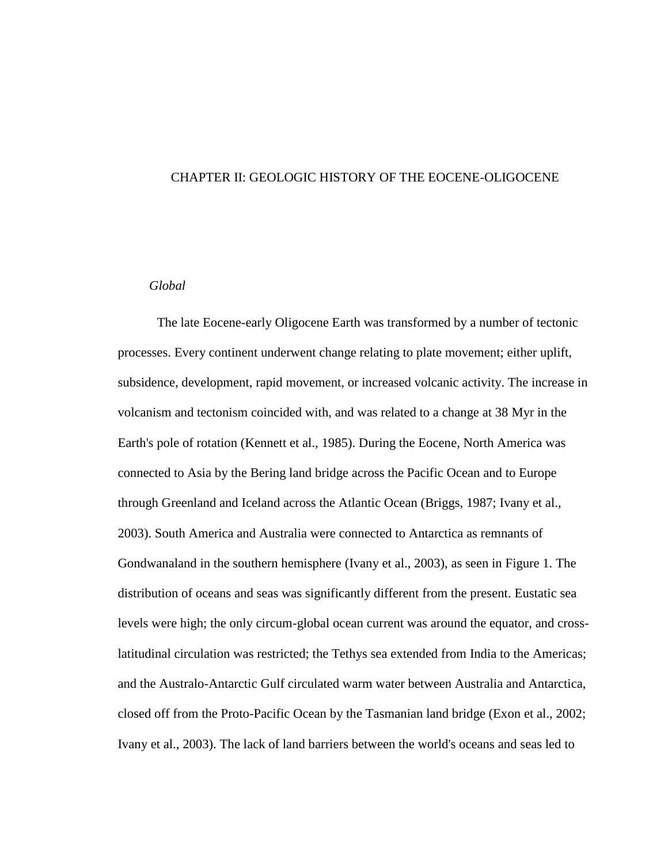#### <span id="page-8-0"></span>CHAPTER II: GEOLOGIC HISTORY OF THE EOCENE-OLIGOCENE

#### <span id="page-8-1"></span>*Global*

The late Eocene-early Oligocene Earth was transformed by a number of tectonic processes. Every continent underwent change relating to plate movement; either uplift, subsidence, development, rapid movement, or increased volcanic activity. The increase in volcanism and tectonism coincided with, and was related to a change at 38 Myr in the Earth's pole of rotation (Kennett et al., 1985). During the Eocene, North America was connected to Asia by the Bering land bridge across the Pacific Ocean and to Europe through Greenland and Iceland across the Atlantic Ocean (Briggs, 1987; Ivany et al., 2003). South America and Australia were connected to Antarctica as remnants of Gondwanaland in the southern hemisphere (Ivany et al., 2003), as seen in Figure 1. The distribution of oceans and seas was significantly different from the present. Eustatic sea levels were high; the only circum-global ocean current was around the equator, and crosslatitudinal circulation was restricted; the Tethys sea extended from India to the Americas; and the Australo-Antarctic Gulf circulated warm water between Australia and Antarctica, closed off from the Proto-Pacific Ocean by the Tasmanian land bridge (Exon et al., 2002; Ivany et al., 2003). The lack of land barriers between the world's oceans and seas led to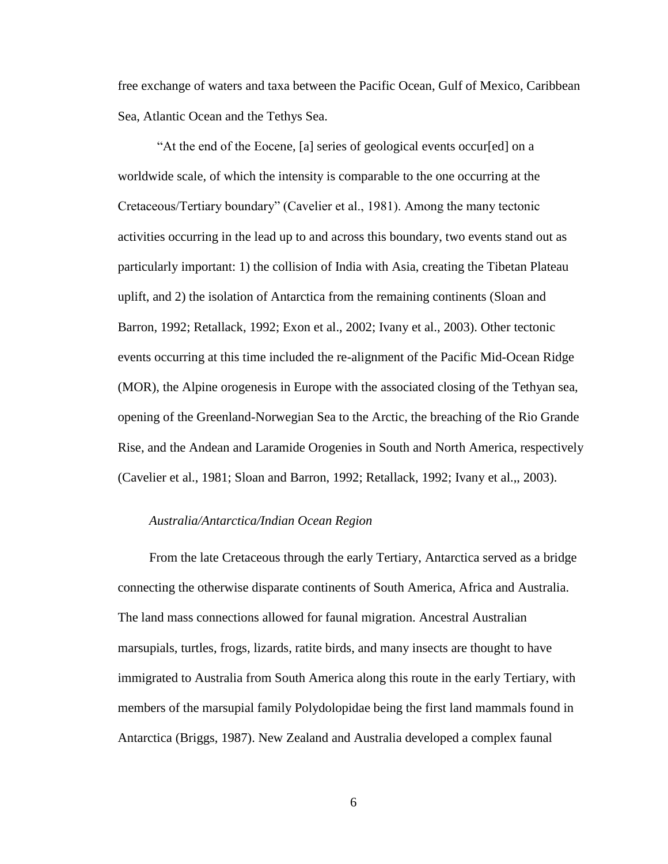free exchange of waters and taxa between the Pacific Ocean, Gulf of Mexico, Caribbean Sea, Atlantic Ocean and the Tethys Sea.

"At the end of the Eocene, [a] series of geological events occur[ed] on a worldwide scale, of which the intensity is comparable to the one occurring at the Cretaceous/Tertiary boundary" (Cavelier et al., 1981). Among the many tectonic activities occurring in the lead up to and across this boundary, two events stand out as particularly important: 1) the collision of India with Asia, creating the Tibetan Plateau uplift, and 2) the isolation of Antarctica from the remaining continents (Sloan and Barron, 1992; Retallack, 1992; Exon et al., 2002; Ivany et al., 2003). Other tectonic events occurring at this time included the re-alignment of the Pacific Mid-Ocean Ridge (MOR), the Alpine orogenesis in Europe with the associated closing of the Tethyan sea, opening of the Greenland-Norwegian Sea to the Arctic, the breaching of the Rio Grande Rise, and the Andean and Laramide Orogenies in South and North America, respectively (Cavelier et al., 1981; Sloan and Barron, 1992; Retallack, 1992; Ivany et al.,, 2003).

#### <span id="page-9-0"></span>*Australia/Antarctica/Indian Ocean Region*

From the late Cretaceous through the early Tertiary, Antarctica served as a bridge connecting the otherwise disparate continents of South America, Africa and Australia. The land mass connections allowed for faunal migration. Ancestral Australian marsupials, turtles, frogs, lizards, ratite birds, and many insects are thought to have immigrated to Australia from South America along this route in the early Tertiary, with members of the marsupial family Polydolopidae being the first land mammals found in Antarctica (Briggs, 1987). New Zealand and Australia developed a complex faunal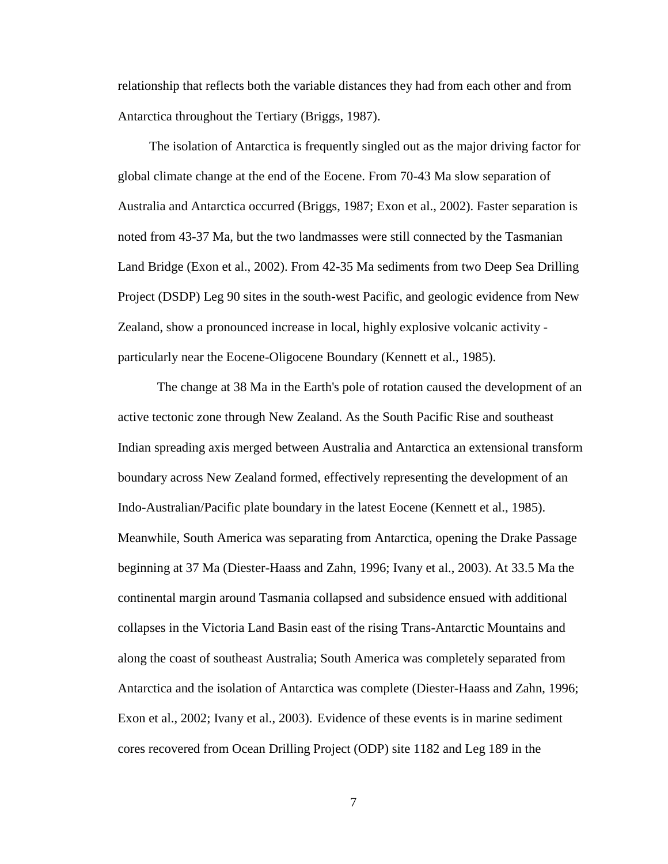relationship that reflects both the variable distances they had from each other and from Antarctica throughout the Tertiary (Briggs, 1987).

The isolation of Antarctica is frequently singled out as the major driving factor for global climate change at the end of the Eocene. From 70-43 Ma slow separation of Australia and Antarctica occurred (Briggs, 1987; Exon et al., 2002). Faster separation is noted from 43-37 Ma, but the two landmasses were still connected by the Tasmanian Land Bridge (Exon et al., 2002). From 42-35 Ma sediments from two Deep Sea Drilling Project (DSDP) Leg 90 sites in the south-west Pacific, and geologic evidence from New Zealand, show a pronounced increase in local, highly explosive volcanic activity particularly near the Eocene-Oligocene Boundary (Kennett et al., 1985).

The change at 38 Ma in the Earth's pole of rotation caused the development of an active tectonic zone through New Zealand. As the South Pacific Rise and southeast Indian spreading axis merged between Australia and Antarctica an extensional transform boundary across New Zealand formed, effectively representing the development of an Indo-Australian/Pacific plate boundary in the latest Eocene (Kennett et al., 1985). Meanwhile, South America was separating from Antarctica, opening the Drake Passage beginning at 37 Ma (Diester-Haass and Zahn, 1996; Ivany et al., 2003). At 33.5 Ma the continental margin around Tasmania collapsed and subsidence ensued with additional collapses in the Victoria Land Basin east of the rising Trans-Antarctic Mountains and along the coast of southeast Australia; South America was completely separated from Antarctica and the isolation of Antarctica was complete (Diester-Haass and Zahn, 1996; Exon et al., 2002; Ivany et al., 2003). Evidence of these events is in marine sediment cores recovered from Ocean Drilling Project (ODP) site 1182 and Leg 189 in the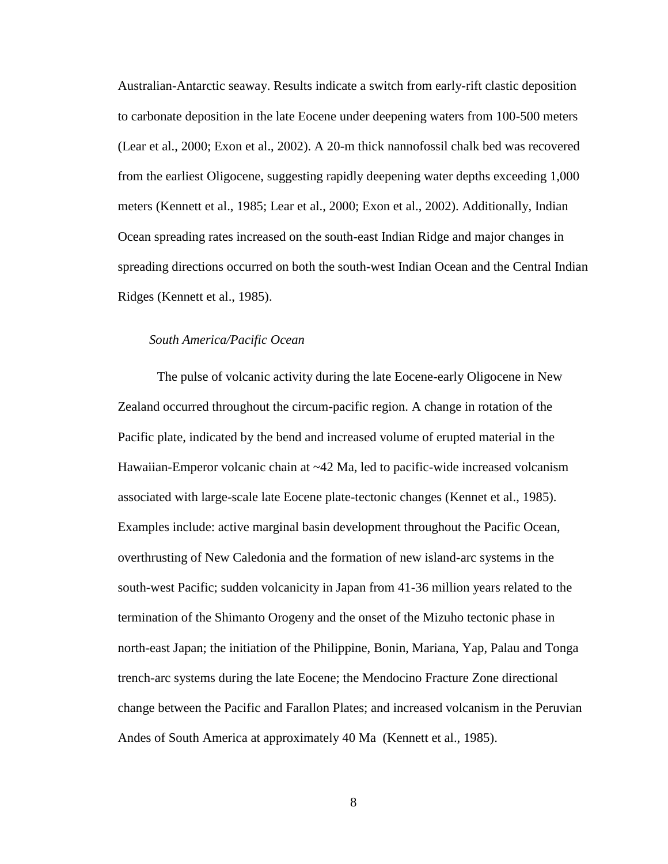Australian-Antarctic seaway. Results indicate a switch from early-rift clastic deposition to carbonate deposition in the late Eocene under deepening waters from 100-500 meters (Lear et al., 2000; Exon et al., 2002). A 20-m thick nannofossil chalk bed was recovered from the earliest Oligocene, suggesting rapidly deepening water depths exceeding 1,000 meters (Kennett et al., 1985; Lear et al., 2000; Exon et al., 2002). Additionally, Indian Ocean spreading rates increased on the south-east Indian Ridge and major changes in spreading directions occurred on both the south-west Indian Ocean and the Central Indian Ridges (Kennett et al., 1985).

#### <span id="page-11-0"></span>*South America/Pacific Ocean*

The pulse of volcanic activity during the late Eocene-early Oligocene in New Zealand occurred throughout the circum-pacific region. A change in rotation of the Pacific plate, indicated by the bend and increased volume of erupted material in the Hawaiian-Emperor volcanic chain at ~42 Ma, led to pacific-wide increased volcanism associated with large-scale late Eocene plate-tectonic changes (Kennet et al., 1985). Examples include: active marginal basin development throughout the Pacific Ocean, overthrusting of New Caledonia and the formation of new island-arc systems in the south-west Pacific; sudden volcanicity in Japan from 41-36 million years related to the termination of the Shimanto Orogeny and the onset of the Mizuho tectonic phase in north-east Japan; the initiation of the Philippine, Bonin, Mariana, Yap, Palau and Tonga trench-arc systems during the late Eocene; the Mendocino Fracture Zone directional change between the Pacific and Farallon Plates; and increased volcanism in the Peruvian Andes of South America at approximately 40 Ma (Kennett et al., 1985).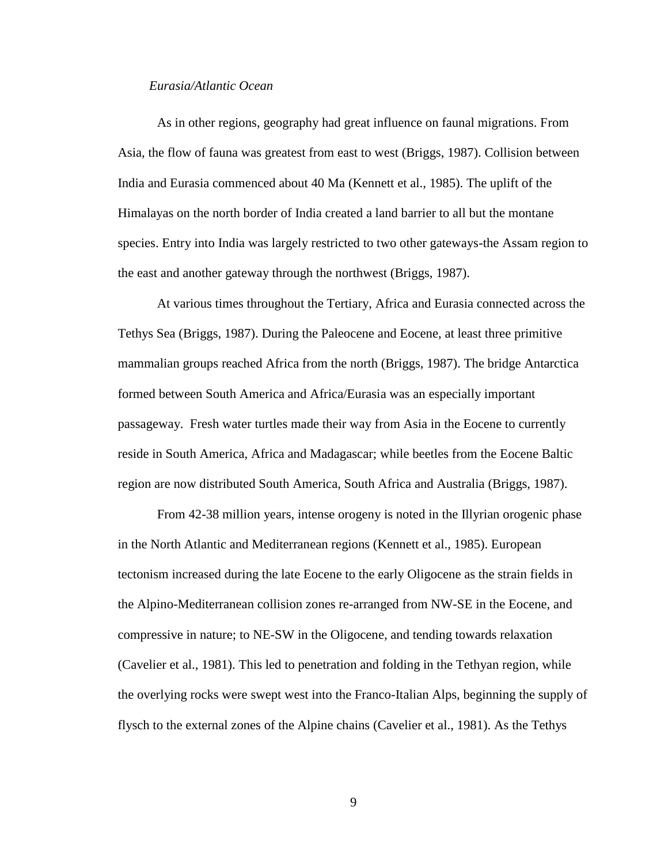### <span id="page-12-0"></span>*Eurasia/Atlantic Ocean*

As in other regions, geography had great influence on faunal migrations. From Asia, the flow of fauna was greatest from east to west (Briggs, 1987). Collision between India and Eurasia commenced about 40 Ma (Kennett et al., 1985). The uplift of the Himalayas on the north border of India created a land barrier to all but the montane species. Entry into India was largely restricted to two other gateways-the Assam region to the east and another gateway through the northwest (Briggs, 1987).

At various times throughout the Tertiary, Africa and Eurasia connected across the Tethys Sea (Briggs, 1987). During the Paleocene and Eocene, at least three primitive mammalian groups reached Africa from the north (Briggs, 1987). The bridge Antarctica formed between South America and Africa/Eurasia was an especially important passageway. Fresh water turtles made their way from Asia in the Eocene to currently reside in South America, Africa and Madagascar; while beetles from the Eocene Baltic region are now distributed South America, South Africa and Australia (Briggs, 1987).

From 42-38 million years, intense orogeny is noted in the Illyrian orogenic phase in the North Atlantic and Mediterranean regions (Kennett et al., 1985). European tectonism increased during the late Eocene to the early Oligocene as the strain fields in the Alpino-Mediterranean collision zones re-arranged from NW-SE in the Eocene, and compressive in nature; to NE-SW in the Oligocene, and tending towards relaxation (Cavelier et al., 1981). This led to penetration and folding in the Tethyan region, while the overlying rocks were swept west into the Franco-Italian Alps, beginning the supply of flysch to the external zones of the Alpine chains (Cavelier et al., 1981). As the Tethys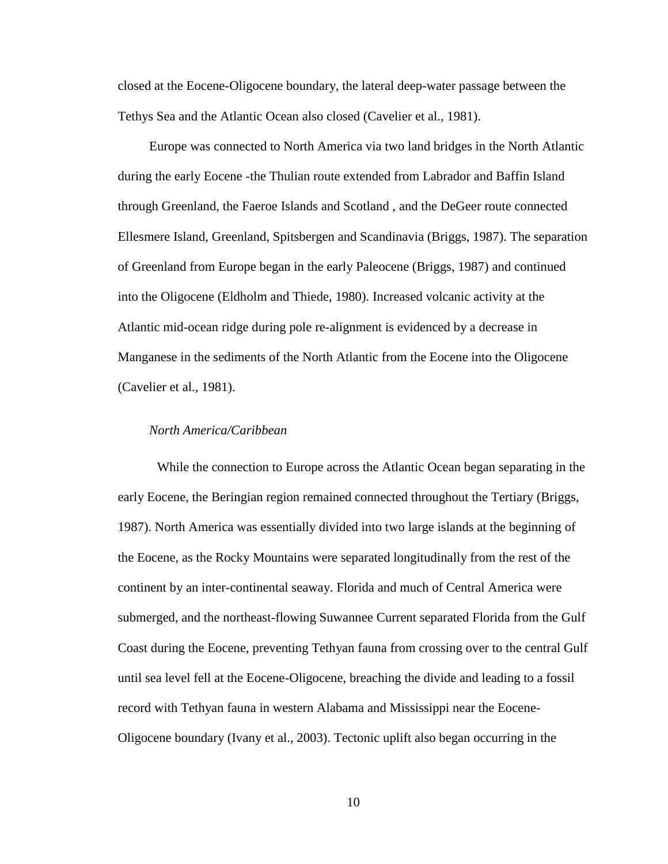closed at the Eocene-Oligocene boundary, the lateral deep-water passage between the Tethys Sea and the Atlantic Ocean also closed (Cavelier et al., 1981).

Europe was connected to North America via two land bridges in the North Atlantic during the early Eocene -the Thulian route extended from Labrador and Baffin Island through Greenland, the Faeroe Islands and Scotland , and the DeGeer route connected Ellesmere Island, Greenland, Spitsbergen and Scandinavia (Briggs, 1987). The separation of Greenland from Europe began in the early Paleocene (Briggs, 1987) and continued into the Oligocene (Eldholm and Thiede, 1980). Increased volcanic activity at the Atlantic mid-ocean ridge during pole re-alignment is evidenced by a decrease in Manganese in the sediments of the North Atlantic from the Eocene into the Oligocene (Cavelier et al., 1981).

#### <span id="page-13-0"></span>*North America/Caribbean*

While the connection to Europe across the Atlantic Ocean began separating in the early Eocene, the Beringian region remained connected throughout the Tertiary (Briggs, 1987). North America was essentially divided into two large islands at the beginning of the Eocene, as the Rocky Mountains were separated longitudinally from the rest of the continent by an inter-continental seaway. Florida and much of Central America were submerged, and the northeast-flowing Suwannee Current separated Florida from the Gulf Coast during the Eocene, preventing Tethyan fauna from crossing over to the central Gulf until sea level fell at the Eocene-Oligocene, breaching the divide and leading to a fossil record with Tethyan fauna in western Alabama and Mississippi near the Eocene-Oligocene boundary (Ivany et al., 2003). Tectonic uplift also began occurring in the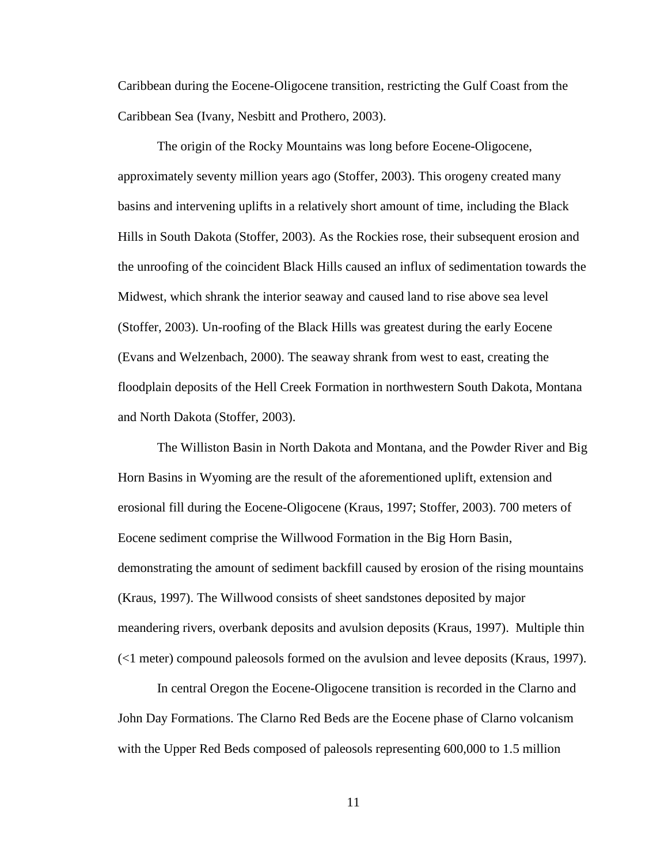Caribbean during the Eocene-Oligocene transition, restricting the Gulf Coast from the Caribbean Sea (Ivany, Nesbitt and Prothero, 2003).

The origin of the Rocky Mountains was long before Eocene-Oligocene, approximately seventy million years ago (Stoffer, 2003). This orogeny created many basins and intervening uplifts in a relatively short amount of time, including the Black Hills in South Dakota (Stoffer, 2003). As the Rockies rose, their subsequent erosion and the unroofing of the coincident Black Hills caused an influx of sedimentation towards the Midwest, which shrank the interior seaway and caused land to rise above sea level (Stoffer, 2003). Un-roofing of the Black Hills was greatest during the early Eocene (Evans and Welzenbach, 2000). The seaway shrank from west to east, creating the floodplain deposits of the Hell Creek Formation in northwestern South Dakota, Montana and North Dakota (Stoffer, 2003).

The Williston Basin in North Dakota and Montana, and the Powder River and Big Horn Basins in Wyoming are the result of the aforementioned uplift, extension and erosional fill during the Eocene-Oligocene (Kraus, 1997; Stoffer, 2003). 700 meters of Eocene sediment comprise the Willwood Formation in the Big Horn Basin, demonstrating the amount of sediment backfill caused by erosion of the rising mountains (Kraus, 1997). The Willwood consists of sheet sandstones deposited by major meandering rivers, overbank deposits and avulsion deposits (Kraus, 1997). Multiple thin (<1 meter) compound paleosols formed on the avulsion and levee deposits (Kraus, 1997).

In central Oregon the Eocene-Oligocene transition is recorded in the Clarno and John Day Formations. The Clarno Red Beds are the Eocene phase of Clarno volcanism with the Upper Red Beds composed of paleosols representing 600,000 to 1.5 million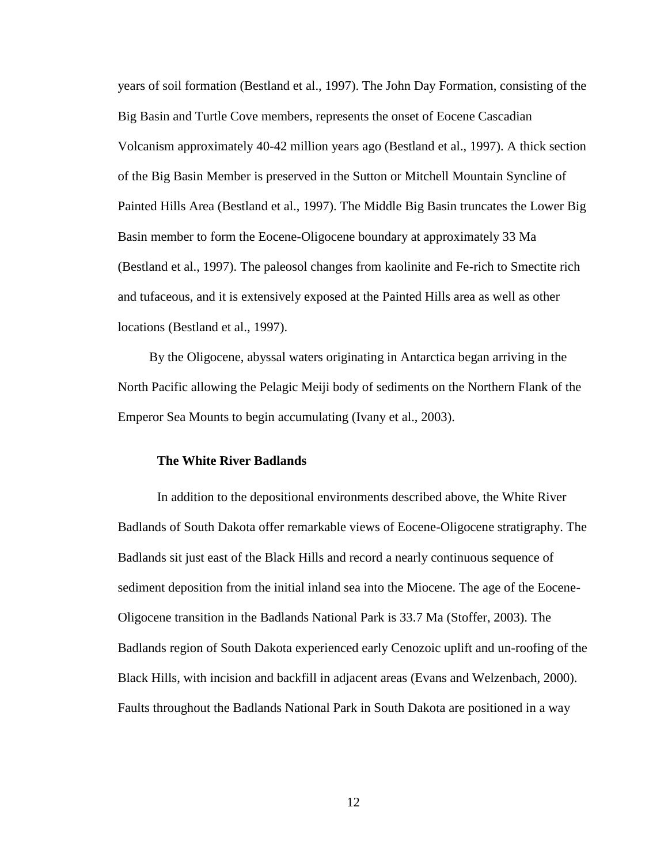years of soil formation (Bestland et al., 1997). The John Day Formation, consisting of the Big Basin and Turtle Cove members, represents the onset of Eocene Cascadian Volcanism approximately 40-42 million years ago (Bestland et al., 1997). A thick section of the Big Basin Member is preserved in the Sutton or Mitchell Mountain Syncline of Painted Hills Area (Bestland et al., 1997). The Middle Big Basin truncates the Lower Big Basin member to form the Eocene-Oligocene boundary at approximately 33 Ma (Bestland et al., 1997). The paleosol changes from kaolinite and Fe-rich to Smectite rich and tufaceous, and it is extensively exposed at the Painted Hills area as well as other locations (Bestland et al., 1997).

By the Oligocene, abyssal waters originating in Antarctica began arriving in the North Pacific allowing the Pelagic Meiji body of sediments on the Northern Flank of the Emperor Sea Mounts to begin accumulating (Ivany et al., 2003).

#### <span id="page-15-0"></span>**The White River Badlands**

In addition to the depositional environments described above, the White River Badlands of South Dakota offer remarkable views of Eocene-Oligocene stratigraphy. The Badlands sit just east of the Black Hills and record a nearly continuous sequence of sediment deposition from the initial inland sea into the Miocene. The age of the Eocene-Oligocene transition in the Badlands National Park is 33.7 Ma (Stoffer, 2003). The Badlands region of South Dakota experienced early Cenozoic uplift and un-roofing of the Black Hills, with incision and backfill in adjacent areas (Evans and Welzenbach, 2000). Faults throughout the Badlands National Park in South Dakota are positioned in a way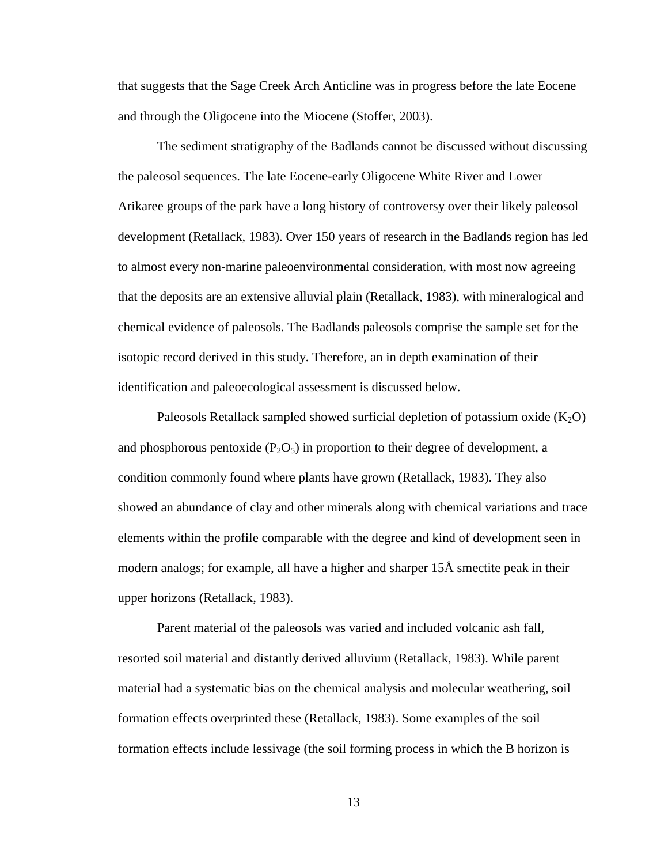that suggests that the Sage Creek Arch Anticline was in progress before the late Eocene and through the Oligocene into the Miocene (Stoffer, 2003).

The sediment stratigraphy of the Badlands cannot be discussed without discussing the paleosol sequences. The late Eocene-early Oligocene White River and Lower Arikaree groups of the park have a long history of controversy over their likely paleosol development (Retallack, 1983). Over 150 years of research in the Badlands region has led to almost every non-marine paleoenvironmental consideration, with most now agreeing that the deposits are an extensive alluvial plain (Retallack, 1983), with mineralogical and chemical evidence of paleosols. The Badlands paleosols comprise the sample set for the isotopic record derived in this study. Therefore, an in depth examination of their identification and paleoecological assessment is discussed below.

Paleosols Retallack sampled showed surficial depletion of potassium oxide  $(K_2O)$ and phosphorous pentoxide  $(P_2O_5)$  in proportion to their degree of development, a condition commonly found where plants have grown (Retallack, 1983). They also showed an abundance of clay and other minerals along with chemical variations and trace elements within the profile comparable with the degree and kind of development seen in modern analogs; for example, all have a higher and sharper 15Å smectite peak in their upper horizons (Retallack, 1983).

Parent material of the paleosols was varied and included volcanic ash fall, resorted soil material and distantly derived alluvium (Retallack, 1983). While parent material had a systematic bias on the chemical analysis and molecular weathering, soil formation effects overprinted these (Retallack, 1983). Some examples of the soil formation effects include lessivage (the soil forming process in which the B horizon is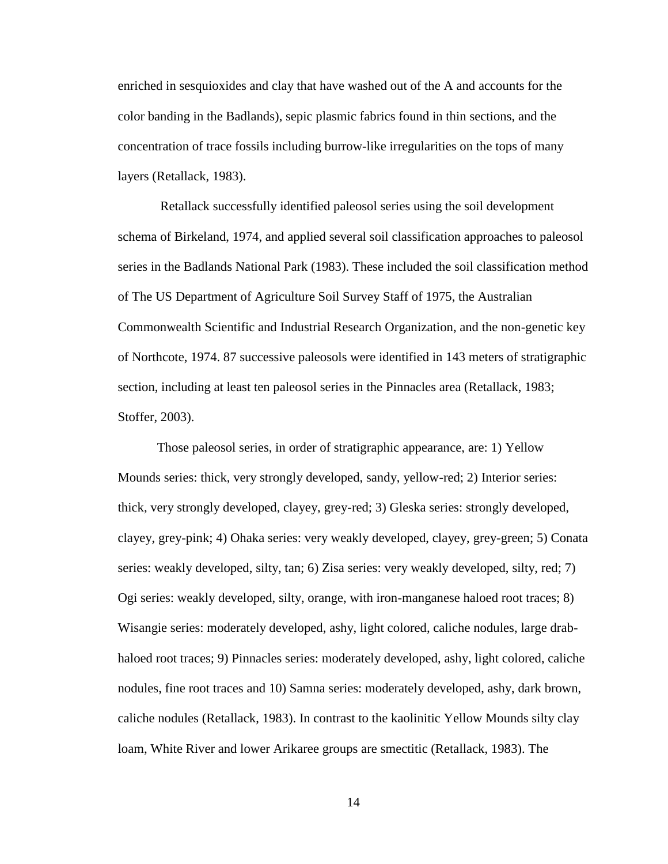enriched in sesquioxides and clay that have washed out of the A and accounts for the color banding in the Badlands), sepic plasmic fabrics found in thin sections, and the concentration of trace fossils including burrow-like irregularities on the tops of many layers (Retallack, 1983).

Retallack successfully identified paleosol series using the soil development schema of Birkeland, 1974, and applied several soil classification approaches to paleosol series in the Badlands National Park (1983). These included the soil classification method of The US Department of Agriculture Soil Survey Staff of 1975, the Australian Commonwealth Scientific and Industrial Research Organization, and the non-genetic key of Northcote, 1974. 87 successive paleosols were identified in 143 meters of stratigraphic section, including at least ten paleosol series in the Pinnacles area (Retallack, 1983; Stoffer, 2003).

Those paleosol series, in order of stratigraphic appearance, are: 1) Yellow Mounds series: thick, very strongly developed, sandy, yellow-red; 2) Interior series: thick, very strongly developed, clayey, grey-red; 3) Gleska series: strongly developed, clayey, grey-pink; 4) Ohaka series: very weakly developed, clayey, grey-green; 5) Conata series: weakly developed, silty, tan; 6) Zisa series: very weakly developed, silty, red; 7) Ogi series: weakly developed, silty, orange, with iron-manganese haloed root traces; 8) Wisangie series: moderately developed, ashy, light colored, caliche nodules, large drabhaloed root traces; 9) Pinnacles series: moderately developed, ashy, light colored, caliche nodules, fine root traces and 10) Samna series: moderately developed, ashy, dark brown, caliche nodules (Retallack, 1983). In contrast to the kaolinitic Yellow Mounds silty clay loam, White River and lower Arikaree groups are smectitic (Retallack, 1983). The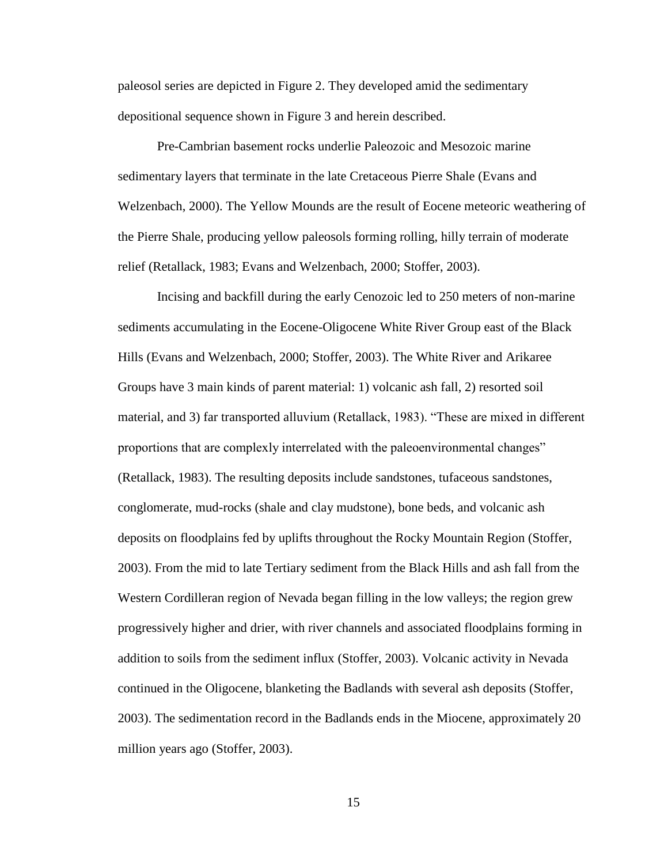paleosol series are depicted in Figure 2. They developed amid the sedimentary depositional sequence shown in Figure 3 and herein described.

Pre-Cambrian basement rocks underlie Paleozoic and Mesozoic marine sedimentary layers that terminate in the late Cretaceous Pierre Shale (Evans and Welzenbach, 2000). The Yellow Mounds are the result of Eocene meteoric weathering of the Pierre Shale, producing yellow paleosols forming rolling, hilly terrain of moderate relief (Retallack, 1983; Evans and Welzenbach, 2000; Stoffer, 2003).

Incising and backfill during the early Cenozoic led to 250 meters of non-marine sediments accumulating in the Eocene-Oligocene White River Group east of the Black Hills (Evans and Welzenbach, 2000; Stoffer, 2003). The White River and Arikaree Groups have 3 main kinds of parent material: 1) volcanic ash fall, 2) resorted soil material, and 3) far transported alluvium (Retallack, 1983). "These are mixed in different proportions that are complexly interrelated with the paleoenvironmental changes" (Retallack, 1983). The resulting deposits include sandstones, tufaceous sandstones, conglomerate, mud-rocks (shale and clay mudstone), bone beds, and volcanic ash deposits on floodplains fed by uplifts throughout the Rocky Mountain Region (Stoffer, 2003). From the mid to late Tertiary sediment from the Black Hills and ash fall from the Western Cordilleran region of Nevada began filling in the low valleys; the region grew progressively higher and drier, with river channels and associated floodplains forming in addition to soils from the sediment influx (Stoffer, 2003). Volcanic activity in Nevada continued in the Oligocene, blanketing the Badlands with several ash deposits (Stoffer, 2003). The sedimentation record in the Badlands ends in the Miocene, approximately 20 million years ago (Stoffer, 2003).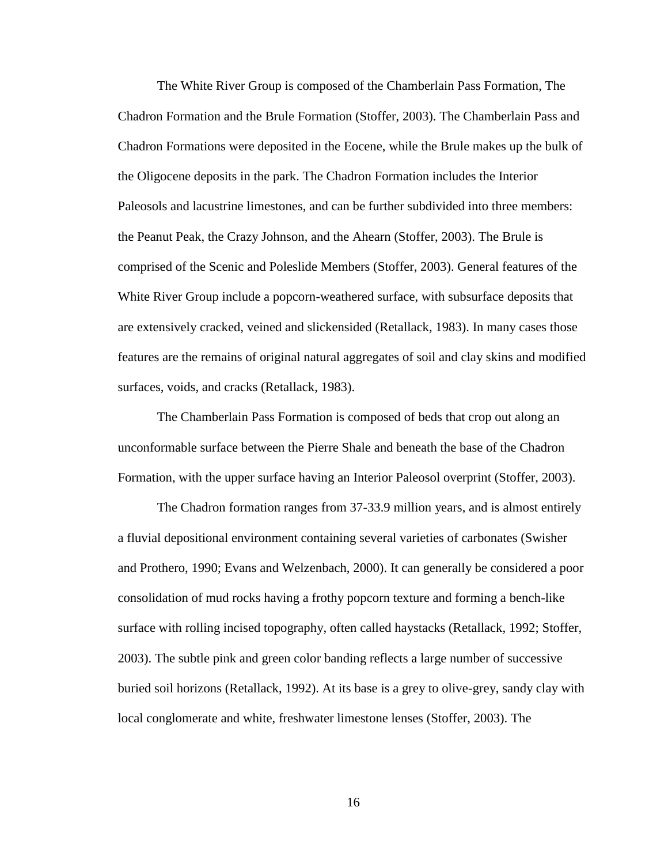The White River Group is composed of the Chamberlain Pass Formation, The Chadron Formation and the Brule Formation (Stoffer, 2003). The Chamberlain Pass and Chadron Formations were deposited in the Eocene, while the Brule makes up the bulk of the Oligocene deposits in the park. The Chadron Formation includes the Interior Paleosols and lacustrine limestones, and can be further subdivided into three members: the Peanut Peak, the Crazy Johnson, and the Ahearn (Stoffer, 2003). The Brule is comprised of the Scenic and Poleslide Members (Stoffer, 2003). General features of the White River Group include a popcorn-weathered surface, with subsurface deposits that are extensively cracked, veined and slickensided (Retallack, 1983). In many cases those features are the remains of original natural aggregates of soil and clay skins and modified surfaces, voids, and cracks (Retallack, 1983).

The Chamberlain Pass Formation is composed of beds that crop out along an unconformable surface between the Pierre Shale and beneath the base of the Chadron Formation, with the upper surface having an Interior Paleosol overprint (Stoffer, 2003).

The Chadron formation ranges from 37-33.9 million years, and is almost entirely a fluvial depositional environment containing several varieties of carbonates (Swisher and Prothero, 1990; Evans and Welzenbach, 2000). It can generally be considered a poor consolidation of mud rocks having a frothy popcorn texture and forming a bench-like surface with rolling incised topography, often called haystacks (Retallack, 1992; Stoffer, 2003). The subtle pink and green color banding reflects a large number of successive buried soil horizons (Retallack, 1992). At its base is a grey to olive-grey, sandy clay with local conglomerate and white, freshwater limestone lenses (Stoffer, 2003). The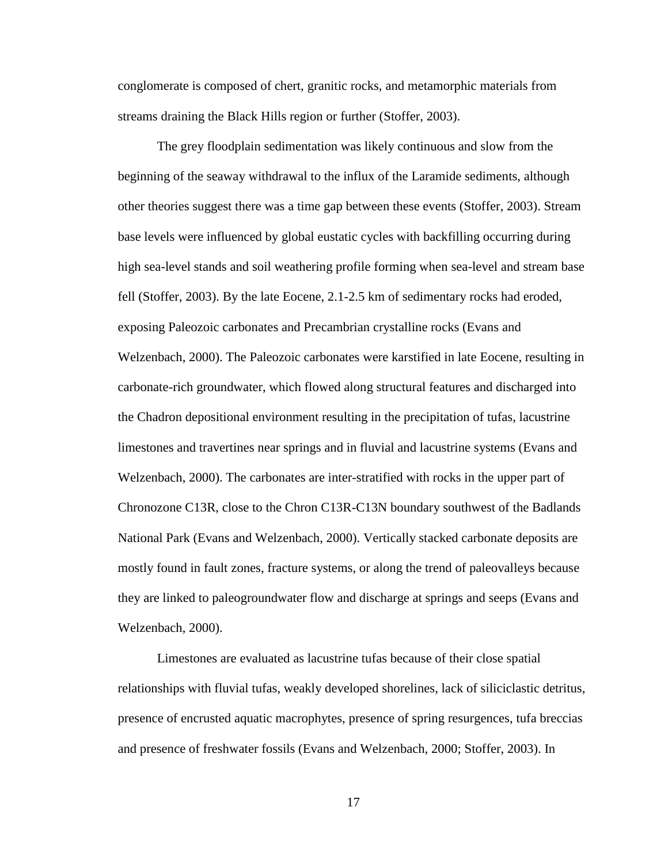conglomerate is composed of chert, granitic rocks, and metamorphic materials from streams draining the Black Hills region or further (Stoffer, 2003).

The grey floodplain sedimentation was likely continuous and slow from the beginning of the seaway withdrawal to the influx of the Laramide sediments, although other theories suggest there was a time gap between these events (Stoffer, 2003). Stream base levels were influenced by global eustatic cycles with backfilling occurring during high sea-level stands and soil weathering profile forming when sea-level and stream base fell (Stoffer, 2003). By the late Eocene, 2.1-2.5 km of sedimentary rocks had eroded, exposing Paleozoic carbonates and Precambrian crystalline rocks (Evans and Welzenbach, 2000). The Paleozoic carbonates were karstified in late Eocene, resulting in carbonate-rich groundwater, which flowed along structural features and discharged into the Chadron depositional environment resulting in the precipitation of tufas, lacustrine limestones and travertines near springs and in fluvial and lacustrine systems (Evans and Welzenbach, 2000). The carbonates are inter-stratified with rocks in the upper part of Chronozone C13R, close to the Chron C13R-C13N boundary southwest of the Badlands National Park (Evans and Welzenbach, 2000). Vertically stacked carbonate deposits are mostly found in fault zones, fracture systems, or along the trend of paleovalleys because they are linked to paleogroundwater flow and discharge at springs and seeps (Evans and Welzenbach, 2000).

Limestones are evaluated as lacustrine tufas because of their close spatial relationships with fluvial tufas, weakly developed shorelines, lack of siliciclastic detritus, presence of encrusted aquatic macrophytes, presence of spring resurgences, tufa breccias and presence of freshwater fossils (Evans and Welzenbach, 2000; Stoffer, 2003). In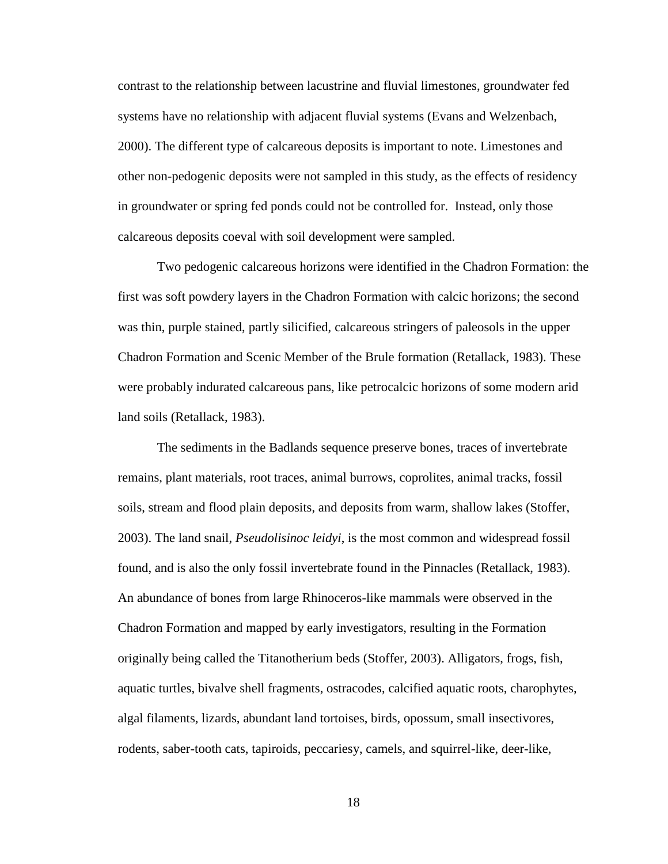contrast to the relationship between lacustrine and fluvial limestones, groundwater fed systems have no relationship with adjacent fluvial systems (Evans and Welzenbach, 2000). The different type of calcareous deposits is important to note. Limestones and other non-pedogenic deposits were not sampled in this study, as the effects of residency in groundwater or spring fed ponds could not be controlled for. Instead, only those calcareous deposits coeval with soil development were sampled.

Two pedogenic calcareous horizons were identified in the Chadron Formation: the first was soft powdery layers in the Chadron Formation with calcic horizons; the second was thin, purple stained, partly silicified, calcareous stringers of paleosols in the upper Chadron Formation and Scenic Member of the Brule formation (Retallack, 1983). These were probably indurated calcareous pans, like petrocalcic horizons of some modern arid land soils (Retallack, 1983).

The sediments in the Badlands sequence preserve bones, traces of invertebrate remains, plant materials, root traces, animal burrows, coprolites, animal tracks, fossil soils, stream and flood plain deposits, and deposits from warm, shallow lakes (Stoffer, 2003). The land snail, *Pseudolisinoc leidyi*, is the most common and widespread fossil found, and is also the only fossil invertebrate found in the Pinnacles (Retallack, 1983). An abundance of bones from large Rhinoceros-like mammals were observed in the Chadron Formation and mapped by early investigators, resulting in the Formation originally being called the Titanotherium beds (Stoffer, 2003). Alligators, frogs, fish, aquatic turtles, bivalve shell fragments, ostracodes, calcified aquatic roots, charophytes, algal filaments, lizards, abundant land tortoises, birds, opossum, small insectivores, rodents, saber-tooth cats, tapiroids, peccariesy, camels, and squirrel-like, deer-like,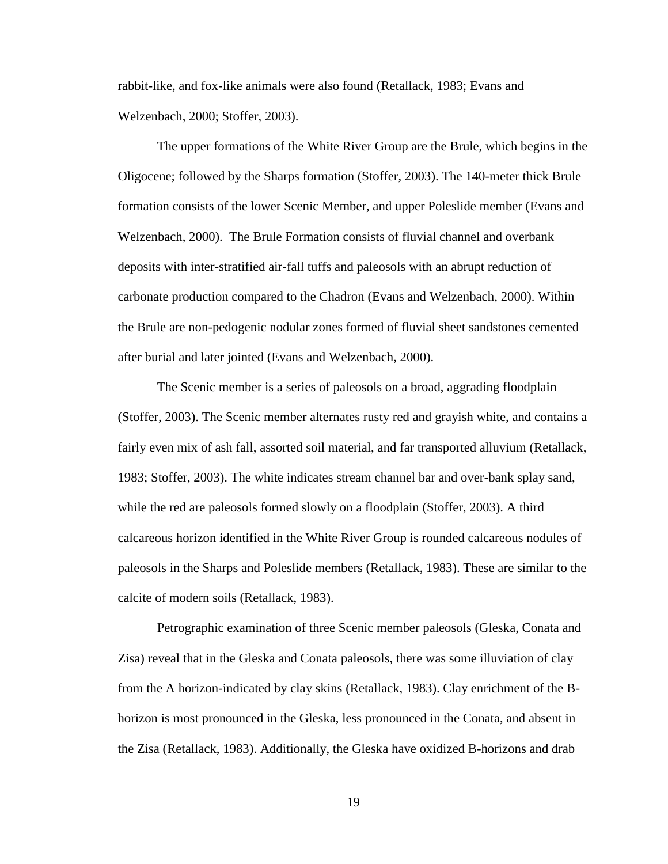rabbit-like, and fox-like animals were also found (Retallack, 1983; Evans and Welzenbach, 2000; Stoffer, 2003).

The upper formations of the White River Group are the Brule, which begins in the Oligocene; followed by the Sharps formation (Stoffer, 2003). The 140-meter thick Brule formation consists of the lower Scenic Member, and upper Poleslide member (Evans and Welzenbach, 2000). The Brule Formation consists of fluvial channel and overbank deposits with inter-stratified air-fall tuffs and paleosols with an abrupt reduction of carbonate production compared to the Chadron (Evans and Welzenbach, 2000). Within the Brule are non-pedogenic nodular zones formed of fluvial sheet sandstones cemented after burial and later jointed (Evans and Welzenbach, 2000).

The Scenic member is a series of paleosols on a broad, aggrading floodplain (Stoffer, 2003). The Scenic member alternates rusty red and grayish white, and contains a fairly even mix of ash fall, assorted soil material, and far transported alluvium (Retallack, 1983; Stoffer, 2003). The white indicates stream channel bar and over-bank splay sand, while the red are paleosols formed slowly on a floodplain (Stoffer, 2003). A third calcareous horizon identified in the White River Group is rounded calcareous nodules of paleosols in the Sharps and Poleslide members (Retallack, 1983). These are similar to the calcite of modern soils (Retallack, 1983).

Petrographic examination of three Scenic member paleosols (Gleska, Conata and Zisa) reveal that in the Gleska and Conata paleosols, there was some illuviation of clay from the A horizon-indicated by clay skins (Retallack, 1983). Clay enrichment of the Bhorizon is most pronounced in the Gleska, less pronounced in the Conata, and absent in the Zisa (Retallack, 1983). Additionally, the Gleska have oxidized B-horizons and drab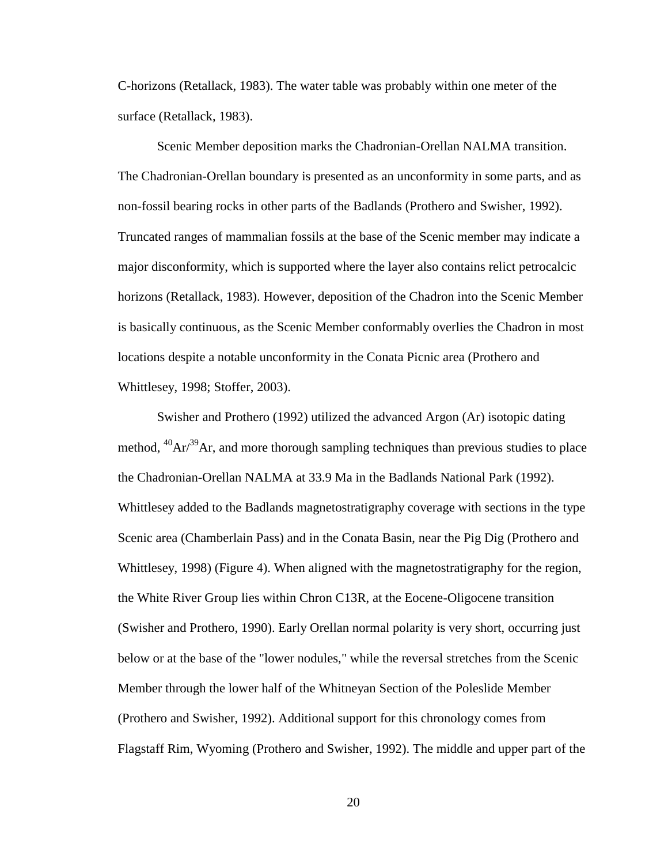C-horizons (Retallack, 1983). The water table was probably within one meter of the surface (Retallack, 1983).

Scenic Member deposition marks the Chadronian-Orellan NALMA transition. The Chadronian-Orellan boundary is presented as an unconformity in some parts, and as non-fossil bearing rocks in other parts of the Badlands (Prothero and Swisher, 1992). Truncated ranges of mammalian fossils at the base of the Scenic member may indicate a major disconformity, which is supported where the layer also contains relict petrocalcic horizons (Retallack, 1983). However, deposition of the Chadron into the Scenic Member is basically continuous, as the Scenic Member conformably overlies the Chadron in most locations despite a notable unconformity in the Conata Picnic area (Prothero and Whittlesey, 1998; Stoffer, 2003).

Swisher and Prothero (1992) utilized the advanced Argon (Ar) isotopic dating method,  ${}^{40}Ar^{39}Ar$ , and more thorough sampling techniques than previous studies to place the Chadronian-Orellan NALMA at 33.9 Ma in the Badlands National Park (1992). Whittlesey added to the Badlands magnetostratigraphy coverage with sections in the type Scenic area (Chamberlain Pass) and in the Conata Basin, near the Pig Dig (Prothero and Whittlesey, 1998) (Figure 4). When aligned with the magnetostratigraphy for the region, the White River Group lies within Chron C13R, at the Eocene-Oligocene transition (Swisher and Prothero, 1990). Early Orellan normal polarity is very short, occurring just below or at the base of the "lower nodules," while the reversal stretches from the Scenic Member through the lower half of the Whitneyan Section of the Poleslide Member (Prothero and Swisher, 1992). Additional support for this chronology comes from Flagstaff Rim, Wyoming (Prothero and Swisher, 1992). The middle and upper part of the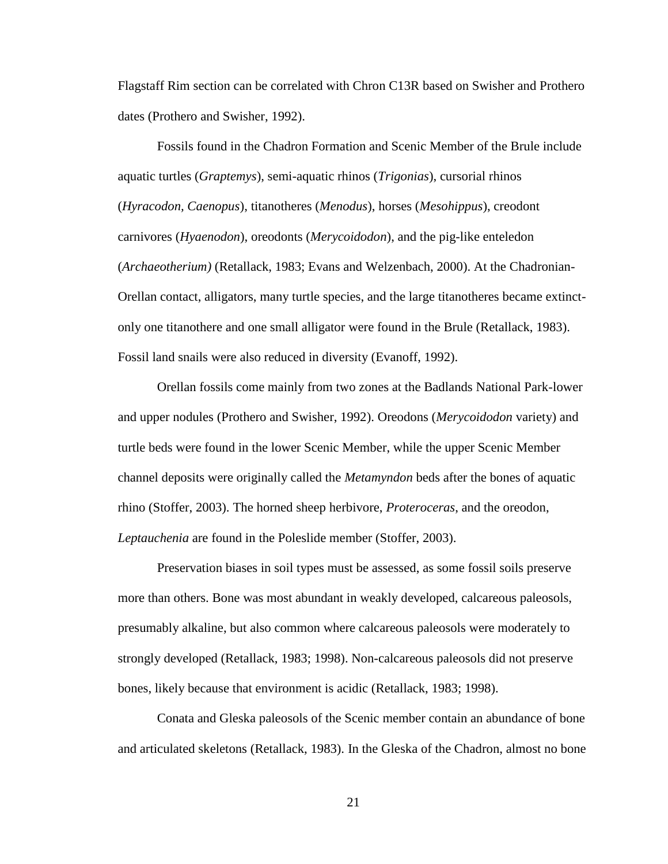Flagstaff Rim section can be correlated with Chron C13R based on Swisher and Prothero dates (Prothero and Swisher, 1992).

Fossils found in the Chadron Formation and Scenic Member of the Brule include aquatic turtles (*Graptemys*), semi-aquatic rhinos (*Trigonias*), cursorial rhinos (*Hyracodon, Caenopus*), titanotheres (*Menodus*), horses (*Mesohippus*), creodont carnivores (*Hyaenodon*), oreodonts (*Merycoidodon*), and the pig-like enteledon (*Archaeotherium)* (Retallack, 1983; Evans and Welzenbach, 2000). At the Chadronian-Orellan contact, alligators, many turtle species, and the large titanotheres became extinctonly one titanothere and one small alligator were found in the Brule (Retallack, 1983). Fossil land snails were also reduced in diversity (Evanoff, 1992).

Orellan fossils come mainly from two zones at the Badlands National Park-lower and upper nodules (Prothero and Swisher, 1992). Oreodons (*Merycoidodon* variety) and turtle beds were found in the lower Scenic Member, while the upper Scenic Member channel deposits were originally called the *Metamyndon* beds after the bones of aquatic rhino (Stoffer, 2003). The horned sheep herbivore, *Proteroceras*, and the oreodon, *Leptauchenia* are found in the Poleslide member (Stoffer, 2003).

Preservation biases in soil types must be assessed, as some fossil soils preserve more than others. Bone was most abundant in weakly developed, calcareous paleosols, presumably alkaline, but also common where calcareous paleosols were moderately to strongly developed (Retallack, 1983; 1998). Non-calcareous paleosols did not preserve bones, likely because that environment is acidic (Retallack, 1983; 1998).

Conata and Gleska paleosols of the Scenic member contain an abundance of bone and articulated skeletons (Retallack, 1983). In the Gleska of the Chadron, almost no bone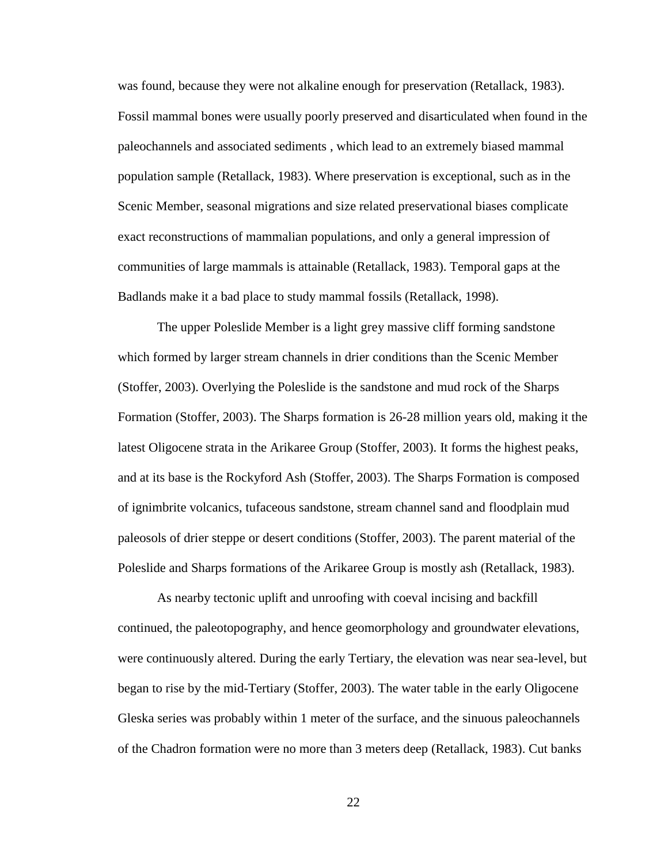was found, because they were not alkaline enough for preservation (Retallack, 1983). Fossil mammal bones were usually poorly preserved and disarticulated when found in the paleochannels and associated sediments , which lead to an extremely biased mammal population sample (Retallack, 1983). Where preservation is exceptional, such as in the Scenic Member, seasonal migrations and size related preservational biases complicate exact reconstructions of mammalian populations, and only a general impression of communities of large mammals is attainable (Retallack, 1983). Temporal gaps at the Badlands make it a bad place to study mammal fossils (Retallack, 1998).

The upper Poleslide Member is a light grey massive cliff forming sandstone which formed by larger stream channels in drier conditions than the Scenic Member (Stoffer, 2003). Overlying the Poleslide is the sandstone and mud rock of the Sharps Formation (Stoffer, 2003). The Sharps formation is 26-28 million years old, making it the latest Oligocene strata in the Arikaree Group (Stoffer, 2003). It forms the highest peaks, and at its base is the Rockyford Ash (Stoffer, 2003). The Sharps Formation is composed of ignimbrite volcanics, tufaceous sandstone, stream channel sand and floodplain mud paleosols of drier steppe or desert conditions (Stoffer, 2003). The parent material of the Poleslide and Sharps formations of the Arikaree Group is mostly ash (Retallack, 1983).

As nearby tectonic uplift and unroofing with coeval incising and backfill continued, the paleotopography, and hence geomorphology and groundwater elevations, were continuously altered. During the early Tertiary, the elevation was near sea-level, but began to rise by the mid-Tertiary (Stoffer, 2003). The water table in the early Oligocene Gleska series was probably within 1 meter of the surface, and the sinuous paleochannels of the Chadron formation were no more than 3 meters deep (Retallack, 1983). Cut banks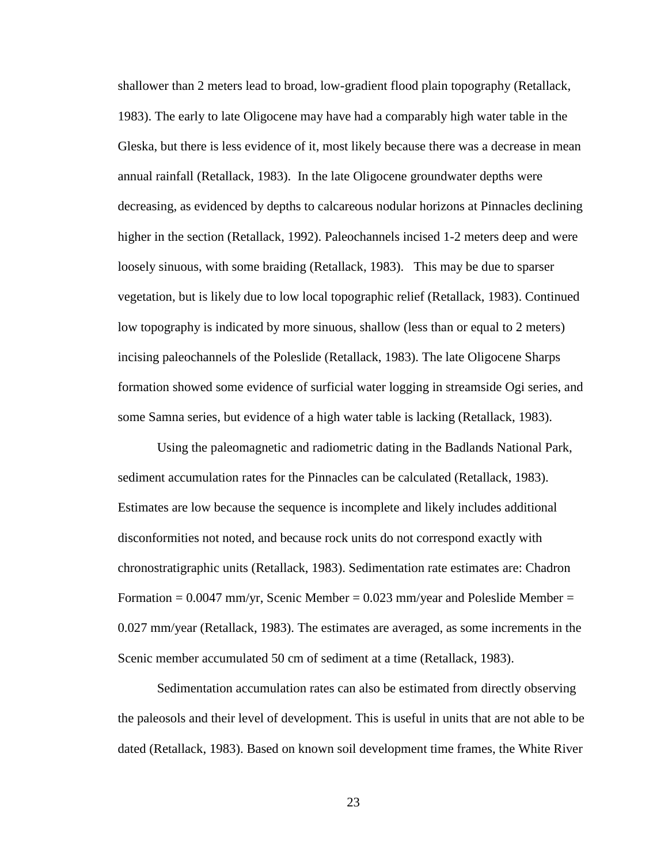shallower than 2 meters lead to broad, low-gradient flood plain topography (Retallack, 1983). The early to late Oligocene may have had a comparably high water table in the Gleska, but there is less evidence of it, most likely because there was a decrease in mean annual rainfall (Retallack, 1983). In the late Oligocene groundwater depths were decreasing, as evidenced by depths to calcareous nodular horizons at Pinnacles declining higher in the section (Retallack, 1992). Paleochannels incised 1-2 meters deep and were loosely sinuous, with some braiding (Retallack, 1983). This may be due to sparser vegetation, but is likely due to low local topographic relief (Retallack, 1983). Continued low topography is indicated by more sinuous, shallow (less than or equal to 2 meters) incising paleochannels of the Poleslide (Retallack, 1983). The late Oligocene Sharps formation showed some evidence of surficial water logging in streamside Ogi series, and some Samna series, but evidence of a high water table is lacking (Retallack, 1983).

Using the paleomagnetic and radiometric dating in the Badlands National Park, sediment accumulation rates for the Pinnacles can be calculated (Retallack, 1983). Estimates are low because the sequence is incomplete and likely includes additional disconformities not noted, and because rock units do not correspond exactly with chronostratigraphic units (Retallack, 1983). Sedimentation rate estimates are: Chadron Formation  $= 0.0047$  mm/yr, Scenic Member  $= 0.023$  mm/year and Poleslide Member  $=$ 0.027 mm/year (Retallack, 1983). The estimates are averaged, as some increments in the Scenic member accumulated 50 cm of sediment at a time (Retallack, 1983).

Sedimentation accumulation rates can also be estimated from directly observing the paleosols and their level of development. This is useful in units that are not able to be dated (Retallack, 1983). Based on known soil development time frames, the White River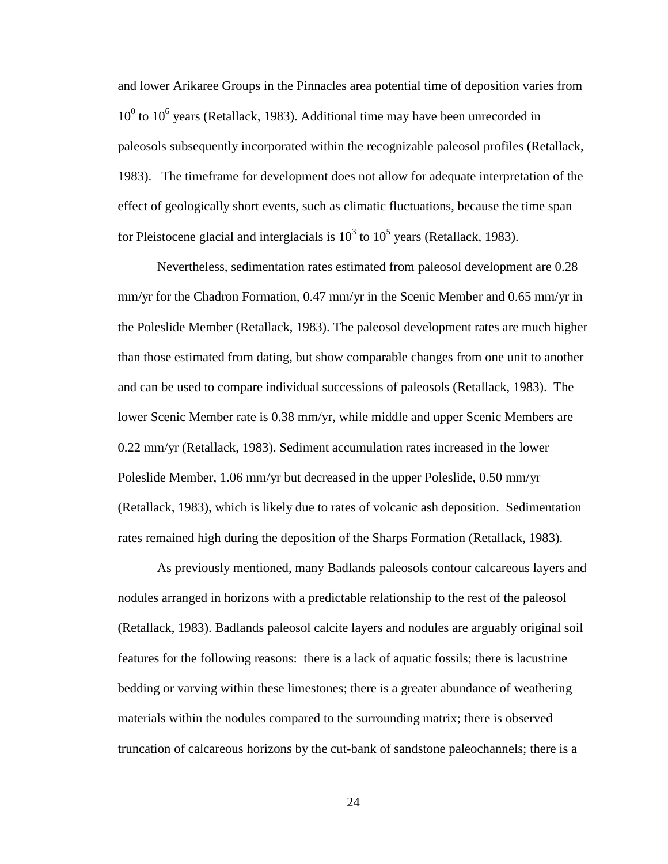and lower Arikaree Groups in the Pinnacles area potential time of deposition varies from  $10<sup>0</sup>$  to  $10<sup>6</sup>$  years (Retallack, 1983). Additional time may have been unrecorded in paleosols subsequently incorporated within the recognizable paleosol profiles (Retallack, 1983). The timeframe for development does not allow for adequate interpretation of the effect of geologically short events, such as climatic fluctuations, because the time span for Pleistocene glacial and interglacials is  $10^3$  to  $10^5$  years (Retallack, 1983).

Nevertheless, sedimentation rates estimated from paleosol development are 0.28 mm/yr for the Chadron Formation, 0.47 mm/yr in the Scenic Member and 0.65 mm/yr in the Poleslide Member (Retallack, 1983). The paleosol development rates are much higher than those estimated from dating, but show comparable changes from one unit to another and can be used to compare individual successions of paleosols (Retallack, 1983). The lower Scenic Member rate is 0.38 mm/yr, while middle and upper Scenic Members are 0.22 mm/yr (Retallack, 1983). Sediment accumulation rates increased in the lower Poleslide Member, 1.06 mm/yr but decreased in the upper Poleslide, 0.50 mm/yr (Retallack, 1983), which is likely due to rates of volcanic ash deposition. Sedimentation rates remained high during the deposition of the Sharps Formation (Retallack, 1983).

As previously mentioned, many Badlands paleosols contour calcareous layers and nodules arranged in horizons with a predictable relationship to the rest of the paleosol (Retallack, 1983). Badlands paleosol calcite layers and nodules are arguably original soil features for the following reasons: there is a lack of aquatic fossils; there is lacustrine bedding or varving within these limestones; there is a greater abundance of weathering materials within the nodules compared to the surrounding matrix; there is observed truncation of calcareous horizons by the cut-bank of sandstone paleochannels; there is a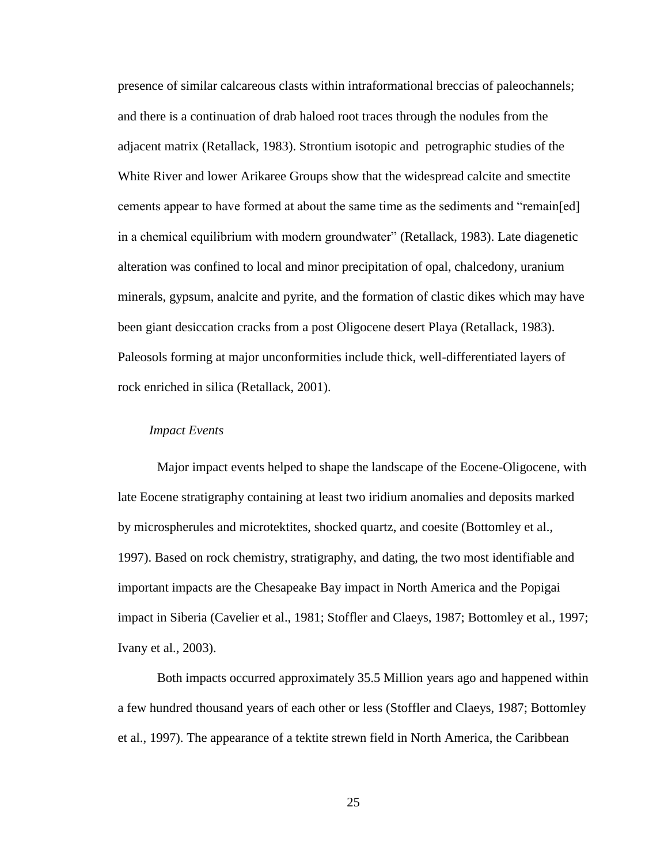presence of similar calcareous clasts within intraformational breccias of paleochannels; and there is a continuation of drab haloed root traces through the nodules from the adjacent matrix (Retallack, 1983). Strontium isotopic and petrographic studies of the White River and lower Arikaree Groups show that the widespread calcite and smectite cements appear to have formed at about the same time as the sediments and "remain[ed] in a chemical equilibrium with modern groundwater" (Retallack, 1983). Late diagenetic alteration was confined to local and minor precipitation of opal, chalcedony, uranium minerals, gypsum, analcite and pyrite, and the formation of clastic dikes which may have been giant desiccation cracks from a post Oligocene desert Playa (Retallack, 1983). Paleosols forming at major unconformities include thick, well-differentiated layers of rock enriched in silica (Retallack, 2001).

#### <span id="page-28-0"></span>*Impact Events*

Major impact events helped to shape the landscape of the Eocene-Oligocene, with late Eocene stratigraphy containing at least two iridium anomalies and deposits marked by microspherules and microtektites, shocked quartz, and coesite (Bottomley et al., 1997). Based on rock chemistry, stratigraphy, and dating, the two most identifiable and important impacts are the Chesapeake Bay impact in North America and the Popigai impact in Siberia (Cavelier et al., 1981; Stoffler and Claeys, 1987; Bottomley et al., 1997; Ivany et al., 2003).

Both impacts occurred approximately 35.5 Million years ago and happened within a few hundred thousand years of each other or less (Stoffler and Claeys, 1987; Bottomley et al., 1997). The appearance of a tektite strewn field in North America, the Caribbean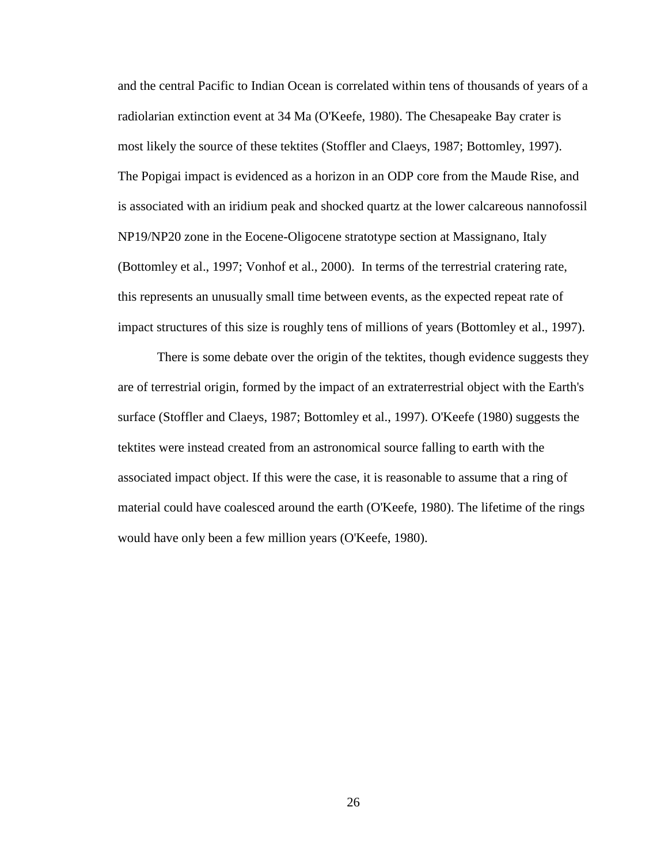and the central Pacific to Indian Ocean is correlated within tens of thousands of years of a radiolarian extinction event at 34 Ma (O'Keefe, 1980). The Chesapeake Bay crater is most likely the source of these tektites (Stoffler and Claeys, 1987; Bottomley, 1997). The Popigai impact is evidenced as a horizon in an ODP core from the Maude Rise, and is associated with an iridium peak and shocked quartz at the lower calcareous nannofossil NP19/NP20 zone in the Eocene-Oligocene stratotype section at Massignano, Italy (Bottomley et al., 1997; Vonhof et al., 2000). In terms of the terrestrial cratering rate, this represents an unusually small time between events, as the expected repeat rate of impact structures of this size is roughly tens of millions of years (Bottomley et al., 1997).

There is some debate over the origin of the tektites, though evidence suggests they are of terrestrial origin, formed by the impact of an extraterrestrial object with the Earth's surface (Stoffler and Claeys, 1987; Bottomley et al., 1997). O'Keefe (1980) suggests the tektites were instead created from an astronomical source falling to earth with the associated impact object. If this were the case, it is reasonable to assume that a ring of material could have coalesced around the earth (O'Keefe, 1980). The lifetime of the rings would have only been a few million years (O'Keefe, 1980).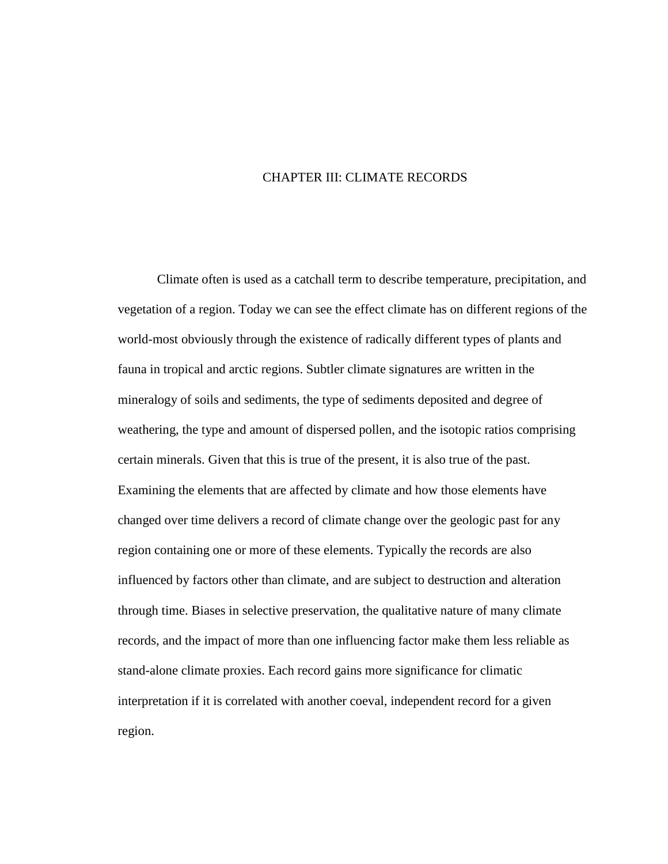## CHAPTER III: CLIMATE RECORDS

<span id="page-30-0"></span>Climate often is used as a catchall term to describe temperature, precipitation, and vegetation of a region. Today we can see the effect climate has on different regions of the world-most obviously through the existence of radically different types of plants and fauna in tropical and arctic regions. Subtler climate signatures are written in the mineralogy of soils and sediments, the type of sediments deposited and degree of weathering, the type and amount of dispersed pollen, and the isotopic ratios comprising certain minerals. Given that this is true of the present, it is also true of the past. Examining the elements that are affected by climate and how those elements have changed over time delivers a record of climate change over the geologic past for any region containing one or more of these elements. Typically the records are also influenced by factors other than climate, and are subject to destruction and alteration through time. Biases in selective preservation, the qualitative nature of many climate records, and the impact of more than one influencing factor make them less reliable as stand-alone climate proxies. Each record gains more significance for climatic interpretation if it is correlated with another coeval, independent record for a given region.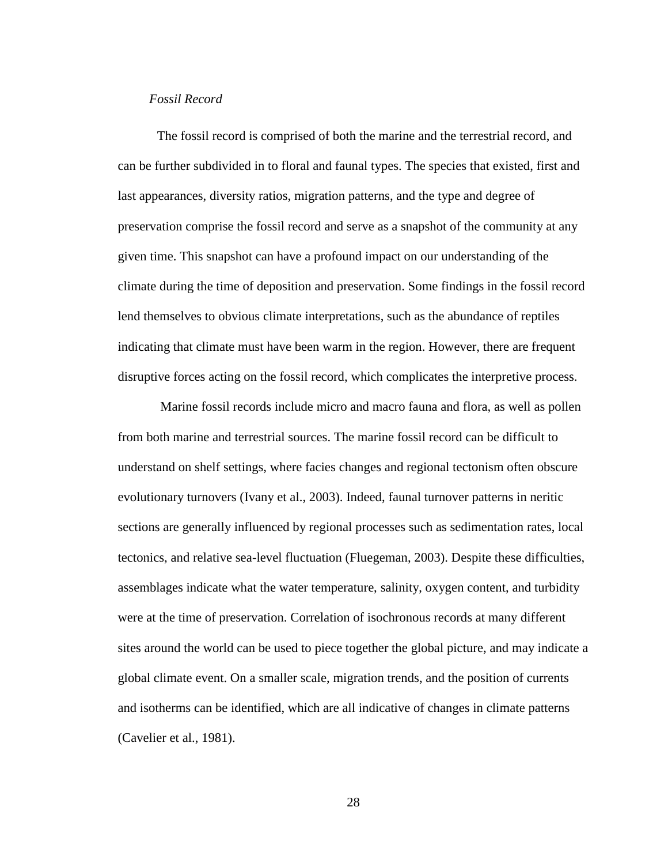#### <span id="page-31-0"></span>*Fossil Record*

The fossil record is comprised of both the marine and the terrestrial record, and can be further subdivided in to floral and faunal types. The species that existed, first and last appearances, diversity ratios, migration patterns, and the type and degree of preservation comprise the fossil record and serve as a snapshot of the community at any given time. This snapshot can have a profound impact on our understanding of the climate during the time of deposition and preservation. Some findings in the fossil record lend themselves to obvious climate interpretations, such as the abundance of reptiles indicating that climate must have been warm in the region. However, there are frequent disruptive forces acting on the fossil record, which complicates the interpretive process.

Marine fossil records include micro and macro fauna and flora, as well as pollen from both marine and terrestrial sources. The marine fossil record can be difficult to understand on shelf settings, where facies changes and regional tectonism often obscure evolutionary turnovers (Ivany et al., 2003). Indeed, faunal turnover patterns in neritic sections are generally influenced by regional processes such as sedimentation rates, local tectonics, and relative sea-level fluctuation (Fluegeman, 2003). Despite these difficulties, assemblages indicate what the water temperature, salinity, oxygen content, and turbidity were at the time of preservation. Correlation of isochronous records at many different sites around the world can be used to piece together the global picture, and may indicate a global climate event. On a smaller scale, migration trends, and the position of currents and isotherms can be identified, which are all indicative of changes in climate patterns (Cavelier et al., 1981).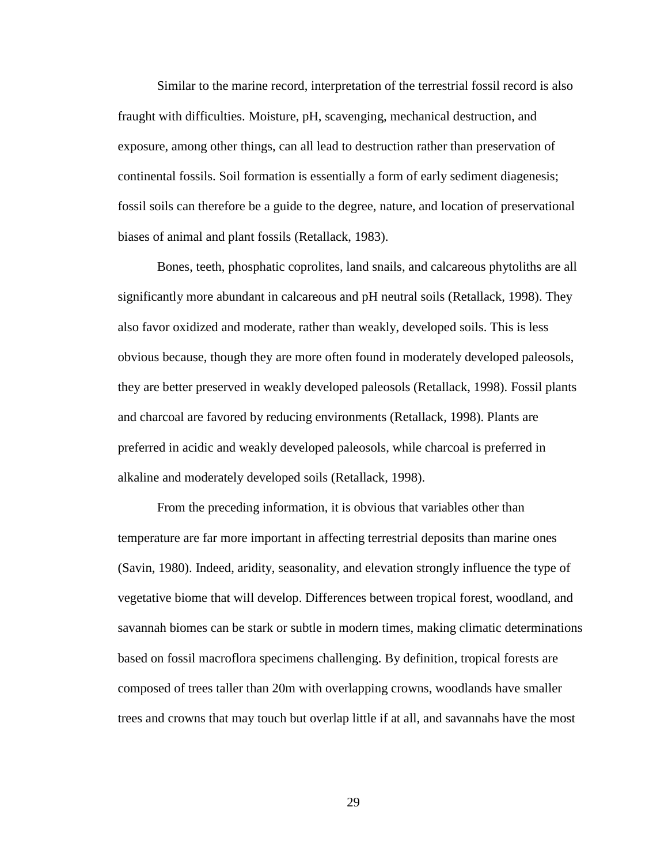Similar to the marine record, interpretation of the terrestrial fossil record is also fraught with difficulties. Moisture, pH, scavenging, mechanical destruction, and exposure, among other things, can all lead to destruction rather than preservation of continental fossils. Soil formation is essentially a form of early sediment diagenesis; fossil soils can therefore be a guide to the degree, nature, and location of preservational biases of animal and plant fossils (Retallack, 1983).

Bones, teeth, phosphatic coprolites, land snails, and calcareous phytoliths are all significantly more abundant in calcareous and pH neutral soils (Retallack, 1998). They also favor oxidized and moderate, rather than weakly, developed soils. This is less obvious because, though they are more often found in moderately developed paleosols, they are better preserved in weakly developed paleosols (Retallack, 1998). Fossil plants and charcoal are favored by reducing environments (Retallack, 1998). Plants are preferred in acidic and weakly developed paleosols, while charcoal is preferred in alkaline and moderately developed soils (Retallack, 1998).

From the preceding information, it is obvious that variables other than temperature are far more important in affecting terrestrial deposits than marine ones (Savin, 1980). Indeed, aridity, seasonality, and elevation strongly influence the type of vegetative biome that will develop. Differences between tropical forest, woodland, and savannah biomes can be stark or subtle in modern times, making climatic determinations based on fossil macroflora specimens challenging. By definition, tropical forests are composed of trees taller than 20m with overlapping crowns, woodlands have smaller trees and crowns that may touch but overlap little if at all, and savannahs have the most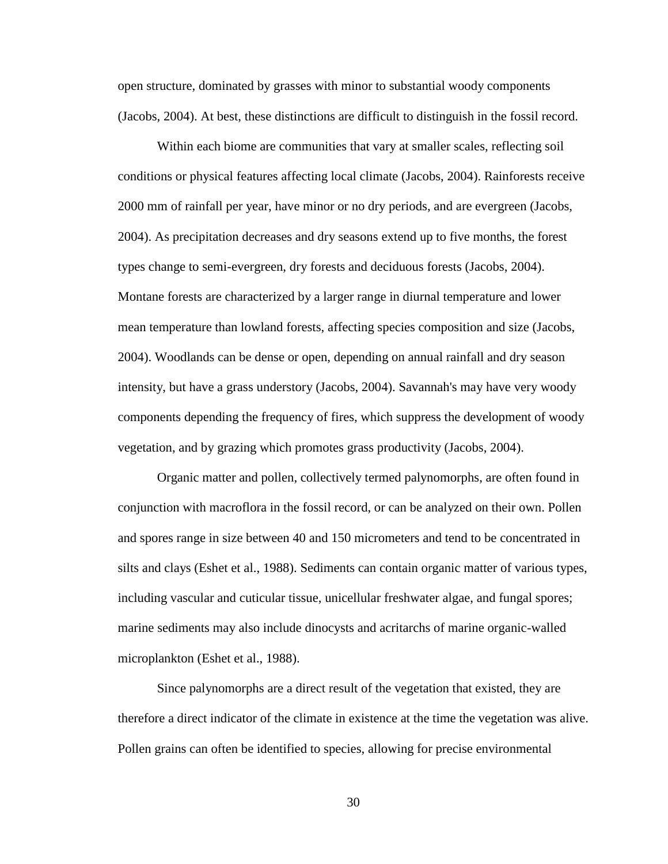open structure, dominated by grasses with minor to substantial woody components (Jacobs, 2004). At best, these distinctions are difficult to distinguish in the fossil record.

Within each biome are communities that vary at smaller scales, reflecting soil conditions or physical features affecting local climate (Jacobs, 2004). Rainforests receive 2000 mm of rainfall per year, have minor or no dry periods, and are evergreen (Jacobs, 2004). As precipitation decreases and dry seasons extend up to five months, the forest types change to semi-evergreen, dry forests and deciduous forests (Jacobs, 2004). Montane forests are characterized by a larger range in diurnal temperature and lower mean temperature than lowland forests, affecting species composition and size (Jacobs, 2004). Woodlands can be dense or open, depending on annual rainfall and dry season intensity, but have a grass understory (Jacobs, 2004). Savannah's may have very woody components depending the frequency of fires, which suppress the development of woody vegetation, and by grazing which promotes grass productivity (Jacobs, 2004).

Organic matter and pollen, collectively termed palynomorphs, are often found in conjunction with macroflora in the fossil record, or can be analyzed on their own. Pollen and spores range in size between 40 and 150 micrometers and tend to be concentrated in silts and clays (Eshet et al., 1988). Sediments can contain organic matter of various types, including vascular and cuticular tissue, unicellular freshwater algae, and fungal spores; marine sediments may also include dinocysts and acritarchs of marine organic-walled microplankton (Eshet et al., 1988).

Since palynomorphs are a direct result of the vegetation that existed, they are therefore a direct indicator of the climate in existence at the time the vegetation was alive. Pollen grains can often be identified to species, allowing for precise environmental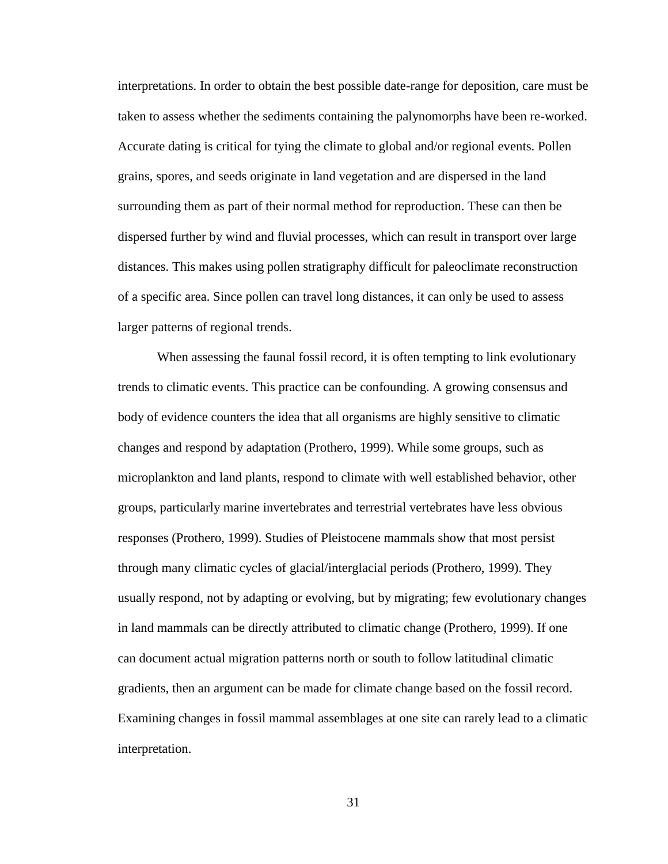interpretations. In order to obtain the best possible date-range for deposition, care must be taken to assess whether the sediments containing the palynomorphs have been re-worked. Accurate dating is critical for tying the climate to global and/or regional events. Pollen grains, spores, and seeds originate in land vegetation and are dispersed in the land surrounding them as part of their normal method for reproduction. These can then be dispersed further by wind and fluvial processes, which can result in transport over large distances. This makes using pollen stratigraphy difficult for paleoclimate reconstruction of a specific area. Since pollen can travel long distances, it can only be used to assess larger patterns of regional trends.

When assessing the faunal fossil record, it is often tempting to link evolutionary trends to climatic events. This practice can be confounding. A growing consensus and body of evidence counters the idea that all organisms are highly sensitive to climatic changes and respond by adaptation (Prothero, 1999). While some groups, such as microplankton and land plants, respond to climate with well established behavior, other groups, particularly marine invertebrates and terrestrial vertebrates have less obvious responses (Prothero, 1999). Studies of Pleistocene mammals show that most persist through many climatic cycles of glacial/interglacial periods (Prothero, 1999). They usually respond, not by adapting or evolving, but by migrating; few evolutionary changes in land mammals can be directly attributed to climatic change (Prothero, 1999). If one can document actual migration patterns north or south to follow latitudinal climatic gradients, then an argument can be made for climate change based on the fossil record. Examining changes in fossil mammal assemblages at one site can rarely lead to a climatic interpretation.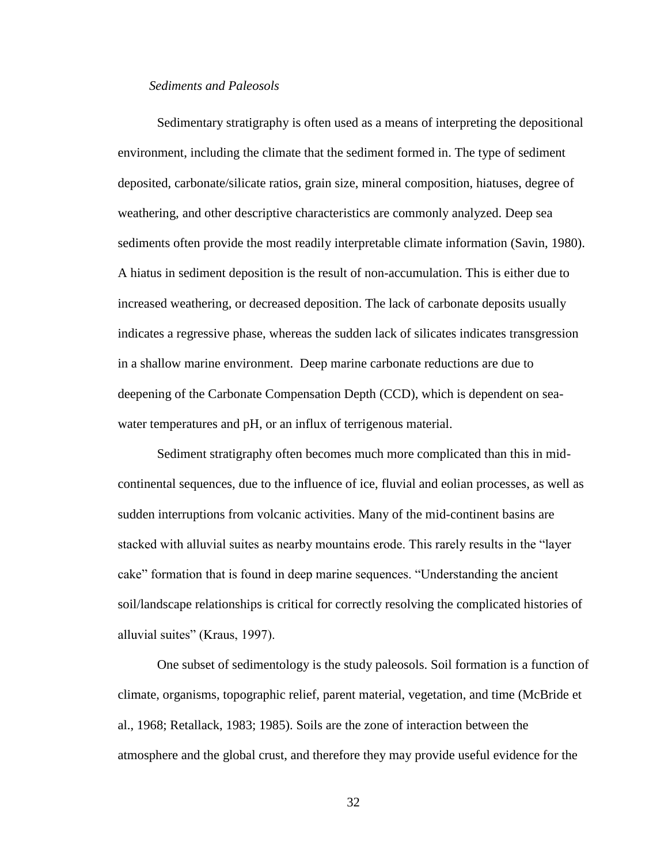#### <span id="page-35-0"></span>*Sediments and Paleosols*

Sedimentary stratigraphy is often used as a means of interpreting the depositional environment, including the climate that the sediment formed in. The type of sediment deposited, carbonate/silicate ratios, grain size, mineral composition, hiatuses, degree of weathering, and other descriptive characteristics are commonly analyzed. Deep sea sediments often provide the most readily interpretable climate information (Savin, 1980). A hiatus in sediment deposition is the result of non-accumulation. This is either due to increased weathering, or decreased deposition. The lack of carbonate deposits usually indicates a regressive phase, whereas the sudden lack of silicates indicates transgression in a shallow marine environment. Deep marine carbonate reductions are due to deepening of the Carbonate Compensation Depth (CCD), which is dependent on seawater temperatures and pH, or an influx of terrigenous material.

Sediment stratigraphy often becomes much more complicated than this in midcontinental sequences, due to the influence of ice, fluvial and eolian processes, as well as sudden interruptions from volcanic activities. Many of the mid-continent basins are stacked with alluvial suites as nearby mountains erode. This rarely results in the "layer cake" formation that is found in deep marine sequences. "Understanding the ancient soil/landscape relationships is critical for correctly resolving the complicated histories of alluvial suites" (Kraus, 1997).

One subset of sedimentology is the study paleosols. Soil formation is a function of climate, organisms, topographic relief, parent material, vegetation, and time (McBride et al., 1968; Retallack, 1983; 1985). Soils are the zone of interaction between the atmosphere and the global crust, and therefore they may provide useful evidence for the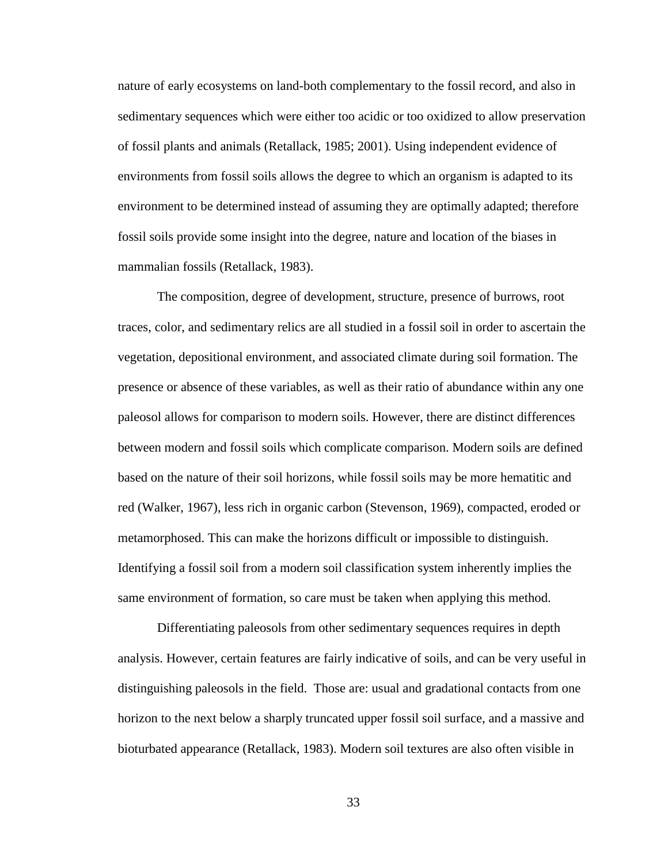nature of early ecosystems on land-both complementary to the fossil record, and also in sedimentary sequences which were either too acidic or too oxidized to allow preservation of fossil plants and animals (Retallack, 1985; 2001). Using independent evidence of environments from fossil soils allows the degree to which an organism is adapted to its environment to be determined instead of assuming they are optimally adapted; therefore fossil soils provide some insight into the degree, nature and location of the biases in mammalian fossils (Retallack, 1983).

The composition, degree of development, structure, presence of burrows, root traces, color, and sedimentary relics are all studied in a fossil soil in order to ascertain the vegetation, depositional environment, and associated climate during soil formation. The presence or absence of these variables, as well as their ratio of abundance within any one paleosol allows for comparison to modern soils. However, there are distinct differences between modern and fossil soils which complicate comparison. Modern soils are defined based on the nature of their soil horizons, while fossil soils may be more hematitic and red (Walker, 1967), less rich in organic carbon (Stevenson, 1969), compacted, eroded or metamorphosed. This can make the horizons difficult or impossible to distinguish. Identifying a fossil soil from a modern soil classification system inherently implies the same environment of formation, so care must be taken when applying this method.

Differentiating paleosols from other sedimentary sequences requires in depth analysis. However, certain features are fairly indicative of soils, and can be very useful in distinguishing paleosols in the field. Those are: usual and gradational contacts from one horizon to the next below a sharply truncated upper fossil soil surface, and a massive and bioturbated appearance (Retallack, 1983). Modern soil textures are also often visible in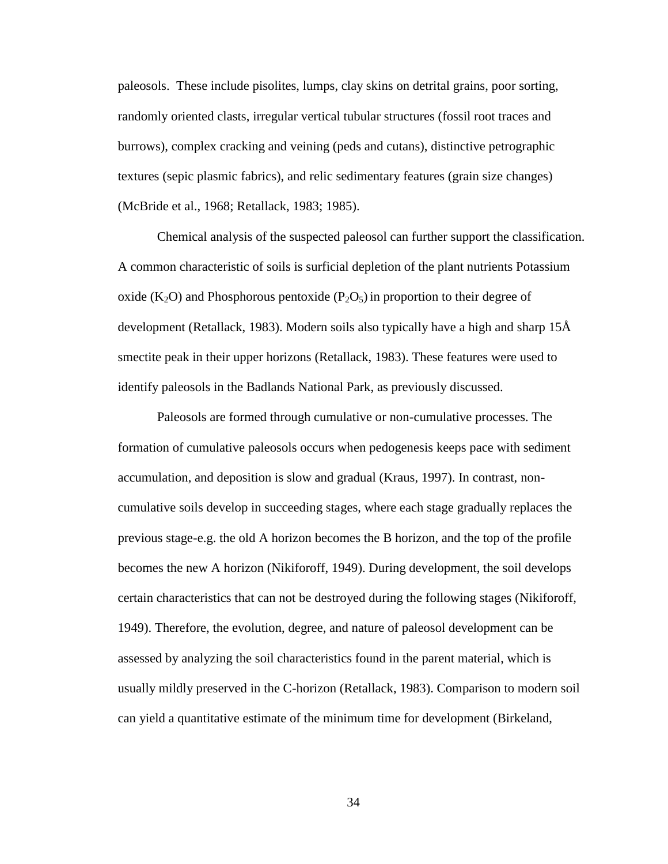paleosols. These include pisolites, lumps, clay skins on detrital grains, poor sorting, randomly oriented clasts, irregular vertical tubular structures (fossil root traces and burrows), complex cracking and veining (peds and cutans), distinctive petrographic textures (sepic plasmic fabrics), and relic sedimentary features (grain size changes) (McBride et al., 1968; Retallack, 1983; 1985).

Chemical analysis of the suspected paleosol can further support the classification. A common characteristic of soils is surficial depletion of the plant nutrients Potassium oxide (K<sub>2</sub>O) and Phosphorous pentoxide (P<sub>2</sub>O<sub>5</sub>) in proportion to their degree of development (Retallack, 1983). Modern soils also typically have a high and sharp 15Å smectite peak in their upper horizons (Retallack, 1983). These features were used to identify paleosols in the Badlands National Park, as previously discussed.

Paleosols are formed through cumulative or non-cumulative processes. The formation of cumulative paleosols occurs when pedogenesis keeps pace with sediment accumulation, and deposition is slow and gradual (Kraus, 1997). In contrast, noncumulative soils develop in succeeding stages, where each stage gradually replaces the previous stage-e.g. the old A horizon becomes the B horizon, and the top of the profile becomes the new A horizon (Nikiforoff, 1949). During development, the soil develops certain characteristics that can not be destroyed during the following stages (Nikiforoff, 1949). Therefore, the evolution, degree, and nature of paleosol development can be assessed by analyzing the soil characteristics found in the parent material, which is usually mildly preserved in the C-horizon (Retallack, 1983). Comparison to modern soil can yield a quantitative estimate of the minimum time for development (Birkeland,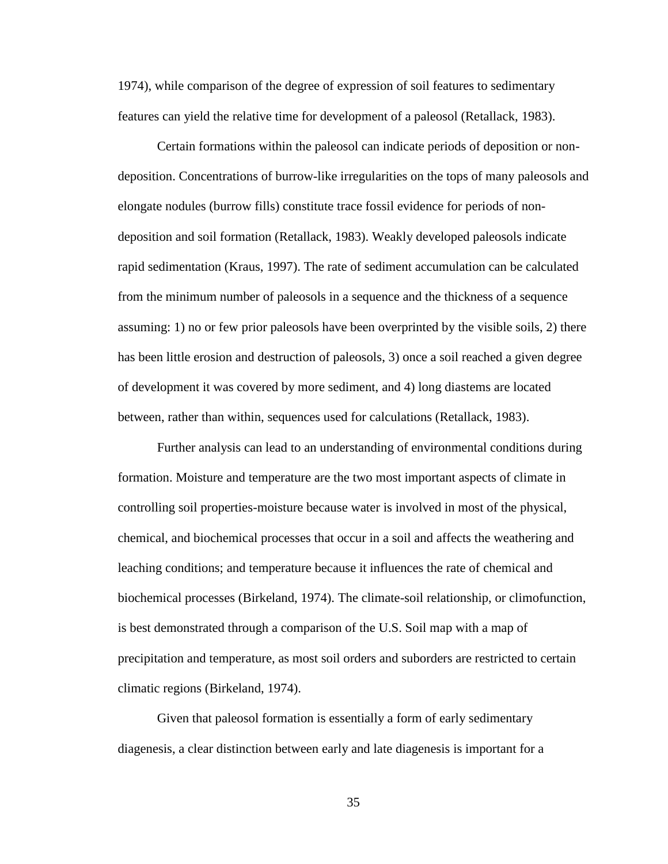1974), while comparison of the degree of expression of soil features to sedimentary features can yield the relative time for development of a paleosol (Retallack, 1983).

Certain formations within the paleosol can indicate periods of deposition or nondeposition. Concentrations of burrow-like irregularities on the tops of many paleosols and elongate nodules (burrow fills) constitute trace fossil evidence for periods of nondeposition and soil formation (Retallack, 1983). Weakly developed paleosols indicate rapid sedimentation (Kraus, 1997). The rate of sediment accumulation can be calculated from the minimum number of paleosols in a sequence and the thickness of a sequence assuming: 1) no or few prior paleosols have been overprinted by the visible soils, 2) there has been little erosion and destruction of paleosols, 3) once a soil reached a given degree of development it was covered by more sediment, and 4) long diastems are located between, rather than within, sequences used for calculations (Retallack, 1983).

Further analysis can lead to an understanding of environmental conditions during formation. Moisture and temperature are the two most important aspects of climate in controlling soil properties-moisture because water is involved in most of the physical, chemical, and biochemical processes that occur in a soil and affects the weathering and leaching conditions; and temperature because it influences the rate of chemical and biochemical processes (Birkeland, 1974). The climate-soil relationship, or climofunction, is best demonstrated through a comparison of the U.S. Soil map with a map of precipitation and temperature, as most soil orders and suborders are restricted to certain climatic regions (Birkeland, 1974).

Given that paleosol formation is essentially a form of early sedimentary diagenesis, a clear distinction between early and late diagenesis is important for a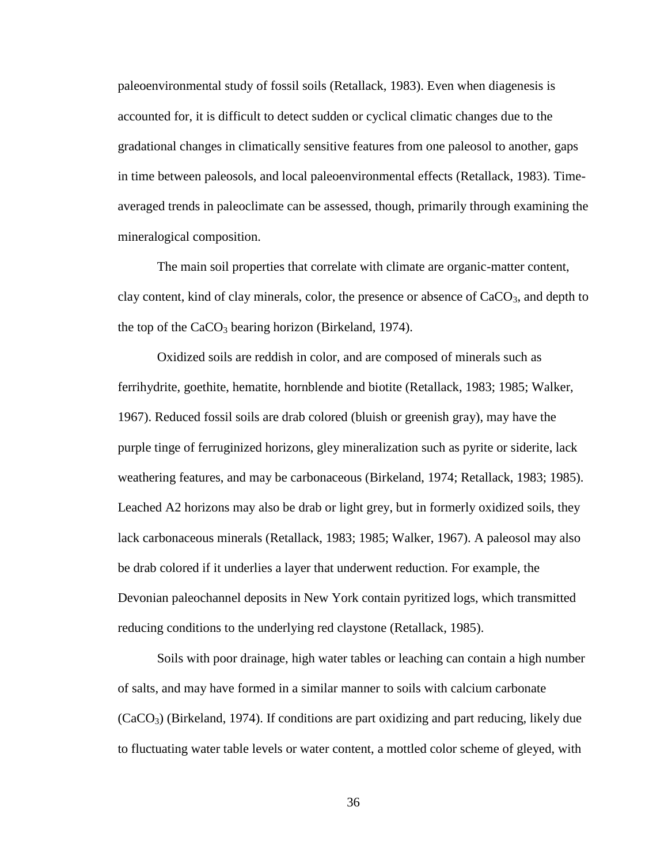paleoenvironmental study of fossil soils (Retallack, 1983). Even when diagenesis is accounted for, it is difficult to detect sudden or cyclical climatic changes due to the gradational changes in climatically sensitive features from one paleosol to another, gaps in time between paleosols, and local paleoenvironmental effects (Retallack, 1983). Timeaveraged trends in paleoclimate can be assessed, though, primarily through examining the mineralogical composition.

The main soil properties that correlate with climate are organic-matter content, clay content, kind of clay minerals, color, the presence or absence of  $CaCO<sub>3</sub>$ , and depth to the top of the  $CaCO<sub>3</sub>$  bearing horizon (Birkeland, 1974).

Oxidized soils are reddish in color, and are composed of minerals such as ferrihydrite, goethite, hematite, hornblende and biotite (Retallack, 1983; 1985; Walker, 1967). Reduced fossil soils are drab colored (bluish or greenish gray), may have the purple tinge of ferruginized horizons, gley mineralization such as pyrite or siderite, lack weathering features, and may be carbonaceous (Birkeland, 1974; Retallack, 1983; 1985). Leached A2 horizons may also be drab or light grey, but in formerly oxidized soils, they lack carbonaceous minerals (Retallack, 1983; 1985; Walker, 1967). A paleosol may also be drab colored if it underlies a layer that underwent reduction. For example, the Devonian paleochannel deposits in New York contain pyritized logs, which transmitted reducing conditions to the underlying red claystone (Retallack, 1985).

Soils with poor drainage, high water tables or leaching can contain a high number of salts, and may have formed in a similar manner to soils with calcium carbonate  $(CaCO<sub>3</sub>)$  (Birkeland, 1974). If conditions are part oxidizing and part reducing, likely due to fluctuating water table levels or water content, a mottled color scheme of gleyed, with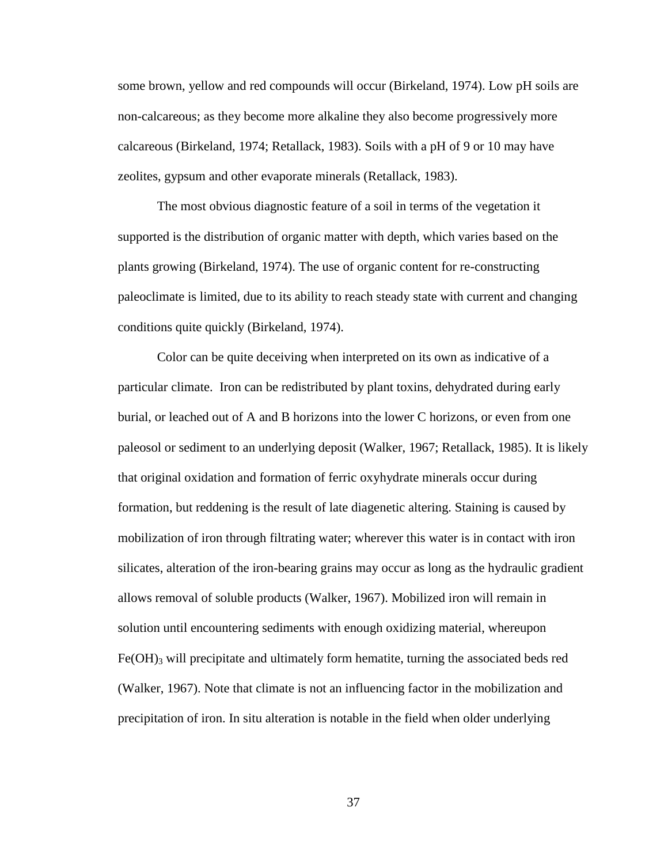some brown, yellow and red compounds will occur (Birkeland, 1974). Low pH soils are non-calcareous; as they become more alkaline they also become progressively more calcareous (Birkeland, 1974; Retallack, 1983). Soils with a pH of 9 or 10 may have zeolites, gypsum and other evaporate minerals (Retallack, 1983).

The most obvious diagnostic feature of a soil in terms of the vegetation it supported is the distribution of organic matter with depth, which varies based on the plants growing (Birkeland, 1974). The use of organic content for re-constructing paleoclimate is limited, due to its ability to reach steady state with current and changing conditions quite quickly (Birkeland, 1974).

Color can be quite deceiving when interpreted on its own as indicative of a particular climate. Iron can be redistributed by plant toxins, dehydrated during early burial, or leached out of A and B horizons into the lower C horizons, or even from one paleosol or sediment to an underlying deposit (Walker, 1967; Retallack, 1985). It is likely that original oxidation and formation of ferric oxyhydrate minerals occur during formation, but reddening is the result of late diagenetic altering. Staining is caused by mobilization of iron through filtrating water; wherever this water is in contact with iron silicates, alteration of the iron-bearing grains may occur as long as the hydraulic gradient allows removal of soluble products (Walker, 1967). Mobilized iron will remain in solution until encountering sediments with enough oxidizing material, whereupon  $Fe(OH)$ <sub>3</sub> will precipitate and ultimately form hematite, turning the associated beds red (Walker, 1967). Note that climate is not an influencing factor in the mobilization and precipitation of iron. In situ alteration is notable in the field when older underlying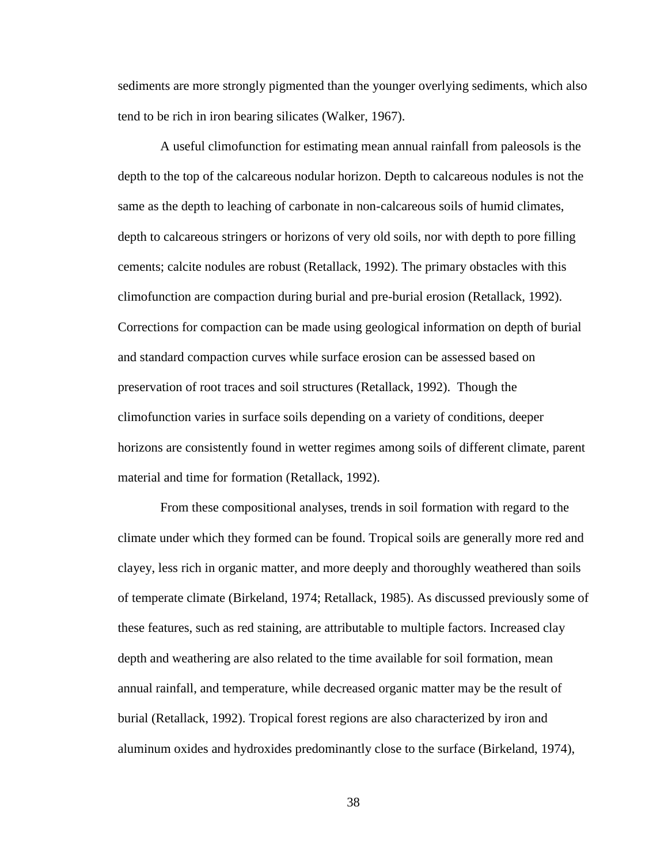sediments are more strongly pigmented than the younger overlying sediments, which also tend to be rich in iron bearing silicates (Walker, 1967).

A useful climofunction for estimating mean annual rainfall from paleosols is the depth to the top of the calcareous nodular horizon. Depth to calcareous nodules is not the same as the depth to leaching of carbonate in non-calcareous soils of humid climates, depth to calcareous stringers or horizons of very old soils, nor with depth to pore filling cements; calcite nodules are robust (Retallack, 1992). The primary obstacles with this climofunction are compaction during burial and pre-burial erosion (Retallack, 1992). Corrections for compaction can be made using geological information on depth of burial and standard compaction curves while surface erosion can be assessed based on preservation of root traces and soil structures (Retallack, 1992). Though the climofunction varies in surface soils depending on a variety of conditions, deeper horizons are consistently found in wetter regimes among soils of different climate, parent material and time for formation (Retallack, 1992).

From these compositional analyses, trends in soil formation with regard to the climate under which they formed can be found. Tropical soils are generally more red and clayey, less rich in organic matter, and more deeply and thoroughly weathered than soils of temperate climate (Birkeland, 1974; Retallack, 1985). As discussed previously some of these features, such as red staining, are attributable to multiple factors. Increased clay depth and weathering are also related to the time available for soil formation, mean annual rainfall, and temperature, while decreased organic matter may be the result of burial (Retallack, 1992). Tropical forest regions are also characterized by iron and aluminum oxides and hydroxides predominantly close to the surface (Birkeland, 1974),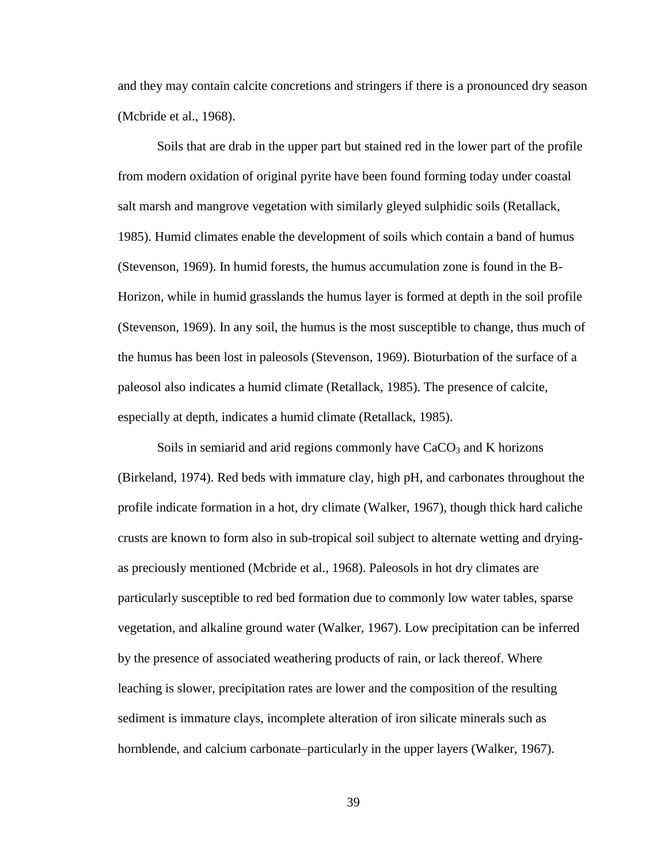and they may contain calcite concretions and stringers if there is a pronounced dry season (Mcbride et al., 1968).

Soils that are drab in the upper part but stained red in the lower part of the profile from modern oxidation of original pyrite have been found forming today under coastal salt marsh and mangrove vegetation with similarly gleyed sulphidic soils (Retallack, 1985). Humid climates enable the development of soils which contain a band of humus (Stevenson, 1969). In humid forests, the humus accumulation zone is found in the B-Horizon, while in humid grasslands the humus layer is formed at depth in the soil profile (Stevenson, 1969). In any soil, the humus is the most susceptible to change, thus much of the humus has been lost in paleosols (Stevenson, 1969). Bioturbation of the surface of a paleosol also indicates a humid climate (Retallack, 1985). The presence of calcite, especially at depth, indicates a humid climate (Retallack, 1985).

Soils in semiarid and arid regions commonly have  $CaCO<sub>3</sub>$  and K horizons (Birkeland, 1974). Red beds with immature clay, high pH, and carbonates throughout the profile indicate formation in a hot, dry climate (Walker, 1967), though thick hard caliche crusts are known to form also in sub-tropical soil subject to alternate wetting and dryingas preciously mentioned (Mcbride et al., 1968). Paleosols in hot dry climates are particularly susceptible to red bed formation due to commonly low water tables, sparse vegetation, and alkaline ground water (Walker, 1967). Low precipitation can be inferred by the presence of associated weathering products of rain, or lack thereof. Where leaching is slower, precipitation rates are lower and the composition of the resulting sediment is immature clays, incomplete alteration of iron silicate minerals such as hornblende, and calcium carbonate–particularly in the upper layers (Walker, 1967).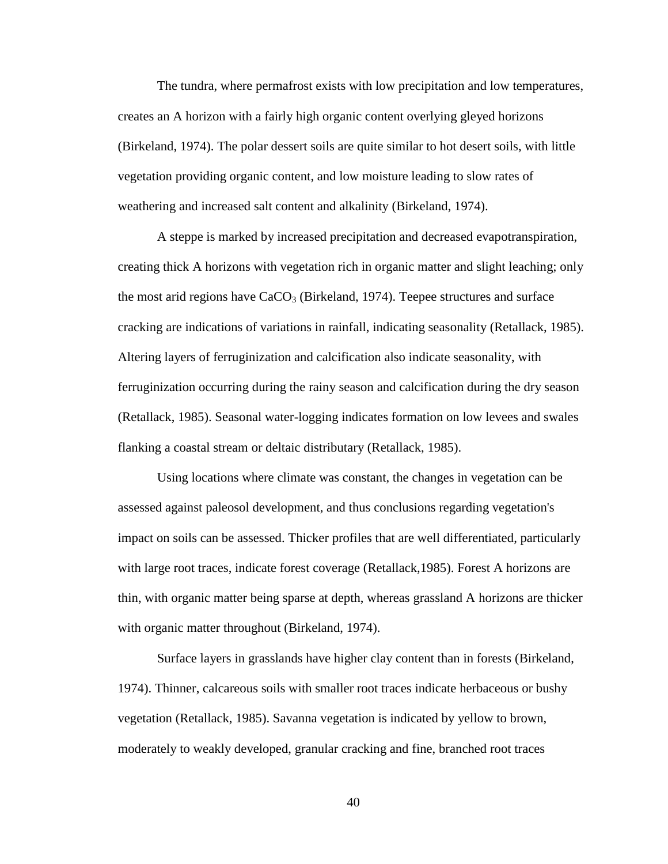The tundra, where permafrost exists with low precipitation and low temperatures, creates an A horizon with a fairly high organic content overlying gleyed horizons (Birkeland, 1974). The polar dessert soils are quite similar to hot desert soils, with little vegetation providing organic content, and low moisture leading to slow rates of weathering and increased salt content and alkalinity (Birkeland, 1974).

A steppe is marked by increased precipitation and decreased evapotranspiration, creating thick A horizons with vegetation rich in organic matter and slight leaching; only the most arid regions have  $CaCO<sub>3</sub>$  (Birkeland, 1974). Teepee structures and surface cracking are indications of variations in rainfall, indicating seasonality (Retallack, 1985). Altering layers of ferruginization and calcification also indicate seasonality, with ferruginization occurring during the rainy season and calcification during the dry season (Retallack, 1985). Seasonal water-logging indicates formation on low levees and swales flanking a coastal stream or deltaic distributary (Retallack, 1985).

Using locations where climate was constant, the changes in vegetation can be assessed against paleosol development, and thus conclusions regarding vegetation's impact on soils can be assessed. Thicker profiles that are well differentiated, particularly with large root traces, indicate forest coverage (Retallack,1985). Forest A horizons are thin, with organic matter being sparse at depth, whereas grassland A horizons are thicker with organic matter throughout (Birkeland, 1974).

Surface layers in grasslands have higher clay content than in forests (Birkeland, 1974). Thinner, calcareous soils with smaller root traces indicate herbaceous or bushy vegetation (Retallack, 1985). Savanna vegetation is indicated by yellow to brown, moderately to weakly developed, granular cracking and fine, branched root traces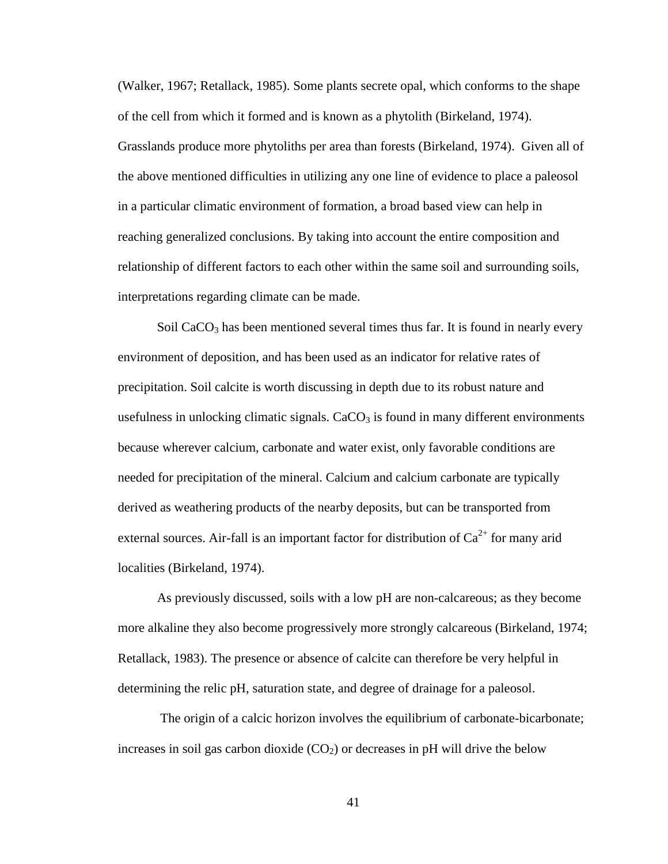(Walker, 1967; Retallack, 1985). Some plants secrete opal, which conforms to the shape of the cell from which it formed and is known as a phytolith (Birkeland, 1974). Grasslands produce more phytoliths per area than forests (Birkeland, 1974). Given all of the above mentioned difficulties in utilizing any one line of evidence to place a paleosol in a particular climatic environment of formation, a broad based view can help in reaching generalized conclusions. By taking into account the entire composition and relationship of different factors to each other within the same soil and surrounding soils, interpretations regarding climate can be made.

Soil  $CaCO<sub>3</sub>$  has been mentioned several times thus far. It is found in nearly every environment of deposition, and has been used as an indicator for relative rates of precipitation. Soil calcite is worth discussing in depth due to its robust nature and usefulness in unlocking climatic signals.  $CaCO<sub>3</sub>$  is found in many different environments because wherever calcium, carbonate and water exist, only favorable conditions are needed for precipitation of the mineral. Calcium and calcium carbonate are typically derived as weathering products of the nearby deposits, but can be transported from external sources. Air-fall is an important factor for distribution of  $Ca^{2+}$  for many arid localities (Birkeland, 1974).

As previously discussed, soils with a low pH are non-calcareous; as they become more alkaline they also become progressively more strongly calcareous (Birkeland, 1974; Retallack, 1983). The presence or absence of calcite can therefore be very helpful in determining the relic pH, saturation state, and degree of drainage for a paleosol.

The origin of a calcic horizon involves the equilibrium of carbonate-bicarbonate; increases in soil gas carbon dioxide  $(CO<sub>2</sub>)$  or decreases in pH will drive the below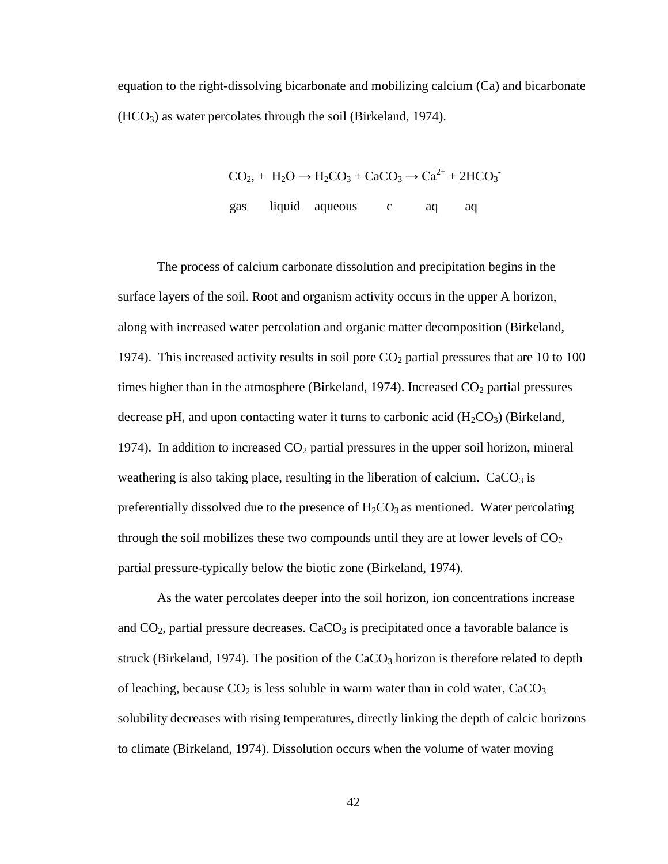equation to the right-dissolving bicarbonate and mobilizing calcium (Ca) and bicarbonate  $(HCO<sub>3</sub>)$  as water percolates through the soil (Birkeland, 1974).

$$
CO_2
$$
, + H<sub>2</sub>O  $\rightarrow$  H<sub>2</sub> $CO_3$  + CaCO<sub>3</sub>  $\rightarrow$  Ca<sup>2+</sup> + 2HCO<sub>3</sub>  
gas liquid aqueous c aq

-

The process of calcium carbonate dissolution and precipitation begins in the surface layers of the soil. Root and organism activity occurs in the upper A horizon, along with increased water percolation and organic matter decomposition (Birkeland, 1974). This increased activity results in soil pore  $CO<sub>2</sub>$  partial pressures that are 10 to 100 times higher than in the atmosphere (Birkeland, 1974). Increased  $CO<sub>2</sub>$  partial pressures decrease pH, and upon contacting water it turns to carbonic acid  $(H_2CO_3)$  (Birkeland, 1974). In addition to increased  $CO<sub>2</sub>$  partial pressures in the upper soil horizon, mineral weathering is also taking place, resulting in the liberation of calcium.  $CaCO<sub>3</sub>$  is preferentially dissolved due to the presence of  $H_2CO_3$  as mentioned. Water percolating through the soil mobilizes these two compounds until they are at lower levels of  $CO<sub>2</sub>$ partial pressure-typically below the biotic zone (Birkeland, 1974).

As the water percolates deeper into the soil horizon, ion concentrations increase and  $CO<sub>2</sub>$ , partial pressure decreases. CaCO<sub>3</sub> is precipitated once a favorable balance is struck (Birkeland, 1974). The position of the  $CaCO<sub>3</sub>$  horizon is therefore related to depth of leaching, because  $CO<sub>2</sub>$  is less soluble in warm water than in cold water,  $CaCO<sub>3</sub>$ solubility decreases with rising temperatures, directly linking the depth of calcic horizons to climate (Birkeland, 1974). Dissolution occurs when the volume of water moving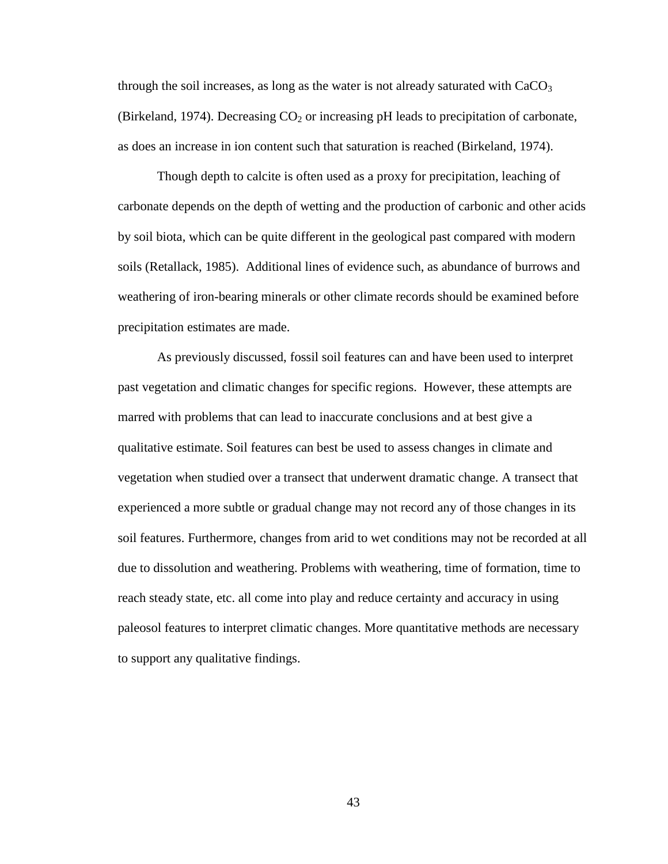through the soil increases, as long as the water is not already saturated with  $CaCO<sub>3</sub>$ (Birkeland, 1974). Decreasing  $CO<sub>2</sub>$  or increasing pH leads to precipitation of carbonate, as does an increase in ion content such that saturation is reached (Birkeland, 1974).

Though depth to calcite is often used as a proxy for precipitation, leaching of carbonate depends on the depth of wetting and the production of carbonic and other acids by soil biota, which can be quite different in the geological past compared with modern soils (Retallack, 1985). Additional lines of evidence such, as abundance of burrows and weathering of iron-bearing minerals or other climate records should be examined before precipitation estimates are made.

As previously discussed, fossil soil features can and have been used to interpret past vegetation and climatic changes for specific regions. However, these attempts are marred with problems that can lead to inaccurate conclusions and at best give a qualitative estimate. Soil features can best be used to assess changes in climate and vegetation when studied over a transect that underwent dramatic change. A transect that experienced a more subtle or gradual change may not record any of those changes in its soil features. Furthermore, changes from arid to wet conditions may not be recorded at all due to dissolution and weathering. Problems with weathering, time of formation, time to reach steady state, etc. all come into play and reduce certainty and accuracy in using paleosol features to interpret climatic changes. More quantitative methods are necessary to support any qualitative findings.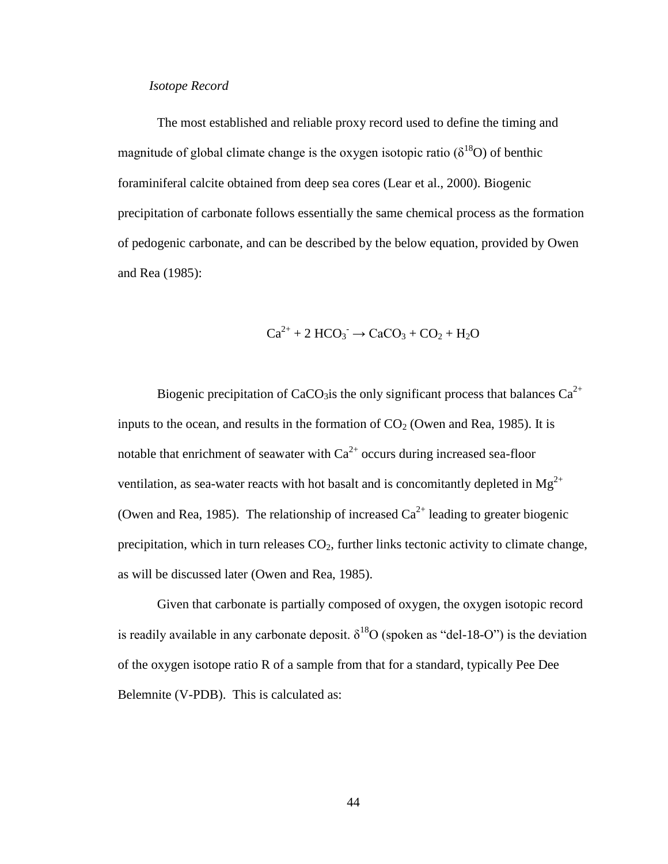# *Isotope Record*

The most established and reliable proxy record used to define the timing and magnitude of global climate change is the oxygen isotopic ratio ( $\delta^{18}O$ ) of benthic foraminiferal calcite obtained from deep sea cores (Lear et al., 2000). Biogenic precipitation of carbonate follows essentially the same chemical process as the formation of pedogenic carbonate, and can be described by the below equation, provided by Owen and Rea (1985):

$$
Ca^{2+} + 2 \text{ HCO}_3 \rightarrow CaCO_3 + CO_2 + H_2O
$$

Biogenic precipitation of CaCO<sub>3</sub>is the only significant process that balances  $Ca^{2+}$ inputs to the ocean, and results in the formation of  $CO<sub>2</sub>$  (Owen and Rea, 1985). It is notable that enrichment of seawater with  $Ca^{2+}$  occurs during increased sea-floor ventilation, as sea-water reacts with hot basalt and is concomitantly depleted in  $Mg^{2+}$ (Owen and Rea, 1985). The relationship of increased  $Ca^{2+}$  leading to greater biogenic precipitation, which in turn releases  $CO<sub>2</sub>$ , further links tectonic activity to climate change, as will be discussed later (Owen and Rea, 1985).

Given that carbonate is partially composed of oxygen, the oxygen isotopic record is readily available in any carbonate deposit.  $\delta^{18}O$  (spoken as "del-18-O") is the deviation of the oxygen isotope ratio R of a sample from that for a standard, typically Pee Dee Belemnite (V-PDB). This is calculated as: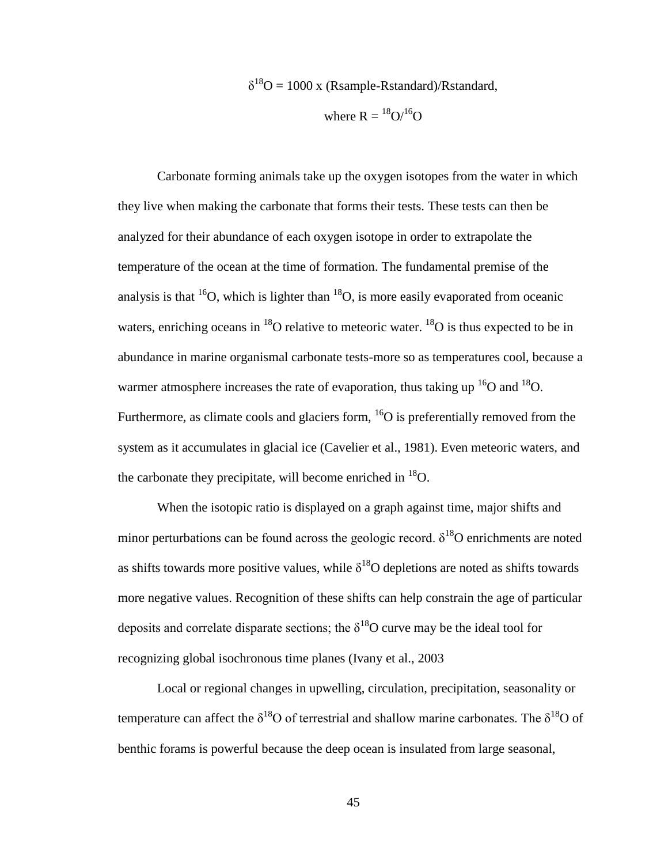$\delta^{18}O = 1000$  x (Rsample-Rstandard)/Rstandard,

where 
$$
R = {}^{18}O/{}^{16}O
$$

Carbonate forming animals take up the oxygen isotopes from the water in which they live when making the carbonate that forms their tests. These tests can then be analyzed for their abundance of each oxygen isotope in order to extrapolate the temperature of the ocean at the time of formation. The fundamental premise of the analysis is that <sup>16</sup>O, which is lighter than <sup>18</sup>O, is more easily evaporated from oceanic waters, enriching oceans in  $^{18}$ O relative to meteoric water.  $^{18}$ O is thus expected to be in abundance in marine organismal carbonate tests-more so as temperatures cool, because a warmer atmosphere increases the rate of evaporation, thus taking up  $^{16}O$  and  $^{18}O$ . Furthermore, as climate cools and glaciers form,  ${}^{16}O$  is preferentially removed from the system as it accumulates in glacial ice (Cavelier et al., 1981). Even meteoric waters, and the carbonate they precipitate, will become enriched in  $^{18}O$ .

When the isotopic ratio is displayed on a graph against time, major shifts and minor perturbations can be found across the geologic record.  $\delta^{18}$ O enrichments are noted as shifts towards more positive values, while  $\delta^{18}O$  depletions are noted as shifts towards more negative values. Recognition of these shifts can help constrain the age of particular deposits and correlate disparate sections; the  $\delta^{18}$ O curve may be the ideal tool for recognizing global isochronous time planes (Ivany et al., 2003

Local or regional changes in upwelling, circulation, precipitation, seasonality or temperature can affect the  $\delta^{18}O$  of terrestrial and shallow marine carbonates. The  $\delta^{18}O$  of benthic forams is powerful because the deep ocean is insulated from large seasonal,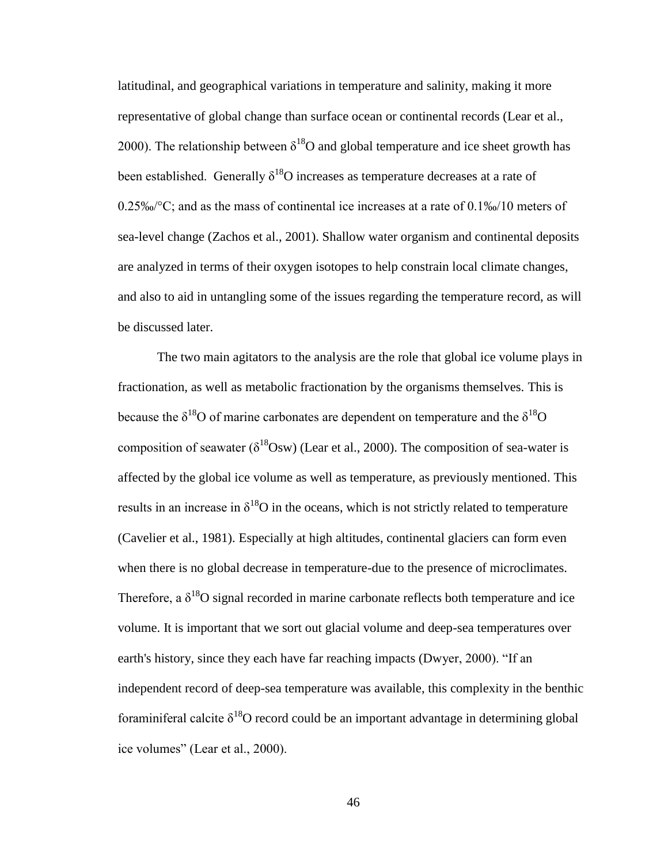latitudinal, and geographical variations in temperature and salinity, making it more representative of global change than surface ocean or continental records (Lear et al., 2000). The relationship between  $\delta^{18}$ O and global temperature and ice sheet growth has been established. Generally  $\delta^{18}$ O increases as temperature decreases at a rate of 0.25‰/°C; and as the mass of continental ice increases at a rate of 0.1‰/10 meters of sea-level change (Zachos et al., 2001). Shallow water organism and continental deposits are analyzed in terms of their oxygen isotopes to help constrain local climate changes, and also to aid in untangling some of the issues regarding the temperature record, as will be discussed later.

The two main agitators to the analysis are the role that global ice volume plays in fractionation, as well as metabolic fractionation by the organisms themselves. This is because the  $\delta^{18}$ O of marine carbonates are dependent on temperature and the  $\delta^{18}$ O composition of seawater ( $\delta^{18}$ Osw) (Lear et al., 2000). The composition of sea-water is affected by the global ice volume as well as temperature, as previously mentioned. This results in an increase in  $\delta^{18}O$  in the oceans, which is not strictly related to temperature (Cavelier et al., 1981). Especially at high altitudes, continental glaciers can form even when there is no global decrease in temperature-due to the presence of microclimates. Therefore, a  $\delta^{18}$ O signal recorded in marine carbonate reflects both temperature and ice volume. It is important that we sort out glacial volume and deep-sea temperatures over earth's history, since they each have far reaching impacts (Dwyer, 2000). "If an independent record of deep-sea temperature was available, this complexity in the benthic foraminiferal calcite  $\delta^{18}$ O record could be an important advantage in determining global ice volumes" (Lear et al., 2000).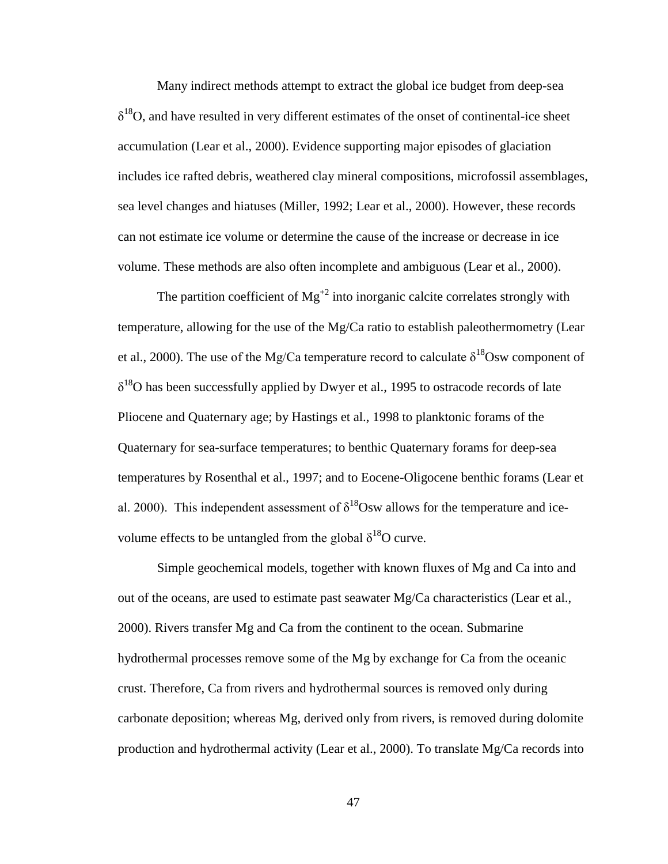Many indirect methods attempt to extract the global ice budget from deep-sea  $\delta^{18}$ O, and have resulted in very different estimates of the onset of continental-ice sheet accumulation (Lear et al., 2000). Evidence supporting major episodes of glaciation includes ice rafted debris, weathered clay mineral compositions, microfossil assemblages, sea level changes and hiatuses (Miller, 1992; Lear et al., 2000). However, these records can not estimate ice volume or determine the cause of the increase or decrease in ice volume. These methods are also often incomplete and ambiguous (Lear et al., 2000).

The partition coefficient of  $Mg^{2}$  into inorganic calcite correlates strongly with temperature, allowing for the use of the Mg/Ca ratio to establish paleothermometry (Lear et al., 2000). The use of the Mg/Ca temperature record to calculate  $\delta^{18}$ Osw component of  $\delta^{18}$ O has been successfully applied by Dwyer et al., 1995 to ostracode records of late Pliocene and Quaternary age; by Hastings et al., 1998 to planktonic forams of the Quaternary for sea-surface temperatures; to benthic Quaternary forams for deep-sea temperatures by Rosenthal et al., 1997; and to Eocene-Oligocene benthic forams (Lear et al. 2000). This independent assessment of  $\delta^{18}$ Osw allows for the temperature and icevolume effects to be untangled from the global  $\delta^{18}O$  curve.

Simple geochemical models, together with known fluxes of Mg and Ca into and out of the oceans, are used to estimate past seawater Mg/Ca characteristics (Lear et al., 2000). Rivers transfer Mg and Ca from the continent to the ocean. Submarine hydrothermal processes remove some of the Mg by exchange for Ca from the oceanic crust. Therefore, Ca from rivers and hydrothermal sources is removed only during carbonate deposition; whereas Mg, derived only from rivers, is removed during dolomite production and hydrothermal activity (Lear et al., 2000). To translate Mg/Ca records into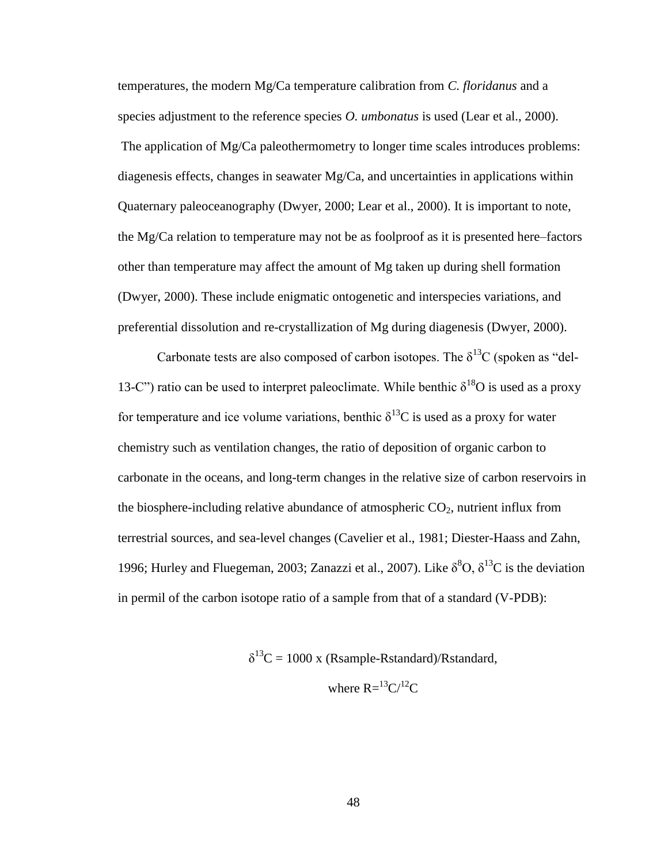temperatures, the modern Mg/Ca temperature calibration from *C. floridanus* and a species adjustment to the reference species *O. umbonatus* is used (Lear et al., 2000). The application of Mg/Ca paleothermometry to longer time scales introduces problems: diagenesis effects, changes in seawater  $Mg/Ca$ , and uncertainties in applications within Quaternary paleoceanography (Dwyer, 2000; Lear et al., 2000). It is important to note, the Mg/Ca relation to temperature may not be as foolproof as it is presented here–factors other than temperature may affect the amount of Mg taken up during shell formation (Dwyer, 2000). These include enigmatic ontogenetic and interspecies variations, and preferential dissolution and re-crystallization of Mg during diagenesis (Dwyer, 2000).

Carbonate tests are also composed of carbon isotopes. The  $\delta^{13}C$  (spoken as "del-13-C") ratio can be used to interpret paleoclimate. While benthic  $\delta^{18}O$  is used as a proxy for temperature and ice volume variations, benthic  $\delta^{13}$ C is used as a proxy for water chemistry such as ventilation changes, the ratio of deposition of organic carbon to carbonate in the oceans, and long-term changes in the relative size of carbon reservoirs in the biosphere-including relative abundance of atmospheric  $CO<sub>2</sub>$ , nutrient influx from terrestrial sources, and sea-level changes (Cavelier et al., 1981; Diester-Haass and Zahn, 1996; Hurley and Fluegeman, 2003; Zanazzi et al., 2007). Like  $\delta^8O, \delta^{13}C$  is the deviation in permil of the carbon isotope ratio of a sample from that of a standard (V-PDB):

 $\delta^{13}C = 1000$  x (Rsample-Rstandard)/Rstandard,

where 
$$
R = {}^{13}C / {}^{12}C
$$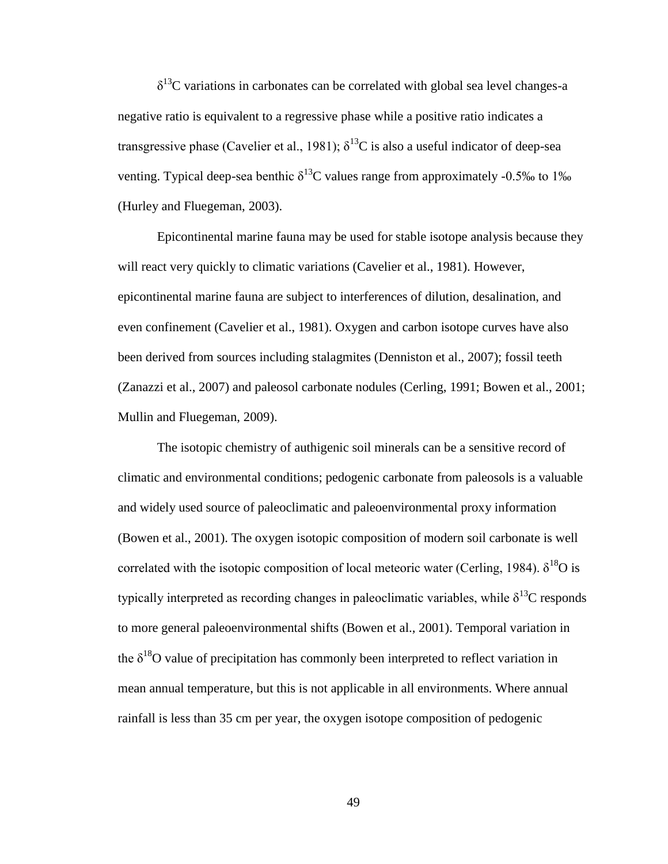$\delta^{13}$ C variations in carbonates can be correlated with global sea level changes-a negative ratio is equivalent to a regressive phase while a positive ratio indicates a transgressive phase (Cavelier et al., 1981);  $\delta^{13}$ C is also a useful indicator of deep-sea venting. Typical deep-sea benthic  $\delta^{13}$ C values range from approximately -0.5‰ to 1‰ (Hurley and Fluegeman, 2003).

Epicontinental marine fauna may be used for stable isotope analysis because they will react very quickly to climatic variations (Cavelier et al., 1981). However, epicontinental marine fauna are subject to interferences of dilution, desalination, and even confinement (Cavelier et al., 1981). Oxygen and carbon isotope curves have also been derived from sources including stalagmites (Denniston et al., 2007); fossil teeth (Zanazzi et al., 2007) and paleosol carbonate nodules (Cerling, 1991; Bowen et al., 2001; Mullin and Fluegeman, 2009).

The isotopic chemistry of authigenic soil minerals can be a sensitive record of climatic and environmental conditions; pedogenic carbonate from paleosols is a valuable and widely used source of paleoclimatic and paleoenvironmental proxy information (Bowen et al., 2001). The oxygen isotopic composition of modern soil carbonate is well correlated with the isotopic composition of local meteoric water (Cerling, 1984).  $\delta^{18}O$  is typically interpreted as recording changes in paleoclimatic variables, while  $\delta^{13}C$  responds to more general paleoenvironmental shifts (Bowen et al., 2001). Temporal variation in the  $\delta^{18}$ O value of precipitation has commonly been interpreted to reflect variation in mean annual temperature, but this is not applicable in all environments. Where annual rainfall is less than 35 cm per year, the oxygen isotope composition of pedogenic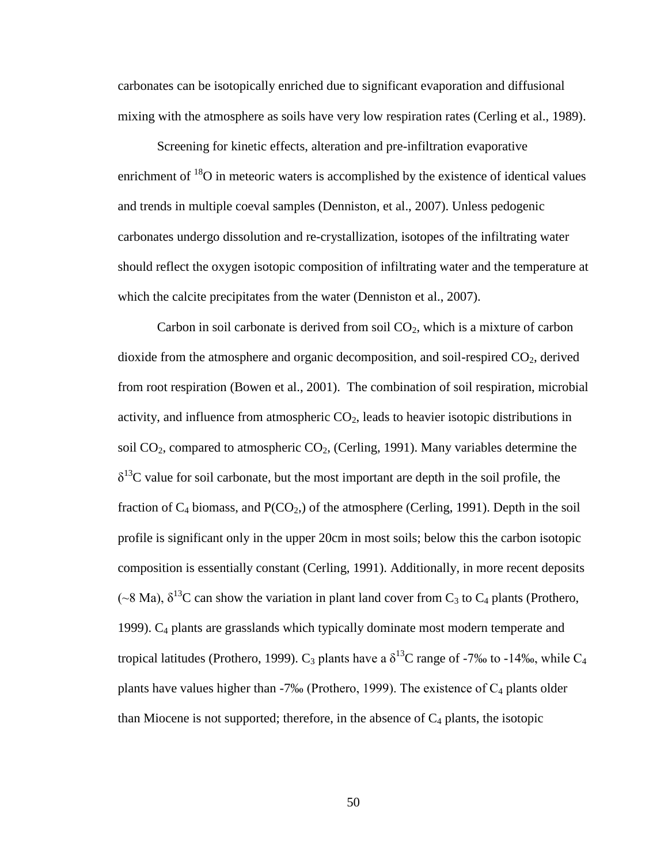carbonates can be isotopically enriched due to significant evaporation and diffusional mixing with the atmosphere as soils have very low respiration rates (Cerling et al., 1989).

Screening for kinetic effects, alteration and pre-infiltration evaporative enrichment of  $^{18}$ O in meteoric waters is accomplished by the existence of identical values and trends in multiple coeval samples (Denniston, et al., 2007). Unless pedogenic carbonates undergo dissolution and re-crystallization, isotopes of the infiltrating water should reflect the oxygen isotopic composition of infiltrating water and the temperature at which the calcite precipitates from the water (Denniston et al., 2007).

Carbon in soil carbonate is derived from soil  $CO<sub>2</sub>$ , which is a mixture of carbon dioxide from the atmosphere and organic decomposition, and soil-respired  $CO<sub>2</sub>$ , derived from root respiration (Bowen et al., 2001). The combination of soil respiration, microbial activity, and influence from atmospheric  $CO<sub>2</sub>$ , leads to heavier isotopic distributions in soil  $CO<sub>2</sub>$ , compared to atmospheric  $CO<sub>2</sub>$ , (Cerling, 1991). Many variables determine the  $\delta^{13}$ C value for soil carbonate, but the most important are depth in the soil profile, the fraction of  $C_4$  biomass, and  $P(CO_2)$  of the atmosphere (Cerling, 1991). Depth in the soil profile is significant only in the upper 20cm in most soils; below this the carbon isotopic composition is essentially constant (Cerling, 1991). Additionally, in more recent deposits (~8 Ma),  $\delta^{13}$ C can show the variation in plant land cover from C<sub>3</sub> to C<sub>4</sub> plants (Prothero, 1999). C<sup>4</sup> plants are grasslands which typically dominate most modern temperate and tropical latitudes (Prothero, 1999). C<sub>3</sub> plants have a  $\delta^{13}$ C range of -7‰ to -14‰, while C<sub>4</sub> plants have values higher than  $-7\%$  (Prothero, 1999). The existence of  $C_4$  plants older than Miocene is not supported; therefore, in the absence of  $C_4$  plants, the isotopic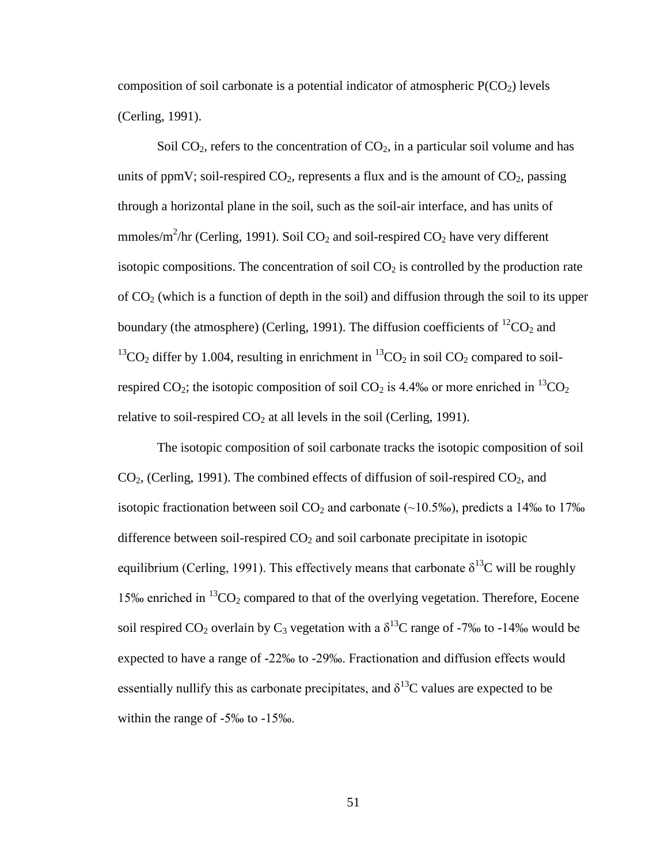composition of soil carbonate is a potential indicator of atmospheric  $P(CO<sub>2</sub>)$  levels (Cerling, 1991).

Soil  $CO<sub>2</sub>$ , refers to the concentration of  $CO<sub>2</sub>$ , in a particular soil volume and has units of ppmV; soil-respired  $CO_2$ , represents a flux and is the amount of  $CO_2$ , passing through a horizontal plane in the soil, such as the soil-air interface, and has units of mmoles/m<sup>2</sup>/hr (Cerling, 1991). Soil CO<sub>2</sub> and soil-respired CO<sub>2</sub> have very different isotopic compositions. The concentration of soil  $CO<sub>2</sub>$  is controlled by the production rate of  $CO<sub>2</sub>$  (which is a function of depth in the soil) and diffusion through the soil to its upper boundary (the atmosphere) (Cerling, 1991). The diffusion coefficients of  ${}^{12}CO_2$  and <sup>13</sup>CO<sub>2</sub> differ by 1.004, resulting in enrichment in <sup>13</sup>CO<sub>2</sub> in soil CO<sub>2</sub> compared to soilrespired CO<sub>2</sub>; the isotopic composition of soil CO<sub>2</sub> is 4.4‰ or more enriched in <sup>13</sup>CO<sub>2</sub> relative to soil-respired  $CO<sub>2</sub>$  at all levels in the soil (Cerling, 1991).

The isotopic composition of soil carbonate tracks the isotopic composition of soil  $CO<sub>2</sub>$ , (Cerling, 1991). The combined effects of diffusion of soil-respired  $CO<sub>2</sub>$ , and isotopic fractionation between soil  $CO_2$  and carbonate (~10.5‰), predicts a 14‰ to 17‰ difference between soil-respired  $CO<sub>2</sub>$  and soil carbonate precipitate in isotopic equilibrium (Cerling, 1991). This effectively means that carbonate  $\delta^{13}$ C will be roughly 15‰ enriched in  ${}^{13}CO_2$  compared to that of the overlying vegetation. Therefore, Eocene soil respired CO<sub>2</sub> overlain by C<sub>3</sub> vegetation with a  $\delta^{13}$ C range of -7‰ to -14‰ would be expected to have a range of -22‰ to -29‰. Fractionation and diffusion effects would essentially nullify this as carbonate precipitates, and  $\delta^{13}$ C values are expected to be within the range of -5‰ to -15‰.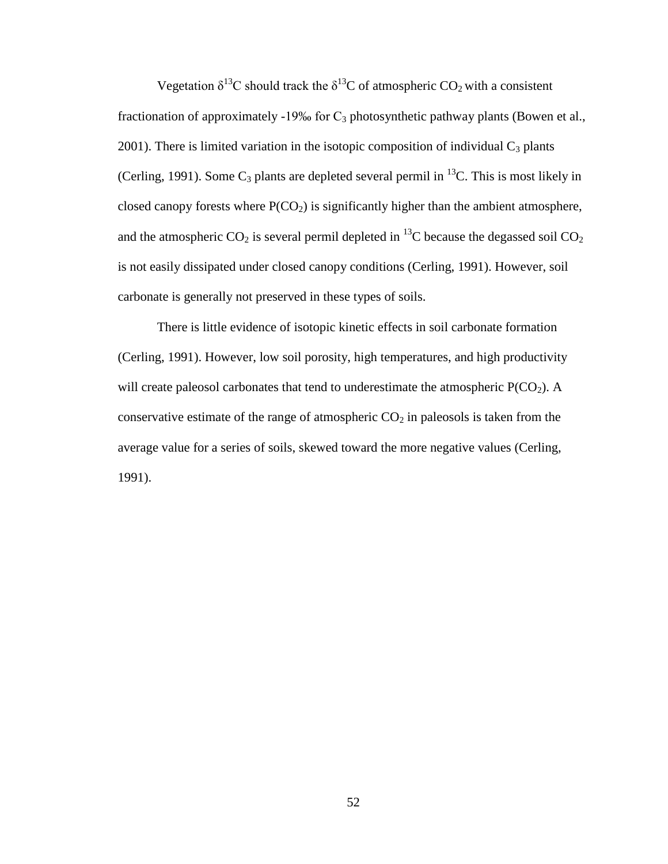Vegetation  $\delta^{13}$ C should track the  $\delta^{13}$ C of atmospheric CO<sub>2</sub> with a consistent fractionation of approximately -19‰ for  $C_3$  photosynthetic pathway plants (Bowen et al., 2001). There is limited variation in the isotopic composition of individual  $C_3$  plants (Cerling, 1991). Some  $C_3$  plants are depleted several permil in <sup>13</sup>C. This is most likely in closed canopy forests where  $P(CO_2)$  is significantly higher than the ambient atmosphere, and the atmospheric  $CO_2$  is several permil depleted in <sup>13</sup>C because the degassed soil  $CO_2$ is not easily dissipated under closed canopy conditions (Cerling, 1991). However, soil carbonate is generally not preserved in these types of soils.

There is little evidence of isotopic kinetic effects in soil carbonate formation (Cerling, 1991). However, low soil porosity, high temperatures, and high productivity will create paleosol carbonates that tend to underestimate the atmospheric  $P(CO_2)$ . A conservative estimate of the range of atmospheric  $CO<sub>2</sub>$  in paleosols is taken from the average value for a series of soils, skewed toward the more negative values (Cerling, 1991).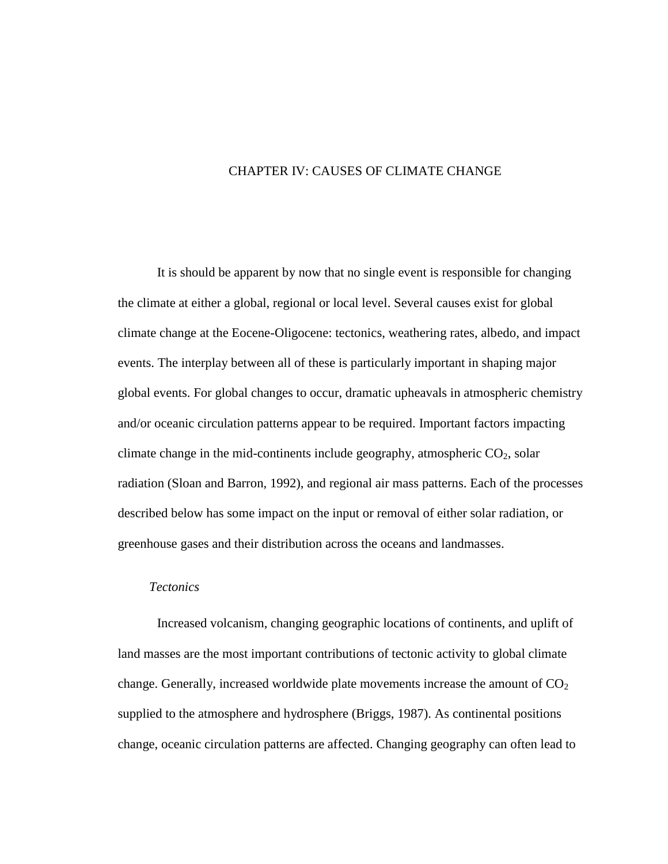# CHAPTER IV: CAUSES OF CLIMATE CHANGE

It is should be apparent by now that no single event is responsible for changing the climate at either a global, regional or local level. Several causes exist for global climate change at the Eocene-Oligocene: tectonics, weathering rates, albedo, and impact events. The interplay between all of these is particularly important in shaping major global events. For global changes to occur, dramatic upheavals in atmospheric chemistry and/or oceanic circulation patterns appear to be required. Important factors impacting climate change in the mid-continents include geography, atmospheric  $CO<sub>2</sub>$ , solar radiation (Sloan and Barron, 1992), and regional air mass patterns. Each of the processes described below has some impact on the input or removal of either solar radiation, or greenhouse gases and their distribution across the oceans and landmasses.

# *Tectonics*

Increased volcanism, changing geographic locations of continents, and uplift of land masses are the most important contributions of tectonic activity to global climate change. Generally, increased worldwide plate movements increase the amount of  $CO<sub>2</sub>$ supplied to the atmosphere and hydrosphere (Briggs, 1987). As continental positions change, oceanic circulation patterns are affected. Changing geography can often lead to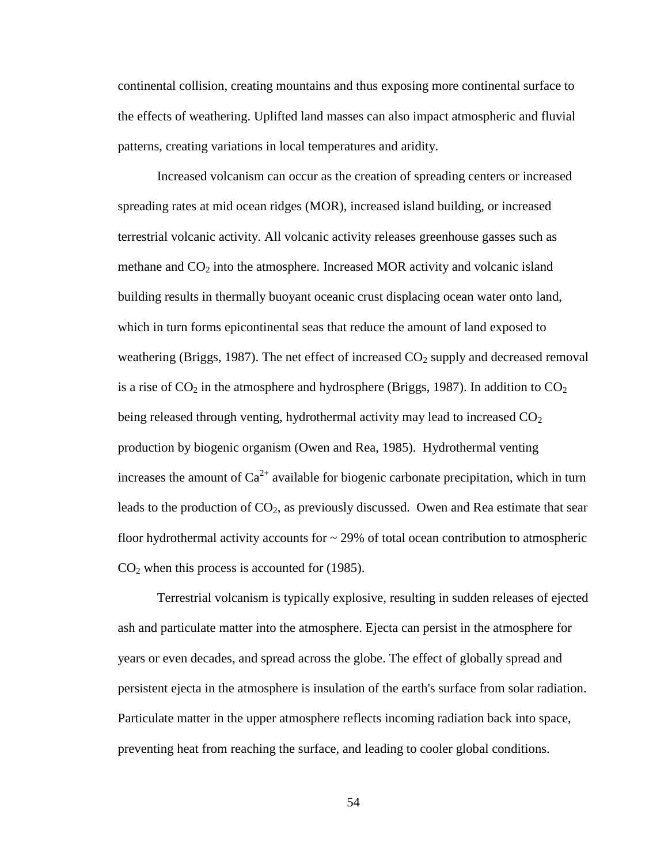continental collision, creating mountains and thus exposing more continental surface to the effects of weathering. Uplifted land masses can also impact atmospheric and fluvial patterns, creating variations in local temperatures and aridity.

Increased volcanism can occur as the creation of spreading centers or increased spreading rates at mid ocean ridges (MOR), increased island building, or increased terrestrial volcanic activity. All volcanic activity releases greenhouse gasses such as methane and  $CO<sub>2</sub>$  into the atmosphere. Increased MOR activity and volcanic island building results in thermally buoyant oceanic crust displacing ocean water onto land, which in turn forms epicontinental seas that reduce the amount of land exposed to weathering (Briggs, 1987). The net effect of increased  $CO<sub>2</sub>$  supply and decreased removal is a rise of  $CO<sub>2</sub>$  in the atmosphere and hydrosphere (Briggs, 1987). In addition to  $CO<sub>2</sub>$ being released through venting, hydrothermal activity may lead to increased  $CO<sub>2</sub>$ production by biogenic organism (Owen and Rea, 1985). Hydrothermal venting increases the amount of  $Ca^{2+}$  available for biogenic carbonate precipitation, which in turn leads to the production of  $CO<sub>2</sub>$ , as previously discussed. Owen and Rea estimate that sear floor hydrothermal activity accounts for  $\sim$  29% of total ocean contribution to atmospheric  $CO<sub>2</sub>$  when this process is accounted for (1985).

Terrestrial volcanism is typically explosive, resulting in sudden releases of ejected ash and particulate matter into the atmosphere. Ejecta can persist in the atmosphere for years or even decades, and spread across the globe. The effect of globally spread and persistent ejecta in the atmosphere is insulation of the earth's surface from solar radiation. Particulate matter in the upper atmosphere reflects incoming radiation back into space, preventing heat from reaching the surface, and leading to cooler global conditions.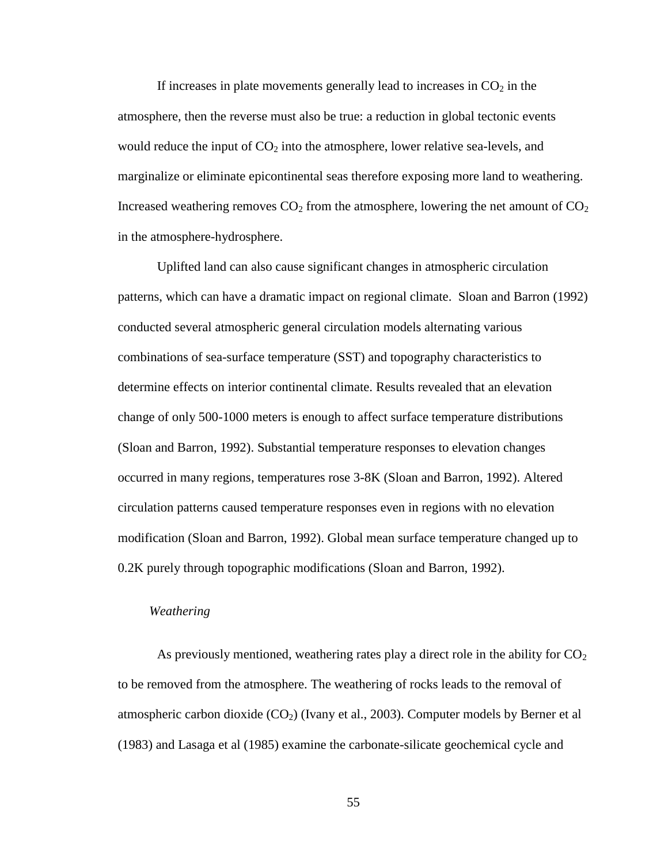If increases in plate movements generally lead to increases in  $CO<sub>2</sub>$  in the atmosphere, then the reverse must also be true: a reduction in global tectonic events would reduce the input of  $CO<sub>2</sub>$  into the atmosphere, lower relative sea-levels, and marginalize or eliminate epicontinental seas therefore exposing more land to weathering. Increased weathering removes  $CO<sub>2</sub>$  from the atmosphere, lowering the net amount of  $CO<sub>2</sub>$ in the atmosphere-hydrosphere.

Uplifted land can also cause significant changes in atmospheric circulation patterns, which can have a dramatic impact on regional climate. Sloan and Barron (1992) conducted several atmospheric general circulation models alternating various combinations of sea-surface temperature (SST) and topography characteristics to determine effects on interior continental climate. Results revealed that an elevation change of only 500-1000 meters is enough to affect surface temperature distributions (Sloan and Barron, 1992). Substantial temperature responses to elevation changes occurred in many regions, temperatures rose 3-8K (Sloan and Barron, 1992). Altered circulation patterns caused temperature responses even in regions with no elevation modification (Sloan and Barron, 1992). Global mean surface temperature changed up to 0.2K purely through topographic modifications (Sloan and Barron, 1992).

### *Weathering*

As previously mentioned, weathering rates play a direct role in the ability for  $CO<sub>2</sub>$ to be removed from the atmosphere. The weathering of rocks leads to the removal of atmospheric carbon dioxide  $(CO<sub>2</sub>)$  (Ivany et al., 2003). Computer models by Berner et al (1983) and Lasaga et al (1985) examine the carbonate-silicate geochemical cycle and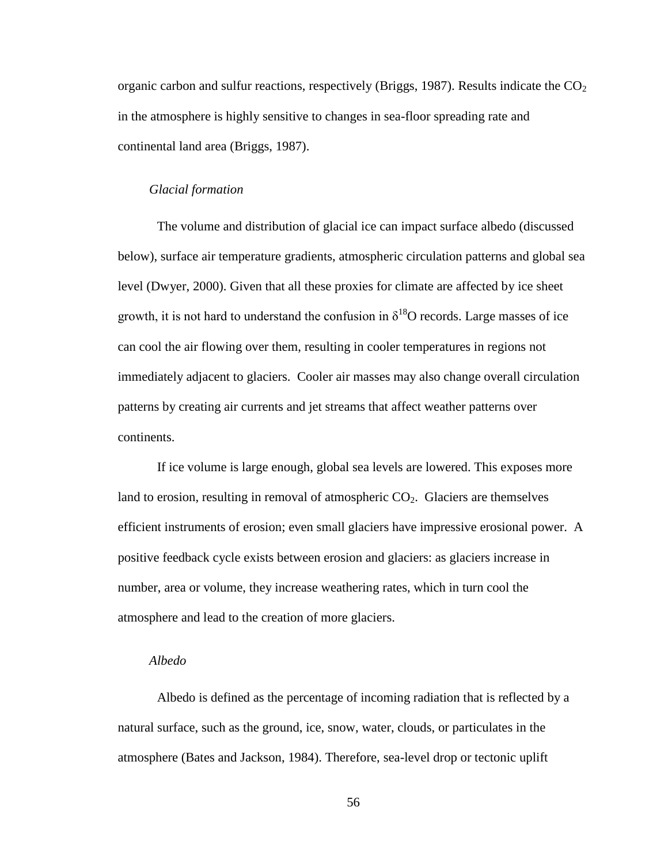organic carbon and sulfur reactions, respectively (Briggs, 1987). Results indicate the  $CO<sub>2</sub>$ in the atmosphere is highly sensitive to changes in sea-floor spreading rate and continental land area (Briggs, 1987).

#### *Glacial formation*

The volume and distribution of glacial ice can impact surface albedo (discussed below), surface air temperature gradients, atmospheric circulation patterns and global sea level (Dwyer, 2000). Given that all these proxies for climate are affected by ice sheet growth, it is not hard to understand the confusion in  $\delta^{18}$ O records. Large masses of ice can cool the air flowing over them, resulting in cooler temperatures in regions not immediately adjacent to glaciers. Cooler air masses may also change overall circulation patterns by creating air currents and jet streams that affect weather patterns over continents.

If ice volume is large enough, global sea levels are lowered. This exposes more land to erosion, resulting in removal of atmospheric  $CO<sub>2</sub>$ . Glaciers are themselves efficient instruments of erosion; even small glaciers have impressive erosional power. A positive feedback cycle exists between erosion and glaciers: as glaciers increase in number, area or volume, they increase weathering rates, which in turn cool the atmosphere and lead to the creation of more glaciers.

# *Albedo*

Albedo is defined as the percentage of incoming radiation that is reflected by a natural surface, such as the ground, ice, snow, water, clouds, or particulates in the atmosphere (Bates and Jackson, 1984). Therefore, sea-level drop or tectonic uplift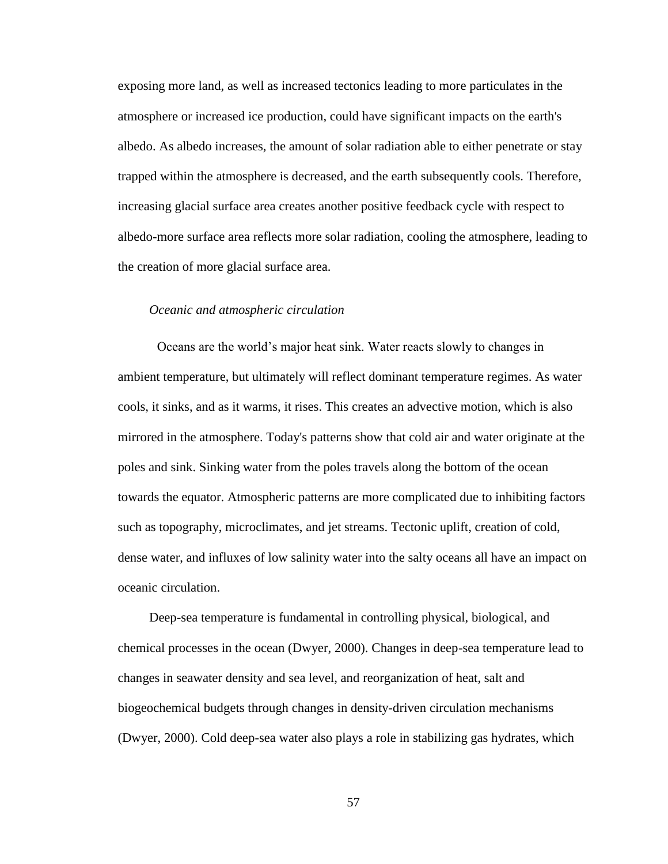exposing more land, as well as increased tectonics leading to more particulates in the atmosphere or increased ice production, could have significant impacts on the earth's albedo. As albedo increases, the amount of solar radiation able to either penetrate or stay trapped within the atmosphere is decreased, and the earth subsequently cools. Therefore, increasing glacial surface area creates another positive feedback cycle with respect to albedo-more surface area reflects more solar radiation, cooling the atmosphere, leading to the creation of more glacial surface area.

#### *Oceanic and atmospheric circulation*

Oceans are the world's major heat sink. Water reacts slowly to changes in ambient temperature, but ultimately will reflect dominant temperature regimes. As water cools, it sinks, and as it warms, it rises. This creates an advective motion, which is also mirrored in the atmosphere. Today's patterns show that cold air and water originate at the poles and sink. Sinking water from the poles travels along the bottom of the ocean towards the equator. Atmospheric patterns are more complicated due to inhibiting factors such as topography, microclimates, and jet streams. Tectonic uplift, creation of cold, dense water, and influxes of low salinity water into the salty oceans all have an impact on oceanic circulation.

Deep-sea temperature is fundamental in controlling physical, biological, and chemical processes in the ocean (Dwyer, 2000). Changes in deep-sea temperature lead to changes in seawater density and sea level, and reorganization of heat, salt and biogeochemical budgets through changes in density-driven circulation mechanisms (Dwyer, 2000). Cold deep-sea water also plays a role in stabilizing gas hydrates, which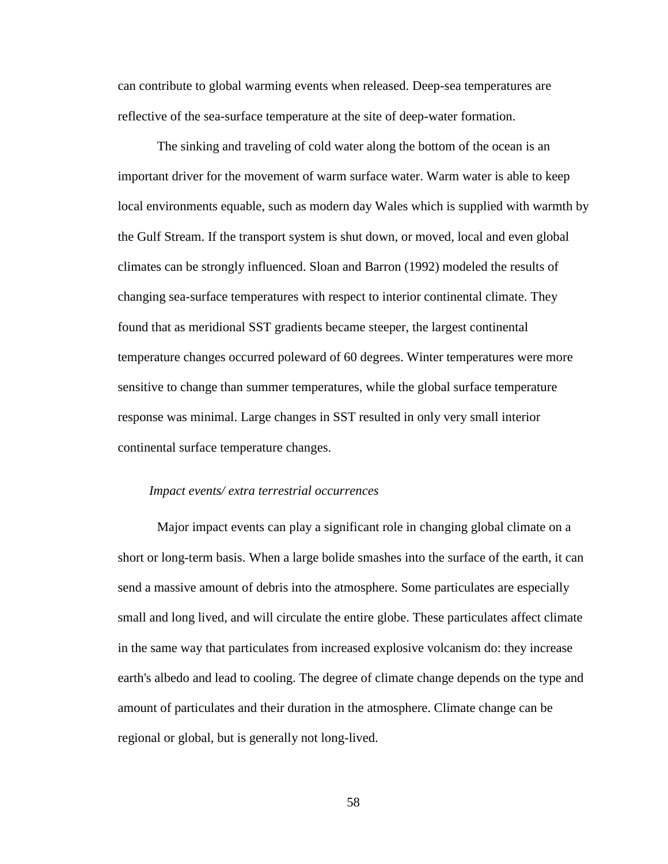can contribute to global warming events when released. Deep-sea temperatures are reflective of the sea-surface temperature at the site of deep-water formation.

The sinking and traveling of cold water along the bottom of the ocean is an important driver for the movement of warm surface water. Warm water is able to keep local environments equable, such as modern day Wales which is supplied with warmth by the Gulf Stream. If the transport system is shut down, or moved, local and even global climates can be strongly influenced. Sloan and Barron (1992) modeled the results of changing sea-surface temperatures with respect to interior continental climate. They found that as meridional SST gradients became steeper, the largest continental temperature changes occurred poleward of 60 degrees. Winter temperatures were more sensitive to change than summer temperatures, while the global surface temperature response was minimal. Large changes in SST resulted in only very small interior continental surface temperature changes.

### *Impact events/ extra terrestrial occurrences*

Major impact events can play a significant role in changing global climate on a short or long-term basis. When a large bolide smashes into the surface of the earth, it can send a massive amount of debris into the atmosphere. Some particulates are especially small and long lived, and will circulate the entire globe. These particulates affect climate in the same way that particulates from increased explosive volcanism do: they increase earth's albedo and lead to cooling. The degree of climate change depends on the type and amount of particulates and their duration in the atmosphere. Climate change can be regional or global, but is generally not long-lived.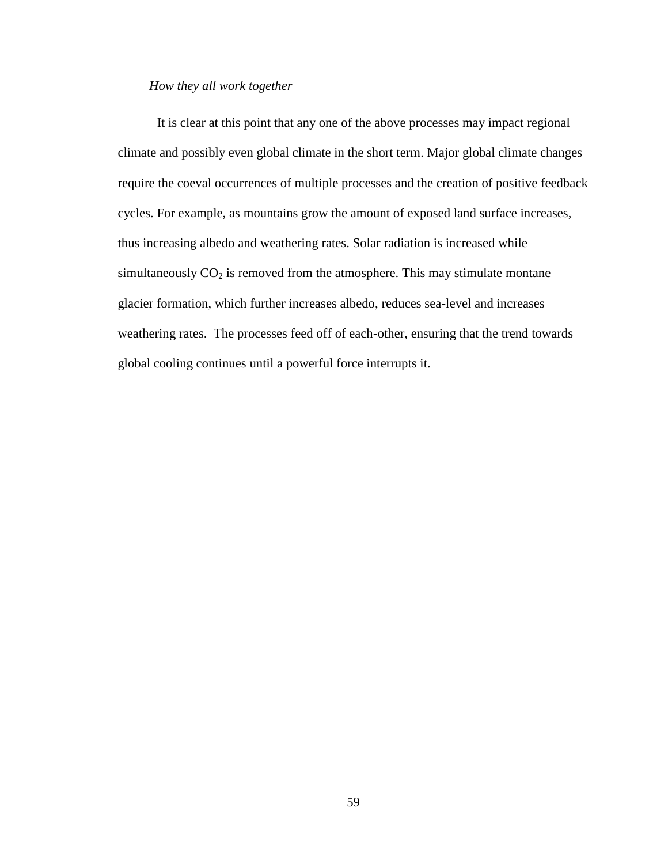# *How they all work together*

It is clear at this point that any one of the above processes may impact regional climate and possibly even global climate in the short term. Major global climate changes require the coeval occurrences of multiple processes and the creation of positive feedback cycles. For example, as mountains grow the amount of exposed land surface increases, thus increasing albedo and weathering rates. Solar radiation is increased while simultaneously  $CO<sub>2</sub>$  is removed from the atmosphere. This may stimulate montane glacier formation, which further increases albedo, reduces sea-level and increases weathering rates. The processes feed off of each-other, ensuring that the trend towards global cooling continues until a powerful force interrupts it.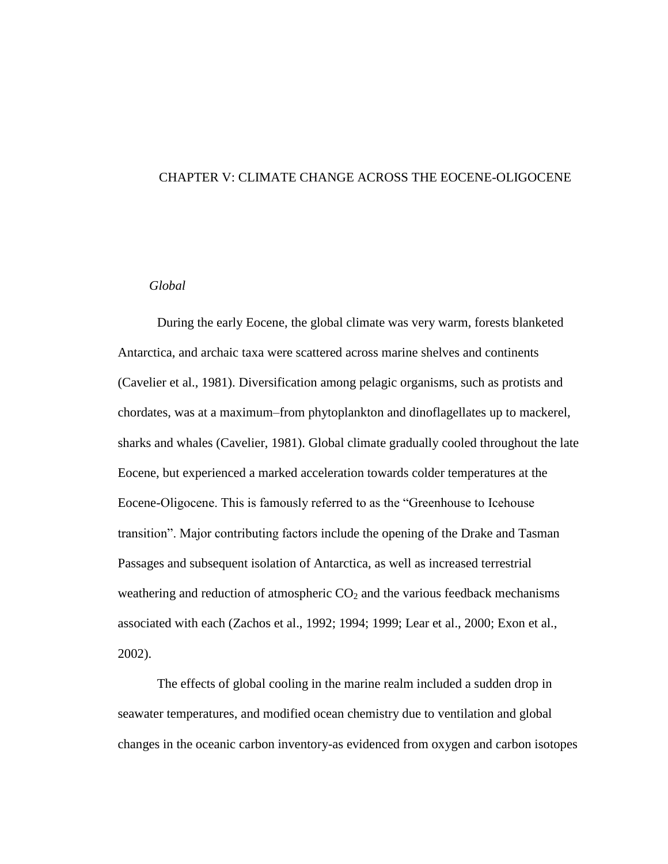### CHAPTER V: CLIMATE CHANGE ACROSS THE EOCENE-OLIGOCENE

### *Global*

During the early Eocene, the global climate was very warm, forests blanketed Antarctica, and archaic taxa were scattered across marine shelves and continents (Cavelier et al., 1981). Diversification among pelagic organisms, such as protists and chordates, was at a maximum–from phytoplankton and dinoflagellates up to mackerel, sharks and whales (Cavelier, 1981). Global climate gradually cooled throughout the late Eocene, but experienced a marked acceleration towards colder temperatures at the Eocene-Oligocene. This is famously referred to as the "Greenhouse to Icehouse transition". Major contributing factors include the opening of the Drake and Tasman Passages and subsequent isolation of Antarctica, as well as increased terrestrial weathering and reduction of atmospheric  $CO<sub>2</sub>$  and the various feedback mechanisms associated with each (Zachos et al., 1992; 1994; 1999; Lear et al., 2000; Exon et al., 2002).

The effects of global cooling in the marine realm included a sudden drop in seawater temperatures, and modified ocean chemistry due to ventilation and global changes in the oceanic carbon inventory-as evidenced from oxygen and carbon isotopes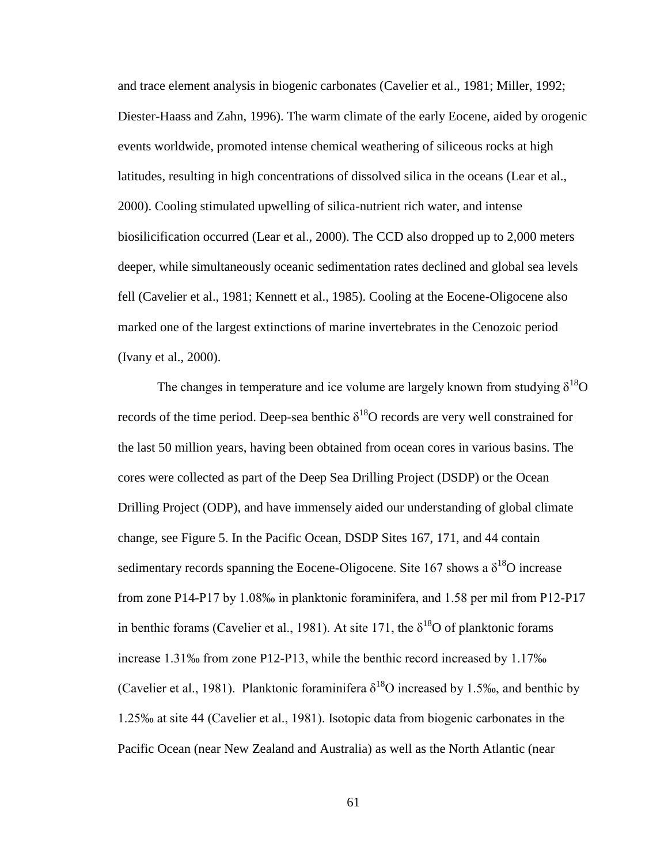and trace element analysis in biogenic carbonates (Cavelier et al., 1981; Miller, 1992; Diester-Haass and Zahn, 1996). The warm climate of the early Eocene, aided by orogenic events worldwide, promoted intense chemical weathering of siliceous rocks at high latitudes, resulting in high concentrations of dissolved silica in the oceans (Lear et al., 2000). Cooling stimulated upwelling of silica-nutrient rich water, and intense biosilicification occurred (Lear et al., 2000). The CCD also dropped up to 2,000 meters deeper, while simultaneously oceanic sedimentation rates declined and global sea levels fell (Cavelier et al., 1981; Kennett et al., 1985). Cooling at the Eocene-Oligocene also marked one of the largest extinctions of marine invertebrates in the Cenozoic period (Ivany et al., 2000).

The changes in temperature and ice volume are largely known from studying  $\delta^{18}O$ records of the time period. Deep-sea benthic  $\delta^{18}O$  records are very well constrained for the last 50 million years, having been obtained from ocean cores in various basins. The cores were collected as part of the Deep Sea Drilling Project (DSDP) or the Ocean Drilling Project (ODP), and have immensely aided our understanding of global climate change, see Figure 5. In the Pacific Ocean, DSDP Sites 167, 171, and 44 contain sedimentary records spanning the Eocene-Oligocene. Site 167 shows a  $\delta^{18}$ O increase from zone P14-P17 by 1.08‰ in planktonic foraminifera, and 1.58 per mil from P12-P17 in benthic forams (Cavelier et al., 1981). At site 171, the  $\delta^{18}$ O of planktonic forams increase 1.31‰ from zone P12-P13, while the benthic record increased by 1.17‰ (Cavelier et al., 1981). Planktonic foraminifera  $\delta^{18}$ O increased by 1.5‰, and benthic by 1.25‰ at site 44 (Cavelier et al., 1981). Isotopic data from biogenic carbonates in the Pacific Ocean (near New Zealand and Australia) as well as the North Atlantic (near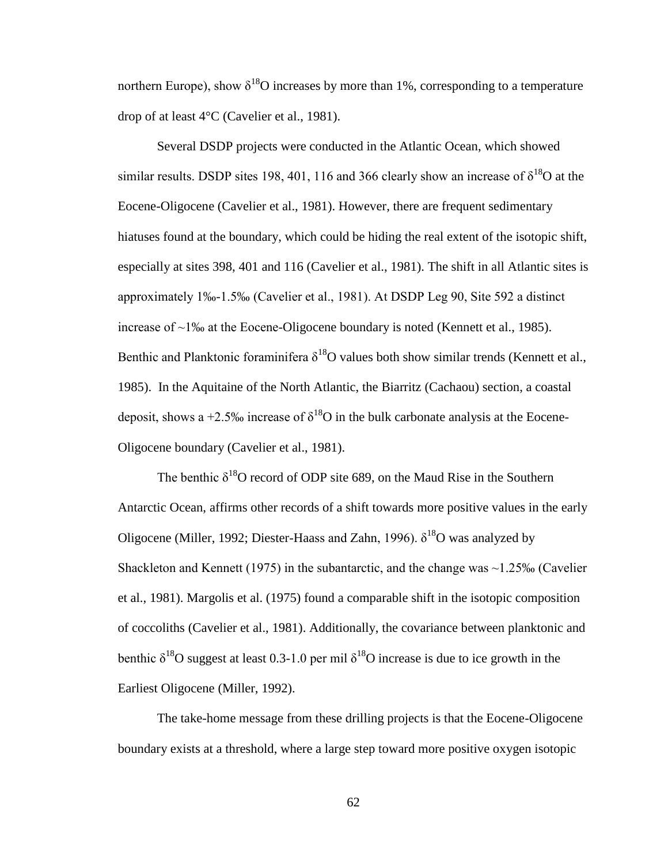northern Europe), show  $\delta^{18}O$  increases by more than 1%, corresponding to a temperature drop of at least 4°C (Cavelier et al., 1981).

Several DSDP projects were conducted in the Atlantic Ocean, which showed similar results. DSDP sites 198, 401, 116 and 366 clearly show an increase of  $\delta^{18}O$  at the Eocene-Oligocene (Cavelier et al., 1981). However, there are frequent sedimentary hiatuses found at the boundary, which could be hiding the real extent of the isotopic shift, especially at sites 398, 401 and 116 (Cavelier et al., 1981). The shift in all Atlantic sites is approximately 1‰-1.5‰ (Cavelier et al., 1981). At DSDP Leg 90, Site 592 a distinct increase of ~1‰ at the Eocene-Oligocene boundary is noted (Kennett et al., 1985). Benthic and Planktonic foraminifera  $\delta^{18}$ O values both show similar trends (Kennett et al., 1985). In the Aquitaine of the North Atlantic, the Biarritz (Cachaou) section, a coastal deposit, shows a +2.5‰ increase of  $\delta^{18}O$  in the bulk carbonate analysis at the Eocene-Oligocene boundary (Cavelier et al., 1981).

The benthic  $\delta^{18}O$  record of ODP site 689, on the Maud Rise in the Southern Antarctic Ocean, affirms other records of a shift towards more positive values in the early Oligocene (Miller, 1992; Diester-Haass and Zahn, 1996).  $\delta^{18}$ O was analyzed by Shackleton and Kennett (1975) in the subantarctic, and the change was  $\sim$ 1.25‰ (Cavelier et al., 1981). Margolis et al. (1975) found a comparable shift in the isotopic composition of coccoliths (Cavelier et al., 1981). Additionally, the covariance between planktonic and benthic  $\delta^{18}$ O suggest at least 0.3-1.0 per mil  $\delta^{18}$ O increase is due to ice growth in the Earliest Oligocene (Miller, 1992).

The take-home message from these drilling projects is that the Eocene-Oligocene boundary exists at a threshold, where a large step toward more positive oxygen isotopic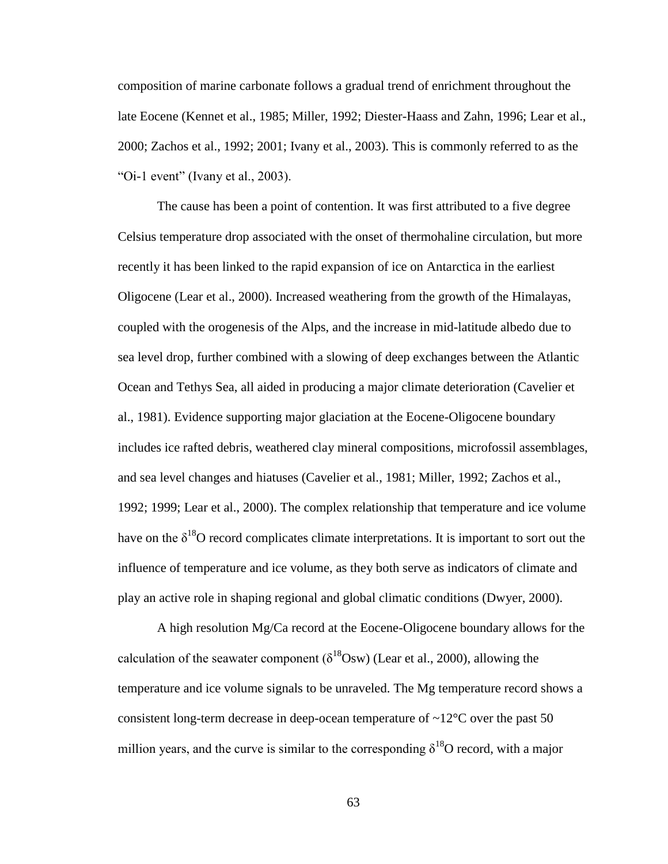composition of marine carbonate follows a gradual trend of enrichment throughout the late Eocene (Kennet et al., 1985; Miller, 1992; Diester-Haass and Zahn, 1996; Lear et al., 2000; Zachos et al., 1992; 2001; Ivany et al., 2003). This is commonly referred to as the "Oi-1 event" (Ivany et al., 2003).

The cause has been a point of contention. It was first attributed to a five degree Celsius temperature drop associated with the onset of thermohaline circulation, but more recently it has been linked to the rapid expansion of ice on Antarctica in the earliest Oligocene (Lear et al., 2000). Increased weathering from the growth of the Himalayas, coupled with the orogenesis of the Alps, and the increase in mid-latitude albedo due to sea level drop, further combined with a slowing of deep exchanges between the Atlantic Ocean and Tethys Sea, all aided in producing a major climate deterioration (Cavelier et al., 1981). Evidence supporting major glaciation at the Eocene-Oligocene boundary includes ice rafted debris, weathered clay mineral compositions, microfossil assemblages, and sea level changes and hiatuses (Cavelier et al., 1981; Miller, 1992; Zachos et al., 1992; 1999; Lear et al., 2000). The complex relationship that temperature and ice volume have on the  $\delta^{18}O$  record complicates climate interpretations. It is important to sort out the influence of temperature and ice volume, as they both serve as indicators of climate and play an active role in shaping regional and global climatic conditions (Dwyer, 2000).

A high resolution Mg/Ca record at the Eocene-Oligocene boundary allows for the calculation of the seawater component ( $\delta^{18}$ Osw) (Lear et al., 2000), allowing the temperature and ice volume signals to be unraveled. The Mg temperature record shows a consistent long-term decrease in deep-ocean temperature of  $\sim 12^{\circ}$ C over the past 50 million years, and the curve is similar to the corresponding  $\delta^{18}O$  record, with a major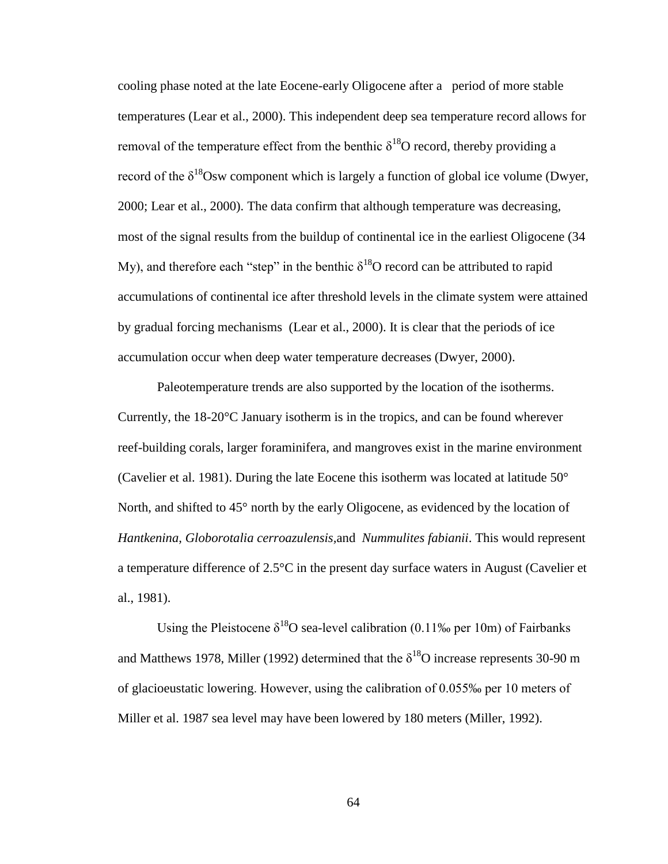cooling phase noted at the late Eocene-early Oligocene after a period of more stable temperatures (Lear et al., 2000). This independent deep sea temperature record allows for removal of the temperature effect from the benthic  $\delta^{18}O$  record, thereby providing a record of the  $\delta^{18}$ Osw component which is largely a function of global ice volume (Dwyer, 2000; Lear et al., 2000). The data confirm that although temperature was decreasing, most of the signal results from the buildup of continental ice in the earliest Oligocene (34 My), and therefore each "step" in the benthic  $\delta^{18}O$  record can be attributed to rapid accumulations of continental ice after threshold levels in the climate system were attained by gradual forcing mechanisms (Lear et al., 2000). It is clear that the periods of ice accumulation occur when deep water temperature decreases (Dwyer, 2000).

Paleotemperature trends are also supported by the location of the isotherms. Currently, the 18-20°C January isotherm is in the tropics, and can be found wherever reef-building corals, larger foraminifera, and mangroves exist in the marine environment (Cavelier et al. 1981). During the late Eocene this isotherm was located at latitude  $50^{\circ}$ North, and shifted to 45<sup>°</sup> north by the early Oligocene, as evidenced by the location of *Hantkenina, Globorotalia cerroazulensis,*and *Nummulites fabianii*. This would represent a temperature difference of 2.5°C in the present day surface waters in August (Cavelier et al., 1981).

Using the Pleistocene  $\delta^{18}$ O sea-level calibration (0.11‰ per 10m) of Fairbanks and Matthews 1978, Miller (1992) determined that the  $\delta^{18}O$  increase represents 30-90 m of glacioeustatic lowering. However, using the calibration of 0.055‰ per 10 meters of Miller et al. 1987 sea level may have been lowered by 180 meters (Miller, 1992).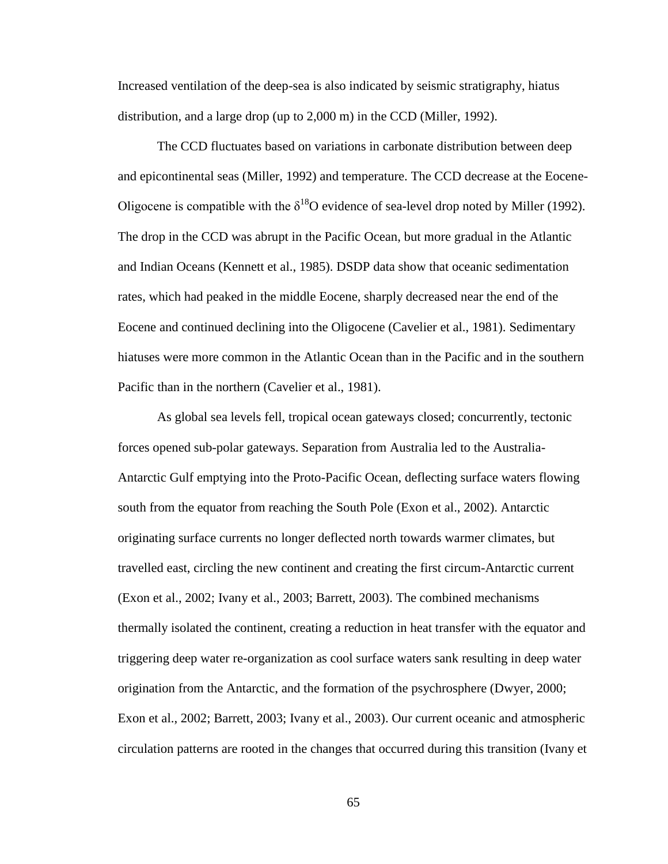Increased ventilation of the deep-sea is also indicated by seismic stratigraphy, hiatus distribution, and a large drop (up to 2,000 m) in the CCD (Miller, 1992).

The CCD fluctuates based on variations in carbonate distribution between deep and epicontinental seas (Miller, 1992) and temperature. The CCD decrease at the Eocene-Oligocene is compatible with the  $\delta^{18}$ O evidence of sea-level drop noted by Miller (1992). The drop in the CCD was abrupt in the Pacific Ocean, but more gradual in the Atlantic and Indian Oceans (Kennett et al., 1985). DSDP data show that oceanic sedimentation rates, which had peaked in the middle Eocene, sharply decreased near the end of the Eocene and continued declining into the Oligocene (Cavelier et al., 1981). Sedimentary hiatuses were more common in the Atlantic Ocean than in the Pacific and in the southern Pacific than in the northern (Cavelier et al., 1981).

As global sea levels fell, tropical ocean gateways closed; concurrently, tectonic forces opened sub-polar gateways. Separation from Australia led to the Australia-Antarctic Gulf emptying into the Proto-Pacific Ocean, deflecting surface waters flowing south from the equator from reaching the South Pole (Exon et al., 2002). Antarctic originating surface currents no longer deflected north towards warmer climates, but travelled east, circling the new continent and creating the first circum-Antarctic current (Exon et al., 2002; Ivany et al., 2003; Barrett, 2003). The combined mechanisms thermally isolated the continent, creating a reduction in heat transfer with the equator and triggering deep water re-organization as cool surface waters sank resulting in deep water origination from the Antarctic, and the formation of the psychrosphere (Dwyer, 2000; Exon et al., 2002; Barrett, 2003; Ivany et al., 2003). Our current oceanic and atmospheric circulation patterns are rooted in the changes that occurred during this transition (Ivany et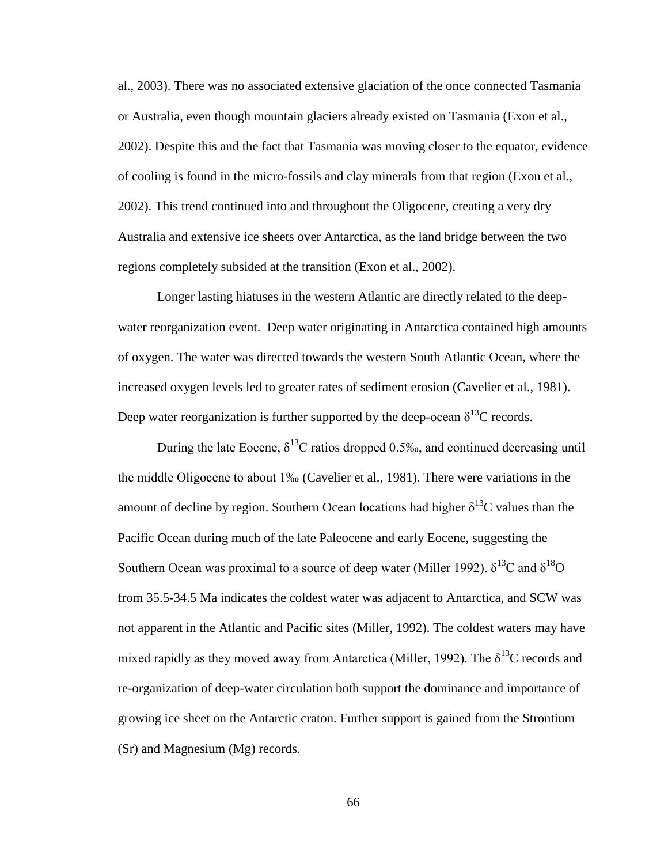al., 2003). There was no associated extensive glaciation of the once connected Tasmania or Australia, even though mountain glaciers already existed on Tasmania (Exon et al., 2002). Despite this and the fact that Tasmania was moving closer to the equator, evidence of cooling is found in the micro-fossils and clay minerals from that region (Exon et al., 2002). This trend continued into and throughout the Oligocene, creating a very dry Australia and extensive ice sheets over Antarctica, as the land bridge between the two regions completely subsided at the transition (Exon et al., 2002).

Longer lasting hiatuses in the western Atlantic are directly related to the deepwater reorganization event. Deep water originating in Antarctica contained high amounts of oxygen. The water was directed towards the western South Atlantic Ocean, where the increased oxygen levels led to greater rates of sediment erosion (Cavelier et al., 1981). Deep water reorganization is further supported by the deep-ocean  $\delta^{13}C$  records.

During the late Eocene,  $\delta^{13}$ C ratios dropped 0.5‰, and continued decreasing until the middle Oligocene to about 1‰ (Cavelier et al., 1981). There were variations in the amount of decline by region. Southern Ocean locations had higher  $\delta^{13}$ C values than the Pacific Ocean during much of the late Paleocene and early Eocene, suggesting the Southern Ocean was proximal to a source of deep water (Miller 1992).  $\delta^{13}C$  and  $\delta^{18}O$ from 35.5-34.5 Ma indicates the coldest water was adjacent to Antarctica, and SCW was not apparent in the Atlantic and Pacific sites (Miller, 1992). The coldest waters may have mixed rapidly as they moved away from Antarctica (Miller, 1992). The  $\delta^{13}$ C records and re-organization of deep-water circulation both support the dominance and importance of growing ice sheet on the Antarctic craton. Further support is gained from the Strontium (Sr) and Magnesium (Mg) records.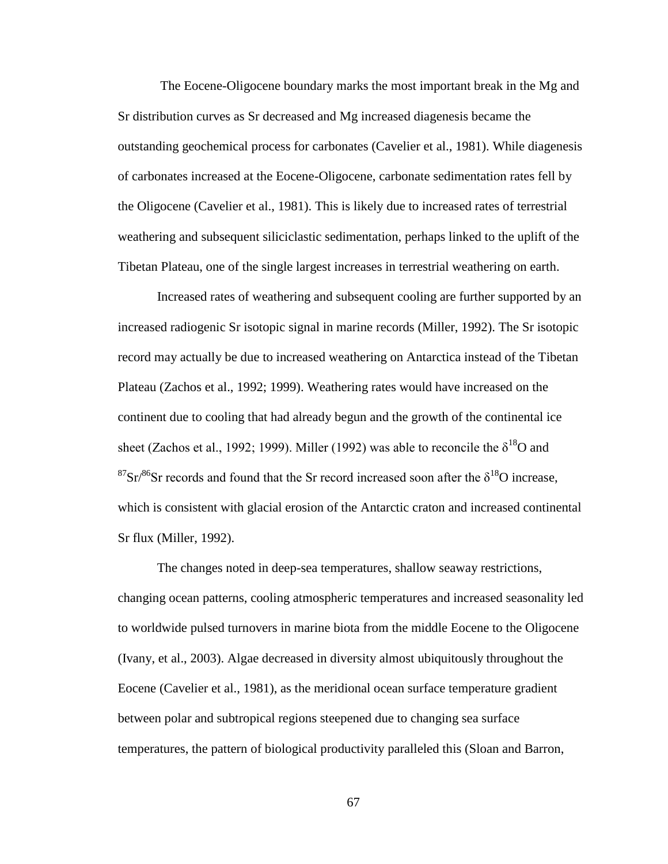The Eocene-Oligocene boundary marks the most important break in the Mg and Sr distribution curves as Sr decreased and Mg increased diagenesis became the outstanding geochemical process for carbonates (Cavelier et al., 1981). While diagenesis of carbonates increased at the Eocene-Oligocene, carbonate sedimentation rates fell by the Oligocene (Cavelier et al., 1981). This is likely due to increased rates of terrestrial weathering and subsequent siliciclastic sedimentation, perhaps linked to the uplift of the Tibetan Plateau, one of the single largest increases in terrestrial weathering on earth.

Increased rates of weathering and subsequent cooling are further supported by an increased radiogenic Sr isotopic signal in marine records (Miller, 1992). The Sr isotopic record may actually be due to increased weathering on Antarctica instead of the Tibetan Plateau (Zachos et al., 1992; 1999). Weathering rates would have increased on the continent due to cooling that had already begun and the growth of the continental ice sheet (Zachos et al., 1992; 1999). Miller (1992) was able to reconcile the  $\delta^{18}O$  and  $87\text{Sr}/86\text{Sr}$  records and found that the Sr record increased soon after the  $\delta^{18}$ O increase, which is consistent with glacial erosion of the Antarctic craton and increased continental Sr flux (Miller, 1992).

The changes noted in deep-sea temperatures, shallow seaway restrictions, changing ocean patterns, cooling atmospheric temperatures and increased seasonality led to worldwide pulsed turnovers in marine biota from the middle Eocene to the Oligocene (Ivany, et al., 2003). Algae decreased in diversity almost ubiquitously throughout the Eocene (Cavelier et al., 1981), as the meridional ocean surface temperature gradient between polar and subtropical regions steepened due to changing sea surface temperatures, the pattern of biological productivity paralleled this (Sloan and Barron,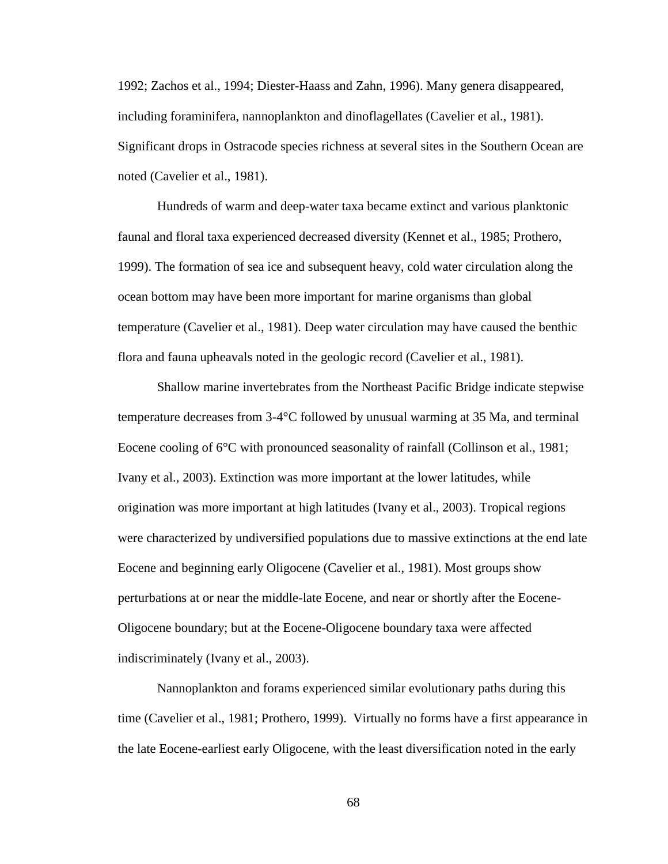1992; Zachos et al., 1994; Diester-Haass and Zahn, 1996). Many genera disappeared, including foraminifera, nannoplankton and dinoflagellates (Cavelier et al., 1981). Significant drops in Ostracode species richness at several sites in the Southern Ocean are noted (Cavelier et al., 1981).

Hundreds of warm and deep-water taxa became extinct and various planktonic faunal and floral taxa experienced decreased diversity (Kennet et al., 1985; Prothero, 1999). The formation of sea ice and subsequent heavy, cold water circulation along the ocean bottom may have been more important for marine organisms than global temperature (Cavelier et al., 1981). Deep water circulation may have caused the benthic flora and fauna upheavals noted in the geologic record (Cavelier et al., 1981).

Shallow marine invertebrates from the Northeast Pacific Bridge indicate stepwise temperature decreases from 3-4°C followed by unusual warming at 35 Ma, and terminal Eocene cooling of 6°C with pronounced seasonality of rainfall (Collinson et al., 1981; Ivany et al., 2003). Extinction was more important at the lower latitudes, while origination was more important at high latitudes (Ivany et al., 2003). Tropical regions were characterized by undiversified populations due to massive extinctions at the end late Eocene and beginning early Oligocene (Cavelier et al., 1981). Most groups show perturbations at or near the middle-late Eocene, and near or shortly after the Eocene-Oligocene boundary; but at the Eocene-Oligocene boundary taxa were affected indiscriminately (Ivany et al., 2003).

Nannoplankton and forams experienced similar evolutionary paths during this time (Cavelier et al., 1981; Prothero, 1999). Virtually no forms have a first appearance in the late Eocene-earliest early Oligocene, with the least diversification noted in the early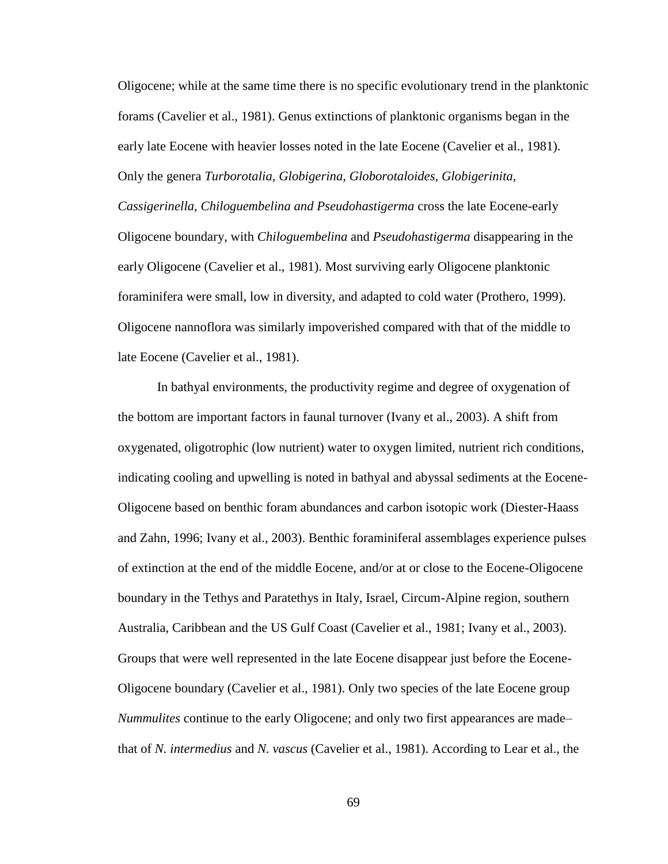Oligocene; while at the same time there is no specific evolutionary trend in the planktonic forams (Cavelier et al., 1981). Genus extinctions of planktonic organisms began in the early late Eocene with heavier losses noted in the late Eocene (Cavelier et al., 1981). Only the genera *Turborotalia, Globigerina, Globorotaloides, Globigerinita, Cassigerinella, Chiloguembelina and Pseudohastigerma* cross the late Eocene-early Oligocene boundary, with *Chiloguembelina* and *Pseudohastigerma* disappearing in the early Oligocene (Cavelier et al., 1981). Most surviving early Oligocene planktonic foraminifera were small, low in diversity, and adapted to cold water (Prothero, 1999). Oligocene nannoflora was similarly impoverished compared with that of the middle to late Eocene (Cavelier et al., 1981).

In bathyal environments, the productivity regime and degree of oxygenation of the bottom are important factors in faunal turnover (Ivany et al., 2003). A shift from oxygenated, oligotrophic (low nutrient) water to oxygen limited, nutrient rich conditions, indicating cooling and upwelling is noted in bathyal and abyssal sediments at the Eocene-Oligocene based on benthic foram abundances and carbon isotopic work (Diester-Haass and Zahn, 1996; Ivany et al., 2003). Benthic foraminiferal assemblages experience pulses of extinction at the end of the middle Eocene, and/or at or close to the Eocene-Oligocene boundary in the Tethys and Paratethys in Italy, Israel, Circum-Alpine region, southern Australia, Caribbean and the US Gulf Coast (Cavelier et al., 1981; Ivany et al., 2003). Groups that were well represented in the late Eocene disappear just before the Eocene-Oligocene boundary (Cavelier et al., 1981). Only two species of the late Eocene group *Nummulites* continue to the early Oligocene; and only two first appearances are made– that of *N. intermedius* and *N. vascus* (Cavelier et al., 1981). According to Lear et al., the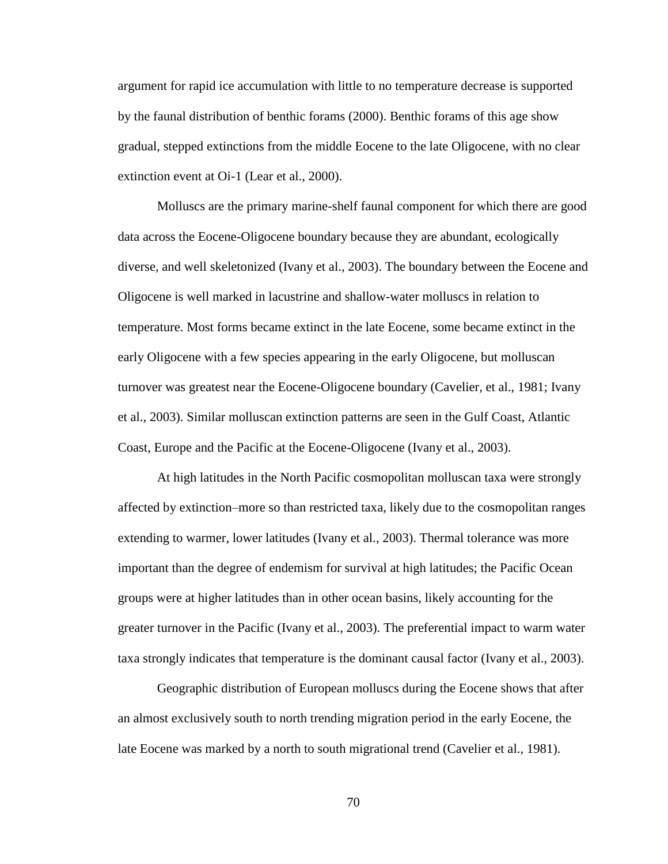argument for rapid ice accumulation with little to no temperature decrease is supported by the faunal distribution of benthic forams (2000). Benthic forams of this age show gradual, stepped extinctions from the middle Eocene to the late Oligocene, with no clear extinction event at Oi-1 (Lear et al., 2000).

Molluscs are the primary marine-shelf faunal component for which there are good data across the Eocene-Oligocene boundary because they are abundant, ecologically diverse, and well skeletonized (Ivany et al., 2003). The boundary between the Eocene and Oligocene is well marked in lacustrine and shallow-water molluscs in relation to temperature. Most forms became extinct in the late Eocene, some became extinct in the early Oligocene with a few species appearing in the early Oligocene, but molluscan turnover was greatest near the Eocene-Oligocene boundary (Cavelier, et al., 1981; Ivany et al., 2003). Similar molluscan extinction patterns are seen in the Gulf Coast, Atlantic Coast, Europe and the Pacific at the Eocene-Oligocene (Ivany et al., 2003).

At high latitudes in the North Pacific cosmopolitan molluscan taxa were strongly affected by extinction–more so than restricted taxa, likely due to the cosmopolitan ranges extending to warmer, lower latitudes (Ivany et al., 2003). Thermal tolerance was more important than the degree of endemism for survival at high latitudes; the Pacific Ocean groups were at higher latitudes than in other ocean basins, likely accounting for the greater turnover in the Pacific (Ivany et al., 2003). The preferential impact to warm water taxa strongly indicates that temperature is the dominant causal factor (Ivany et al., 2003).

Geographic distribution of European molluscs during the Eocene shows that after an almost exclusively south to north trending migration period in the early Eocene, the late Eocene was marked by a north to south migrational trend (Cavelier et al., 1981).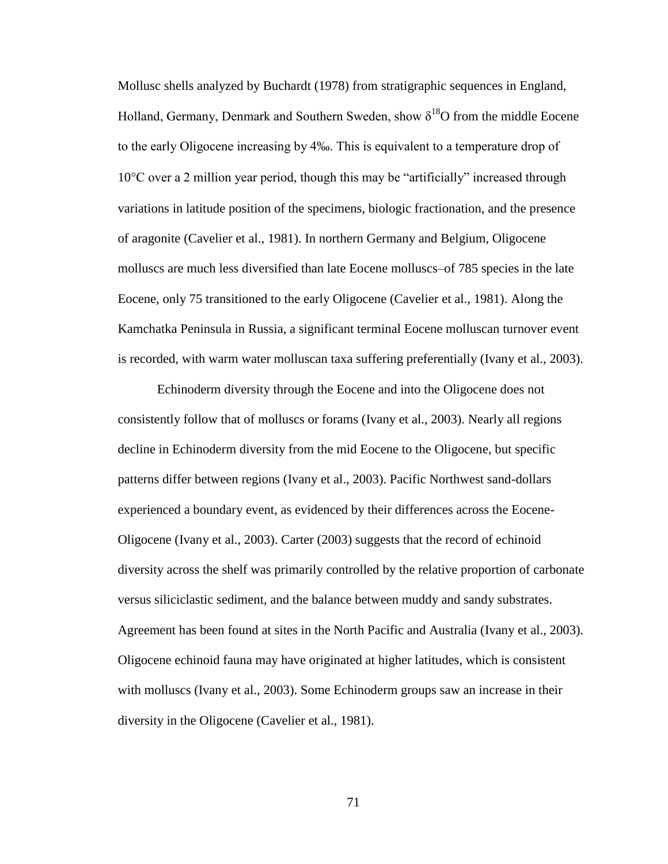Mollusc shells analyzed by Buchardt (1978) from stratigraphic sequences in England, Holland, Germany, Denmark and Southern Sweden, show  $\delta^{18}O$  from the middle Eocene to the early Oligocene increasing by 4‰. This is equivalent to a temperature drop of  $10^{\circ}$ C over a 2 million year period, though this may be "artificially" increased through variations in latitude position of the specimens, biologic fractionation, and the presence of aragonite (Cavelier et al., 1981). In northern Germany and Belgium, Oligocene molluscs are much less diversified than late Eocene molluscs–of 785 species in the late Eocene, only 75 transitioned to the early Oligocene (Cavelier et al., 1981). Along the Kamchatka Peninsula in Russia, a significant terminal Eocene molluscan turnover event is recorded, with warm water molluscan taxa suffering preferentially (Ivany et al., 2003).

Echinoderm diversity through the Eocene and into the Oligocene does not consistently follow that of molluscs or forams (Ivany et al., 2003). Nearly all regions decline in Echinoderm diversity from the mid Eocene to the Oligocene, but specific patterns differ between regions (Ivany et al., 2003). Pacific Northwest sand-dollars experienced a boundary event, as evidenced by their differences across the Eocene-Oligocene (Ivany et al., 2003). Carter (2003) suggests that the record of echinoid diversity across the shelf was primarily controlled by the relative proportion of carbonate versus siliciclastic sediment, and the balance between muddy and sandy substrates. Agreement has been found at sites in the North Pacific and Australia (Ivany et al., 2003). Oligocene echinoid fauna may have originated at higher latitudes, which is consistent with molluscs (Ivany et al., 2003). Some Echinoderm groups saw an increase in their diversity in the Oligocene (Cavelier et al., 1981).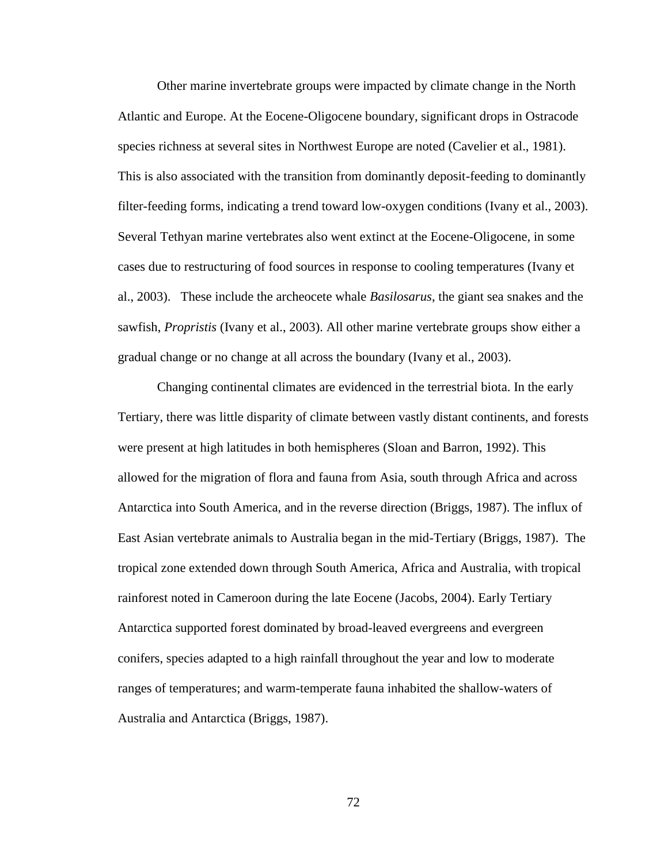Other marine invertebrate groups were impacted by climate change in the North Atlantic and Europe. At the Eocene-Oligocene boundary, significant drops in Ostracode species richness at several sites in Northwest Europe are noted (Cavelier et al., 1981). This is also associated with the transition from dominantly deposit-feeding to dominantly filter-feeding forms, indicating a trend toward low-oxygen conditions (Ivany et al., 2003). Several Tethyan marine vertebrates also went extinct at the Eocene-Oligocene, in some cases due to restructuring of food sources in response to cooling temperatures (Ivany et al., 2003). These include the archeocete whale *Basilosarus*, the giant sea snakes and the sawfish, *Propristis* (Ivany et al., 2003). All other marine vertebrate groups show either a gradual change or no change at all across the boundary (Ivany et al., 2003).

Changing continental climates are evidenced in the terrestrial biota. In the early Tertiary, there was little disparity of climate between vastly distant continents, and forests were present at high latitudes in both hemispheres (Sloan and Barron, 1992). This allowed for the migration of flora and fauna from Asia, south through Africa and across Antarctica into South America, and in the reverse direction (Briggs, 1987). The influx of East Asian vertebrate animals to Australia began in the mid-Tertiary (Briggs, 1987). The tropical zone extended down through South America, Africa and Australia, with tropical rainforest noted in Cameroon during the late Eocene (Jacobs, 2004). Early Tertiary Antarctica supported forest dominated by broad-leaved evergreens and evergreen conifers, species adapted to a high rainfall throughout the year and low to moderate ranges of temperatures; and warm-temperate fauna inhabited the shallow-waters of Australia and Antarctica (Briggs, 1987).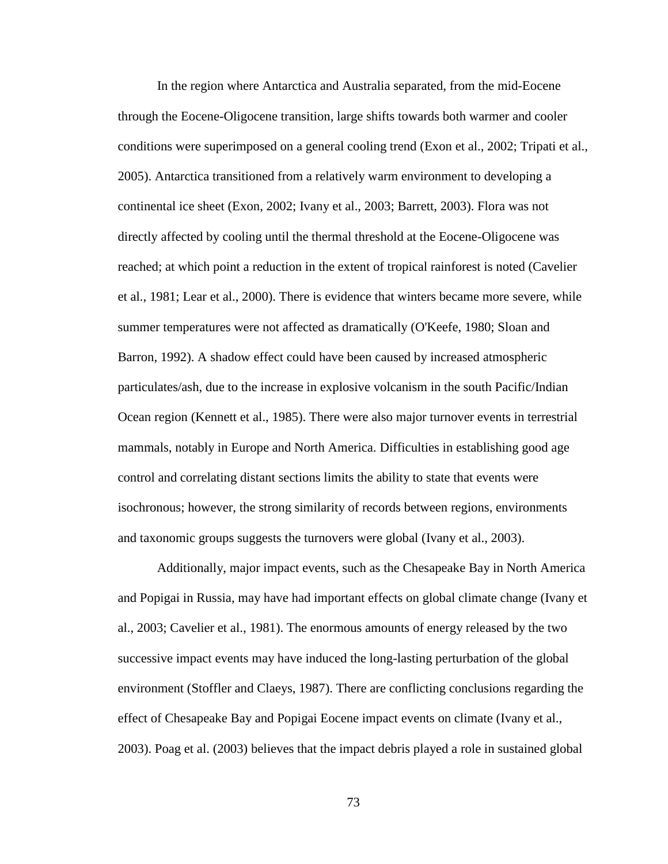In the region where Antarctica and Australia separated, from the mid-Eocene through the Eocene-Oligocene transition, large shifts towards both warmer and cooler conditions were superimposed on a general cooling trend (Exon et al., 2002; Tripati et al., 2005). Antarctica transitioned from a relatively warm environment to developing a continental ice sheet (Exon, 2002; Ivany et al., 2003; Barrett, 2003). Flora was not directly affected by cooling until the thermal threshold at the Eocene-Oligocene was reached; at which point a reduction in the extent of tropical rainforest is noted (Cavelier et al., 1981; Lear et al., 2000). There is evidence that winters became more severe, while summer temperatures were not affected as dramatically (O'Keefe, 1980; Sloan and Barron, 1992). A shadow effect could have been caused by increased atmospheric particulates/ash, due to the increase in explosive volcanism in the south Pacific/Indian Ocean region (Kennett et al., 1985). There were also major turnover events in terrestrial mammals, notably in Europe and North America. Difficulties in establishing good age control and correlating distant sections limits the ability to state that events were isochronous; however, the strong similarity of records between regions, environments and taxonomic groups suggests the turnovers were global (Ivany et al., 2003).

Additionally, major impact events, such as the Chesapeake Bay in North America and Popigai in Russia, may have had important effects on global climate change (Ivany et al., 2003; Cavelier et al., 1981). The enormous amounts of energy released by the two successive impact events may have induced the long-lasting perturbation of the global environment (Stoffler and Claeys, 1987). There are conflicting conclusions regarding the effect of Chesapeake Bay and Popigai Eocene impact events on climate (Ivany et al., 2003). Poag et al. (2003) believes that the impact debris played a role in sustained global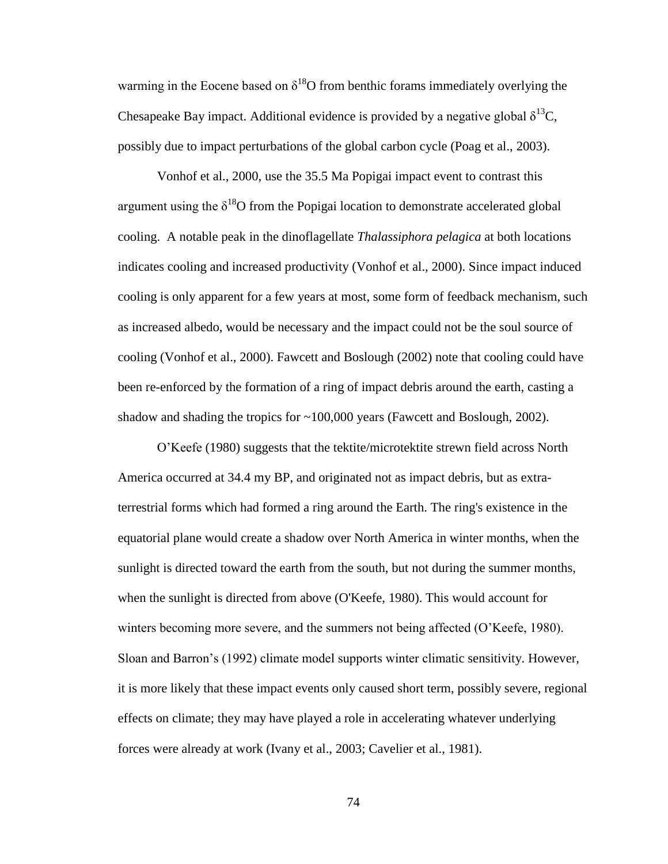warming in the Eocene based on  $\delta^{18}O$  from benthic forams immediately overlying the Chesapeake Bay impact. Additional evidence is provided by a negative global  $\delta^{13}C$ , possibly due to impact perturbations of the global carbon cycle (Poag et al., 2003).

Vonhof et al., 2000, use the 35.5 Ma Popigai impact event to contrast this argument using the  $\delta^{18}O$  from the Popigai location to demonstrate accelerated global cooling. A notable peak in the dinoflagellate *Thalassiphora pelagica* at both locations indicates cooling and increased productivity (Vonhof et al., 2000). Since impact induced cooling is only apparent for a few years at most, some form of feedback mechanism, such as increased albedo, would be necessary and the impact could not be the soul source of cooling (Vonhof et al., 2000). Fawcett and Boslough (2002) note that cooling could have been re-enforced by the formation of a ring of impact debris around the earth, casting a shadow and shading the tropics for ~100,000 years (Fawcett and Boslough, 2002).

O'Keefe (1980) suggests that the tektite/microtektite strewn field across North America occurred at 34.4 my BP, and originated not as impact debris, but as extraterrestrial forms which had formed a ring around the Earth. The ring's existence in the equatorial plane would create a shadow over North America in winter months, when the sunlight is directed toward the earth from the south, but not during the summer months, when the sunlight is directed from above (O'Keefe, 1980). This would account for winters becoming more severe, and the summers not being affected (O'Keefe, 1980). Sloan and Barron's (1992) climate model supports winter climatic sensitivity. However, it is more likely that these impact events only caused short term, possibly severe, regional effects on climate; they may have played a role in accelerating whatever underlying forces were already at work (Ivany et al., 2003; Cavelier et al., 1981).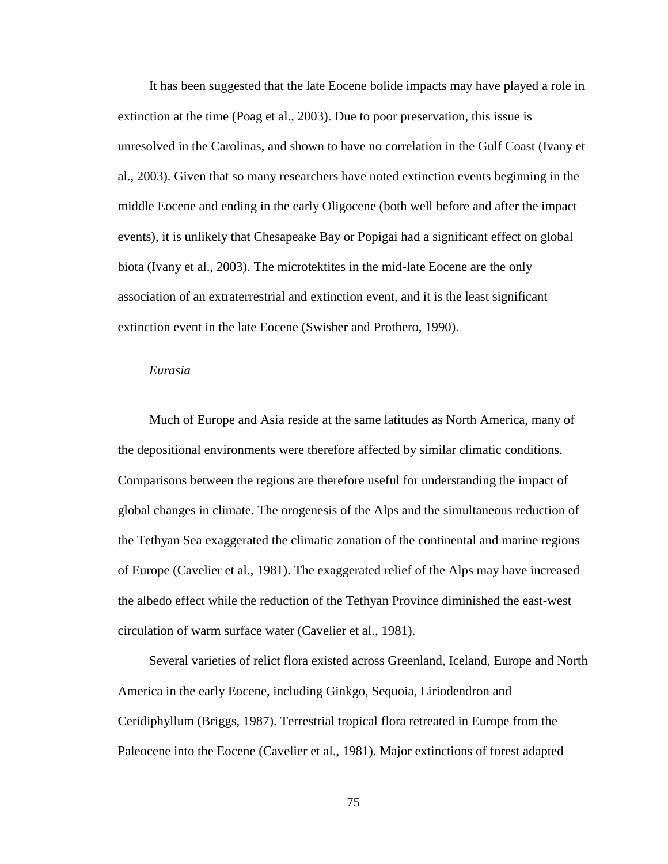It has been suggested that the late Eocene bolide impacts may have played a role in extinction at the time (Poag et al., 2003). Due to poor preservation, this issue is unresolved in the Carolinas, and shown to have no correlation in the Gulf Coast (Ivany et al., 2003). Given that so many researchers have noted extinction events beginning in the middle Eocene and ending in the early Oligocene (both well before and after the impact events), it is unlikely that Chesapeake Bay or Popigai had a significant effect on global biota (Ivany et al., 2003). The microtektites in the mid-late Eocene are the only association of an extraterrestrial and extinction event, and it is the least significant extinction event in the late Eocene (Swisher and Prothero, 1990).

#### *Eurasia*

Much of Europe and Asia reside at the same latitudes as North America, many of the depositional environments were therefore affected by similar climatic conditions. Comparisons between the regions are therefore useful for understanding the impact of global changes in climate. The orogenesis of the Alps and the simultaneous reduction of the Tethyan Sea exaggerated the climatic zonation of the continental and marine regions of Europe (Cavelier et al., 1981). The exaggerated relief of the Alps may have increased the albedo effect while the reduction of the Tethyan Province diminished the east-west circulation of warm surface water (Cavelier et al., 1981).

Several varieties of relict flora existed across Greenland, Iceland, Europe and North America in the early Eocene, including Ginkgo, Sequoia, Liriodendron and Ceridiphyllum (Briggs, 1987). Terrestrial tropical flora retreated in Europe from the Paleocene into the Eocene (Cavelier et al., 1981). Major extinctions of forest adapted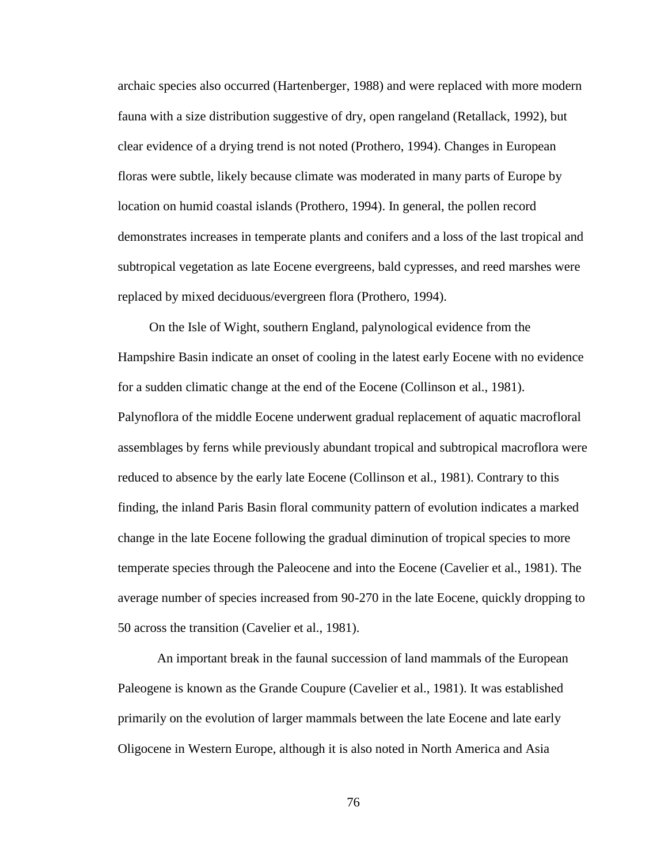archaic species also occurred (Hartenberger, 1988) and were replaced with more modern fauna with a size distribution suggestive of dry, open rangeland (Retallack, 1992), but clear evidence of a drying trend is not noted (Prothero, 1994). Changes in European floras were subtle, likely because climate was moderated in many parts of Europe by location on humid coastal islands (Prothero, 1994). In general, the pollen record demonstrates increases in temperate plants and conifers and a loss of the last tropical and subtropical vegetation as late Eocene evergreens, bald cypresses, and reed marshes were replaced by mixed deciduous/evergreen flora (Prothero, 1994).

On the Isle of Wight, southern England, palynological evidence from the Hampshire Basin indicate an onset of cooling in the latest early Eocene with no evidence for a sudden climatic change at the end of the Eocene (Collinson et al., 1981). Palynoflora of the middle Eocene underwent gradual replacement of aquatic macrofloral assemblages by ferns while previously abundant tropical and subtropical macroflora were reduced to absence by the early late Eocene (Collinson et al., 1981). Contrary to this finding, the inland Paris Basin floral community pattern of evolution indicates a marked change in the late Eocene following the gradual diminution of tropical species to more temperate species through the Paleocene and into the Eocene (Cavelier et al., 1981). The average number of species increased from 90-270 in the late Eocene, quickly dropping to 50 across the transition (Cavelier et al., 1981).

An important break in the faunal succession of land mammals of the European Paleogene is known as the Grande Coupure (Cavelier et al., 1981). It was established primarily on the evolution of larger mammals between the late Eocene and late early Oligocene in Western Europe, although it is also noted in North America and Asia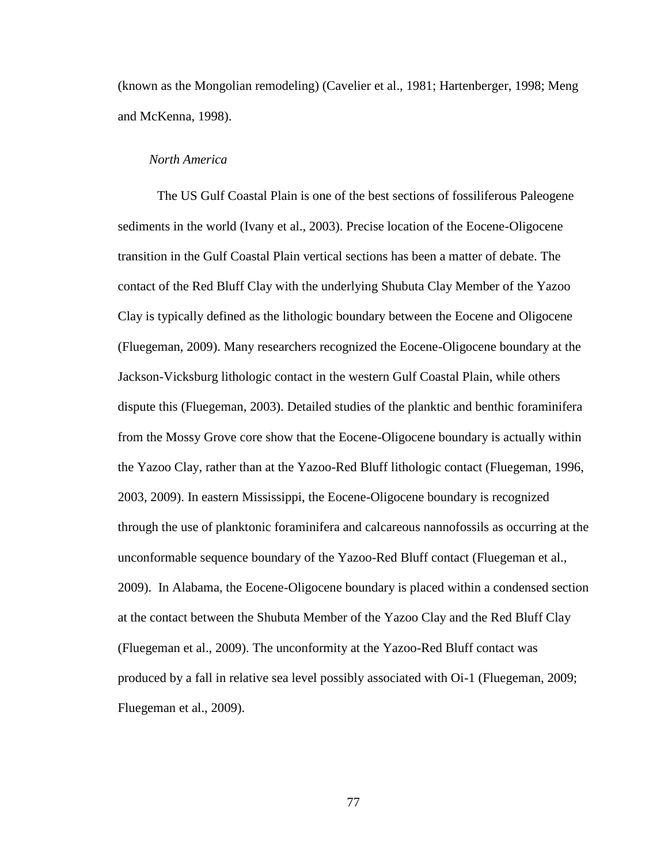(known as the Mongolian remodeling) (Cavelier et al., 1981; Hartenberger, 1998; Meng and McKenna, 1998).

# *North America*

The US Gulf Coastal Plain is one of the best sections of fossiliferous Paleogene sediments in the world (Ivany et al., 2003). Precise location of the Eocene-Oligocene transition in the Gulf Coastal Plain vertical sections has been a matter of debate. The contact of the Red Bluff Clay with the underlying Shubuta Clay Member of the Yazoo Clay is typically defined as the lithologic boundary between the Eocene and Oligocene (Fluegeman, 2009). Many researchers recognized the Eocene-Oligocene boundary at the Jackson-Vicksburg lithologic contact in the western Gulf Coastal Plain, while others dispute this (Fluegeman, 2003). Detailed studies of the planktic and benthic foraminifera from the Mossy Grove core show that the Eocene-Oligocene boundary is actually within the Yazoo Clay, rather than at the Yazoo-Red Bluff lithologic contact (Fluegeman, 1996, 2003, 2009). In eastern Mississippi, the Eocene-Oligocene boundary is recognized through the use of planktonic foraminifera and calcareous nannofossils as occurring at the unconformable sequence boundary of the Yazoo-Red Bluff contact (Fluegeman et al., 2009). In Alabama, the Eocene-Oligocene boundary is placed within a condensed section at the contact between the Shubuta Member of the Yazoo Clay and the Red Bluff Clay (Fluegeman et al., 2009). The unconformity at the Yazoo-Red Bluff contact was produced by a fall in relative sea level possibly associated with Oi-1 (Fluegeman, 2009; Fluegeman et al., 2009).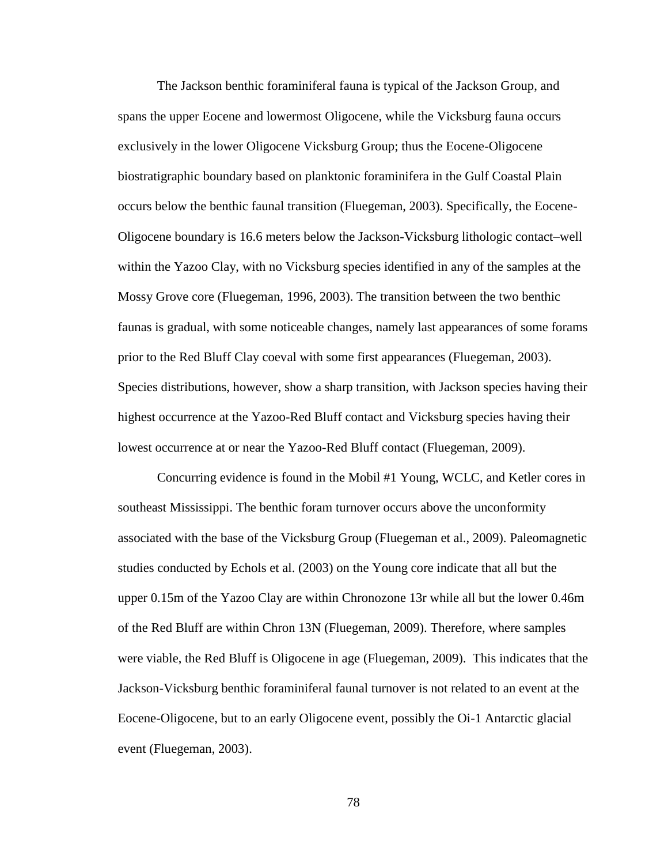The Jackson benthic foraminiferal fauna is typical of the Jackson Group, and spans the upper Eocene and lowermost Oligocene, while the Vicksburg fauna occurs exclusively in the lower Oligocene Vicksburg Group; thus the Eocene-Oligocene biostratigraphic boundary based on planktonic foraminifera in the Gulf Coastal Plain occurs below the benthic faunal transition (Fluegeman, 2003). Specifically, the Eocene-Oligocene boundary is 16.6 meters below the Jackson-Vicksburg lithologic contact–well within the Yazoo Clay, with no Vicksburg species identified in any of the samples at the Mossy Grove core (Fluegeman, 1996, 2003). The transition between the two benthic faunas is gradual, with some noticeable changes, namely last appearances of some forams prior to the Red Bluff Clay coeval with some first appearances (Fluegeman, 2003). Species distributions, however, show a sharp transition, with Jackson species having their highest occurrence at the Yazoo-Red Bluff contact and Vicksburg species having their lowest occurrence at or near the Yazoo-Red Bluff contact (Fluegeman, 2009).

Concurring evidence is found in the Mobil #1 Young, WCLC, and Ketler cores in southeast Mississippi. The benthic foram turnover occurs above the unconformity associated with the base of the Vicksburg Group (Fluegeman et al., 2009). Paleomagnetic studies conducted by Echols et al. (2003) on the Young core indicate that all but the upper 0.15m of the Yazoo Clay are within Chronozone 13r while all but the lower 0.46m of the Red Bluff are within Chron 13N (Fluegeman, 2009). Therefore, where samples were viable, the Red Bluff is Oligocene in age (Fluegeman, 2009). This indicates that the Jackson-Vicksburg benthic foraminiferal faunal turnover is not related to an event at the Eocene-Oligocene, but to an early Oligocene event, possibly the Oi-1 Antarctic glacial event (Fluegeman, 2003).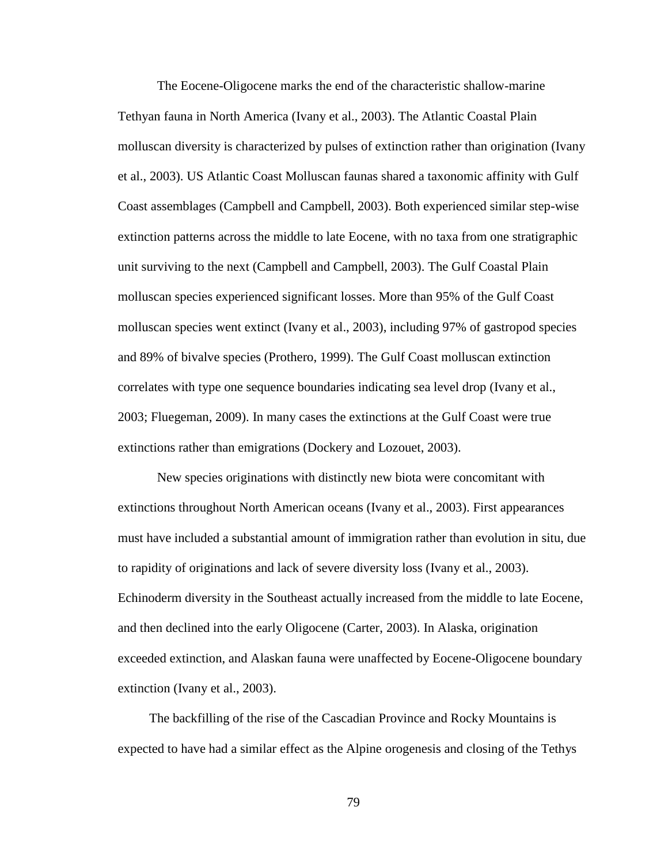The Eocene-Oligocene marks the end of the characteristic shallow-marine Tethyan fauna in North America (Ivany et al., 2003). The Atlantic Coastal Plain molluscan diversity is characterized by pulses of extinction rather than origination (Ivany et al., 2003). US Atlantic Coast Molluscan faunas shared a taxonomic affinity with Gulf Coast assemblages (Campbell and Campbell, 2003). Both experienced similar step-wise extinction patterns across the middle to late Eocene, with no taxa from one stratigraphic unit surviving to the next (Campbell and Campbell, 2003). The Gulf Coastal Plain molluscan species experienced significant losses. More than 95% of the Gulf Coast molluscan species went extinct (Ivany et al., 2003), including 97% of gastropod species and 89% of bivalve species (Prothero, 1999). The Gulf Coast molluscan extinction correlates with type one sequence boundaries indicating sea level drop (Ivany et al., 2003; Fluegeman, 2009). In many cases the extinctions at the Gulf Coast were true extinctions rather than emigrations (Dockery and Lozouet, 2003).

New species originations with distinctly new biota were concomitant with extinctions throughout North American oceans (Ivany et al., 2003). First appearances must have included a substantial amount of immigration rather than evolution in situ, due to rapidity of originations and lack of severe diversity loss (Ivany et al., 2003). Echinoderm diversity in the Southeast actually increased from the middle to late Eocene, and then declined into the early Oligocene (Carter, 2003). In Alaska, origination exceeded extinction, and Alaskan fauna were unaffected by Eocene-Oligocene boundary extinction (Ivany et al., 2003).

The backfilling of the rise of the Cascadian Province and Rocky Mountains is expected to have had a similar effect as the Alpine orogenesis and closing of the Tethys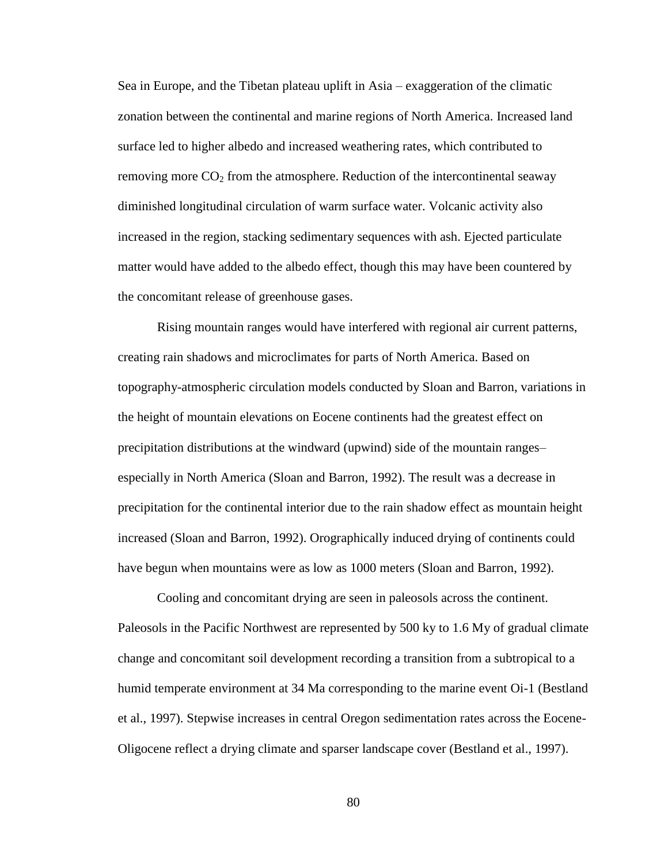Sea in Europe, and the Tibetan plateau uplift in Asia – exaggeration of the climatic zonation between the continental and marine regions of North America. Increased land surface led to higher albedo and increased weathering rates, which contributed to removing more  $CO<sub>2</sub>$  from the atmosphere. Reduction of the intercontinental seaway diminished longitudinal circulation of warm surface water. Volcanic activity also increased in the region, stacking sedimentary sequences with ash. Ejected particulate matter would have added to the albedo effect, though this may have been countered by the concomitant release of greenhouse gases.

Rising mountain ranges would have interfered with regional air current patterns, creating rain shadows and microclimates for parts of North America. Based on topography-atmospheric circulation models conducted by Sloan and Barron, variations in the height of mountain elevations on Eocene continents had the greatest effect on precipitation distributions at the windward (upwind) side of the mountain ranges– especially in North America (Sloan and Barron, 1992). The result was a decrease in precipitation for the continental interior due to the rain shadow effect as mountain height increased (Sloan and Barron, 1992). Orographically induced drying of continents could have begun when mountains were as low as 1000 meters (Sloan and Barron, 1992).

Cooling and concomitant drying are seen in paleosols across the continent. Paleosols in the Pacific Northwest are represented by 500 ky to 1.6 My of gradual climate change and concomitant soil development recording a transition from a subtropical to a humid temperate environment at 34 Ma corresponding to the marine event Oi-1 (Bestland et al., 1997). Stepwise increases in central Oregon sedimentation rates across the Eocene-Oligocene reflect a drying climate and sparser landscape cover (Bestland et al., 1997).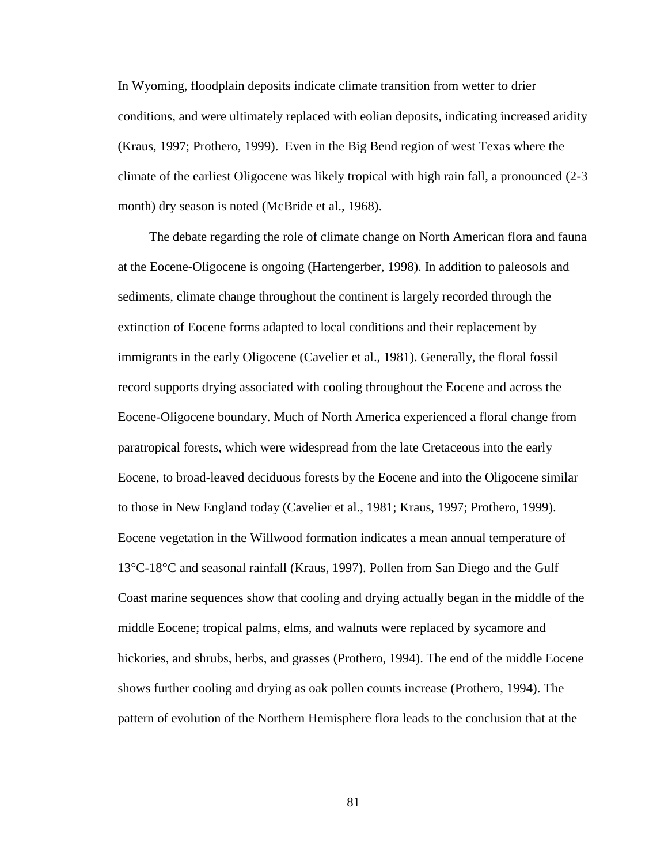In Wyoming, floodplain deposits indicate climate transition from wetter to drier conditions, and were ultimately replaced with eolian deposits, indicating increased aridity (Kraus, 1997; Prothero, 1999). Even in the Big Bend region of west Texas where the climate of the earliest Oligocene was likely tropical with high rain fall, a pronounced (2-3 month) dry season is noted (McBride et al., 1968).

The debate regarding the role of climate change on North American flora and fauna at the Eocene-Oligocene is ongoing (Hartengerber, 1998). In addition to paleosols and sediments, climate change throughout the continent is largely recorded through the extinction of Eocene forms adapted to local conditions and their replacement by immigrants in the early Oligocene (Cavelier et al., 1981). Generally, the floral fossil record supports drying associated with cooling throughout the Eocene and across the Eocene-Oligocene boundary. Much of North America experienced a floral change from paratropical forests, which were widespread from the late Cretaceous into the early Eocene, to broad-leaved deciduous forests by the Eocene and into the Oligocene similar to those in New England today (Cavelier et al., 1981; Kraus, 1997; Prothero, 1999). Eocene vegetation in the Willwood formation indicates a mean annual temperature of 13°C-18°C and seasonal rainfall (Kraus, 1997). Pollen from San Diego and the Gulf Coast marine sequences show that cooling and drying actually began in the middle of the middle Eocene; tropical palms, elms, and walnuts were replaced by sycamore and hickories, and shrubs, herbs, and grasses (Prothero, 1994). The end of the middle Eocene shows further cooling and drying as oak pollen counts increase (Prothero, 1994). The pattern of evolution of the Northern Hemisphere flora leads to the conclusion that at the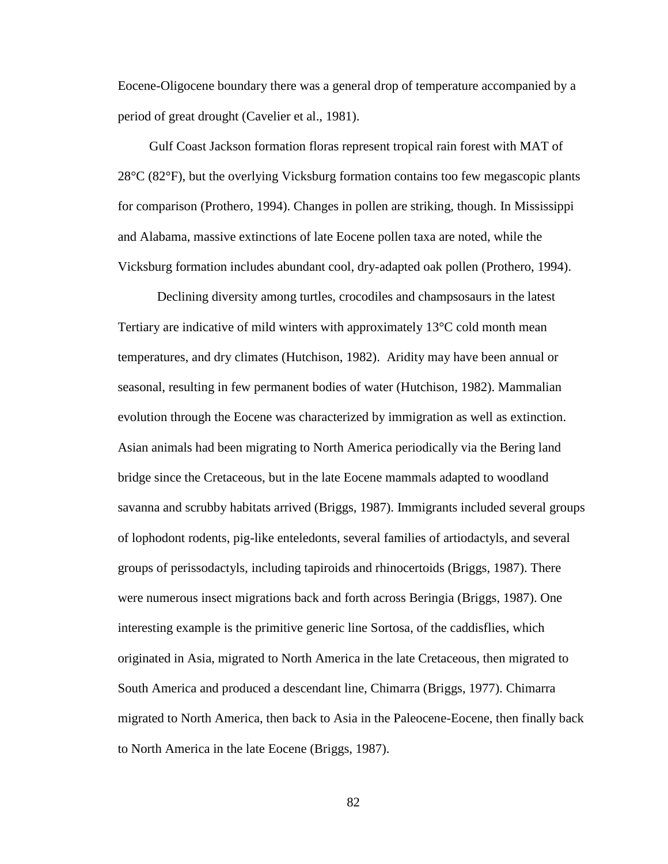Eocene-Oligocene boundary there was a general drop of temperature accompanied by a period of great drought (Cavelier et al., 1981).

Gulf Coast Jackson formation floras represent tropical rain forest with MAT of 28°C (82°F), but the overlying Vicksburg formation contains too few megascopic plants for comparison (Prothero, 1994). Changes in pollen are striking, though. In Mississippi and Alabama, massive extinctions of late Eocene pollen taxa are noted, while the Vicksburg formation includes abundant cool, dry-adapted oak pollen (Prothero, 1994).

Declining diversity among turtles, crocodiles and champsosaurs in the latest Tertiary are indicative of mild winters with approximately  $13^{\circ}$ C cold month mean temperatures, and dry climates (Hutchison, 1982). Aridity may have been annual or seasonal, resulting in few permanent bodies of water (Hutchison, 1982). Mammalian evolution through the Eocene was characterized by immigration as well as extinction. Asian animals had been migrating to North America periodically via the Bering land bridge since the Cretaceous, but in the late Eocene mammals adapted to woodland savanna and scrubby habitats arrived (Briggs, 1987). Immigrants included several groups of lophodont rodents, pig-like enteledonts, several families of artiodactyls, and several groups of perissodactyls, including tapiroids and rhinocertoids (Briggs, 1987). There were numerous insect migrations back and forth across Beringia (Briggs, 1987). One interesting example is the primitive generic line Sortosa, of the caddisflies, which originated in Asia, migrated to North America in the late Cretaceous, then migrated to South America and produced a descendant line, Chimarra (Briggs, 1977). Chimarra migrated to North America, then back to Asia in the Paleocene-Eocene, then finally back to North America in the late Eocene (Briggs, 1987).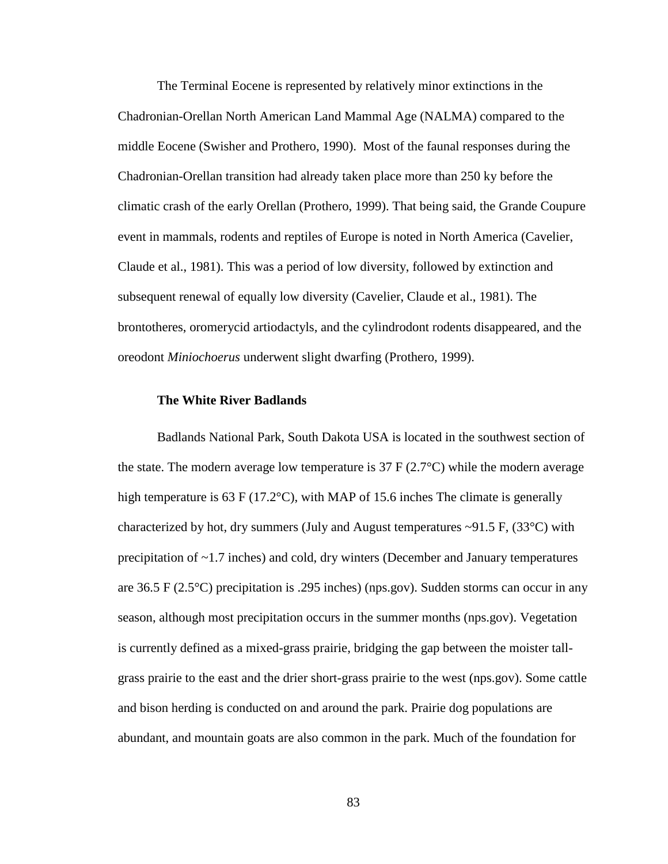The Terminal Eocene is represented by relatively minor extinctions in the Chadronian-Orellan North American Land Mammal Age (NALMA) compared to the middle Eocene (Swisher and Prothero, 1990). Most of the faunal responses during the Chadronian-Orellan transition had already taken place more than 250 ky before the climatic crash of the early Orellan (Prothero, 1999). That being said, the Grande Coupure event in mammals, rodents and reptiles of Europe is noted in North America (Cavelier, Claude et al., 1981). This was a period of low diversity, followed by extinction and subsequent renewal of equally low diversity (Cavelier, Claude et al., 1981). The brontotheres, oromerycid artiodactyls, and the cylindrodont rodents disappeared, and the oreodont *Miniochoerus* underwent slight dwarfing (Prothero, 1999).

#### **The White River Badlands**

Badlands National Park, South Dakota USA is located in the southwest section of the state. The modern average low temperature is  $37 \text{ F} (2.7^{\circ} \text{C})$  while the modern average high temperature is 63 F (17.2°C), with MAP of 15.6 inches The climate is generally characterized by hot, dry summers (July and August temperatures  $\sim$ 91.5 F, (33 $\degree$ C) with precipitation of ~1.7 inches) and cold, dry winters (December and January temperatures are 36.5 F (2.5°C) precipitation is .295 inches) (nps.gov). Sudden storms can occur in any season, although most precipitation occurs in the summer months (nps.gov). Vegetation is currently defined as a mixed-grass prairie, bridging the gap between the moister tallgrass prairie to the east and the drier short-grass prairie to the west (nps.gov). Some cattle and bison herding is conducted on and around the park. Prairie dog populations are abundant, and mountain goats are also common in the park. Much of the foundation for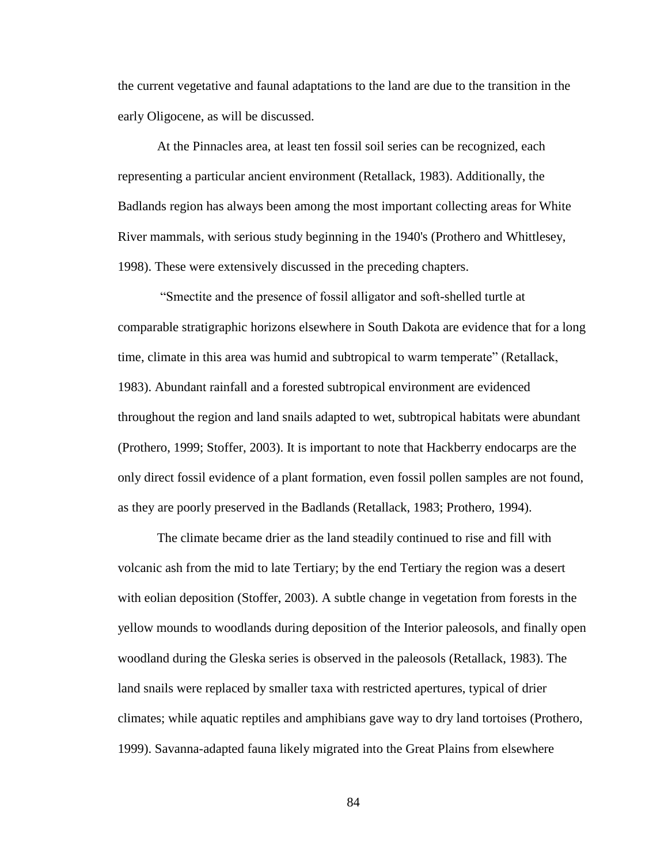the current vegetative and faunal adaptations to the land are due to the transition in the early Oligocene, as will be discussed.

At the Pinnacles area, at least ten fossil soil series can be recognized, each representing a particular ancient environment (Retallack, 1983). Additionally, the Badlands region has always been among the most important collecting areas for White River mammals, with serious study beginning in the 1940's (Prothero and Whittlesey, 1998). These were extensively discussed in the preceding chapters.

"Smectite and the presence of fossil alligator and soft-shelled turtle at comparable stratigraphic horizons elsewhere in South Dakota are evidence that for a long time, climate in this area was humid and subtropical to warm temperate" (Retallack, 1983). Abundant rainfall and a forested subtropical environment are evidenced throughout the region and land snails adapted to wet, subtropical habitats were abundant (Prothero, 1999; Stoffer, 2003). It is important to note that Hackberry endocarps are the only direct fossil evidence of a plant formation, even fossil pollen samples are not found, as they are poorly preserved in the Badlands (Retallack, 1983; Prothero, 1994).

The climate became drier as the land steadily continued to rise and fill with volcanic ash from the mid to late Tertiary; by the end Tertiary the region was a desert with eolian deposition (Stoffer, 2003). A subtle change in vegetation from forests in the yellow mounds to woodlands during deposition of the Interior paleosols, and finally open woodland during the Gleska series is observed in the paleosols (Retallack, 1983). The land snails were replaced by smaller taxa with restricted apertures, typical of drier climates; while aquatic reptiles and amphibians gave way to dry land tortoises (Prothero, 1999). Savanna-adapted fauna likely migrated into the Great Plains from elsewhere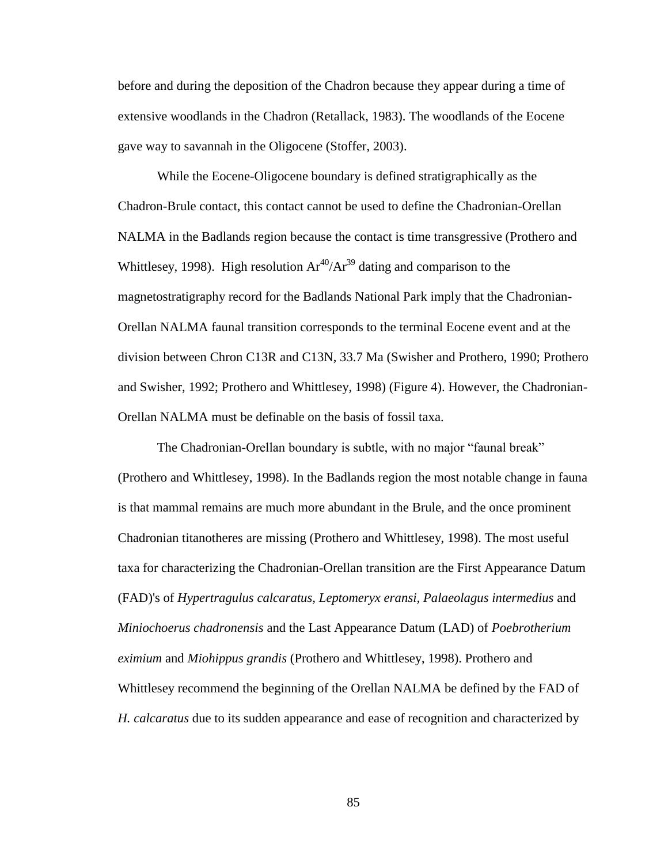before and during the deposition of the Chadron because they appear during a time of extensive woodlands in the Chadron (Retallack, 1983). The woodlands of the Eocene gave way to savannah in the Oligocene (Stoffer, 2003).

While the Eocene-Oligocene boundary is defined stratigraphically as the Chadron-Brule contact, this contact cannot be used to define the Chadronian-Orellan NALMA in the Badlands region because the contact is time transgressive (Prothero and Whittlesey, 1998). High resolution  $Ar^{40}/Ar^{39}$  dating and comparison to the magnetostratigraphy record for the Badlands National Park imply that the Chadronian-Orellan NALMA faunal transition corresponds to the terminal Eocene event and at the division between Chron C13R and C13N, 33.7 Ma (Swisher and Prothero, 1990; Prothero and Swisher, 1992; Prothero and Whittlesey, 1998) (Figure 4). However, the Chadronian-Orellan NALMA must be definable on the basis of fossil taxa.

The Chadronian-Orellan boundary is subtle, with no major "faunal break" (Prothero and Whittlesey, 1998). In the Badlands region the most notable change in fauna is that mammal remains are much more abundant in the Brule, and the once prominent Chadronian titanotheres are missing (Prothero and Whittlesey, 1998). The most useful taxa for characterizing the Chadronian-Orellan transition are the First Appearance Datum (FAD)'s of *Hypertragulus calcaratus, Leptomeryx eransi, Palaeolagus intermedius* and *Miniochoerus chadronensis* and the Last Appearance Datum (LAD) of *Poebrotherium eximium* and *Miohippus grandis* (Prothero and Whittlesey, 1998). Prothero and Whittlesey recommend the beginning of the Orellan NALMA be defined by the FAD of *H. calcaratus* due to its sudden appearance and ease of recognition and characterized by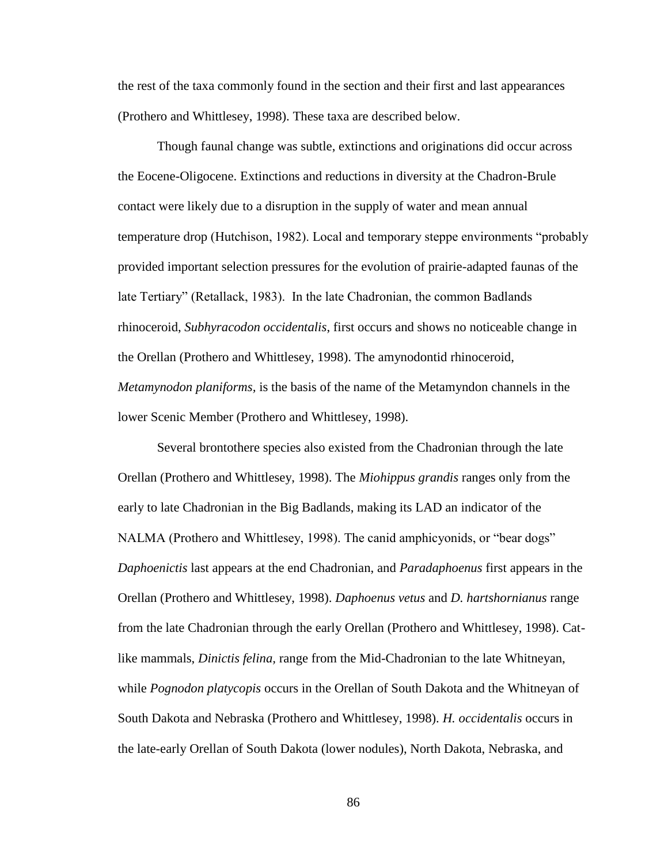the rest of the taxa commonly found in the section and their first and last appearances (Prothero and Whittlesey, 1998). These taxa are described below.

Though faunal change was subtle, extinctions and originations did occur across the Eocene-Oligocene. Extinctions and reductions in diversity at the Chadron-Brule contact were likely due to a disruption in the supply of water and mean annual temperature drop (Hutchison, 1982). Local and temporary steppe environments "probably provided important selection pressures for the evolution of prairie-adapted faunas of the late Tertiary" (Retallack, 1983). In the late Chadronian, the common Badlands rhinoceroid, *Subhyracodon occidentalis*, first occurs and shows no noticeable change in the Orellan (Prothero and Whittlesey, 1998). The amynodontid rhinoceroid, *Metamynodon planiforms,* is the basis of the name of the Metamyndon channels in the lower Scenic Member (Prothero and Whittlesey, 1998).

Several brontothere species also existed from the Chadronian through the late Orellan (Prothero and Whittlesey, 1998). The *Miohippus grandis* ranges only from the early to late Chadronian in the Big Badlands, making its LAD an indicator of the NALMA (Prothero and Whittlesey, 1998). The canid amphicyonids, or "bear dogs" *Daphoenictis* last appears at the end Chadronian, and *Paradaphoenus* first appears in the Orellan (Prothero and Whittlesey, 1998). *Daphoenus vetus* and *D. hartshornianus* range from the late Chadronian through the early Orellan (Prothero and Whittlesey, 1998). Catlike mammals, *Dinictis felina,* range from the Mid-Chadronian to the late Whitneyan, while *Pognodon platycopis* occurs in the Orellan of South Dakota and the Whitneyan of South Dakota and Nebraska (Prothero and Whittlesey, 1998). *H. occidentalis* occurs in the late-early Orellan of South Dakota (lower nodules), North Dakota, Nebraska, and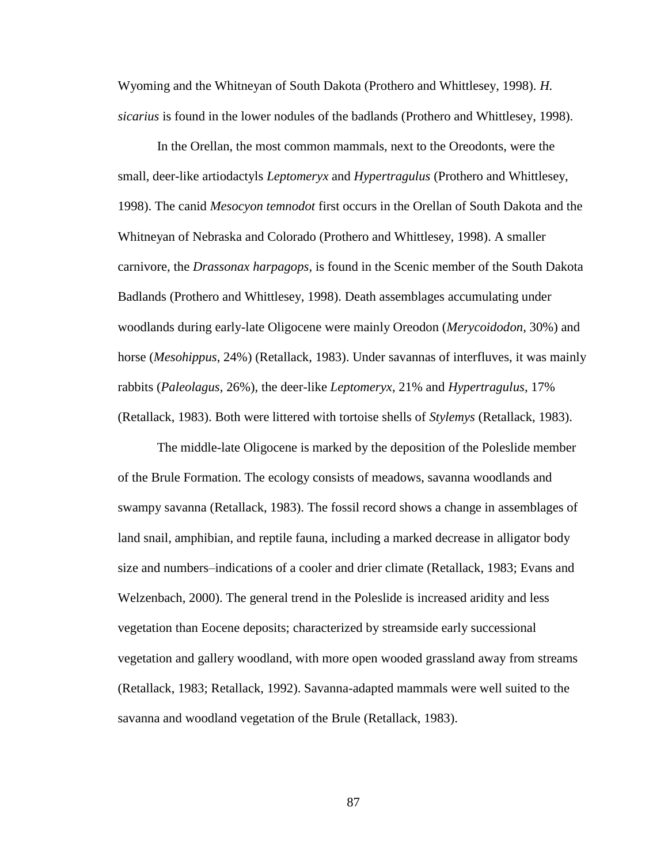Wyoming and the Whitneyan of South Dakota (Prothero and Whittlesey, 1998). *H. sicarius* is found in the lower nodules of the badlands (Prothero and Whittlesey, 1998).

In the Orellan, the most common mammals, next to the Oreodonts, were the small, deer-like artiodactyls *Leptomeryx* and *Hypertragulus* (Prothero and Whittlesey, 1998). The canid *Mesocyon temnodot* first occurs in the Orellan of South Dakota and the Whitneyan of Nebraska and Colorado (Prothero and Whittlesey, 1998). A smaller carnivore, the *Drassonax harpagops,* is found in the Scenic member of the South Dakota Badlands (Prothero and Whittlesey, 1998). Death assemblages accumulating under woodlands during early-late Oligocene were mainly Oreodon (*Merycoidodon*, 30%) and horse (*Mesohippus*, 24%) (Retallack, 1983). Under savannas of interfluves, it was mainly rabbits (*Paleolagus*, 26%), the deer-like *Leptomeryx*, 21% and *Hypertragulus*, 17% (Retallack, 1983). Both were littered with tortoise shells of *Stylemys* (Retallack, 1983).

The middle-late Oligocene is marked by the deposition of the Poleslide member of the Brule Formation. The ecology consists of meadows, savanna woodlands and swampy savanna (Retallack, 1983). The fossil record shows a change in assemblages of land snail, amphibian, and reptile fauna, including a marked decrease in alligator body size and numbers–indications of a cooler and drier climate (Retallack, 1983; Evans and Welzenbach, 2000). The general trend in the Poleslide is increased aridity and less vegetation than Eocene deposits; characterized by streamside early successional vegetation and gallery woodland, with more open wooded grassland away from streams (Retallack, 1983; Retallack, 1992). Savanna-adapted mammals were well suited to the savanna and woodland vegetation of the Brule (Retallack, 1983).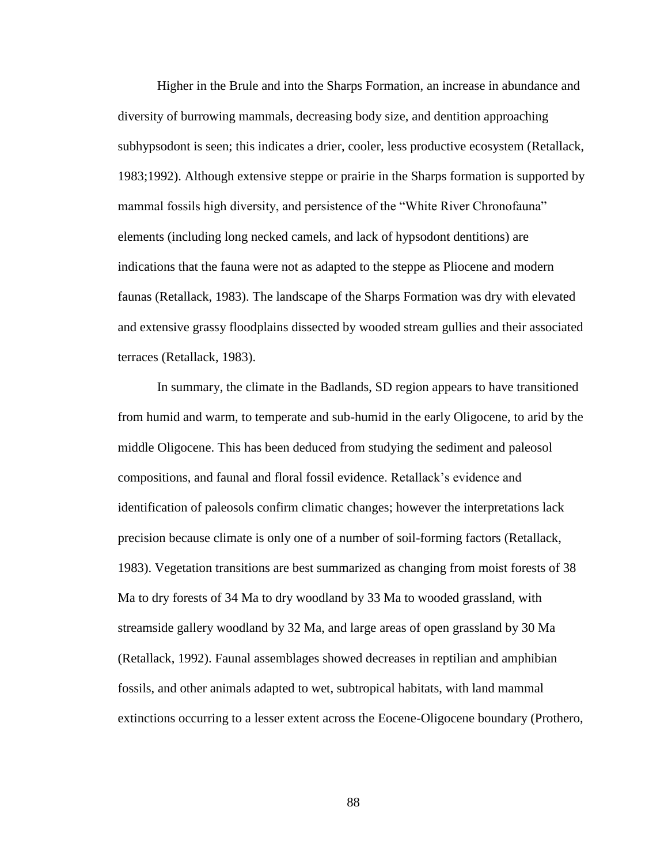Higher in the Brule and into the Sharps Formation, an increase in abundance and diversity of burrowing mammals, decreasing body size, and dentition approaching subhypsodont is seen; this indicates a drier, cooler, less productive ecosystem (Retallack, 1983;1992). Although extensive steppe or prairie in the Sharps formation is supported by mammal fossils high diversity, and persistence of the "White River Chronofauna" elements (including long necked camels, and lack of hypsodont dentitions) are indications that the fauna were not as adapted to the steppe as Pliocene and modern faunas (Retallack, 1983). The landscape of the Sharps Formation was dry with elevated and extensive grassy floodplains dissected by wooded stream gullies and their associated terraces (Retallack, 1983).

In summary, the climate in the Badlands, SD region appears to have transitioned from humid and warm, to temperate and sub-humid in the early Oligocene, to arid by the middle Oligocene. This has been deduced from studying the sediment and paleosol compositions, and faunal and floral fossil evidence. Retallack's evidence and identification of paleosols confirm climatic changes; however the interpretations lack precision because climate is only one of a number of soil-forming factors (Retallack, 1983). Vegetation transitions are best summarized as changing from moist forests of 38 Ma to dry forests of 34 Ma to dry woodland by 33 Ma to wooded grassland, with streamside gallery woodland by 32 Ma, and large areas of open grassland by 30 Ma (Retallack, 1992). Faunal assemblages showed decreases in reptilian and amphibian fossils, and other animals adapted to wet, subtropical habitats, with land mammal extinctions occurring to a lesser extent across the Eocene-Oligocene boundary (Prothero,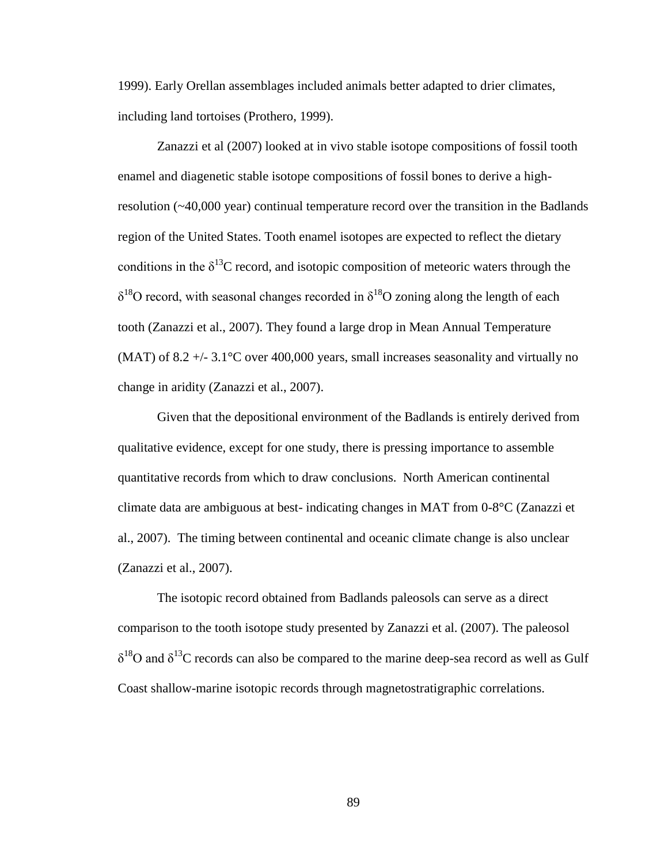1999). Early Orellan assemblages included animals better adapted to drier climates, including land tortoises (Prothero, 1999).

Zanazzi et al (2007) looked at in vivo stable isotope compositions of fossil tooth enamel and diagenetic stable isotope compositions of fossil bones to derive a highresolution (~40,000 year) continual temperature record over the transition in the Badlands region of the United States. Tooth enamel isotopes are expected to reflect the dietary conditions in the  $\delta^{13}$ C record, and isotopic composition of meteoric waters through the  $\delta^{18}$ O record, with seasonal changes recorded in  $\delta^{18}$ O zoning along the length of each tooth (Zanazzi et al., 2007). They found a large drop in Mean Annual Temperature (MAT) of 8.2  $+/- 3.1^{\circ}$ C over 400,000 years, small increases seasonality and virtually no change in aridity (Zanazzi et al., 2007).

Given that the depositional environment of the Badlands is entirely derived from qualitative evidence, except for one study, there is pressing importance to assemble quantitative records from which to draw conclusions. North American continental climate data are ambiguous at best- indicating changes in MAT from 0-8°C (Zanazzi et al., 2007). The timing between continental and oceanic climate change is also unclear (Zanazzi et al., 2007).

The isotopic record obtained from Badlands paleosols can serve as a direct comparison to the tooth isotope study presented by Zanazzi et al. (2007). The paleosol  $\delta^{18}$ O and  $\delta^{13}$ C records can also be compared to the marine deep-sea record as well as Gulf Coast shallow-marine isotopic records through magnetostratigraphic correlations.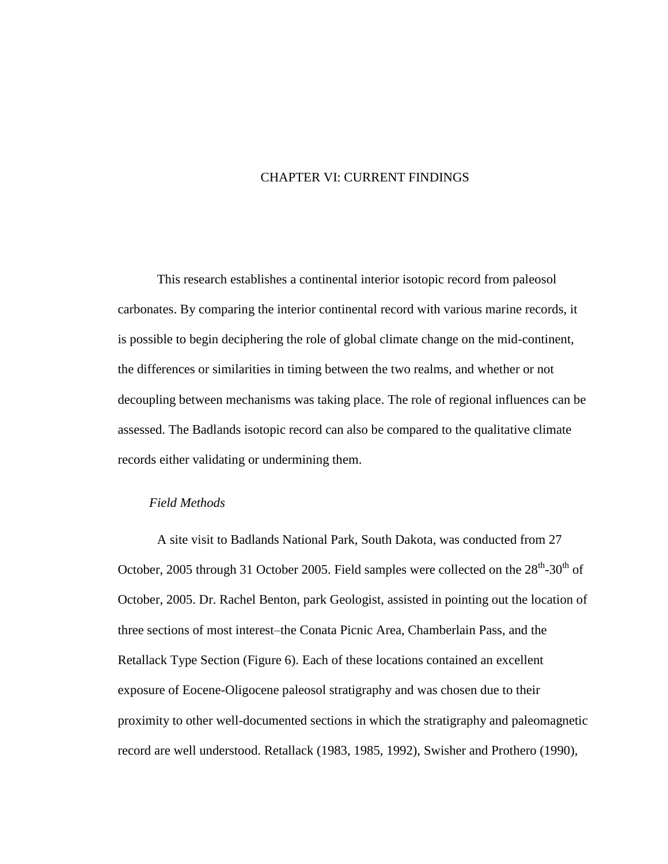# CHAPTER VI: CURRENT FINDINGS

This research establishes a continental interior isotopic record from paleosol carbonates. By comparing the interior continental record with various marine records, it is possible to begin deciphering the role of global climate change on the mid-continent, the differences or similarities in timing between the two realms, and whether or not decoupling between mechanisms was taking place. The role of regional influences can be assessed. The Badlands isotopic record can also be compared to the qualitative climate records either validating or undermining them.

# *Field Methods*

A site visit to Badlands National Park, South Dakota, was conducted from 27 October, 2005 through 31 October 2005. Field samples were collected on the  $28<sup>th</sup>$ -30<sup>th</sup> of October, 2005. Dr. Rachel Benton, park Geologist, assisted in pointing out the location of three sections of most interest–the Conata Picnic Area, Chamberlain Pass, and the Retallack Type Section (Figure 6). Each of these locations contained an excellent exposure of Eocene-Oligocene paleosol stratigraphy and was chosen due to their proximity to other well-documented sections in which the stratigraphy and paleomagnetic record are well understood. Retallack (1983, 1985, 1992), Swisher and Prothero (1990),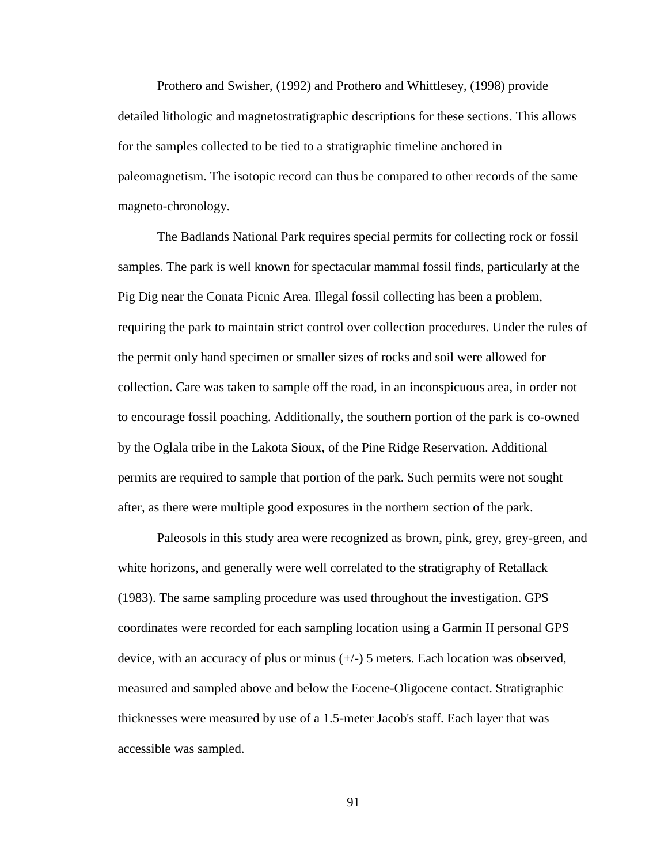Prothero and Swisher, (1992) and Prothero and Whittlesey, (1998) provide detailed lithologic and magnetostratigraphic descriptions for these sections. This allows for the samples collected to be tied to a stratigraphic timeline anchored in paleomagnetism. The isotopic record can thus be compared to other records of the same magneto-chronology.

The Badlands National Park requires special permits for collecting rock or fossil samples. The park is well known for spectacular mammal fossil finds, particularly at the Pig Dig near the Conata Picnic Area. Illegal fossil collecting has been a problem, requiring the park to maintain strict control over collection procedures. Under the rules of the permit only hand specimen or smaller sizes of rocks and soil were allowed for collection. Care was taken to sample off the road, in an inconspicuous area, in order not to encourage fossil poaching. Additionally, the southern portion of the park is co-owned by the Oglala tribe in the Lakota Sioux, of the Pine Ridge Reservation. Additional permits are required to sample that portion of the park. Such permits were not sought after, as there were multiple good exposures in the northern section of the park.

Paleosols in this study area were recognized as brown, pink, grey, grey-green, and white horizons, and generally were well correlated to the stratigraphy of Retallack (1983). The same sampling procedure was used throughout the investigation. GPS coordinates were recorded for each sampling location using a Garmin II personal GPS device, with an accuracy of plus or minus (+/-) 5 meters. Each location was observed, measured and sampled above and below the Eocene-Oligocene contact. Stratigraphic thicknesses were measured by use of a 1.5-meter Jacob's staff. Each layer that was accessible was sampled.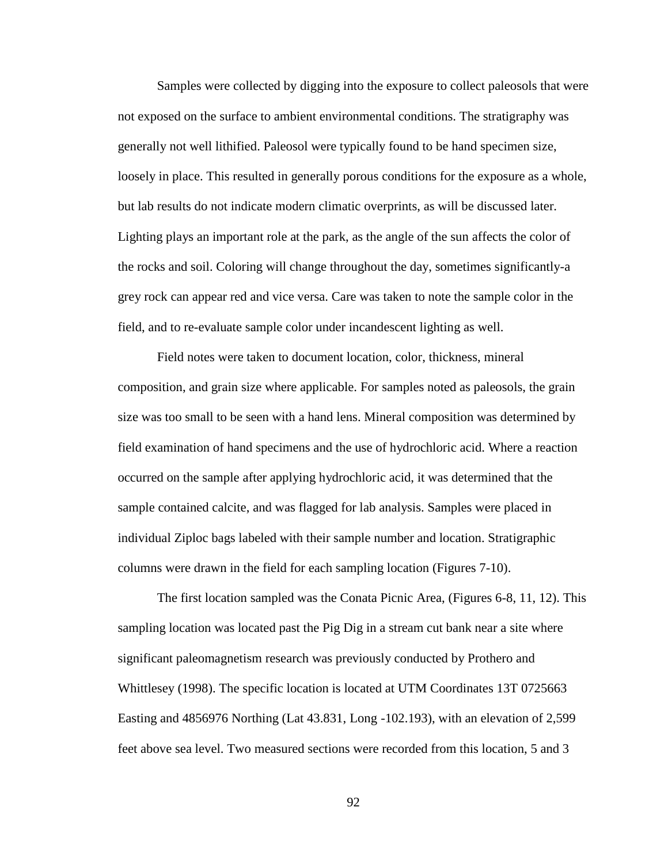Samples were collected by digging into the exposure to collect paleosols that were not exposed on the surface to ambient environmental conditions. The stratigraphy was generally not well lithified. Paleosol were typically found to be hand specimen size, loosely in place. This resulted in generally porous conditions for the exposure as a whole, but lab results do not indicate modern climatic overprints, as will be discussed later. Lighting plays an important role at the park, as the angle of the sun affects the color of the rocks and soil. Coloring will change throughout the day, sometimes significantly-a grey rock can appear red and vice versa. Care was taken to note the sample color in the field, and to re-evaluate sample color under incandescent lighting as well.

Field notes were taken to document location, color, thickness, mineral composition, and grain size where applicable. For samples noted as paleosols, the grain size was too small to be seen with a hand lens. Mineral composition was determined by field examination of hand specimens and the use of hydrochloric acid. Where a reaction occurred on the sample after applying hydrochloric acid, it was determined that the sample contained calcite, and was flagged for lab analysis. Samples were placed in individual Ziploc bags labeled with their sample number and location. Stratigraphic columns were drawn in the field for each sampling location (Figures 7-10).

The first location sampled was the Conata Picnic Area, (Figures 6-8, 11, 12). This sampling location was located past the Pig Dig in a stream cut bank near a site where significant paleomagnetism research was previously conducted by Prothero and Whittlesey (1998). The specific location is located at UTM Coordinates 13T 0725663 Easting and 4856976 Northing (Lat 43.831, Long -102.193), with an elevation of 2,599 feet above sea level. Two measured sections were recorded from this location, 5 and 3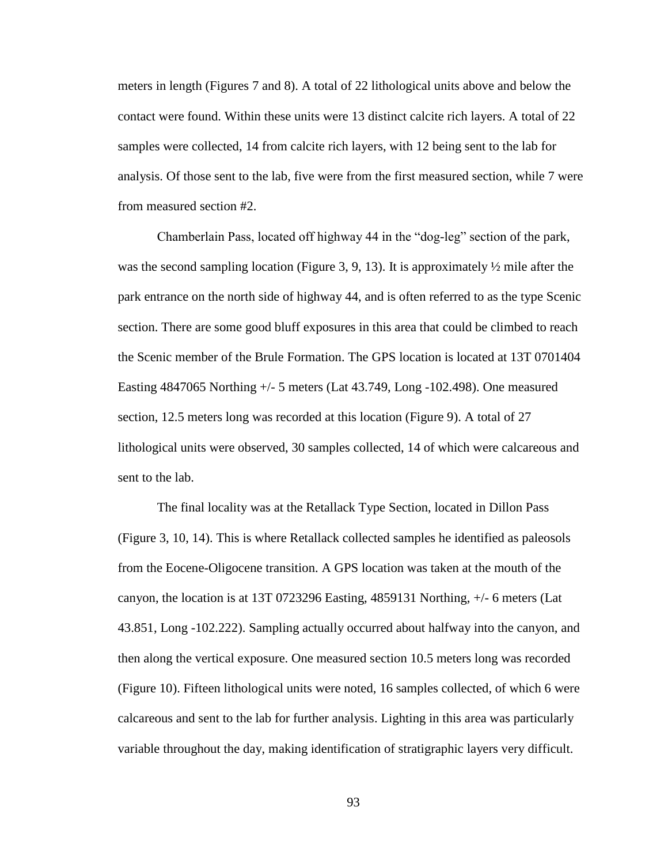meters in length (Figures 7 and 8). A total of 22 lithological units above and below the contact were found. Within these units were 13 distinct calcite rich layers. A total of 22 samples were collected, 14 from calcite rich layers, with 12 being sent to the lab for analysis. Of those sent to the lab, five were from the first measured section, while 7 were from measured section #2.

Chamberlain Pass, located off highway 44 in the "dog-leg" section of the park, was the second sampling location (Figure 3, 9, 13). It is approximately  $\frac{1}{2}$  mile after the park entrance on the north side of highway 44, and is often referred to as the type Scenic section. There are some good bluff exposures in this area that could be climbed to reach the Scenic member of the Brule Formation. The GPS location is located at 13T 0701404 Easting 4847065 Northing +/- 5 meters (Lat 43.749, Long -102.498). One measured section, 12.5 meters long was recorded at this location (Figure 9). A total of 27 lithological units were observed, 30 samples collected, 14 of which were calcareous and sent to the lab.

The final locality was at the Retallack Type Section, located in Dillon Pass (Figure 3, 10, 14). This is where Retallack collected samples he identified as paleosols from the Eocene-Oligocene transition. A GPS location was taken at the mouth of the canyon, the location is at 13T 0723296 Easting, 4859131 Northing, +/- 6 meters (Lat 43.851, Long -102.222). Sampling actually occurred about halfway into the canyon, and then along the vertical exposure. One measured section 10.5 meters long was recorded (Figure 10). Fifteen lithological units were noted, 16 samples collected, of which 6 were calcareous and sent to the lab for further analysis. Lighting in this area was particularly variable throughout the day, making identification of stratigraphic layers very difficult.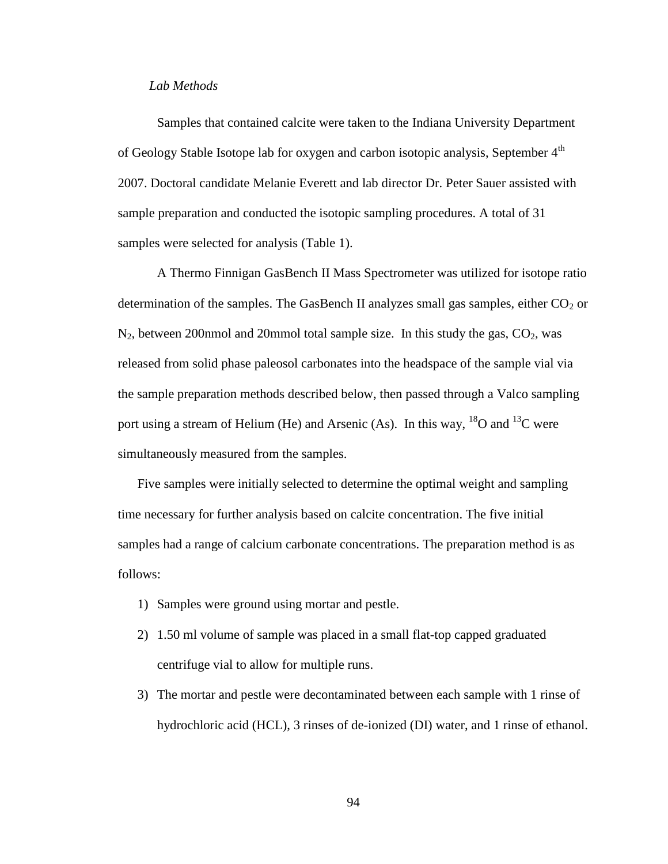### *Lab Methods*

Samples that contained calcite were taken to the Indiana University Department of Geology Stable Isotope lab for oxygen and carbon isotopic analysis, September  $4<sup>th</sup>$ 2007. Doctoral candidate Melanie Everett and lab director Dr. Peter Sauer assisted with sample preparation and conducted the isotopic sampling procedures. A total of 31 samples were selected for analysis (Table 1).

A Thermo Finnigan GasBench II Mass Spectrometer was utilized for isotope ratio determination of the samples. The GasBench II analyzes small gas samples, either  $CO<sub>2</sub>$  or  $N_2$ , between 200nmol and 20mmol total sample size. In this study the gas,  $CO_2$ , was released from solid phase paleosol carbonates into the headspace of the sample vial via the sample preparation methods described below, then passed through a Valco sampling port using a stream of Helium (He) and Arsenic (As). In this way,  $^{18}O$  and  $^{13}C$  were simultaneously measured from the samples.

Five samples were initially selected to determine the optimal weight and sampling time necessary for further analysis based on calcite concentration. The five initial samples had a range of calcium carbonate concentrations. The preparation method is as follows:

- 1) Samples were ground using mortar and pestle.
- 2) 1.50 ml volume of sample was placed in a small flat-top capped graduated centrifuge vial to allow for multiple runs.
- 3) The mortar and pestle were decontaminated between each sample with 1 rinse of hydrochloric acid (HCL), 3 rinses of de-ionized (DI) water, and 1 rinse of ethanol.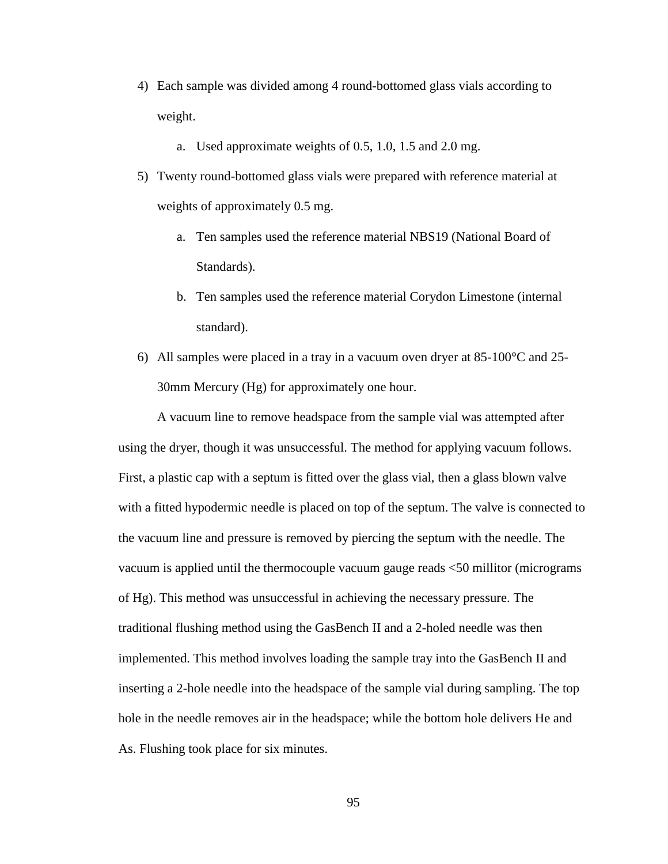- 4) Each sample was divided among 4 round-bottomed glass vials according to weight.
	- a. Used approximate weights of 0.5, 1.0, 1.5 and 2.0 mg.
- 5) Twenty round-bottomed glass vials were prepared with reference material at weights of approximately 0.5 mg.
	- a. Ten samples used the reference material NBS19 (National Board of Standards).
	- b. Ten samples used the reference material Corydon Limestone (internal standard).
- 6) All samples were placed in a tray in a vacuum oven dryer at  $85{\text -}100^{\circ}\text{C}$  and  $25{\text -}100^{\circ}$ 30mm Mercury (Hg) for approximately one hour.

A vacuum line to remove headspace from the sample vial was attempted after using the dryer, though it was unsuccessful. The method for applying vacuum follows. First, a plastic cap with a septum is fitted over the glass vial, then a glass blown valve with a fitted hypodermic needle is placed on top of the septum. The valve is connected to the vacuum line and pressure is removed by piercing the septum with the needle. The vacuum is applied until the thermocouple vacuum gauge reads <50 millitor (micrograms of Hg). This method was unsuccessful in achieving the necessary pressure. The traditional flushing method using the GasBench II and a 2-holed needle was then implemented. This method involves loading the sample tray into the GasBench II and inserting a 2-hole needle into the headspace of the sample vial during sampling. The top hole in the needle removes air in the headspace; while the bottom hole delivers He and As. Flushing took place for six minutes.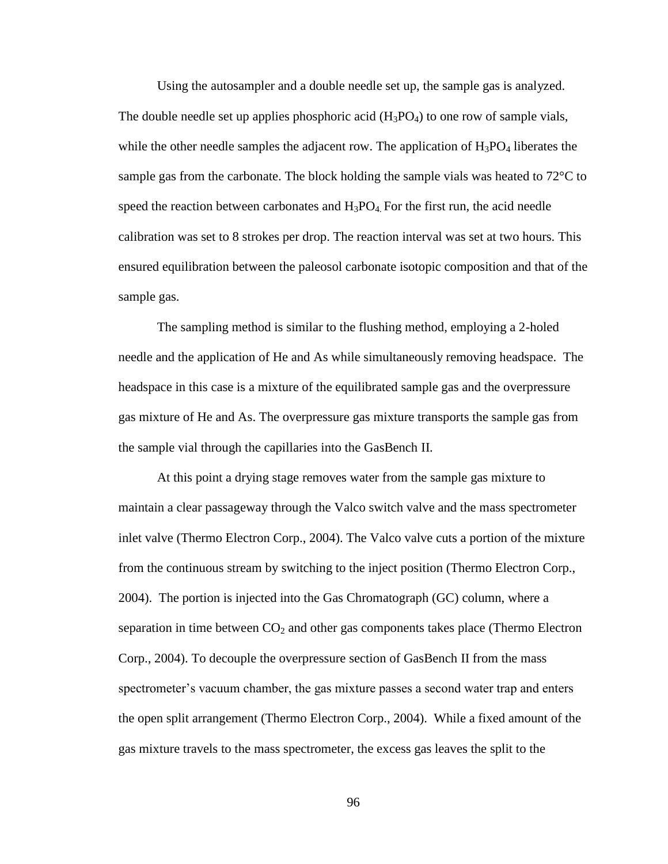Using the autosampler and a double needle set up, the sample gas is analyzed. The double needle set up applies phosphoric acid  $(H_3PO_4)$  to one row of sample vials, while the other needle samples the adjacent row. The application of  $H_3PO_4$  liberates the sample gas from the carbonate. The block holding the sample vials was heated to  $72^{\circ}$ C to speed the reaction between carbonates and  $H_3PO_4$ . For the first run, the acid needle calibration was set to 8 strokes per drop. The reaction interval was set at two hours. This ensured equilibration between the paleosol carbonate isotopic composition and that of the sample gas.

The sampling method is similar to the flushing method, employing a 2-holed needle and the application of He and As while simultaneously removing headspace. The headspace in this case is a mixture of the equilibrated sample gas and the overpressure gas mixture of He and As. The overpressure gas mixture transports the sample gas from the sample vial through the capillaries into the GasBench II.

At this point a drying stage removes water from the sample gas mixture to maintain a clear passageway through the Valco switch valve and the mass spectrometer inlet valve (Thermo Electron Corp., 2004). The Valco valve cuts a portion of the mixture from the continuous stream by switching to the inject position (Thermo Electron Corp., 2004). The portion is injected into the Gas Chromatograph (GC) column, where a separation in time between  $CO<sub>2</sub>$  and other gas components takes place (Thermo Electron Corp., 2004). To decouple the overpressure section of GasBench II from the mass spectrometer's vacuum chamber, the gas mixture passes a second water trap and enters the open split arrangement (Thermo Electron Corp., 2004). While a fixed amount of the gas mixture travels to the mass spectrometer, the excess gas leaves the split to the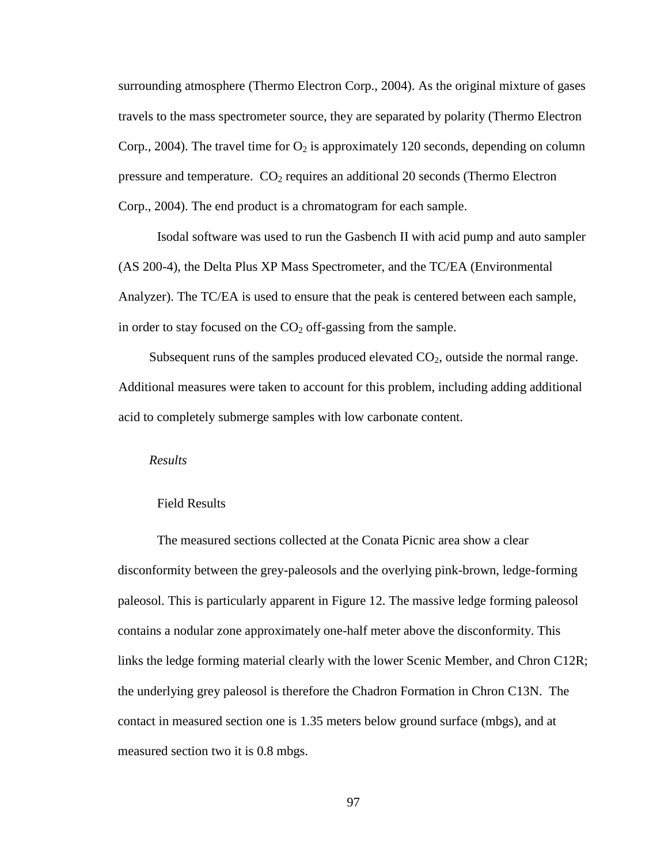surrounding atmosphere (Thermo Electron Corp., 2004). As the original mixture of gases travels to the mass spectrometer source, they are separated by polarity (Thermo Electron Corp., 2004). The travel time for  $O_2$  is approximately 120 seconds, depending on column pressure and temperature.  $CO<sub>2</sub>$  requires an additional 20 seconds (Thermo Electron Corp., 2004). The end product is a chromatogram for each sample.

Isodal software was used to run the Gasbench II with acid pump and auto sampler (AS 200-4), the Delta Plus XP Mass Spectrometer, and the TC/EA (Environmental Analyzer). The TC/EA is used to ensure that the peak is centered between each sample, in order to stay focused on the  $CO<sub>2</sub>$  off-gassing from the sample.

Subsequent runs of the samples produced elevated  $CO<sub>2</sub>$ , outside the normal range. Additional measures were taken to account for this problem, including adding additional acid to completely submerge samples with low carbonate content.

#### *Results*

#### Field Results

The measured sections collected at the Conata Picnic area show a clear disconformity between the grey-paleosols and the overlying pink-brown, ledge-forming paleosol. This is particularly apparent in Figure 12. The massive ledge forming paleosol contains a nodular zone approximately one-half meter above the disconformity. This links the ledge forming material clearly with the lower Scenic Member, and Chron C12R; the underlying grey paleosol is therefore the Chadron Formation in Chron C13N. The contact in measured section one is 1.35 meters below ground surface (mbgs), and at measured section two it is 0.8 mbgs.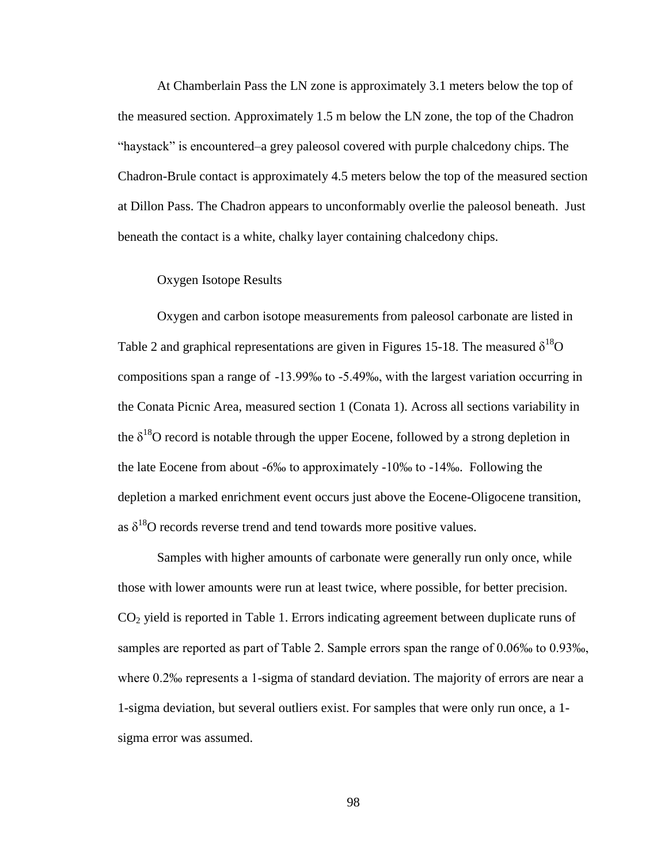At Chamberlain Pass the LN zone is approximately 3.1 meters below the top of the measured section. Approximately 1.5 m below the LN zone, the top of the Chadron "haystack" is encountered–a grey paleosol covered with purple chalcedony chips. The Chadron-Brule contact is approximately 4.5 meters below the top of the measured section at Dillon Pass. The Chadron appears to unconformably overlie the paleosol beneath. Just beneath the contact is a white, chalky layer containing chalcedony chips.

#### Oxygen Isotope Results

Oxygen and carbon isotope measurements from paleosol carbonate are listed in Table 2 and graphical representations are given in Figures 15-18. The measured  $\delta^{18}O$ compositions span a range of -13.99‰ to -5.49‰, with the largest variation occurring in the Conata Picnic Area, measured section 1 (Conata 1). Across all sections variability in the  $\delta^{18}$ O record is notable through the upper Eocene, followed by a strong depletion in the late Eocene from about -6‰ to approximately -10‰ to -14‰. Following the depletion a marked enrichment event occurs just above the Eocene-Oligocene transition, as  $\delta^{18}$ O records reverse trend and tend towards more positive values.

Samples with higher amounts of carbonate were generally run only once, while those with lower amounts were run at least twice, where possible, for better precision. CO<sup>2</sup> yield is reported in Table 1. Errors indicating agreement between duplicate runs of samples are reported as part of Table 2. Sample errors span the range of 0.06‰ to 0.93‰, where 0.2‰ represents a 1-sigma of standard deviation. The majority of errors are near a 1-sigma deviation, but several outliers exist. For samples that were only run once, a 1 sigma error was assumed.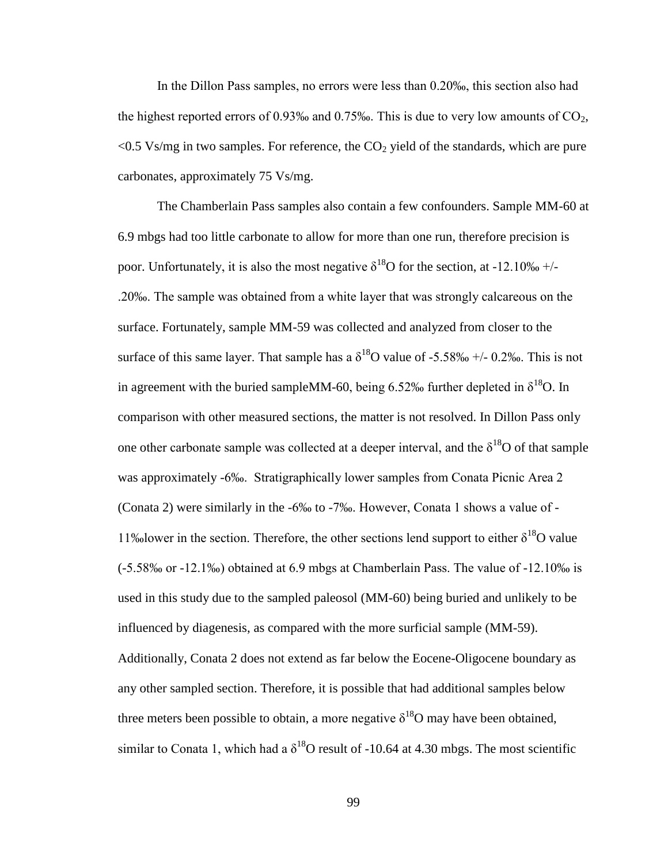In the Dillon Pass samples, no errors were less than 0.20‰, this section also had the highest reported errors of 0.93‰ and 0.75‰. This is due to very low amounts of  $CO<sub>2</sub>$ ,  $\leq$  0.5 Vs/mg in two samples. For reference, the CO<sub>2</sub> yield of the standards, which are pure carbonates, approximately 75 Vs/mg.

The Chamberlain Pass samples also contain a few confounders. Sample MM-60 at 6.9 mbgs had too little carbonate to allow for more than one run, therefore precision is poor. Unfortunately, it is also the most negative  $\delta^{18}$ O for the section, at -12.10‰ +/-.20‰. The sample was obtained from a white layer that was strongly calcareous on the surface. Fortunately, sample MM-59 was collected and analyzed from closer to the surface of this same layer. That sample has a  $\delta^{18}$ O value of -5.58‰ +/- 0.2‰. This is not in agreement with the buried sampleMM-60, being 6.52‰ further depleted in  $\delta^{18}O$ . In comparison with other measured sections, the matter is not resolved. In Dillon Pass only one other carbonate sample was collected at a deeper interval, and the  $\delta^{18}O$  of that sample was approximately -6‰. Stratigraphically lower samples from Conata Picnic Area 2 (Conata 2) were similarly in the -6‰ to -7‰. However, Conata 1 shows a value of - 11‰lower in the section. Therefore, the other sections lend support to either  $\delta^{18}O$  value (-5.58‰ or -12.1‰) obtained at 6.9 mbgs at Chamberlain Pass. The value of -12.10‰ is used in this study due to the sampled paleosol (MM-60) being buried and unlikely to be influenced by diagenesis, as compared with the more surficial sample (MM-59). Additionally, Conata 2 does not extend as far below the Eocene-Oligocene boundary as any other sampled section. Therefore, it is possible that had additional samples below three meters been possible to obtain, a more negative  $\delta^{18}$ O may have been obtained, similar to Conata 1, which had a  $\delta^{18}$ O result of -10.64 at 4.30 mbgs. The most scientific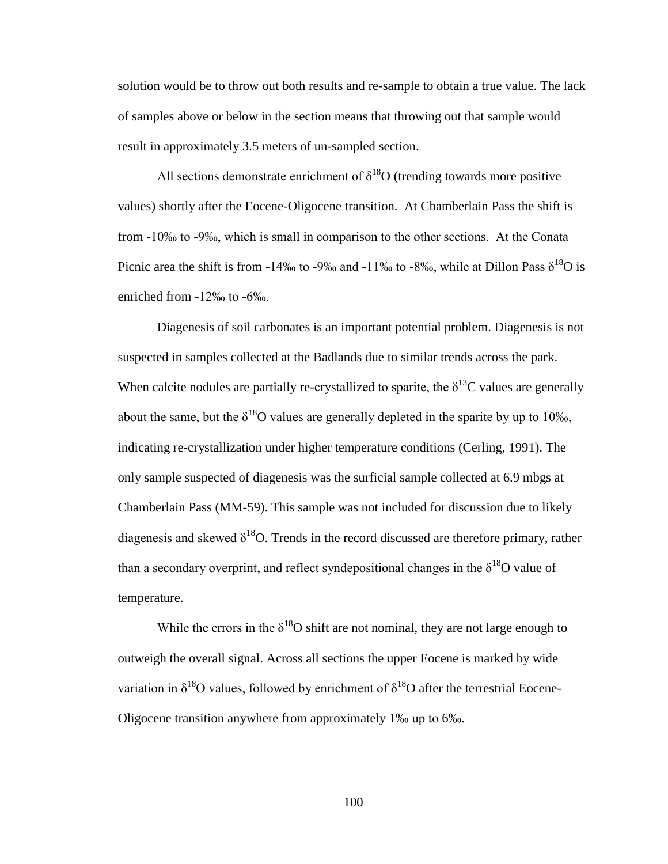solution would be to throw out both results and re-sample to obtain a true value. The lack of samples above or below in the section means that throwing out that sample would result in approximately 3.5 meters of un-sampled section.

All sections demonstrate enrichment of  $\delta^{18}O$  (trending towards more positive values) shortly after the Eocene-Oligocene transition. At Chamberlain Pass the shift is from -10‰ to -9‰, which is small in comparison to the other sections. At the Conata Picnic area the shift is from -14‰ to -9‰ and -11‰ to -8‰, while at Dillon Pass  $\delta^{18}O$  is enriched from -12‰ to -6‰.

Diagenesis of soil carbonates is an important potential problem. Diagenesis is not suspected in samples collected at the Badlands due to similar trends across the park. When calcite nodules are partially re-crystallized to sparite, the  $\delta^{13}$ C values are generally about the same, but the  $\delta^{18}O$  values are generally depleted in the sparite by up to 10‰, indicating re-crystallization under higher temperature conditions (Cerling, 1991). The only sample suspected of diagenesis was the surficial sample collected at 6.9 mbgs at Chamberlain Pass (MM-59). This sample was not included for discussion due to likely diagenesis and skewed  $\delta^{18}O$ . Trends in the record discussed are therefore primary, rather than a secondary overprint, and reflect syndepositional changes in the  $\delta^{18}O$  value of temperature.

While the errors in the  $\delta^{18}O$  shift are not nominal, they are not large enough to outweigh the overall signal. Across all sections the upper Eocene is marked by wide variation in  $\delta^{18}O$  values, followed by enrichment of  $\delta^{18}O$  after the terrestrial Eocene-Oligocene transition anywhere from approximately 1‰ up to 6‰.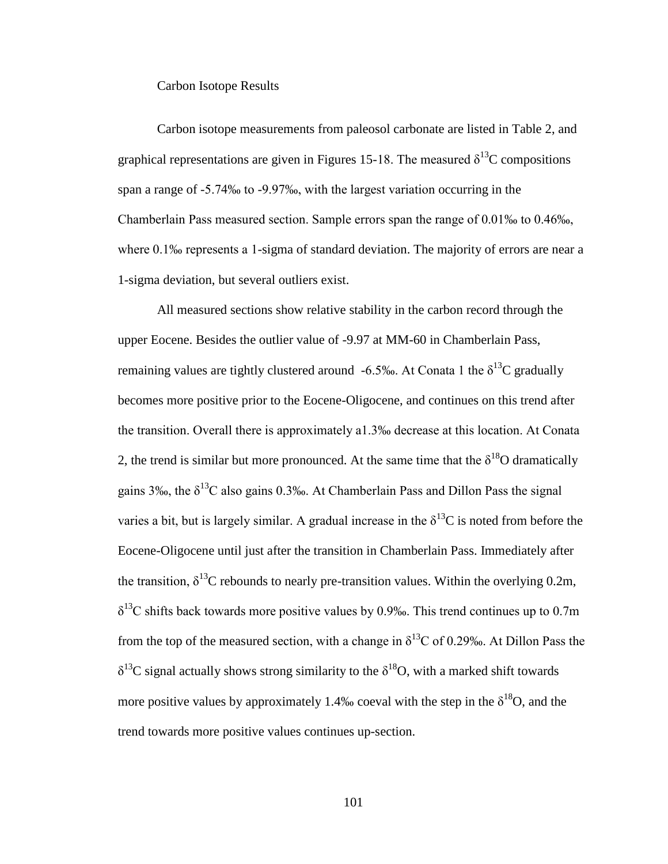Carbon Isotope Results

Carbon isotope measurements from paleosol carbonate are listed in Table 2, and graphical representations are given in Figures 15-18. The measured  $\delta^{13}$ C compositions span a range of -5.74‰ to -9.97‰, with the largest variation occurring in the Chamberlain Pass measured section. Sample errors span the range of 0.01‰ to 0.46‰, where 0.1‰ represents a 1-sigma of standard deviation. The majority of errors are near a 1-sigma deviation, but several outliers exist.

All measured sections show relative stability in the carbon record through the upper Eocene. Besides the outlier value of -9.97 at MM-60 in Chamberlain Pass, remaining values are tightly clustered around -6.5‰. At Conata 1 the  $\delta^{13}C$  gradually becomes more positive prior to the Eocene-Oligocene, and continues on this trend after the transition. Overall there is approximately a1.3‰ decrease at this location. At Conata 2, the trend is similar but more pronounced. At the same time that the  $\delta^{18}O$  dramatically gains 3‰, the  $\delta^{13}$ C also gains 0.3‰. At Chamberlain Pass and Dillon Pass the signal varies a bit, but is largely similar. A gradual increase in the  $\delta^{13}C$  is noted from before the Eocene-Oligocene until just after the transition in Chamberlain Pass. Immediately after the transition,  $\delta^{13}$ C rebounds to nearly pre-transition values. Within the overlying 0.2m,  $\delta^{13}$ C shifts back towards more positive values by 0.9‰. This trend continues up to 0.7m from the top of the measured section, with a change in  $\delta^{13}$ C of 0.29‰. At Dillon Pass the  $\delta^{13}$ C signal actually shows strong similarity to the  $\delta^{18}$ O, with a marked shift towards more positive values by approximately 1.4‰ coeval with the step in the  $\delta^{18}O$ , and the trend towards more positive values continues up-section.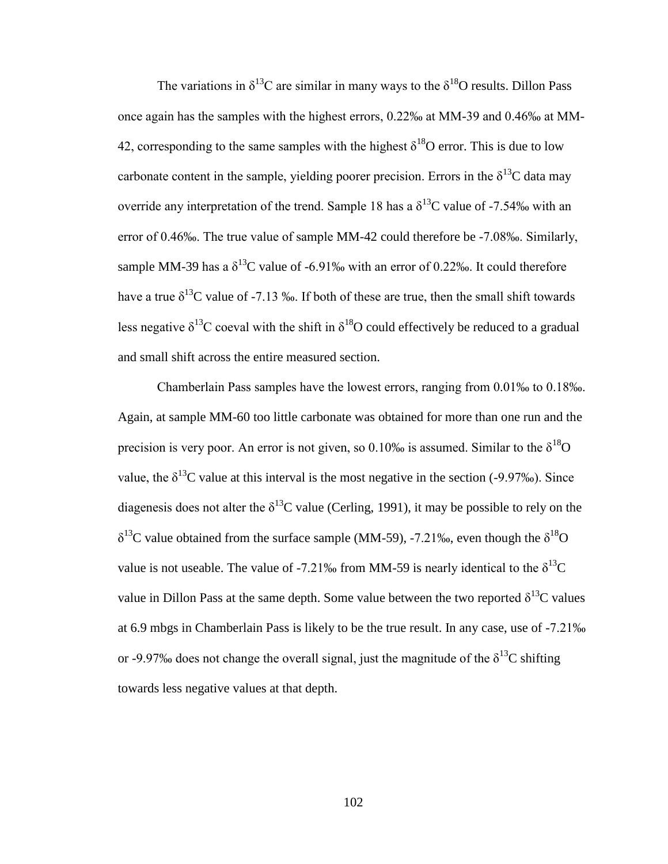The variations in  $\delta^{13}$ C are similar in many ways to the  $\delta^{18}$ O results. Dillon Pass once again has the samples with the highest errors, 0.22‰ at MM-39 and 0.46‰ at MM-42, corresponding to the same samples with the highest  $\delta^{18}$ O error. This is due to low carbonate content in the sample, yielding poorer precision. Errors in the  $\delta^{13}C$  data may override any interpretation of the trend. Sample 18 has a  $\delta^{13}$ C value of -7.54‰ with an error of 0.46‰. The true value of sample MM-42 could therefore be -7.08‰. Similarly, sample MM-39 has a  $\delta^{13}$ C value of -6.91‰ with an error of 0.22‰. It could therefore have a true  $\delta^{13}$ C value of -7.13 ‰. If both of these are true, then the small shift towards less negative  $\delta^{13}$ C coeval with the shift in  $\delta^{18}$ O could effectively be reduced to a gradual and small shift across the entire measured section.

Chamberlain Pass samples have the lowest errors, ranging from 0.01‰ to 0.18‰. Again, at sample MM-60 too little carbonate was obtained for more than one run and the precision is very poor. An error is not given, so 0.10‰ is assumed. Similar to the  $\delta^{18}O$ value, the  $\delta^{13}$ C value at this interval is the most negative in the section (-9.97‰). Since diagenesis does not alter the  $\delta^{13}$ C value (Cerling, 1991), it may be possible to rely on the  $\delta^{13}$ C value obtained from the surface sample (MM-59), -7.21‰, even though the  $\delta^{18}$ O value is not useable. The value of -7.21‰ from MM-59 is nearly identical to the  $\delta^{13}C$ value in Dillon Pass at the same depth. Some value between the two reported  $\delta^{13}C$  values at 6.9 mbgs in Chamberlain Pass is likely to be the true result. In any case, use of -7.21‰ or -9.97‰ does not change the overall signal, just the magnitude of the  $\delta^{13}C$  shifting towards less negative values at that depth.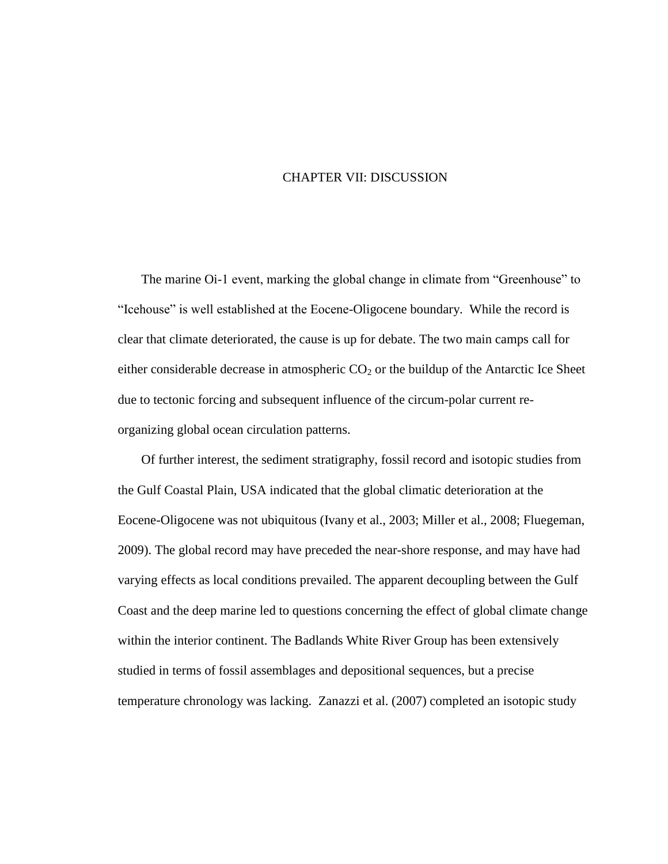# CHAPTER VII: DISCUSSION

The marine Oi-1 event, marking the global change in climate from "Greenhouse" to "Icehouse" is well established at the Eocene-Oligocene boundary. While the record is clear that climate deteriorated, the cause is up for debate. The two main camps call for either considerable decrease in atmospheric  $CO<sub>2</sub>$  or the buildup of the Antarctic Ice Sheet due to tectonic forcing and subsequent influence of the circum-polar current reorganizing global ocean circulation patterns.

Of further interest, the sediment stratigraphy, fossil record and isotopic studies from the Gulf Coastal Plain, USA indicated that the global climatic deterioration at the Eocene-Oligocene was not ubiquitous (Ivany et al., 2003; Miller et al., 2008; Fluegeman, 2009). The global record may have preceded the near-shore response, and may have had varying effects as local conditions prevailed. The apparent decoupling between the Gulf Coast and the deep marine led to questions concerning the effect of global climate change within the interior continent. The Badlands White River Group has been extensively studied in terms of fossil assemblages and depositional sequences, but a precise temperature chronology was lacking. Zanazzi et al. (2007) completed an isotopic study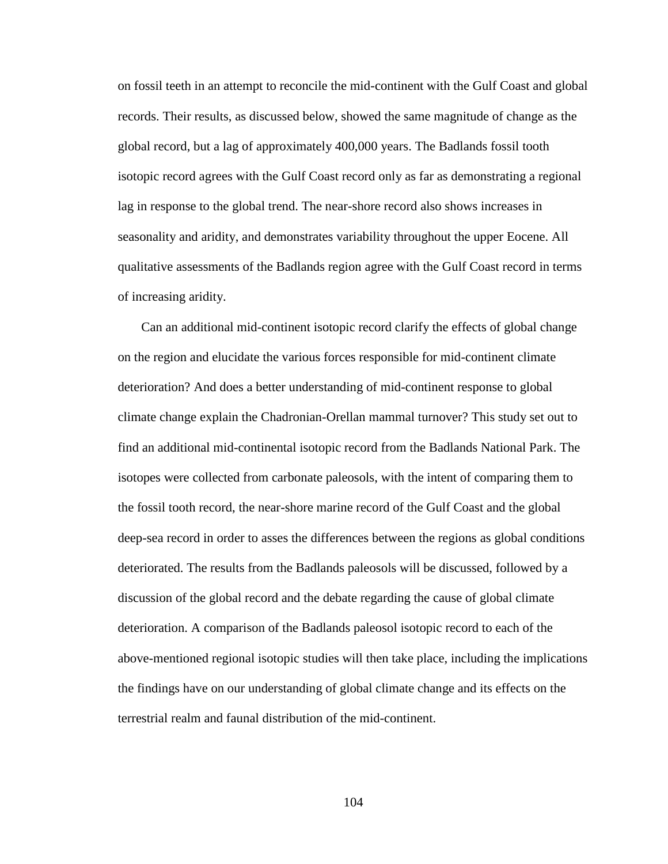on fossil teeth in an attempt to reconcile the mid-continent with the Gulf Coast and global records. Their results, as discussed below, showed the same magnitude of change as the global record, but a lag of approximately 400,000 years. The Badlands fossil tooth isotopic record agrees with the Gulf Coast record only as far as demonstrating a regional lag in response to the global trend. The near-shore record also shows increases in seasonality and aridity, and demonstrates variability throughout the upper Eocene. All qualitative assessments of the Badlands region agree with the Gulf Coast record in terms of increasing aridity.

Can an additional mid-continent isotopic record clarify the effects of global change on the region and elucidate the various forces responsible for mid-continent climate deterioration? And does a better understanding of mid-continent response to global climate change explain the Chadronian-Orellan mammal turnover? This study set out to find an additional mid-continental isotopic record from the Badlands National Park. The isotopes were collected from carbonate paleosols, with the intent of comparing them to the fossil tooth record, the near-shore marine record of the Gulf Coast and the global deep-sea record in order to asses the differences between the regions as global conditions deteriorated. The results from the Badlands paleosols will be discussed, followed by a discussion of the global record and the debate regarding the cause of global climate deterioration. A comparison of the Badlands paleosol isotopic record to each of the above-mentioned regional isotopic studies will then take place, including the implications the findings have on our understanding of global climate change and its effects on the terrestrial realm and faunal distribution of the mid-continent.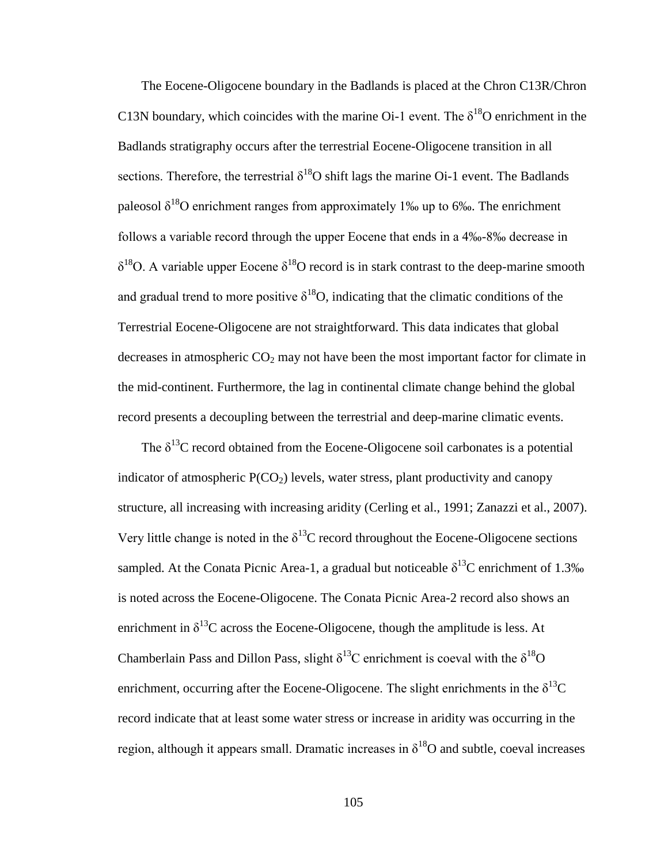The Eocene-Oligocene boundary in the Badlands is placed at the Chron C13R/Chron C13N boundary, which coincides with the marine Oi-1 event. The  $\delta^{18}$ O enrichment in the Badlands stratigraphy occurs after the terrestrial Eocene-Oligocene transition in all sections. Therefore, the terrestrial  $\delta^{18}O$  shift lags the marine Oi-1 event. The Badlands paleosol  $\delta^{18}$ O enrichment ranges from approximately 1‰ up to 6‰. The enrichment follows a variable record through the upper Eocene that ends in a 4‰-8‰ decrease in  $\delta^{18}$ O. A variable upper Eocene  $\delta^{18}$ O record is in stark contrast to the deep-marine smooth and gradual trend to more positive  $\delta^{18}O$ , indicating that the climatic conditions of the Terrestrial Eocene-Oligocene are not straightforward. This data indicates that global decreases in atmospheric  $CO<sub>2</sub>$  may not have been the most important factor for climate in the mid-continent. Furthermore, the lag in continental climate change behind the global record presents a decoupling between the terrestrial and deep-marine climatic events.

The  $\delta^{13}$ C record obtained from the Eocene-Oligocene soil carbonates is a potential indicator of atmospheric  $P(CO<sub>2</sub>)$  levels, water stress, plant productivity and canopy structure, all increasing with increasing aridity (Cerling et al., 1991; Zanazzi et al., 2007). Very little change is noted in the  $\delta^{13}$ C record throughout the Eocene-Oligocene sections sampled. At the Conata Picnic Area-1, a gradual but noticeable  $\delta^{13}$ C enrichment of 1.3‰ is noted across the Eocene-Oligocene. The Conata Picnic Area-2 record also shows an enrichment in  $\delta^{13}$ C across the Eocene-Oligocene, though the amplitude is less. At Chamberlain Pass and Dillon Pass, slight  $\delta^{13}$ C enrichment is coeval with the  $\delta^{18}$ O enrichment, occurring after the Eocene-Oligocene. The slight enrichments in the  $\delta^{13}C$ record indicate that at least some water stress or increase in aridity was occurring in the region, although it appears small. Dramatic increases in  $\delta^{18}$ O and subtle, coeval increases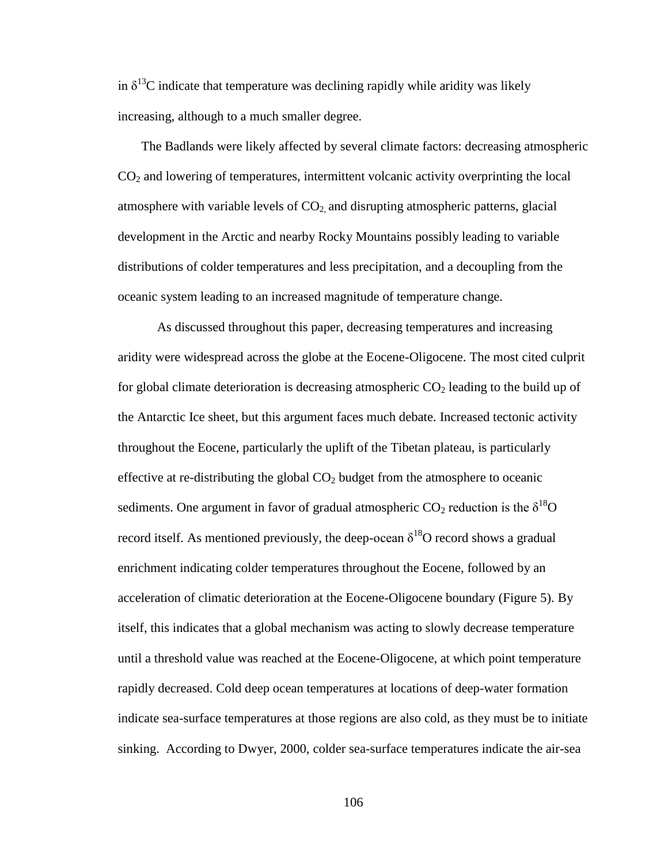in  $\delta^{13}$ C indicate that temperature was declining rapidly while aridity was likely increasing, although to a much smaller degree.

The Badlands were likely affected by several climate factors: decreasing atmospheric CO<sup>2</sup> and lowering of temperatures, intermittent volcanic activity overprinting the local atmosphere with variable levels of  $CO<sub>2</sub>$  and disrupting atmospheric patterns, glacial development in the Arctic and nearby Rocky Mountains possibly leading to variable distributions of colder temperatures and less precipitation, and a decoupling from the oceanic system leading to an increased magnitude of temperature change.

As discussed throughout this paper, decreasing temperatures and increasing aridity were widespread across the globe at the Eocene-Oligocene. The most cited culprit for global climate deterioration is decreasing atmospheric  $CO<sub>2</sub>$  leading to the build up of the Antarctic Ice sheet, but this argument faces much debate. Increased tectonic activity throughout the Eocene, particularly the uplift of the Tibetan plateau, is particularly effective at re-distributing the global  $CO<sub>2</sub>$  budget from the atmosphere to oceanic sediments. One argument in favor of gradual atmospheric  $CO_2$  reduction is the  $\delta^{18}O$ record itself. As mentioned previously, the deep-ocean  $\delta^{18}O$  record shows a gradual enrichment indicating colder temperatures throughout the Eocene, followed by an acceleration of climatic deterioration at the Eocene-Oligocene boundary (Figure 5). By itself, this indicates that a global mechanism was acting to slowly decrease temperature until a threshold value was reached at the Eocene-Oligocene, at which point temperature rapidly decreased. Cold deep ocean temperatures at locations of deep-water formation indicate sea-surface temperatures at those regions are also cold, as they must be to initiate sinking. According to Dwyer, 2000, colder sea-surface temperatures indicate the air-sea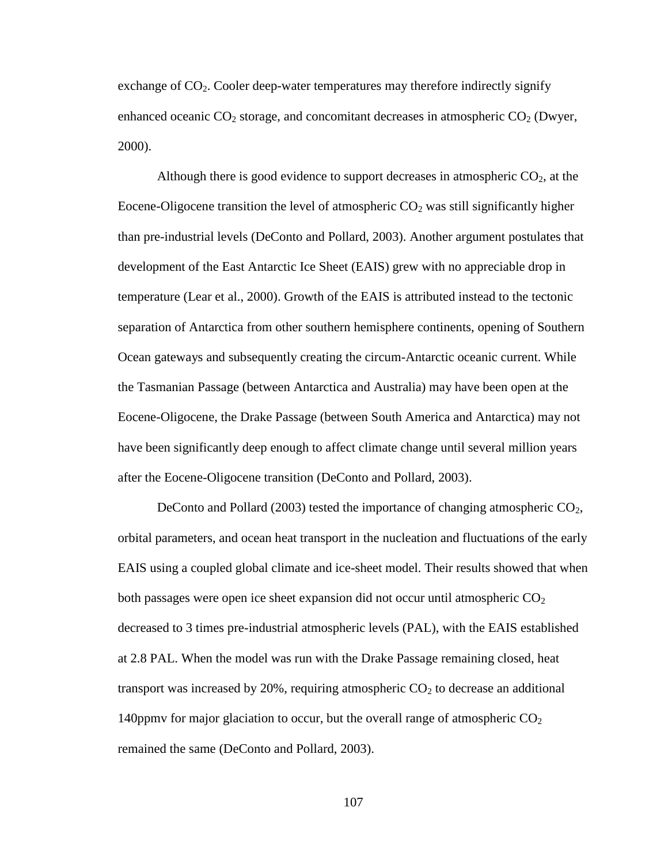exchange of  $CO<sub>2</sub>$ . Cooler deep-water temperatures may therefore indirectly signify enhanced oceanic  $CO_2$  storage, and concomitant decreases in atmospheric  $CO_2$  (Dwyer, 2000).

Although there is good evidence to support decreases in atmospheric  $CO<sub>2</sub>$ , at the Eocene-Oligocene transition the level of atmospheric  $CO<sub>2</sub>$  was still significantly higher than pre-industrial levels (DeConto and Pollard, 2003). Another argument postulates that development of the East Antarctic Ice Sheet (EAIS) grew with no appreciable drop in temperature (Lear et al., 2000). Growth of the EAIS is attributed instead to the tectonic separation of Antarctica from other southern hemisphere continents, opening of Southern Ocean gateways and subsequently creating the circum-Antarctic oceanic current. While the Tasmanian Passage (between Antarctica and Australia) may have been open at the Eocene-Oligocene, the Drake Passage (between South America and Antarctica) may not have been significantly deep enough to affect climate change until several million years after the Eocene-Oligocene transition (DeConto and Pollard, 2003).

DeConto and Pollard (2003) tested the importance of changing atmospheric  $CO<sub>2</sub>$ , orbital parameters, and ocean heat transport in the nucleation and fluctuations of the early EAIS using a coupled global climate and ice-sheet model. Their results showed that when both passages were open ice sheet expansion did not occur until atmospheric  $CO<sub>2</sub>$ decreased to 3 times pre-industrial atmospheric levels (PAL), with the EAIS established at 2.8 PAL. When the model was run with the Drake Passage remaining closed, heat transport was increased by 20%, requiring atmospheric  $CO<sub>2</sub>$  to decrease an additional 140 ppmv for major glaciation to occur, but the overall range of atmospheric  $CO<sub>2</sub>$ remained the same (DeConto and Pollard, 2003).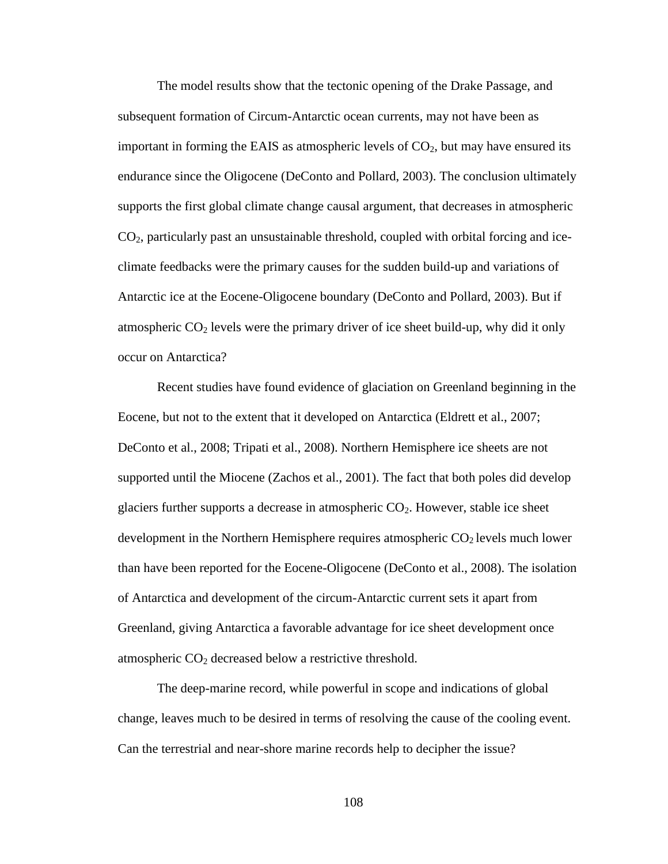The model results show that the tectonic opening of the Drake Passage, and subsequent formation of Circum-Antarctic ocean currents, may not have been as important in forming the EAIS as atmospheric levels of  $CO<sub>2</sub>$ , but may have ensured its endurance since the Oligocene (DeConto and Pollard, 2003). The conclusion ultimately supports the first global climate change causal argument, that decreases in atmospheric CO2, particularly past an unsustainable threshold, coupled with orbital forcing and iceclimate feedbacks were the primary causes for the sudden build-up and variations of Antarctic ice at the Eocene-Oligocene boundary (DeConto and Pollard, 2003). But if atmospheric  $CO<sub>2</sub>$  levels were the primary driver of ice sheet build-up, why did it only occur on Antarctica?

Recent studies have found evidence of glaciation on Greenland beginning in the Eocene, but not to the extent that it developed on Antarctica (Eldrett et al., 2007; DeConto et al., 2008; Tripati et al., 2008). Northern Hemisphere ice sheets are not supported until the Miocene (Zachos et al., 2001). The fact that both poles did develop glaciers further supports a decrease in atmospheric  $CO<sub>2</sub>$ . However, stable ice sheet development in the Northern Hemisphere requires atmospheric  $CO<sub>2</sub>$  levels much lower than have been reported for the Eocene-Oligocene (DeConto et al., 2008). The isolation of Antarctica and development of the circum-Antarctic current sets it apart from Greenland, giving Antarctica a favorable advantage for ice sheet development once atmospheric  $CO<sub>2</sub>$  decreased below a restrictive threshold.

The deep-marine record, while powerful in scope and indications of global change, leaves much to be desired in terms of resolving the cause of the cooling event. Can the terrestrial and near-shore marine records help to decipher the issue?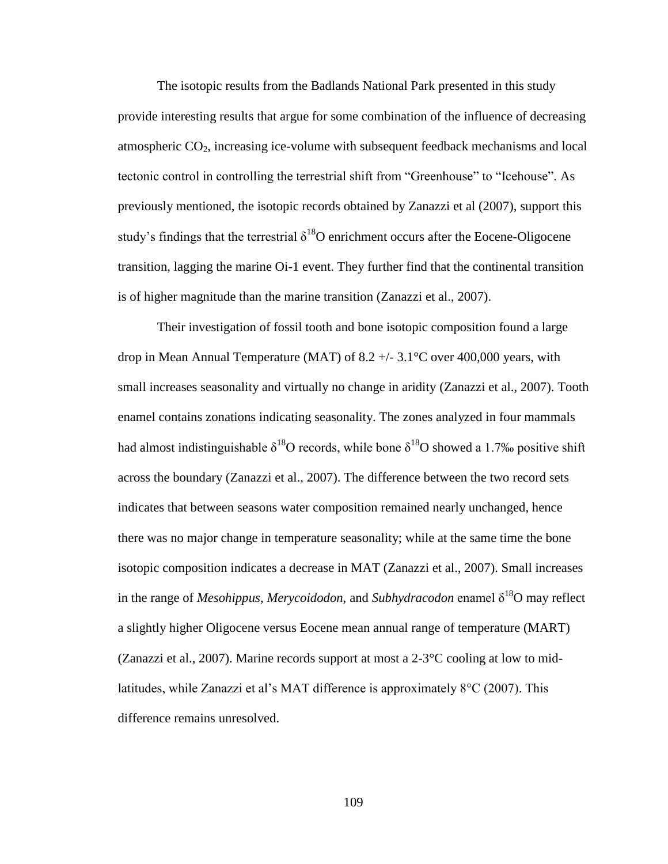The isotopic results from the Badlands National Park presented in this study provide interesting results that argue for some combination of the influence of decreasing atmospheric  $CO<sub>2</sub>$ , increasing ice-volume with subsequent feedback mechanisms and local tectonic control in controlling the terrestrial shift from "Greenhouse" to "Icehouse". As previously mentioned, the isotopic records obtained by Zanazzi et al (2007), support this study's findings that the terrestrial  $\delta^{18}O$  enrichment occurs after the Eocene-Oligocene transition, lagging the marine Oi-1 event. They further find that the continental transition is of higher magnitude than the marine transition (Zanazzi et al., 2007).

Their investigation of fossil tooth and bone isotopic composition found a large drop in Mean Annual Temperature (MAT) of 8.2  $+/- 3.1^{\circ}$ C over 400,000 years, with small increases seasonality and virtually no change in aridity (Zanazzi et al., 2007). Tooth enamel contains zonations indicating seasonality. The zones analyzed in four mammals had almost indistinguishable  $\delta^{18}O$  records, while bone  $\delta^{18}O$  showed a 1.7‰ positive shift across the boundary (Zanazzi et al., 2007). The difference between the two record sets indicates that between seasons water composition remained nearly unchanged, hence there was no major change in temperature seasonality; while at the same time the bone isotopic composition indicates a decrease in MAT (Zanazzi et al., 2007). Small increases in the range of *Mesohippus*, *Merycoidodon*, and *Subhydracodon* enamel  $\delta^{18}O$  may reflect a slightly higher Oligocene versus Eocene mean annual range of temperature (MART) (Zanazzi et al., 2007). Marine records support at most a 2-3°C cooling at low to midlatitudes, while Zanazzi et al's MAT difference is approximately 8°C (2007). This difference remains unresolved.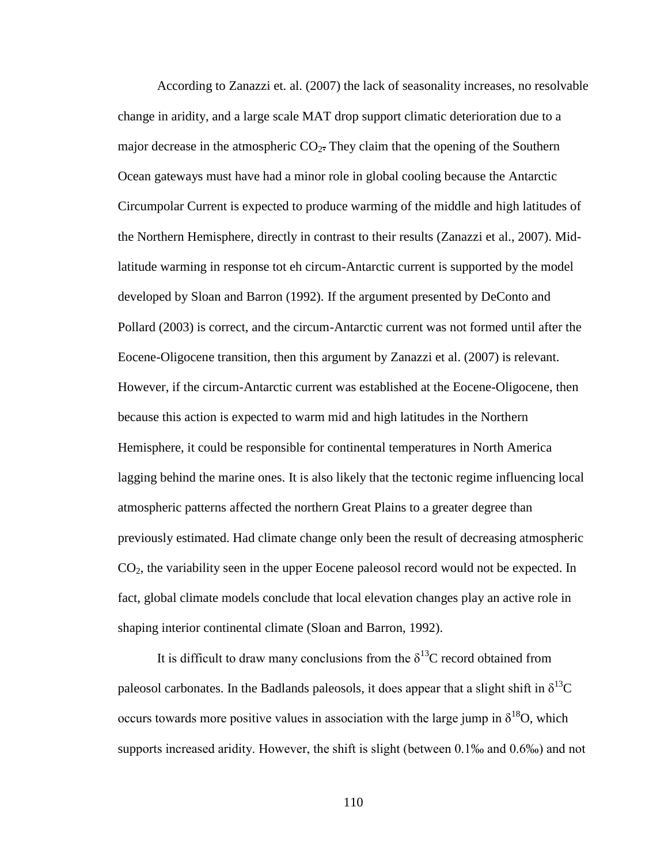According to Zanazzi et. al. (2007) the lack of seasonality increases, no resolvable change in aridity, and a large scale MAT drop support climatic deterioration due to a major decrease in the atmospheric  $CO<sub>2</sub>$ . They claim that the opening of the Southern Ocean gateways must have had a minor role in global cooling because the Antarctic Circumpolar Current is expected to produce warming of the middle and high latitudes of the Northern Hemisphere, directly in contrast to their results (Zanazzi et al., 2007). Midlatitude warming in response tot eh circum-Antarctic current is supported by the model developed by Sloan and Barron (1992). If the argument presented by DeConto and Pollard (2003) is correct, and the circum-Antarctic current was not formed until after the Eocene-Oligocene transition, then this argument by Zanazzi et al. (2007) is relevant. However, if the circum-Antarctic current was established at the Eocene-Oligocene, then because this action is expected to warm mid and high latitudes in the Northern Hemisphere, it could be responsible for continental temperatures in North America lagging behind the marine ones. It is also likely that the tectonic regime influencing local atmospheric patterns affected the northern Great Plains to a greater degree than previously estimated. Had climate change only been the result of decreasing atmospheric CO2, the variability seen in the upper Eocene paleosol record would not be expected. In fact, global climate models conclude that local elevation changes play an active role in shaping interior continental climate (Sloan and Barron, 1992).

It is difficult to draw many conclusions from the  $\delta^{13}$ C record obtained from paleosol carbonates. In the Badlands paleosols, it does appear that a slight shift in  $\delta^{13}C$ occurs towards more positive values in association with the large jump in  $\delta^{18}O$ , which supports increased aridity. However, the shift is slight (between 0.1‰ and 0.6‰) and not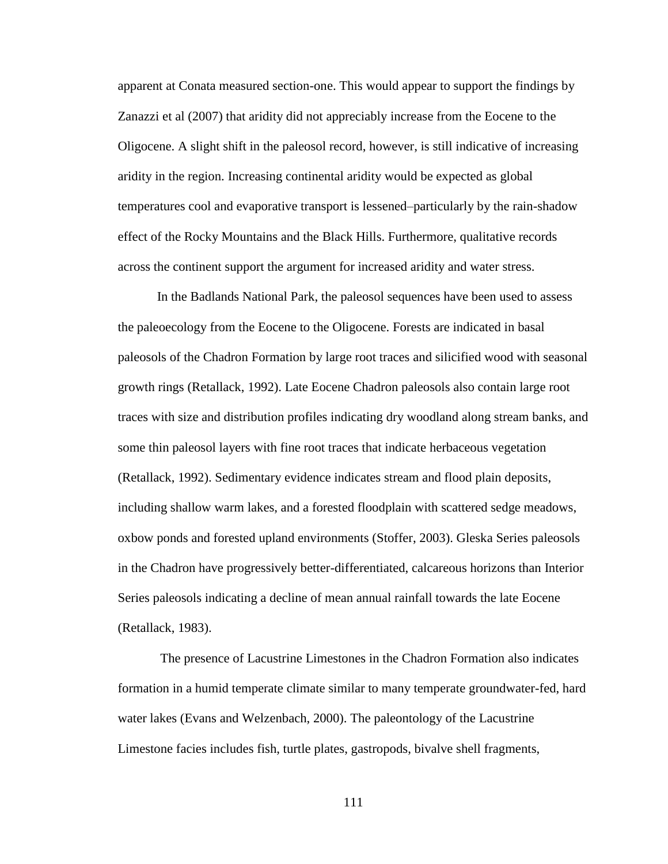apparent at Conata measured section-one. This would appear to support the findings by Zanazzi et al (2007) that aridity did not appreciably increase from the Eocene to the Oligocene. A slight shift in the paleosol record, however, is still indicative of increasing aridity in the region. Increasing continental aridity would be expected as global temperatures cool and evaporative transport is lessened–particularly by the rain-shadow effect of the Rocky Mountains and the Black Hills. Furthermore, qualitative records across the continent support the argument for increased aridity and water stress.

In the Badlands National Park, the paleosol sequences have been used to assess the paleoecology from the Eocene to the Oligocene. Forests are indicated in basal paleosols of the Chadron Formation by large root traces and silicified wood with seasonal growth rings (Retallack, 1992). Late Eocene Chadron paleosols also contain large root traces with size and distribution profiles indicating dry woodland along stream banks, and some thin paleosol layers with fine root traces that indicate herbaceous vegetation (Retallack, 1992). Sedimentary evidence indicates stream and flood plain deposits, including shallow warm lakes, and a forested floodplain with scattered sedge meadows, oxbow ponds and forested upland environments (Stoffer, 2003). Gleska Series paleosols in the Chadron have progressively better-differentiated, calcareous horizons than Interior Series paleosols indicating a decline of mean annual rainfall towards the late Eocene (Retallack, 1983).

The presence of Lacustrine Limestones in the Chadron Formation also indicates formation in a humid temperate climate similar to many temperate groundwater-fed, hard water lakes (Evans and Welzenbach, 2000). The paleontology of the Lacustrine Limestone facies includes fish, turtle plates, gastropods, bivalve shell fragments,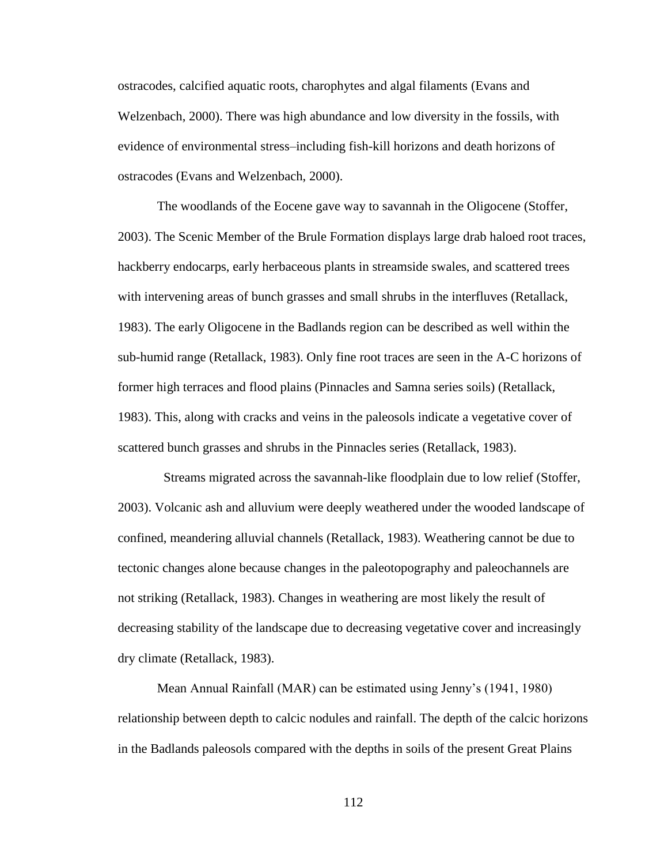ostracodes, calcified aquatic roots, charophytes and algal filaments (Evans and Welzenbach, 2000). There was high abundance and low diversity in the fossils, with evidence of environmental stress–including fish-kill horizons and death horizons of ostracodes (Evans and Welzenbach, 2000).

The woodlands of the Eocene gave way to savannah in the Oligocene (Stoffer, 2003). The Scenic Member of the Brule Formation displays large drab haloed root traces, hackberry endocarps, early herbaceous plants in streamside swales, and scattered trees with intervening areas of bunch grasses and small shrubs in the interfluves (Retallack, 1983). The early Oligocene in the Badlands region can be described as well within the sub-humid range (Retallack, 1983). Only fine root traces are seen in the A-C horizons of former high terraces and flood plains (Pinnacles and Samna series soils) (Retallack, 1983). This, along with cracks and veins in the paleosols indicate a vegetative cover of scattered bunch grasses and shrubs in the Pinnacles series (Retallack, 1983).

 Streams migrated across the savannah-like floodplain due to low relief (Stoffer, 2003). Volcanic ash and alluvium were deeply weathered under the wooded landscape of confined, meandering alluvial channels (Retallack, 1983). Weathering cannot be due to tectonic changes alone because changes in the paleotopography and paleochannels are not striking (Retallack, 1983). Changes in weathering are most likely the result of decreasing stability of the landscape due to decreasing vegetative cover and increasingly dry climate (Retallack, 1983).

Mean Annual Rainfall (MAR) can be estimated using Jenny's (1941, 1980) relationship between depth to calcic nodules and rainfall. The depth of the calcic horizons in the Badlands paleosols compared with the depths in soils of the present Great Plains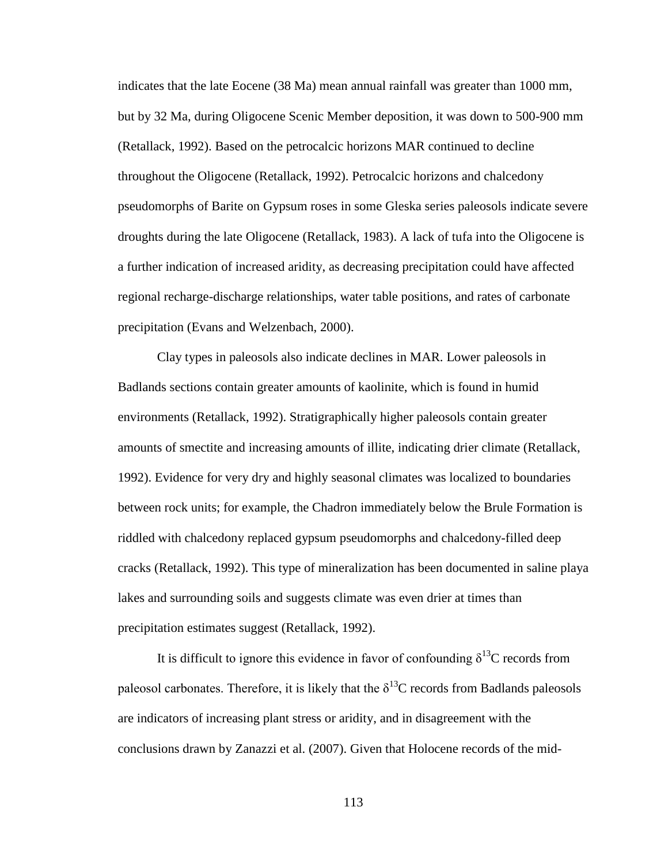indicates that the late Eocene (38 Ma) mean annual rainfall was greater than 1000 mm, but by 32 Ma, during Oligocene Scenic Member deposition, it was down to 500-900 mm (Retallack, 1992). Based on the petrocalcic horizons MAR continued to decline throughout the Oligocene (Retallack, 1992). Petrocalcic horizons and chalcedony pseudomorphs of Barite on Gypsum roses in some Gleska series paleosols indicate severe droughts during the late Oligocene (Retallack, 1983). A lack of tufa into the Oligocene is a further indication of increased aridity, as decreasing precipitation could have affected regional recharge-discharge relationships, water table positions, and rates of carbonate precipitation (Evans and Welzenbach, 2000).

Clay types in paleosols also indicate declines in MAR. Lower paleosols in Badlands sections contain greater amounts of kaolinite, which is found in humid environments (Retallack, 1992). Stratigraphically higher paleosols contain greater amounts of smectite and increasing amounts of illite, indicating drier climate (Retallack, 1992). Evidence for very dry and highly seasonal climates was localized to boundaries between rock units; for example, the Chadron immediately below the Brule Formation is riddled with chalcedony replaced gypsum pseudomorphs and chalcedony-filled deep cracks (Retallack, 1992). This type of mineralization has been documented in saline playa lakes and surrounding soils and suggests climate was even drier at times than precipitation estimates suggest (Retallack, 1992).

It is difficult to ignore this evidence in favor of confounding  $\delta^{13}C$  records from paleosol carbonates. Therefore, it is likely that the  $\delta^{13}$ C records from Badlands paleosols are indicators of increasing plant stress or aridity, and in disagreement with the conclusions drawn by Zanazzi et al. (2007). Given that Holocene records of the mid-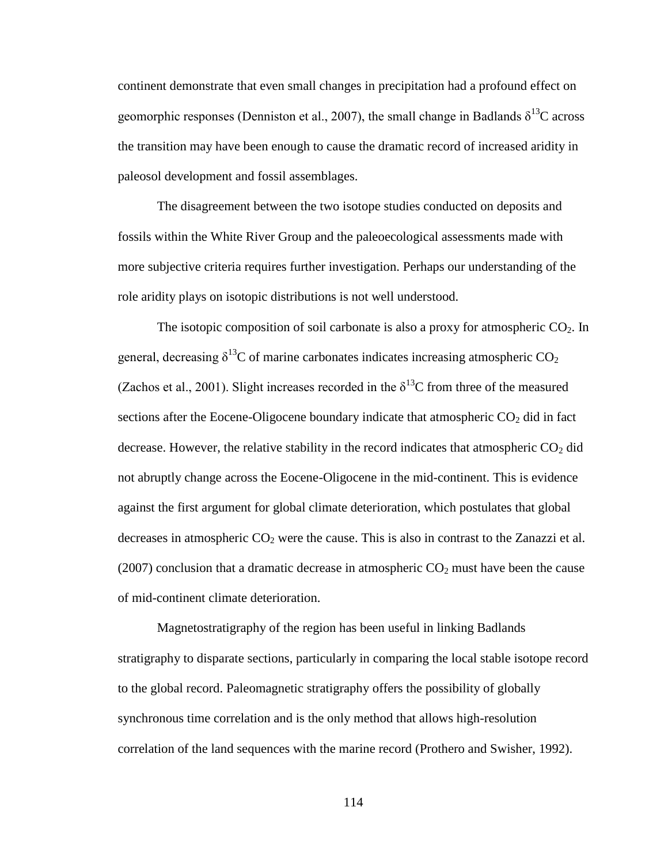continent demonstrate that even small changes in precipitation had a profound effect on geomorphic responses (Denniston et al., 2007), the small change in Badlands  $\delta^{13}C$  across the transition may have been enough to cause the dramatic record of increased aridity in paleosol development and fossil assemblages.

The disagreement between the two isotope studies conducted on deposits and fossils within the White River Group and the paleoecological assessments made with more subjective criteria requires further investigation. Perhaps our understanding of the role aridity plays on isotopic distributions is not well understood.

The isotopic composition of soil carbonate is also a proxy for atmospheric  $CO<sub>2</sub>$ . In general, decreasing  $\delta^{13}$ C of marine carbonates indicates increasing atmospheric CO<sub>2</sub> (Zachos et al., 2001). Slight increases recorded in the  $\delta^{13}$ C from three of the measured sections after the Eocene-Oligocene boundary indicate that atmospheric  $CO<sub>2</sub>$  did in fact decrease. However, the relative stability in the record indicates that atmospheric  $CO<sub>2</sub>$  did not abruptly change across the Eocene-Oligocene in the mid-continent. This is evidence against the first argument for global climate deterioration, which postulates that global decreases in atmospheric  $CO<sub>2</sub>$  were the cause. This is also in contrast to the Zanazzi et al. (2007) conclusion that a dramatic decrease in atmospheric  $CO<sub>2</sub>$  must have been the cause of mid-continent climate deterioration.

Magnetostratigraphy of the region has been useful in linking Badlands stratigraphy to disparate sections, particularly in comparing the local stable isotope record to the global record. Paleomagnetic stratigraphy offers the possibility of globally synchronous time correlation and is the only method that allows high-resolution correlation of the land sequences with the marine record (Prothero and Swisher, 1992).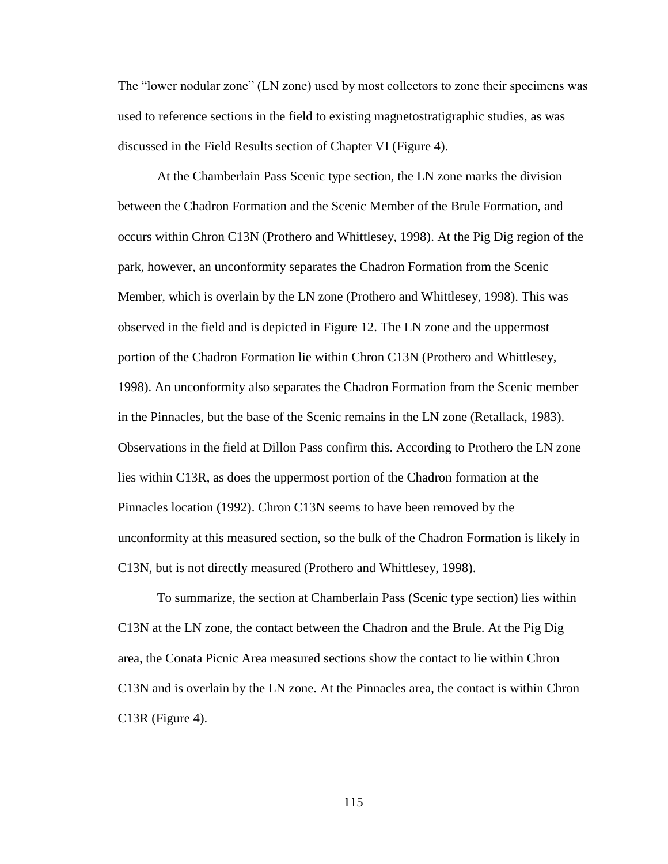The "lower nodular zone" (LN zone) used by most collectors to zone their specimens was used to reference sections in the field to existing magnetostratigraphic studies, as was discussed in the Field Results section of Chapter VI (Figure 4).

At the Chamberlain Pass Scenic type section, the LN zone marks the division between the Chadron Formation and the Scenic Member of the Brule Formation, and occurs within Chron C13N (Prothero and Whittlesey, 1998). At the Pig Dig region of the park, however, an unconformity separates the Chadron Formation from the Scenic Member, which is overlain by the LN zone (Prothero and Whittlesey, 1998). This was observed in the field and is depicted in Figure 12. The LN zone and the uppermost portion of the Chadron Formation lie within Chron C13N (Prothero and Whittlesey, 1998). An unconformity also separates the Chadron Formation from the Scenic member in the Pinnacles, but the base of the Scenic remains in the LN zone (Retallack, 1983). Observations in the field at Dillon Pass confirm this. According to Prothero the LN zone lies within C13R, as does the uppermost portion of the Chadron formation at the Pinnacles location (1992). Chron C13N seems to have been removed by the unconformity at this measured section, so the bulk of the Chadron Formation is likely in C13N, but is not directly measured (Prothero and Whittlesey, 1998).

To summarize, the section at Chamberlain Pass (Scenic type section) lies within C13N at the LN zone, the contact between the Chadron and the Brule. At the Pig Dig area, the Conata Picnic Area measured sections show the contact to lie within Chron C13N and is overlain by the LN zone. At the Pinnacles area, the contact is within Chron C13R (Figure 4).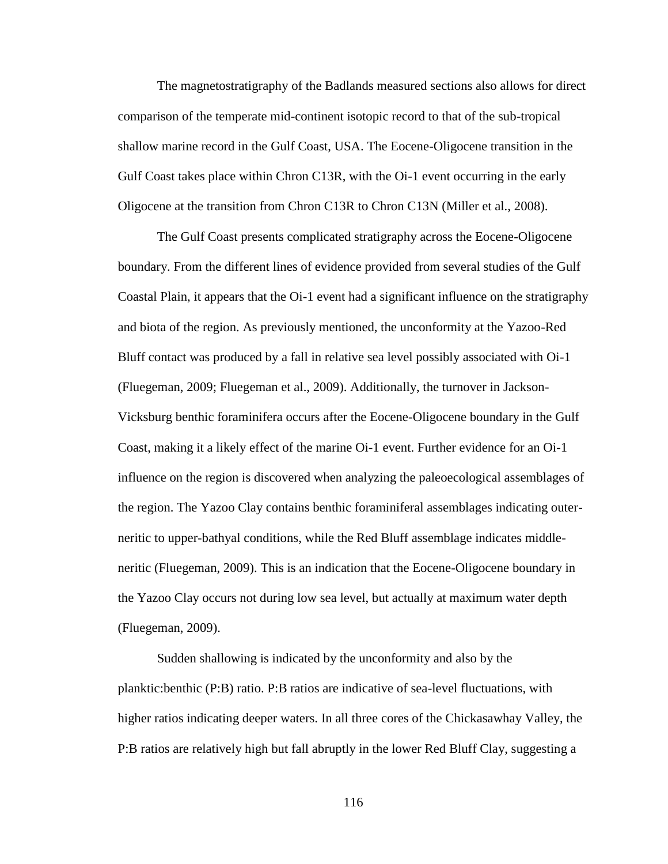The magnetostratigraphy of the Badlands measured sections also allows for direct comparison of the temperate mid-continent isotopic record to that of the sub-tropical shallow marine record in the Gulf Coast, USA. The Eocene-Oligocene transition in the Gulf Coast takes place within Chron C13R, with the Oi-1 event occurring in the early Oligocene at the transition from Chron C13R to Chron C13N (Miller et al., 2008).

The Gulf Coast presents complicated stratigraphy across the Eocene-Oligocene boundary. From the different lines of evidence provided from several studies of the Gulf Coastal Plain, it appears that the Oi-1 event had a significant influence on the stratigraphy and biota of the region. As previously mentioned, the unconformity at the Yazoo-Red Bluff contact was produced by a fall in relative sea level possibly associated with Oi-1 (Fluegeman, 2009; Fluegeman et al., 2009). Additionally, the turnover in Jackson-Vicksburg benthic foraminifera occurs after the Eocene-Oligocene boundary in the Gulf Coast, making it a likely effect of the marine Oi-1 event. Further evidence for an Oi-1 influence on the region is discovered when analyzing the paleoecological assemblages of the region. The Yazoo Clay contains benthic foraminiferal assemblages indicating outerneritic to upper-bathyal conditions, while the Red Bluff assemblage indicates middleneritic (Fluegeman, 2009). This is an indication that the Eocene-Oligocene boundary in the Yazoo Clay occurs not during low sea level, but actually at maximum water depth (Fluegeman, 2009).

Sudden shallowing is indicated by the unconformity and also by the planktic:benthic (P:B) ratio. P:B ratios are indicative of sea-level fluctuations, with higher ratios indicating deeper waters. In all three cores of the Chickasawhay Valley, the P:B ratios are relatively high but fall abruptly in the lower Red Bluff Clay, suggesting a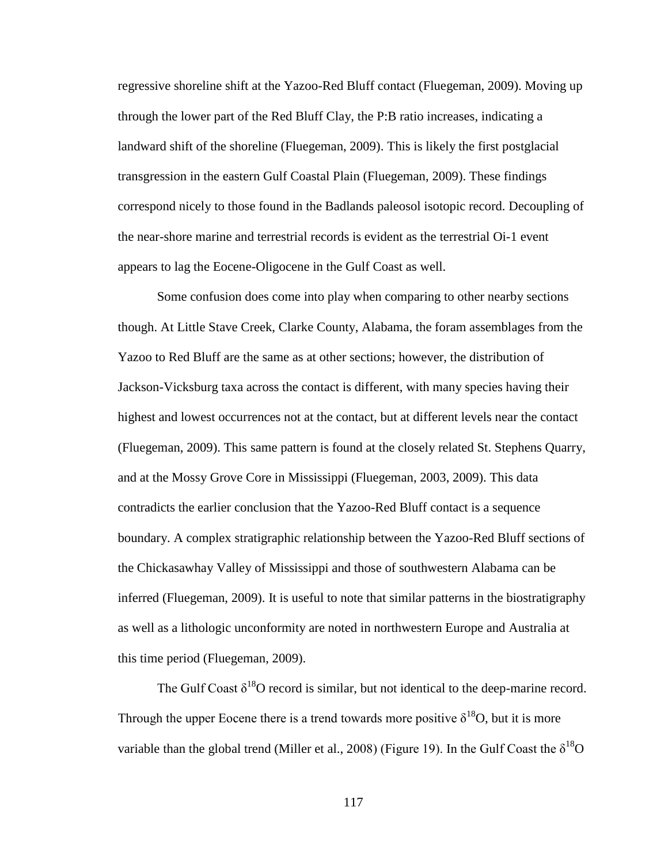regressive shoreline shift at the Yazoo-Red Bluff contact (Fluegeman, 2009). Moving up through the lower part of the Red Bluff Clay, the P:B ratio increases, indicating a landward shift of the shoreline (Fluegeman, 2009). This is likely the first postglacial transgression in the eastern Gulf Coastal Plain (Fluegeman, 2009). These findings correspond nicely to those found in the Badlands paleosol isotopic record. Decoupling of the near-shore marine and terrestrial records is evident as the terrestrial Oi-1 event appears to lag the Eocene-Oligocene in the Gulf Coast as well.

Some confusion does come into play when comparing to other nearby sections though. At Little Stave Creek, Clarke County, Alabama, the foram assemblages from the Yazoo to Red Bluff are the same as at other sections; however, the distribution of Jackson-Vicksburg taxa across the contact is different, with many species having their highest and lowest occurrences not at the contact, but at different levels near the contact (Fluegeman, 2009). This same pattern is found at the closely related St. Stephens Quarry, and at the Mossy Grove Core in Mississippi (Fluegeman, 2003, 2009). This data contradicts the earlier conclusion that the Yazoo-Red Bluff contact is a sequence boundary. A complex stratigraphic relationship between the Yazoo-Red Bluff sections of the Chickasawhay Valley of Mississippi and those of southwestern Alabama can be inferred (Fluegeman, 2009). It is useful to note that similar patterns in the biostratigraphy as well as a lithologic unconformity are noted in northwestern Europe and Australia at this time period (Fluegeman, 2009).

The Gulf Coast  $\delta^{18}O$  record is similar, but not identical to the deep-marine record. Through the upper Eocene there is a trend towards more positive  $\delta^{18}O$ , but it is more variable than the global trend (Miller et al., 2008) (Figure 19). In the Gulf Coast the  $\delta^{18}O$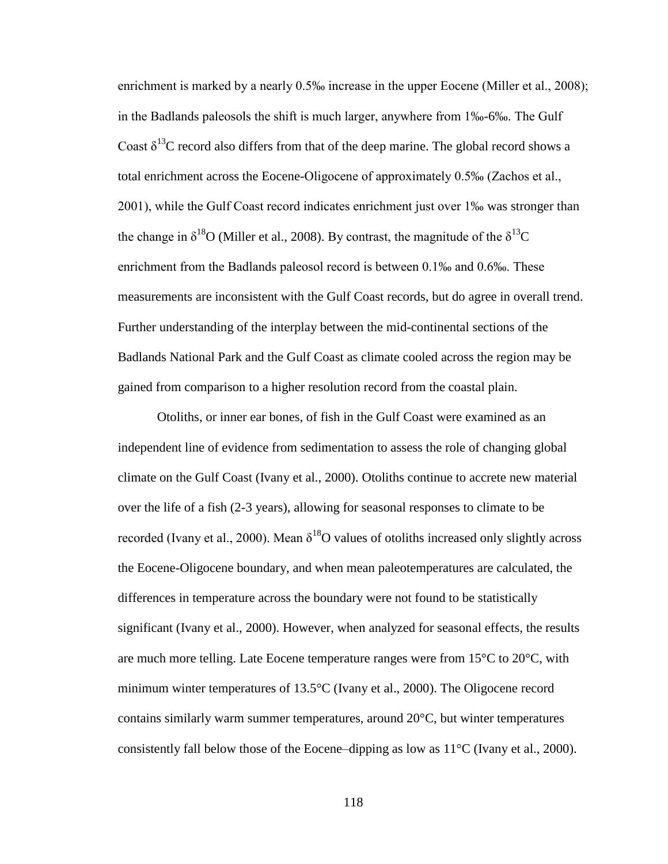enrichment is marked by a nearly 0.5‰ increase in the upper Eocene (Miller et al., 2008); in the Badlands paleosols the shift is much larger, anywhere from 1‰-6‰. The Gulf Coast  $\delta^{13}$ C record also differs from that of the deep marine. The global record shows a total enrichment across the Eocene-Oligocene of approximately 0.5‰ (Zachos et al., 2001), while the Gulf Coast record indicates enrichment just over 1‰ was stronger than the change in  $\delta^{18}$ O (Miller et al., 2008). By contrast, the magnitude of the  $\delta^{13}$ C enrichment from the Badlands paleosol record is between 0.1‰ and 0.6‰. These measurements are inconsistent with the Gulf Coast records, but do agree in overall trend. Further understanding of the interplay between the mid-continental sections of the Badlands National Park and the Gulf Coast as climate cooled across the region may be gained from comparison to a higher resolution record from the coastal plain.

Otoliths, or inner ear bones, of fish in the Gulf Coast were examined as an independent line of evidence from sedimentation to assess the role of changing global climate on the Gulf Coast (Ivany et al., 2000). Otoliths continue to accrete new material over the life of a fish (2-3 years), allowing for seasonal responses to climate to be recorded (Ivany et al., 2000). Mean  $\delta^{18}O$  values of otoliths increased only slightly across the Eocene-Oligocene boundary, and when mean paleotemperatures are calculated, the differences in temperature across the boundary were not found to be statistically significant (Ivany et al., 2000). However, when analyzed for seasonal effects, the results are much more telling. Late Eocene temperature ranges were from  $15^{\circ}$ C to  $20^{\circ}$ C, with minimum winter temperatures of 13.5°C (Ivany et al., 2000). The Oligocene record contains similarly warm summer temperatures, around  $20^{\circ}$ C, but winter temperatures consistently fall below those of the Eocene–dipping as low as  $11^{\circ}$ C (Ivany et al., 2000).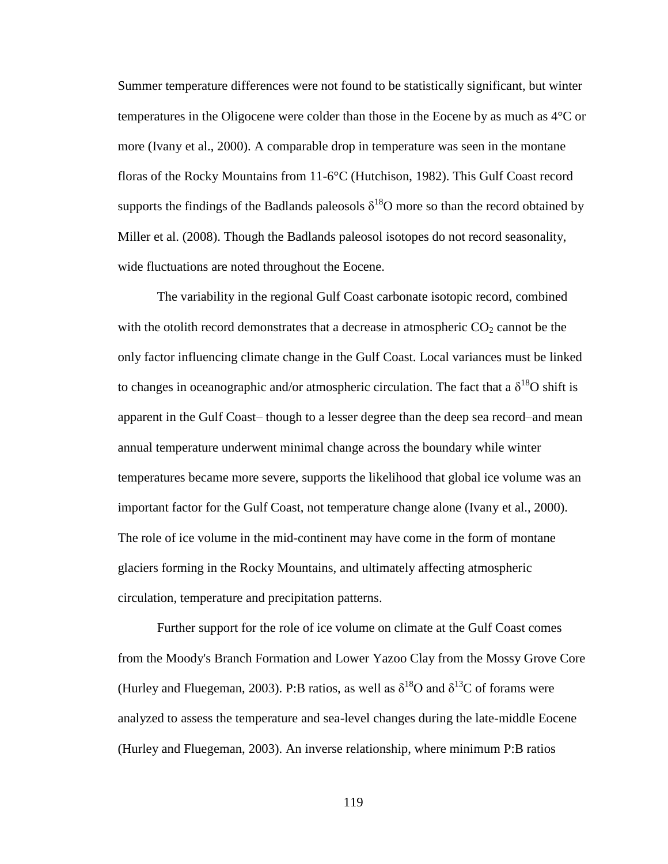Summer temperature differences were not found to be statistically significant, but winter temperatures in the Oligocene were colder than those in the Eocene by as much as 4°C or more (Ivany et al., 2000). A comparable drop in temperature was seen in the montane floras of the Rocky Mountains from 11-6°C (Hutchison, 1982). This Gulf Coast record supports the findings of the Badlands paleosols  $\delta^{18}O$  more so than the record obtained by Miller et al. (2008). Though the Badlands paleosol isotopes do not record seasonality, wide fluctuations are noted throughout the Eocene.

The variability in the regional Gulf Coast carbonate isotopic record, combined with the otolith record demonstrates that a decrease in atmospheric  $CO<sub>2</sub>$  cannot be the only factor influencing climate change in the Gulf Coast. Local variances must be linked to changes in oceanographic and/or atmospheric circulation. The fact that a  $\delta^{18}O$  shift is apparent in the Gulf Coast– though to a lesser degree than the deep sea record–and mean annual temperature underwent minimal change across the boundary while winter temperatures became more severe, supports the likelihood that global ice volume was an important factor for the Gulf Coast, not temperature change alone (Ivany et al., 2000). The role of ice volume in the mid-continent may have come in the form of montane glaciers forming in the Rocky Mountains, and ultimately affecting atmospheric circulation, temperature and precipitation patterns.

Further support for the role of ice volume on climate at the Gulf Coast comes from the Moody's Branch Formation and Lower Yazoo Clay from the Mossy Grove Core (Hurley and Fluegeman, 2003). P:B ratios, as well as  $\delta^{18}$ O and  $\delta^{13}$ C of forams were analyzed to assess the temperature and sea-level changes during the late-middle Eocene (Hurley and Fluegeman, 2003). An inverse relationship, where minimum P:B ratios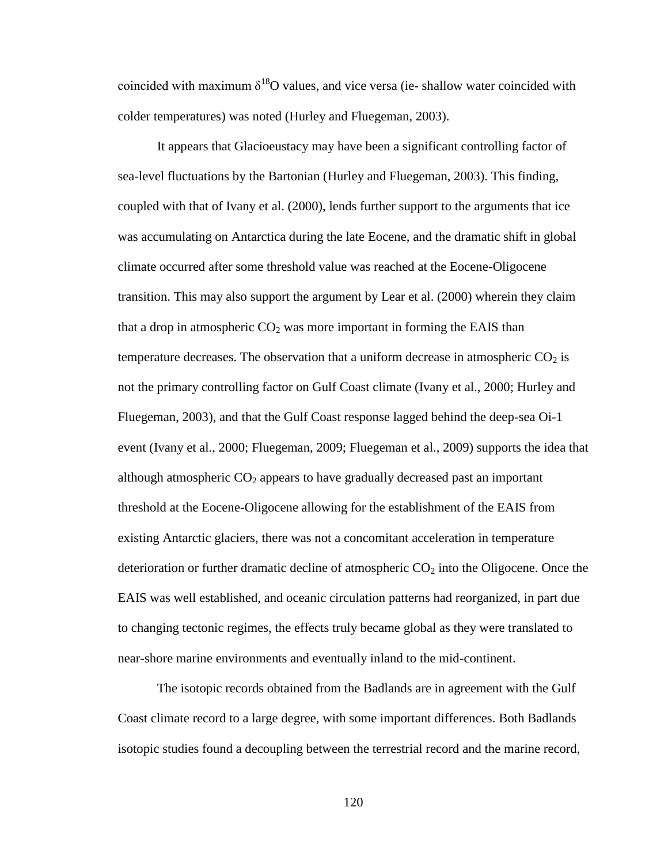coincided with maximum  $\delta^{18}O$  values, and vice versa (ie- shallow water coincided with colder temperatures) was noted (Hurley and Fluegeman, 2003).

It appears that Glacioeustacy may have been a significant controlling factor of sea-level fluctuations by the Bartonian (Hurley and Fluegeman, 2003). This finding, coupled with that of Ivany et al. (2000), lends further support to the arguments that ice was accumulating on Antarctica during the late Eocene, and the dramatic shift in global climate occurred after some threshold value was reached at the Eocene-Oligocene transition. This may also support the argument by Lear et al. (2000) wherein they claim that a drop in atmospheric  $CO<sub>2</sub>$  was more important in forming the EAIS than temperature decreases. The observation that a uniform decrease in atmospheric  $CO<sub>2</sub>$  is not the primary controlling factor on Gulf Coast climate (Ivany et al., 2000; Hurley and Fluegeman, 2003), and that the Gulf Coast response lagged behind the deep-sea Oi-1 event (Ivany et al., 2000; Fluegeman, 2009; Fluegeman et al., 2009) supports the idea that although atmospheric  $CO<sub>2</sub>$  appears to have gradually decreased past an important threshold at the Eocene-Oligocene allowing for the establishment of the EAIS from existing Antarctic glaciers, there was not a concomitant acceleration in temperature deterioration or further dramatic decline of atmospheric  $CO<sub>2</sub>$  into the Oligocene. Once the EAIS was well established, and oceanic circulation patterns had reorganized, in part due to changing tectonic regimes, the effects truly became global as they were translated to near-shore marine environments and eventually inland to the mid-continent.

The isotopic records obtained from the Badlands are in agreement with the Gulf Coast climate record to a large degree, with some important differences. Both Badlands isotopic studies found a decoupling between the terrestrial record and the marine record,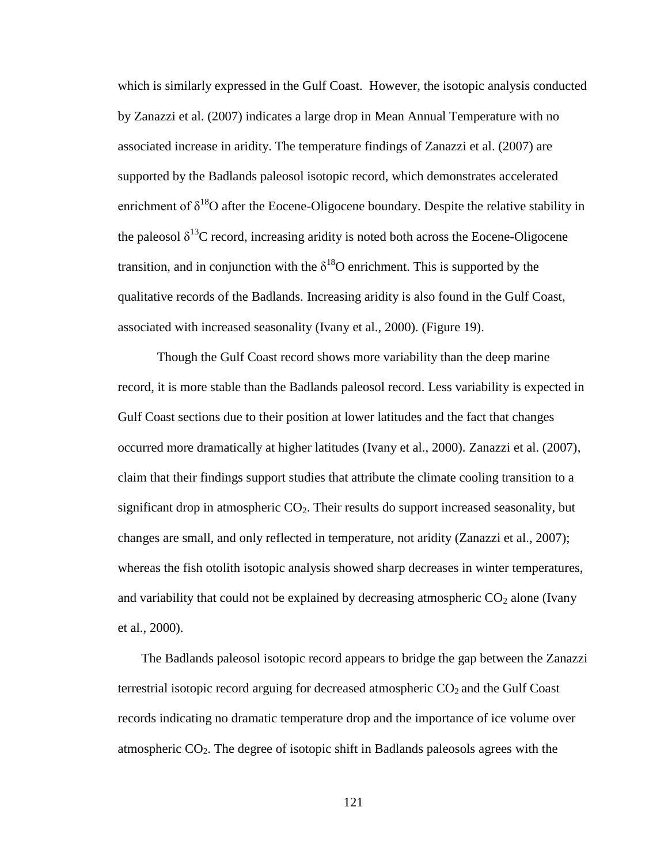which is similarly expressed in the Gulf Coast. However, the isotopic analysis conducted by Zanazzi et al. (2007) indicates a large drop in Mean Annual Temperature with no associated increase in aridity. The temperature findings of Zanazzi et al. (2007) are supported by the Badlands paleosol isotopic record, which demonstrates accelerated enrichment of  $\delta^{18}O$  after the Eocene-Oligocene boundary. Despite the relative stability in the paleosol  $\delta^{13}$ C record, increasing aridity is noted both across the Eocene-Oligocene transition, and in conjunction with the  $\delta^{18}O$  enrichment. This is supported by the qualitative records of the Badlands. Increasing aridity is also found in the Gulf Coast, associated with increased seasonality (Ivany et al., 2000). (Figure 19).

Though the Gulf Coast record shows more variability than the deep marine record, it is more stable than the Badlands paleosol record. Less variability is expected in Gulf Coast sections due to their position at lower latitudes and the fact that changes occurred more dramatically at higher latitudes (Ivany et al., 2000). Zanazzi et al. (2007), claim that their findings support studies that attribute the climate cooling transition to a significant drop in atmospheric  $CO<sub>2</sub>$ . Their results do support increased seasonality, but changes are small, and only reflected in temperature, not aridity (Zanazzi et al., 2007); whereas the fish otolith isotopic analysis showed sharp decreases in winter temperatures, and variability that could not be explained by decreasing atmospheric  $CO<sub>2</sub>$  alone (Ivany et al., 2000).

The Badlands paleosol isotopic record appears to bridge the gap between the Zanazzi terrestrial isotopic record arguing for decreased atmospheric  $CO<sub>2</sub>$  and the Gulf Coast records indicating no dramatic temperature drop and the importance of ice volume over atmospheric  $CO<sub>2</sub>$ . The degree of isotopic shift in Badlands paleosols agrees with the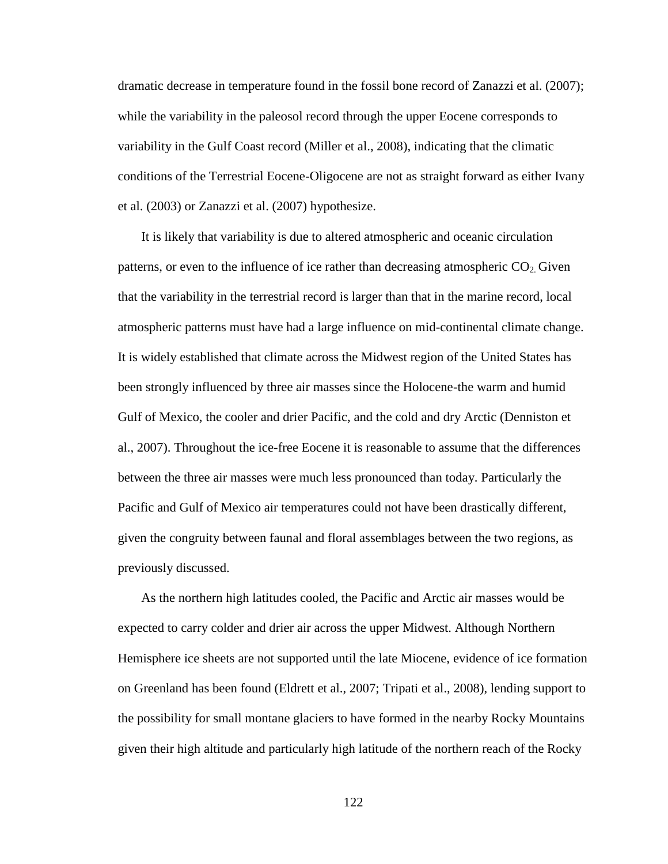dramatic decrease in temperature found in the fossil bone record of Zanazzi et al. (2007); while the variability in the paleosol record through the upper Eocene corresponds to variability in the Gulf Coast record (Miller et al., 2008), indicating that the climatic conditions of the Terrestrial Eocene-Oligocene are not as straight forward as either Ivany et al. (2003) or Zanazzi et al. (2007) hypothesize.

It is likely that variability is due to altered atmospheric and oceanic circulation patterns, or even to the influence of ice rather than decreasing atmospheric  $CO<sub>2</sub>$  Given that the variability in the terrestrial record is larger than that in the marine record, local atmospheric patterns must have had a large influence on mid-continental climate change. It is widely established that climate across the Midwest region of the United States has been strongly influenced by three air masses since the Holocene-the warm and humid Gulf of Mexico, the cooler and drier Pacific, and the cold and dry Arctic (Denniston et al., 2007). Throughout the ice-free Eocene it is reasonable to assume that the differences between the three air masses were much less pronounced than today. Particularly the Pacific and Gulf of Mexico air temperatures could not have been drastically different, given the congruity between faunal and floral assemblages between the two regions, as previously discussed.

As the northern high latitudes cooled, the Pacific and Arctic air masses would be expected to carry colder and drier air across the upper Midwest. Although Northern Hemisphere ice sheets are not supported until the late Miocene, evidence of ice formation on Greenland has been found (Eldrett et al., 2007; Tripati et al., 2008), lending support to the possibility for small montane glaciers to have formed in the nearby Rocky Mountains given their high altitude and particularly high latitude of the northern reach of the Rocky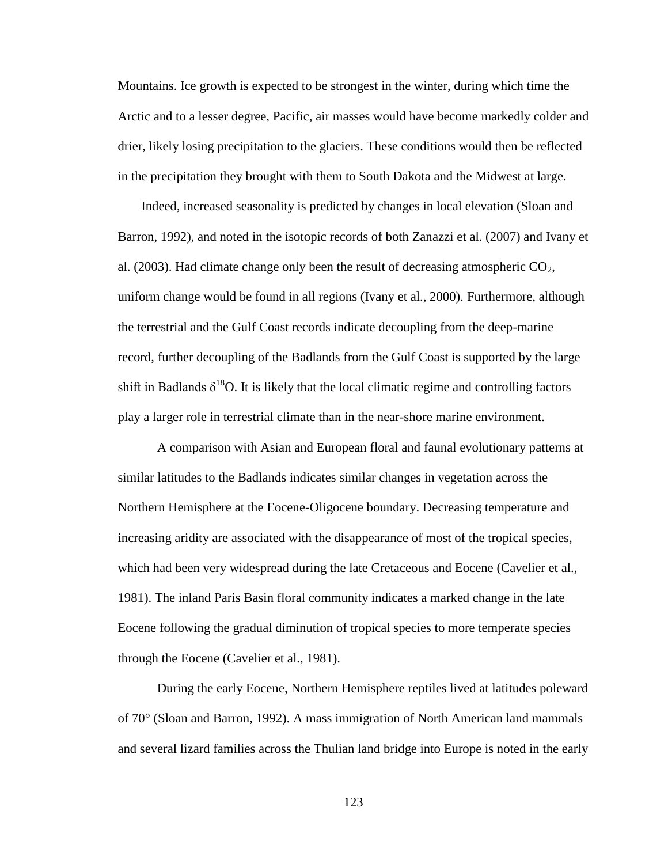Mountains. Ice growth is expected to be strongest in the winter, during which time the Arctic and to a lesser degree, Pacific, air masses would have become markedly colder and drier, likely losing precipitation to the glaciers. These conditions would then be reflected in the precipitation they brought with them to South Dakota and the Midwest at large.

Indeed, increased seasonality is predicted by changes in local elevation (Sloan and Barron, 1992), and noted in the isotopic records of both Zanazzi et al. (2007) and Ivany et al. (2003). Had climate change only been the result of decreasing atmospheric  $CO<sub>2</sub>$ , uniform change would be found in all regions (Ivany et al., 2000). Furthermore, although the terrestrial and the Gulf Coast records indicate decoupling from the deep-marine record, further decoupling of the Badlands from the Gulf Coast is supported by the large shift in Badlands  $\delta^{18}O$ . It is likely that the local climatic regime and controlling factors play a larger role in terrestrial climate than in the near-shore marine environment.

A comparison with Asian and European floral and faunal evolutionary patterns at similar latitudes to the Badlands indicates similar changes in vegetation across the Northern Hemisphere at the Eocene-Oligocene boundary. Decreasing temperature and increasing aridity are associated with the disappearance of most of the tropical species, which had been very widespread during the late Cretaceous and Eocene (Cavelier et al., 1981). The inland Paris Basin floral community indicates a marked change in the late Eocene following the gradual diminution of tropical species to more temperate species through the Eocene (Cavelier et al., 1981).

During the early Eocene, Northern Hemisphere reptiles lived at latitudes poleward of 70° (Sloan and Barron, 1992). A mass immigration of North American land mammals and several lizard families across the Thulian land bridge into Europe is noted in the early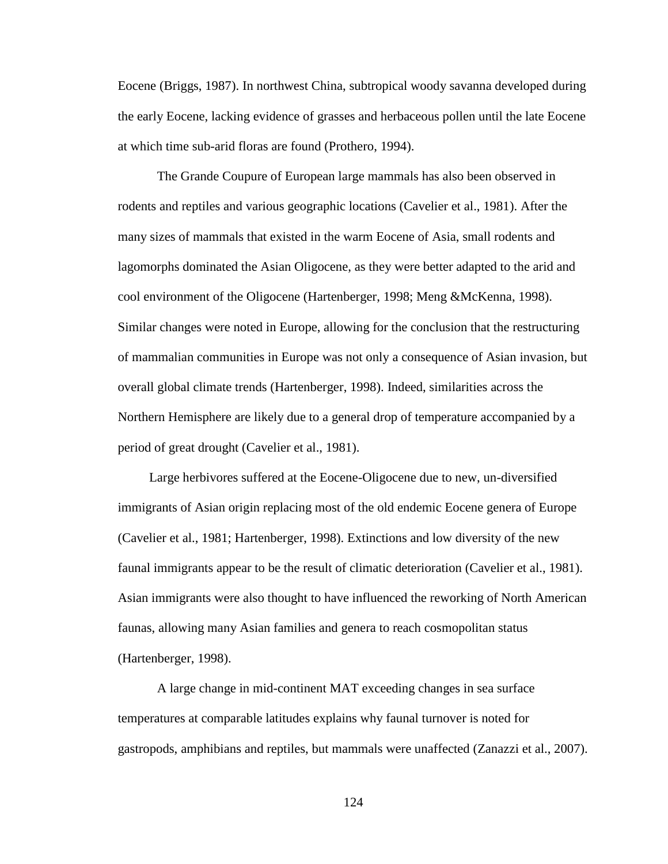Eocene (Briggs, 1987). In northwest China, subtropical woody savanna developed during the early Eocene, lacking evidence of grasses and herbaceous pollen until the late Eocene at which time sub-arid floras are found (Prothero, 1994).

The Grande Coupure of European large mammals has also been observed in rodents and reptiles and various geographic locations (Cavelier et al., 1981). After the many sizes of mammals that existed in the warm Eocene of Asia, small rodents and lagomorphs dominated the Asian Oligocene, as they were better adapted to the arid and cool environment of the Oligocene (Hartenberger, 1998; Meng &McKenna, 1998). Similar changes were noted in Europe, allowing for the conclusion that the restructuring of mammalian communities in Europe was not only a consequence of Asian invasion, but overall global climate trends (Hartenberger, 1998). Indeed, similarities across the Northern Hemisphere are likely due to a general drop of temperature accompanied by a period of great drought (Cavelier et al., 1981).

Large herbivores suffered at the Eocene-Oligocene due to new, un-diversified immigrants of Asian origin replacing most of the old endemic Eocene genera of Europe (Cavelier et al., 1981; Hartenberger, 1998). Extinctions and low diversity of the new faunal immigrants appear to be the result of climatic deterioration (Cavelier et al., 1981). Asian immigrants were also thought to have influenced the reworking of North American faunas, allowing many Asian families and genera to reach cosmopolitan status (Hartenberger, 1998).

A large change in mid-continent MAT exceeding changes in sea surface temperatures at comparable latitudes explains why faunal turnover is noted for gastropods, amphibians and reptiles, but mammals were unaffected (Zanazzi et al., 2007).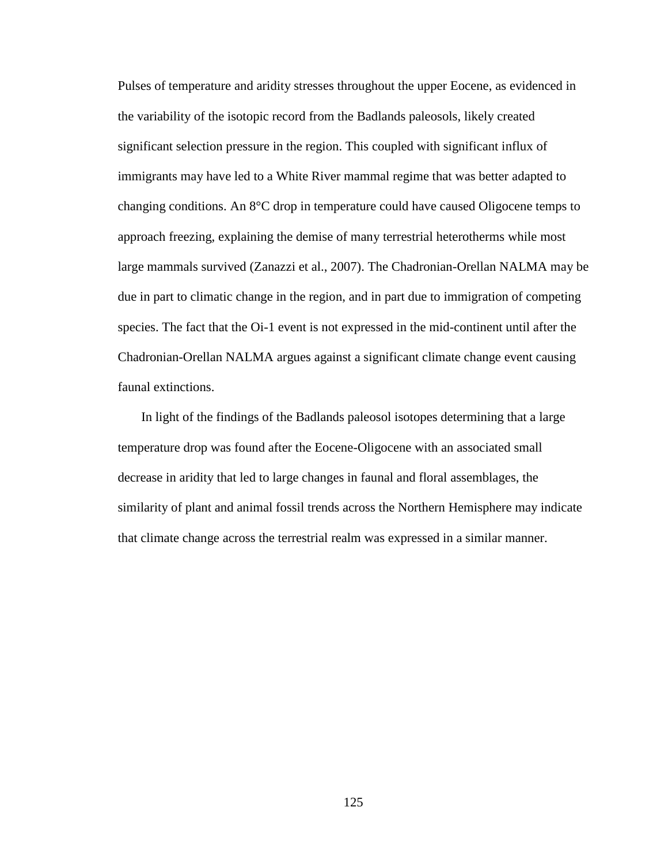Pulses of temperature and aridity stresses throughout the upper Eocene, as evidenced in the variability of the isotopic record from the Badlands paleosols, likely created significant selection pressure in the region. This coupled with significant influx of immigrants may have led to a White River mammal regime that was better adapted to changing conditions. An 8°C drop in temperature could have caused Oligocene temps to approach freezing, explaining the demise of many terrestrial heterotherms while most large mammals survived (Zanazzi et al., 2007). The Chadronian-Orellan NALMA may be due in part to climatic change in the region, and in part due to immigration of competing species. The fact that the Oi-1 event is not expressed in the mid-continent until after the Chadronian-Orellan NALMA argues against a significant climate change event causing faunal extinctions.

In light of the findings of the Badlands paleosol isotopes determining that a large temperature drop was found after the Eocene-Oligocene with an associated small decrease in aridity that led to large changes in faunal and floral assemblages, the similarity of plant and animal fossil trends across the Northern Hemisphere may indicate that climate change across the terrestrial realm was expressed in a similar manner.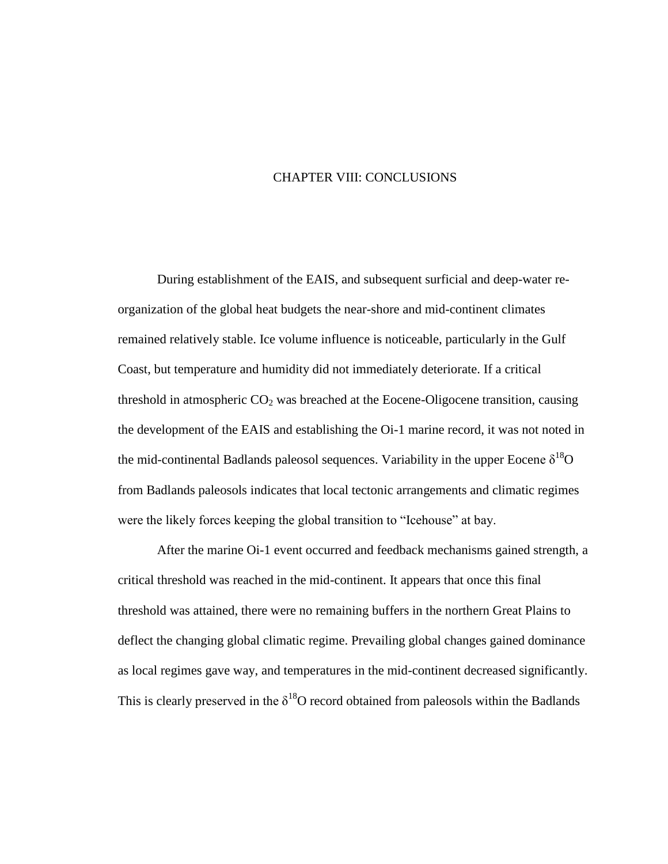## CHAPTER VIII: CONCLUSIONS

During establishment of the EAIS, and subsequent surficial and deep-water reorganization of the global heat budgets the near-shore and mid-continent climates remained relatively stable. Ice volume influence is noticeable, particularly in the Gulf Coast, but temperature and humidity did not immediately deteriorate. If a critical threshold in atmospheric  $CO<sub>2</sub>$  was breached at the Eocene-Oligocene transition, causing the development of the EAIS and establishing the Oi-1 marine record, it was not noted in the mid-continental Badlands paleosol sequences. Variability in the upper Eocene  $\delta^{18}O$ from Badlands paleosols indicates that local tectonic arrangements and climatic regimes were the likely forces keeping the global transition to "Icehouse" at bay.

After the marine Oi-1 event occurred and feedback mechanisms gained strength, a critical threshold was reached in the mid-continent. It appears that once this final threshold was attained, there were no remaining buffers in the northern Great Plains to deflect the changing global climatic regime. Prevailing global changes gained dominance as local regimes gave way, and temperatures in the mid-continent decreased significantly. This is clearly preserved in the  $\delta^{18}O$  record obtained from paleosols within the Badlands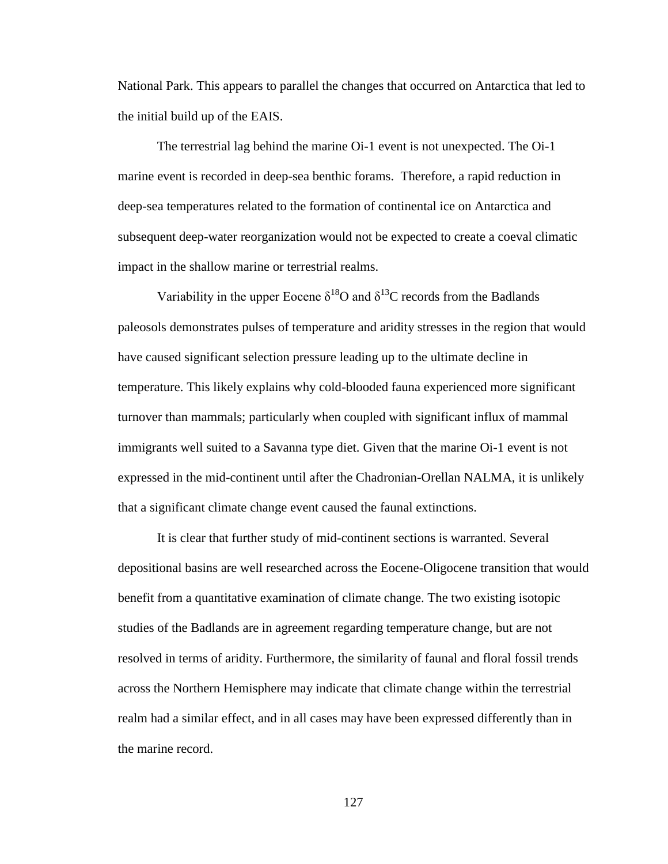National Park. This appears to parallel the changes that occurred on Antarctica that led to the initial build up of the EAIS.

The terrestrial lag behind the marine Oi-1 event is not unexpected. The Oi-1 marine event is recorded in deep-sea benthic forams. Therefore, a rapid reduction in deep-sea temperatures related to the formation of continental ice on Antarctica and subsequent deep-water reorganization would not be expected to create a coeval climatic impact in the shallow marine or terrestrial realms.

Variability in the upper Eocene  $\delta^{18}$ O and  $\delta^{13}$ C records from the Badlands paleosols demonstrates pulses of temperature and aridity stresses in the region that would have caused significant selection pressure leading up to the ultimate decline in temperature. This likely explains why cold-blooded fauna experienced more significant turnover than mammals; particularly when coupled with significant influx of mammal immigrants well suited to a Savanna type diet. Given that the marine Oi-1 event is not expressed in the mid-continent until after the Chadronian-Orellan NALMA, it is unlikely that a significant climate change event caused the faunal extinctions.

It is clear that further study of mid-continent sections is warranted. Several depositional basins are well researched across the Eocene-Oligocene transition that would benefit from a quantitative examination of climate change. The two existing isotopic studies of the Badlands are in agreement regarding temperature change, but are not resolved in terms of aridity. Furthermore, the similarity of faunal and floral fossil trends across the Northern Hemisphere may indicate that climate change within the terrestrial realm had a similar effect, and in all cases may have been expressed differently than in the marine record.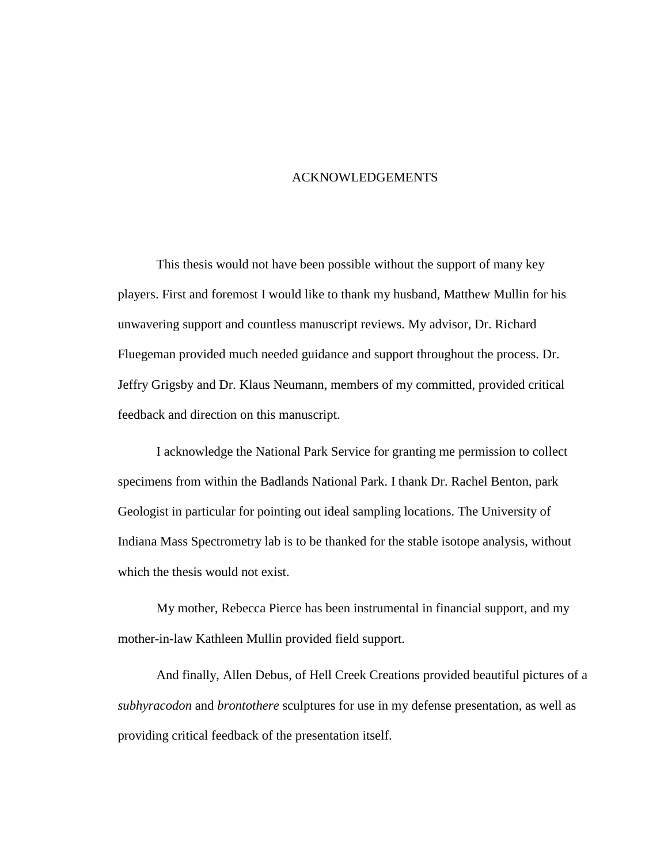## ACKNOWLEDGEMENTS

This thesis would not have been possible without the support of many key players. First and foremost I would like to thank my husband, Matthew Mullin for his unwavering support and countless manuscript reviews. My advisor, Dr. Richard Fluegeman provided much needed guidance and support throughout the process. Dr. Jeffry Grigsby and Dr. Klaus Neumann, members of my committed, provided critical feedback and direction on this manuscript.

I acknowledge the National Park Service for granting me permission to collect specimens from within the Badlands National Park. I thank Dr. Rachel Benton, park Geologist in particular for pointing out ideal sampling locations. The University of Indiana Mass Spectrometry lab is to be thanked for the stable isotope analysis, without which the thesis would not exist.

My mother, Rebecca Pierce has been instrumental in financial support, and my mother-in-law Kathleen Mullin provided field support.

And finally, Allen Debus, of Hell Creek Creations provided beautiful pictures of a *subhyracodon* and *brontothere* sculptures for use in my defense presentation, as well as providing critical feedback of the presentation itself.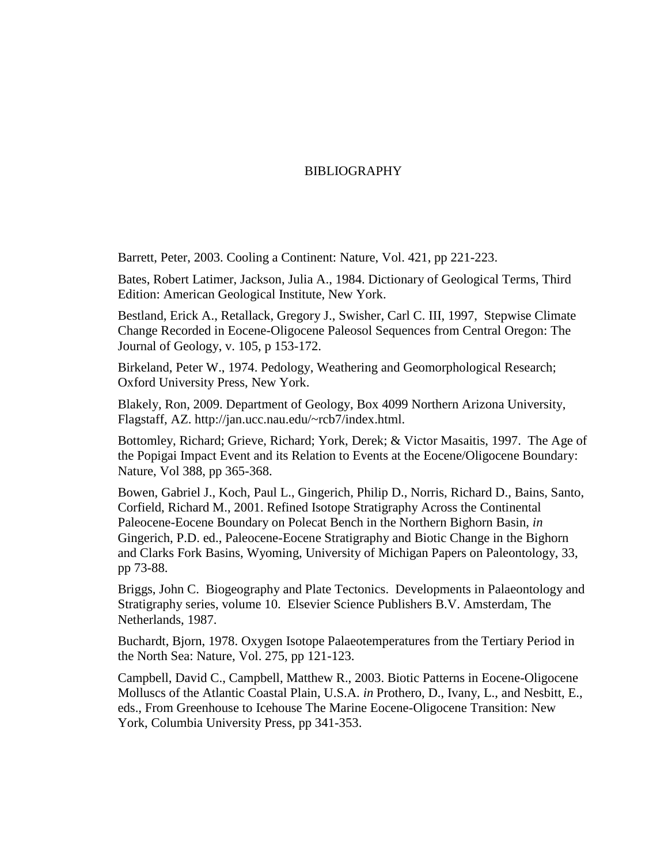## BIBLIOGRAPHY

Barrett, Peter, 2003. Cooling a Continent: Nature, Vol. 421, pp 221-223.

Bates, Robert Latimer, Jackson, Julia A., 1984. Dictionary of Geological Terms, Third Edition: American Geological Institute, New York.

Bestland, Erick A., Retallack, Gregory J., Swisher, Carl C. III, 1997, Stepwise Climate Change Recorded in Eocene-Oligocene Paleosol Sequences from Central Oregon: The Journal of Geology, v. 105, p 153-172.

Birkeland, Peter W., 1974. Pedology, Weathering and Geomorphological Research; Oxford University Press, New York.

Blakely, Ron, 2009. Department of Geology, Box 4099 Northern Arizona University, Flagstaff, AZ. http://jan.ucc.nau.edu/~rcb7/index.html.

Bottomley, Richard; Grieve, Richard; York, Derek; & Victor Masaitis, 1997. The Age of the Popigai Impact Event and its Relation to Events at the Eocene/Oligocene Boundary: Nature, Vol 388, pp 365-368.

Bowen, Gabriel J., Koch, Paul L., Gingerich, Philip D., Norris, Richard D., Bains, Santo, Corfield, Richard M., 2001. Refined Isotope Stratigraphy Across the Continental Paleocene-Eocene Boundary on Polecat Bench in the Northern Bighorn Basin, *in* Gingerich, P.D. ed., Paleocene-Eocene Stratigraphy and Biotic Change in the Bighorn and Clarks Fork Basins, Wyoming, University of Michigan Papers on Paleontology, 33, pp 73-88.

Briggs, John C. Biogeography and Plate Tectonics. Developments in Palaeontology and Stratigraphy series, volume 10. Elsevier Science Publishers B.V. Amsterdam, The Netherlands, 1987.

Buchardt, Bjorn, 1978. Oxygen Isotope Palaeotemperatures from the Tertiary Period in the North Sea: Nature, Vol. 275, pp 121-123.

Campbell, David C., Campbell, Matthew R., 2003. Biotic Patterns in Eocene-Oligocene Molluscs of the Atlantic Coastal Plain, U.S.A. *in* Prothero, D., Ivany, L., and Nesbitt, E., eds., From Greenhouse to Icehouse The Marine Eocene-Oligocene Transition: New York, Columbia University Press, pp 341-353.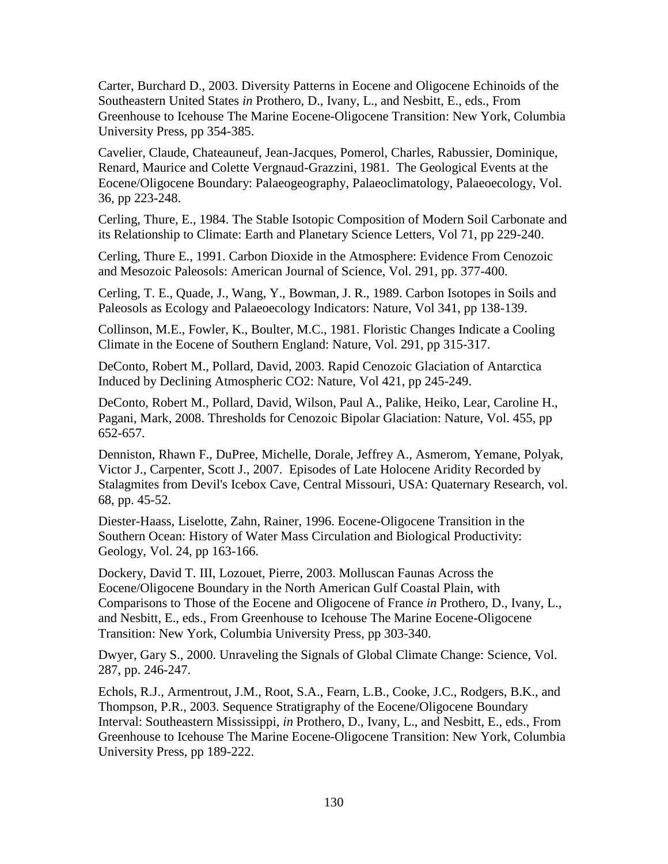Carter, Burchard D., 2003. Diversity Patterns in Eocene and Oligocene Echinoids of the Southeastern United States *in* Prothero, D., Ivany, L., and Nesbitt, E., eds., From Greenhouse to Icehouse The Marine Eocene-Oligocene Transition: New York, Columbia University Press, pp 354-385.

Cavelier, Claude, Chateauneuf, Jean-Jacques, Pomerol, Charles, Rabussier, Dominique, Renard, Maurice and Colette Vergnaud-Grazzini, 1981. The Geological Events at the Eocene/Oligocene Boundary: Palaeogeography, Palaeoclimatology, Palaeoecology, Vol. 36, pp 223-248.

Cerling, Thure, E., 1984. The Stable Isotopic Composition of Modern Soil Carbonate and its Relationship to Climate: Earth and Planetary Science Letters, Vol 71, pp 229-240.

Cerling, Thure E., 1991. Carbon Dioxide in the Atmosphere: Evidence From Cenozoic and Mesozoic Paleosols: American Journal of Science, Vol. 291, pp. 377-400.

Cerling, T. E., Quade, J., Wang, Y., Bowman, J. R., 1989. Carbon Isotopes in Soils and Paleosols as Ecology and Palaeoecology Indicators: Nature, Vol 341, pp 138-139.

Collinson, M.E., Fowler, K., Boulter, M.C., 1981. Floristic Changes Indicate a Cooling Climate in the Eocene of Southern England: Nature, Vol. 291, pp 315-317.

DeConto, Robert M., Pollard, David, 2003. Rapid Cenozoic Glaciation of Antarctica Induced by Declining Atmospheric CO2: Nature, Vol 421, pp 245-249.

DeConto, Robert M., Pollard, David, Wilson, Paul A., Palike, Heiko, Lear, Caroline H., Pagani, Mark, 2008. Thresholds for Cenozoic Bipolar Glaciation: Nature, Vol. 455, pp 652-657.

Denniston, Rhawn F., DuPree, Michelle, Dorale, Jeffrey A., Asmerom, Yemane, Polyak, Victor J., Carpenter, Scott J., 2007. Episodes of Late Holocene Aridity Recorded by Stalagmites from Devil's Icebox Cave, Central Missouri, USA: Quaternary Research, vol. 68, pp. 45-52.

Diester-Haass, Liselotte, Zahn, Rainer, 1996. Eocene-Oligocene Transition in the Southern Ocean: History of Water Mass Circulation and Biological Productivity: Geology, Vol. 24, pp 163-166.

Dockery, David T. III, Lozouet, Pierre, 2003. Molluscan Faunas Across the Eocene/Oligocene Boundary in the North American Gulf Coastal Plain, with Comparisons to Those of the Eocene and Oligocene of France *in* Prothero, D., Ivany, L., and Nesbitt, E., eds., From Greenhouse to Icehouse The Marine Eocene-Oligocene Transition: New York, Columbia University Press, pp 303-340.

Dwyer, Gary S., 2000. Unraveling the Signals of Global Climate Change: Science, Vol. 287, pp. 246-247.

Echols, R.J., Armentrout, J.M., Root, S.A., Fearn, L.B., Cooke, J.C., Rodgers, B.K., and Thompson, P.R., 2003. Sequence Stratigraphy of the Eocene/Oligocene Boundary Interval: Southeastern Mississippi, *in* Prothero, D., Ivany, L., and Nesbitt, E., eds., From Greenhouse to Icehouse The Marine Eocene-Oligocene Transition: New York, Columbia University Press, pp 189-222.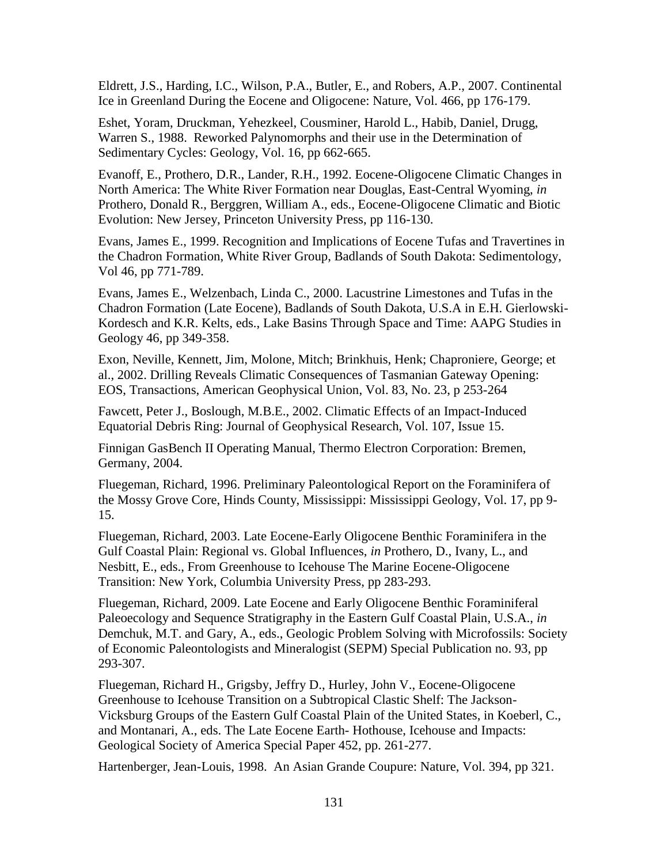Eldrett, J.S., Harding, I.C., Wilson, P.A., Butler, E., and Robers, A.P., 2007. Continental Ice in Greenland During the Eocene and Oligocene: Nature, Vol. 466, pp 176-179.

Eshet, Yoram, Druckman, Yehezkeel, Cousminer, Harold L., Habib, Daniel, Drugg, Warren S., 1988. Reworked Palynomorphs and their use in the Determination of Sedimentary Cycles: Geology, Vol. 16, pp 662-665.

Evanoff, E., Prothero, D.R., Lander, R.H., 1992. Eocene-Oligocene Climatic Changes in North America: The White River Formation near Douglas, East-Central Wyoming, *in*  Prothero, Donald R., Berggren, William A., eds., Eocene-Oligocene Climatic and Biotic Evolution: New Jersey, Princeton University Press, pp 116-130.

Evans, James E., 1999. Recognition and Implications of Eocene Tufas and Travertines in the Chadron Formation, White River Group, Badlands of South Dakota: Sedimentology, Vol 46, pp 771-789.

Evans, James E., Welzenbach, Linda C., 2000. Lacustrine Limestones and Tufas in the Chadron Formation (Late Eocene), Badlands of South Dakota, U.S.A in E.H. Gierlowski-Kordesch and K.R. Kelts, eds., Lake Basins Through Space and Time: AAPG Studies in Geology 46, pp 349-358.

Exon, Neville, Kennett, Jim, Molone, Mitch; Brinkhuis, Henk; Chaproniere, George; et al., 2002. Drilling Reveals Climatic Consequences of Tasmanian Gateway Opening: EOS, Transactions, American Geophysical Union, Vol. 83, No. 23, p 253-264

Fawcett, Peter J., Boslough, M.B.E., 2002. Climatic Effects of an Impact-Induced Equatorial Debris Ring: Journal of Geophysical Research, Vol. 107, Issue 15.

Finnigan GasBench II Operating Manual, Thermo Electron Corporation: Bremen, Germany, 2004.

Fluegeman, Richard, 1996. Preliminary Paleontological Report on the Foraminifera of the Mossy Grove Core, Hinds County, Mississippi: Mississippi Geology, Vol. 17, pp 9- 15.

Fluegeman, Richard, 2003. Late Eocene-Early Oligocene Benthic Foraminifera in the Gulf Coastal Plain: Regional vs. Global Influences, *in* Prothero, D., Ivany, L., and Nesbitt, E., eds., From Greenhouse to Icehouse The Marine Eocene-Oligocene Transition: New York, Columbia University Press, pp 283-293.

Fluegeman, Richard, 2009. Late Eocene and Early Oligocene Benthic Foraminiferal Paleoecology and Sequence Stratigraphy in the Eastern Gulf Coastal Plain, U.S.A., *in* Demchuk, M.T. and Gary, A., eds., Geologic Problem Solving with Microfossils: Society of Economic Paleontologists and Mineralogist (SEPM) Special Publication no. 93, pp 293-307.

Fluegeman, Richard H., Grigsby, Jeffry D., Hurley, John V., Eocene-Oligocene Greenhouse to Icehouse Transition on a Subtropical Clastic Shelf: The Jackson-Vicksburg Groups of the Eastern Gulf Coastal Plain of the United States, in Koeberl, C., and Montanari, A., eds. The Late Eocene Earth- Hothouse, Icehouse and Impacts: Geological Society of America Special Paper 452, pp. 261-277.

Hartenberger, Jean-Louis, 1998. An Asian Grande Coupure: Nature, Vol. 394, pp 321.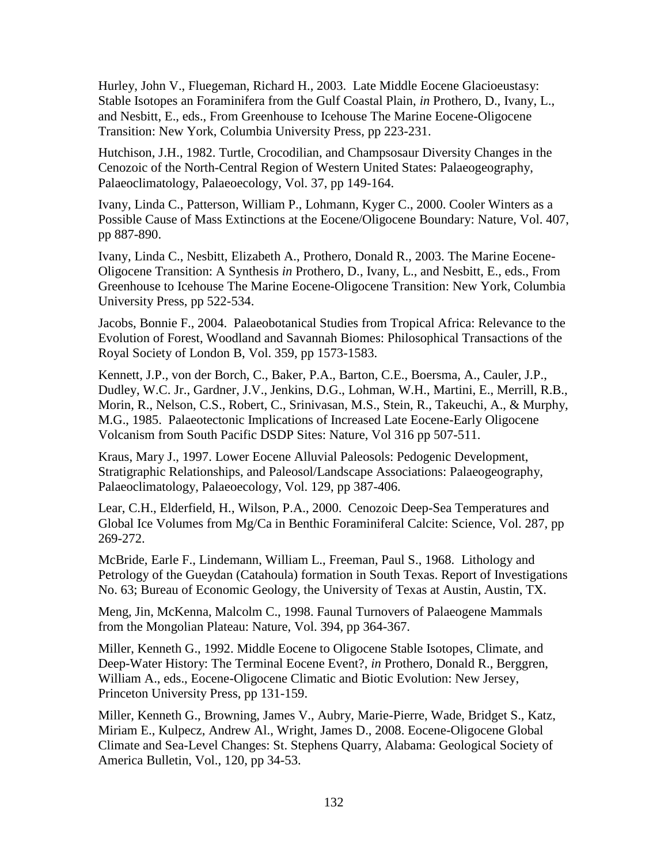Hurley, John V., Fluegeman, Richard H., 2003. Late Middle Eocene Glacioeustasy: Stable Isotopes an Foraminifera from the Gulf Coastal Plain, *in* Prothero, D., Ivany, L., and Nesbitt, E., eds., From Greenhouse to Icehouse The Marine Eocene-Oligocene Transition: New York, Columbia University Press, pp 223-231.

Hutchison, J.H., 1982. Turtle, Crocodilian, and Champsosaur Diversity Changes in the Cenozoic of the North-Central Region of Western United States: Palaeogeography, Palaeoclimatology, Palaeoecology, Vol. 37, pp 149-164.

Ivany, Linda C., Patterson, William P., Lohmann, Kyger C., 2000. Cooler Winters as a Possible Cause of Mass Extinctions at the Eocene/Oligocene Boundary: Nature, Vol. 407, pp 887-890.

Ivany, Linda C., Nesbitt, Elizabeth A., Prothero, Donald R., 2003. The Marine Eocene-Oligocene Transition: A Synthesis *in* Prothero, D., Ivany, L., and Nesbitt, E., eds., From Greenhouse to Icehouse The Marine Eocene-Oligocene Transition: New York, Columbia University Press, pp 522-534.

Jacobs, Bonnie F., 2004. Palaeobotanical Studies from Tropical Africa: Relevance to the Evolution of Forest, Woodland and Savannah Biomes: Philosophical Transactions of the Royal Society of London B, Vol. 359, pp 1573-1583.

Kennett, J.P., von der Borch, C., Baker, P.A., Barton, C.E., Boersma, A., Cauler, J.P., Dudley, W.C. Jr., Gardner, J.V., Jenkins, D.G., Lohman, W.H., Martini, E., Merrill, R.B., Morin, R., Nelson, C.S., Robert, C., Srinivasan, M.S., Stein, R., Takeuchi, A., & Murphy, M.G., 1985. Palaeotectonic Implications of Increased Late Eocene-Early Oligocene Volcanism from South Pacific DSDP Sites: Nature, Vol 316 pp 507-511.

Kraus, Mary J., 1997. Lower Eocene Alluvial Paleosols: Pedogenic Development, Stratigraphic Relationships, and Paleosol/Landscape Associations: Palaeogeography, Palaeoclimatology, Palaeoecology, Vol. 129, pp 387-406.

Lear, C.H., Elderfield, H., Wilson, P.A., 2000. Cenozoic Deep-Sea Temperatures and Global Ice Volumes from Mg/Ca in Benthic Foraminiferal Calcite: Science, Vol. 287, pp 269-272.

McBride, Earle F., Lindemann, William L., Freeman, Paul S., 1968. Lithology and Petrology of the Gueydan (Catahoula) formation in South Texas. Report of Investigations No. 63; Bureau of Economic Geology, the University of Texas at Austin, Austin, TX.

Meng, Jin, McKenna, Malcolm C., 1998. Faunal Turnovers of Palaeogene Mammals from the Mongolian Plateau: Nature, Vol. 394, pp 364-367.

Miller, Kenneth G., 1992. Middle Eocene to Oligocene Stable Isotopes, Climate, and Deep-Water History: The Terminal Eocene Event?, *in* Prothero, Donald R., Berggren, William A., eds., Eocene-Oligocene Climatic and Biotic Evolution: New Jersey, Princeton University Press, pp 131-159.

Miller, Kenneth G., Browning, James V., Aubry, Marie-Pierre, Wade, Bridget S., Katz, Miriam E., Kulpecz, Andrew Al., Wright, James D., 2008. Eocene-Oligocene Global Climate and Sea-Level Changes: St. Stephens Quarry, Alabama: Geological Society of America Bulletin, Vol., 120, pp 34-53.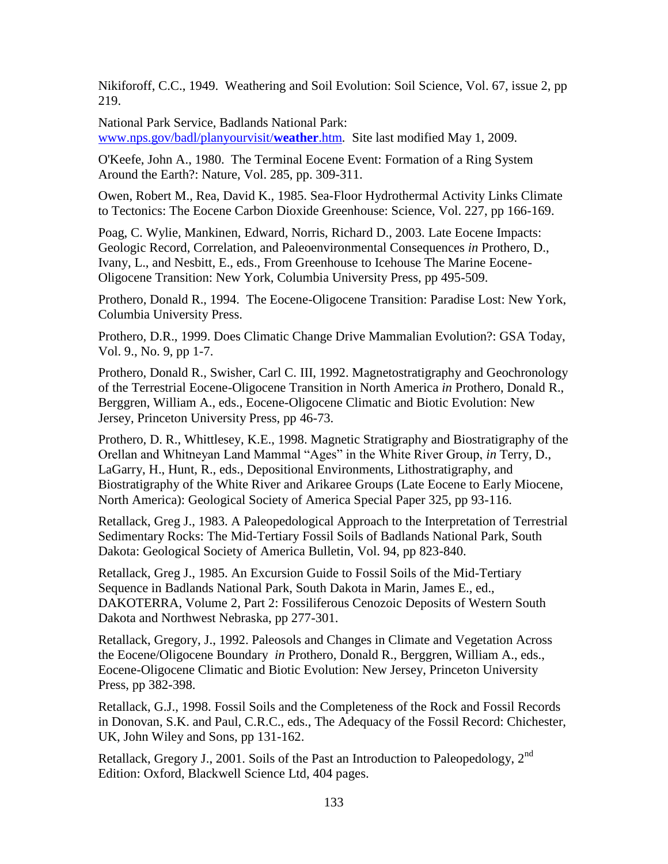Nikiforoff, C.C., 1949. Weathering and Soil Evolution: Soil Science, Vol. 67, issue 2, pp 219.

National Park Service, Badlands National Park: [www.nps.gov/badl/planyourvisit/](http://www.nps.gov/badl/planyourvisit/weather.htm)**weather**.htm*.* Site last modified May 1, 2009.

O'Keefe, John A., 1980. The Terminal Eocene Event: Formation of a Ring System Around the Earth?: Nature, Vol. 285, pp. 309-311.

Owen, Robert M., Rea, David K., 1985. Sea-Floor Hydrothermal Activity Links Climate to Tectonics: The Eocene Carbon Dioxide Greenhouse: Science, Vol. 227, pp 166-169.

Poag, C. Wylie, Mankinen, Edward, Norris, Richard D., 2003. Late Eocene Impacts: Geologic Record, Correlation, and Paleoenvironmental Consequences *in* Prothero, D., Ivany, L., and Nesbitt, E., eds., From Greenhouse to Icehouse The Marine Eocene-Oligocene Transition: New York, Columbia University Press, pp 495-509.

Prothero, Donald R., 1994. The Eocene-Oligocene Transition: Paradise Lost: New York, Columbia University Press.

Prothero, D.R., 1999. Does Climatic Change Drive Mammalian Evolution?: GSA Today, Vol. 9., No. 9, pp 1-7.

Prothero, Donald R., Swisher, Carl C. III, 1992. Magnetostratigraphy and Geochronology of the Terrestrial Eocene-Oligocene Transition in North America *in* Prothero, Donald R., Berggren, William A., eds., Eocene-Oligocene Climatic and Biotic Evolution: New Jersey, Princeton University Press, pp 46-73.

Prothero, D. R., Whittlesey, K.E., 1998. Magnetic Stratigraphy and Biostratigraphy of the Orellan and Whitneyan Land Mammal "Ages" in the White River Group, *in* Terry, D., LaGarry, H., Hunt, R., eds., Depositional Environments, Lithostratigraphy, and Biostratigraphy of the White River and Arikaree Groups (Late Eocene to Early Miocene, North America): Geological Society of America Special Paper 325, pp 93-116.

Retallack, Greg J., 1983. A Paleopedological Approach to the Interpretation of Terrestrial Sedimentary Rocks: The Mid-Tertiary Fossil Soils of Badlands National Park, South Dakota: Geological Society of America Bulletin, Vol. 94, pp 823-840.

Retallack, Greg J., 1985. An Excursion Guide to Fossil Soils of the Mid-Tertiary Sequence in Badlands National Park, South Dakota in Marin, James E., ed., DAKOTERRA, Volume 2, Part 2: Fossiliferous Cenozoic Deposits of Western South Dakota and Northwest Nebraska, pp 277-301.

Retallack, Gregory, J., 1992. Paleosols and Changes in Climate and Vegetation Across the Eocene/Oligocene Boundary *in* Prothero, Donald R., Berggren, William A., eds., Eocene-Oligocene Climatic and Biotic Evolution: New Jersey, Princeton University Press, pp 382-398.

Retallack, G.J., 1998. Fossil Soils and the Completeness of the Rock and Fossil Records in Donovan, S.K. and Paul, C.R.C., eds., The Adequacy of the Fossil Record: Chichester, UK, John Wiley and Sons, pp 131-162.

Retallack, Gregory J., 2001. Soils of the Past an Introduction to Paleopedology, 2<sup>nd</sup> Edition: Oxford, Blackwell Science Ltd, 404 pages.